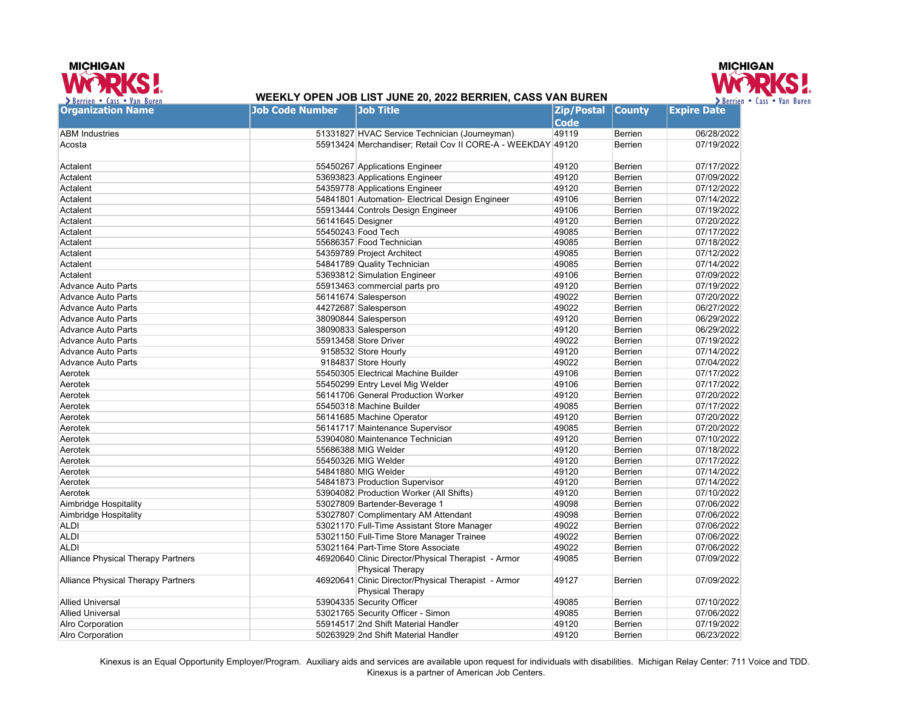



## **WEEKLY OPEN JOB LIST JUNE 20, 2022 BERRIEN, CASS VAN BUREN**

| <b>Organization Name</b>                  | <b>Job Code Number</b> | <b>Job Title</b>                                            | <b>Zip/Postal</b> | <b>County</b>  | <b>Expire Date</b> |
|-------------------------------------------|------------------------|-------------------------------------------------------------|-------------------|----------------|--------------------|
|                                           |                        |                                                             | <b>Code</b>       |                |                    |
| <b>ABM Industries</b>                     |                        | 51331827 HVAC Service Technician (Journeyman)               | 49119             | Berrien        | 06/28/2022         |
| Acosta                                    |                        | 55913424 Merchandiser; Retail Cov II CORE-A - WEEKDAY 49120 |                   | Berrien        | 07/19/2022         |
|                                           |                        |                                                             |                   |                |                    |
| Actalent                                  |                        | 55450267 Applications Engineer                              | 49120             | Berrien        | 07/17/2022         |
| Actalent                                  |                        | 53693823 Applications Engineer                              | 49120             | Berrien        | 07/09/2022         |
| Actalent                                  |                        | 54359778 Applications Engineer                              | 49120             | Berrien        | 07/12/2022         |
| Actalent                                  |                        | 54841801 Automation- Electrical Design Engineer             | 49106             | Berrien        | 07/14/2022         |
| Actalent                                  |                        | 55913444 Controls Design Engineer                           | 49106             | Berrien        | 07/19/2022         |
| Actalent                                  | 56141645 Designer      |                                                             | 49120             | Berrien        | 07/20/2022         |
| Actalent                                  |                        | 55450243 Food Tech                                          | 49085             | Berrien        | 07/17/2022         |
| Actalent                                  |                        | 55686357 Food Technician                                    | 49085             | Berrien        | 07/18/2022         |
| Actalent                                  |                        | 54359789 Project Architect                                  | 49085             | Berrien        | 07/12/2022         |
| Actalent                                  |                        | 54841789 Quality Technician                                 | 49085             | Berrien        | 07/14/2022         |
| Actalent                                  |                        | 53693812 Simulation Engineer                                | 49106             | Berrien        | 07/09/2022         |
| <b>Advance Auto Parts</b>                 |                        | 55913463 commercial parts pro                               | 49120             | Berrien        | 07/19/2022         |
| <b>Advance Auto Parts</b>                 |                        | 56141674 Salesperson                                        | 49022             | Berrien        | 07/20/2022         |
| <b>Advance Auto Parts</b>                 |                        | 44272687 Salesperson                                        | 49022             | Berrien        | 06/27/2022         |
| <b>Advance Auto Parts</b>                 |                        | 38090844 Salesperson                                        | 49120             | Berrien        | 06/29/2022         |
| <b>Advance Auto Parts</b>                 |                        | 38090833 Salesperson                                        | 49120             | Berrien        | 06/29/2022         |
| <b>Advance Auto Parts</b>                 |                        | 55913458 Store Driver                                       | 49022             | Berrien        | 07/19/2022         |
| <b>Advance Auto Parts</b>                 |                        | 9158532 Store Hourly                                        | 49120             | Berrien        | 07/14/2022         |
| Advance Auto Parts                        |                        | 9184837 Store Hourly                                        | 49022             | Berrien        | 07/04/2022         |
| Aerotek                                   |                        | 55450305 Electrical Machine Builder                         | 49106             | Berrien        | 07/17/2022         |
| Aerotek                                   |                        | 55450299 Entry Level Mig Welder                             | 49106             | Berrien        | 07/17/2022         |
| Aerotek                                   |                        | 56141706 General Production Worker                          | 49120             | Berrien        | 07/20/2022         |
| Aerotek                                   |                        | 55450318 Machine Builder                                    | 49085             | Berrien        | 07/17/2022         |
| Aerotek                                   |                        | 56141685 Machine Operator                                   | 49120             | Berrien        | 07/20/2022         |
| Aerotek                                   |                        | 56141717 Maintenance Supervisor                             | 49085             | Berrien        | 07/20/2022         |
| Aerotek                                   |                        | 53904080 Maintenance Technician                             | 49120             | Berrien        | 07/10/2022         |
| Aerotek                                   |                        | 55686388 MIG Welder                                         | 49120             | Berrien        | 07/18/2022         |
| Aerotek                                   |                        | 55450326 MIG Welder                                         | 49120             | Berrien        | 07/17/2022         |
| Aerotek                                   |                        | 54841880 MIG Welder                                         | 49120             | Berrien        | 07/14/2022         |
| Aerotek                                   |                        | 54841873 Production Supervisor                              | 49120             | Berrien        | 07/14/2022         |
| Aerotek                                   |                        | 53904082 Production Worker (All Shifts)                     | 49120             | <b>Berrien</b> | 07/10/2022         |
| Aimbridge Hospitality                     |                        | 53027809 Bartender-Beverage 1                               | 49098             | Berrien        | 07/06/2022         |
| Aimbridge Hospitality                     |                        | 53027807 Complimentary AM Attendant                         | 49098             | Berrien        | 07/06/2022         |
| <b>ALDI</b>                               |                        | 53021170 Full-Time Assistant Store Manager                  | 49022             | Berrien        | 07/06/2022         |
| <b>ALDI</b>                               |                        | 53021150 Full-Time Store Manager Trainee                    | 49022             | <b>Berrien</b> | 07/06/2022         |
| <b>ALDI</b>                               |                        | 53021164 Part-Time Store Associate                          | 49022             | Berrien        | 07/06/2022         |
| <b>Alliance Physical Therapy Partners</b> |                        | 46920640 Clinic Director/Physical Therapist - Armor         | 49085             | Berrien        | 07/09/2022         |
|                                           |                        | <b>Physical Therapy</b>                                     |                   |                |                    |
| <b>Alliance Physical Therapy Partners</b> |                        | 46920641 Clinic Director/Physical Therapist - Armor         | 49127             | <b>Berrien</b> | 07/09/2022         |
|                                           |                        | <b>Physical Therapy</b>                                     |                   |                |                    |
| <b>Allied Universal</b>                   |                        | 53904335 Security Officer                                   | 49085             | <b>Berrien</b> | 07/10/2022         |
| <b>Allied Universal</b>                   |                        | 53021765 Security Officer - Simon                           | 49085             | <b>Berrien</b> | 07/06/2022         |
| Alro Corporation                          |                        | 55914517 2nd Shift Material Handler                         | 49120             | Berrien        | 07/19/2022         |
| Alro Corporation                          |                        | 50263929 2nd Shift Material Handler                         | 49120             | Berrien        | 06/23/2022         |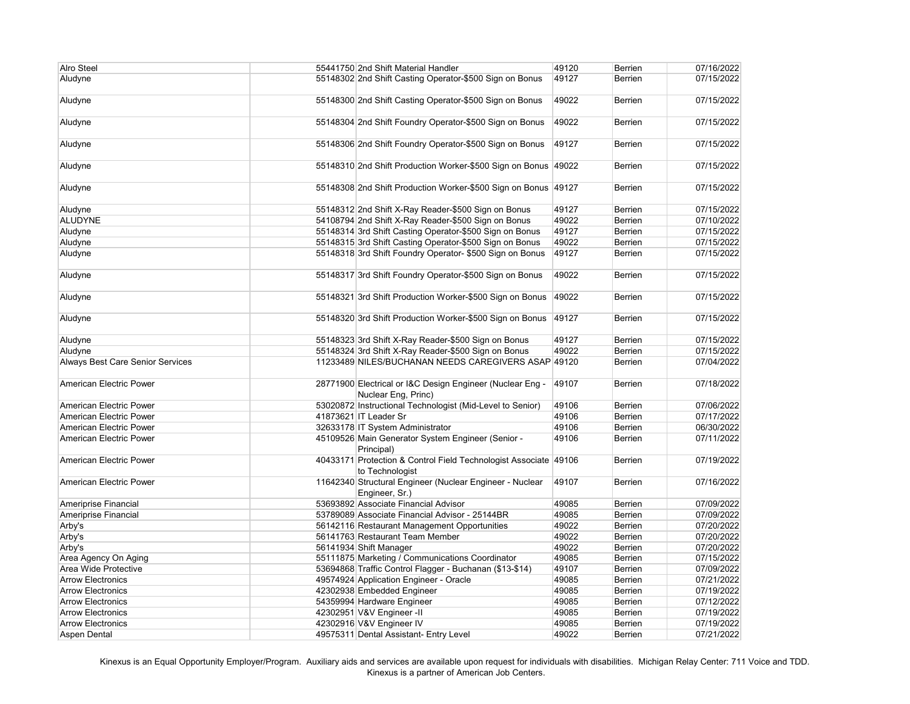| <b>Alro Steel</b>                       | 55441750 2nd Shift Material Handler                                                 | 49120 | Berrien        | 07/16/2022 |
|-----------------------------------------|-------------------------------------------------------------------------------------|-------|----------------|------------|
| Aludyne                                 | 55148302 2nd Shift Casting Operator-\$500 Sign on Bonus                             | 49127 | <b>Berrien</b> | 07/15/2022 |
|                                         |                                                                                     |       |                |            |
| Aludyne                                 | 55148300 2nd Shift Casting Operator-\$500 Sign on Bonus                             | 49022 | <b>Berrien</b> | 07/15/2022 |
| Aludyne                                 | 55148304 2nd Shift Foundry Operator-\$500 Sign on Bonus                             | 49022 | <b>Berrien</b> | 07/15/2022 |
| Aludyne                                 | 55148306 2nd Shift Foundry Operator-\$500 Sign on Bonus                             | 49127 | <b>Berrien</b> | 07/15/2022 |
| Aludyne                                 | 55148310 2nd Shift Production Worker-\$500 Sign on Bonus 49022                      |       | <b>Berrien</b> | 07/15/2022 |
| Aludyne                                 | 55148308 2nd Shift Production Worker-\$500 Sign on Bonus 49127                      |       | <b>Berrien</b> | 07/15/2022 |
| Aludyne                                 | 55148312 2nd Shift X-Ray Reader-\$500 Sign on Bonus                                 | 49127 | Berrien        | 07/15/2022 |
|                                         |                                                                                     | 49022 |                |            |
| <b>ALUDYNE</b>                          | 54108794 2nd Shift X-Ray Reader-\$500 Sign on Bonus                                 |       | Berrien        | 07/10/2022 |
| Aludyne                                 | 55148314 3rd Shift Casting Operator-\$500 Sign on Bonus                             | 49127 | Berrien        | 07/15/2022 |
| Aludyne                                 | 55148315 3rd Shift Casting Operator-\$500 Sign on Bonus                             | 49022 | Berrien        | 07/15/2022 |
| Aludyne                                 | 55148318 3rd Shift Foundry Operator- \$500 Sign on Bonus                            | 49127 | <b>Berrien</b> | 07/15/2022 |
| Aludyne                                 | 55148317 3rd Shift Foundry Operator-\$500 Sign on Bonus                             | 49022 | <b>Berrien</b> | 07/15/2022 |
| Aludyne                                 | 55148321 3rd Shift Production Worker-\$500 Sign on Bonus                            | 49022 | <b>Berrien</b> | 07/15/2022 |
| Aludyne                                 | 55148320 3rd Shift Production Worker-\$500 Sign on Bonus                            | 49127 | Berrien        | 07/15/2022 |
| Aludyne                                 | 55148323 3rd Shift X-Ray Reader-\$500 Sign on Bonus                                 | 49127 | Berrien        | 07/15/2022 |
| Aludyne                                 | 55148324 3rd Shift X-Ray Reader-\$500 Sign on Bonus                                 | 49022 | Berrien        | 07/15/2022 |
| <b>Always Best Care Senior Services</b> | 11233489 NILES/BUCHANAN NEEDS CAREGIVERS ASAP 49120                                 |       | <b>Berrien</b> | 07/04/2022 |
| American Electric Power                 | 28771900 Electrical or I&C Design Engineer (Nuclear Eng -<br>Nuclear Eng, Princ)    | 49107 | <b>Berrien</b> | 07/18/2022 |
| American Electric Power                 | 53020872 Instructional Technologist (Mid-Level to Senior)                           | 49106 | Berrien        | 07/06/2022 |
| American Electric Power                 | 41873621 IT Leader Sr                                                               | 49106 | Berrien        | 07/17/2022 |
| American Electric Power                 | 32633178 IT System Administrator                                                    | 49106 | Berrien        | 06/30/2022 |
| American Electric Power                 | 45109526 Main Generator System Engineer (Senior -                                   | 49106 | <b>Berrien</b> | 07/11/2022 |
|                                         | Principal)                                                                          |       |                |            |
| American Electric Power                 | 40433171 Protection & Control Field Technologist Associate 49106<br>to Technologist |       | Berrien        | 07/19/2022 |
| <b>American Electric Power</b>          | 11642340 Structural Engineer (Nuclear Engineer - Nuclear<br>Engineer, Sr.)          | 49107 | Berrien        | 07/16/2022 |
| Ameriprise Financial                    | 53693892 Associate Financial Advisor                                                | 49085 | Berrien        | 07/09/2022 |
| Ameriprise Financial                    | 53789089 Associate Financial Advisor - 25144BR                                      | 49085 | Berrien        | 07/09/2022 |
| Arby's                                  | 56142116 Restaurant Management Opportunities                                        | 49022 | Berrien        | 07/20/2022 |
| Arby's                                  | 56141763 Restaurant Team Member                                                     | 49022 | Berrien        | 07/20/2022 |
| Arby's                                  | 56141934 Shift Manager                                                              | 49022 | Berrien        | 07/20/2022 |
| Area Agency On Aging                    | 55111875 Marketing / Communications Coordinator                                     | 49085 | <b>Berrien</b> | 07/15/2022 |
| Area Wide Protective                    | 53694868 Traffic Control Flagger - Buchanan (\$13-\$14)                             | 49107 | <b>Berrien</b> | 07/09/2022 |
| <b>Arrow Electronics</b>                | 49574924 Application Engineer - Oracle                                              | 49085 | <b>Berrien</b> | 07/21/2022 |
| <b>Arrow Electronics</b>                | 42302938 Embedded Engineer                                                          | 49085 | Berrien        | 07/19/2022 |
| <b>Arrow Electronics</b>                | 54359994 Hardware Engineer                                                          | 49085 | Berrien        | 07/12/2022 |
| <b>Arrow Electronics</b>                | 42302951 V&V Engineer -II                                                           | 49085 | Berrien        | 07/19/2022 |
| <b>Arrow Electronics</b>                | 42302916 V&V Engineer IV                                                            | 49085 | Berrien        | 07/19/2022 |
| Aspen Dental                            | 49575311 Dental Assistant- Entry Level                                              | 49022 | Berrien        | 07/21/2022 |
|                                         |                                                                                     |       |                |            |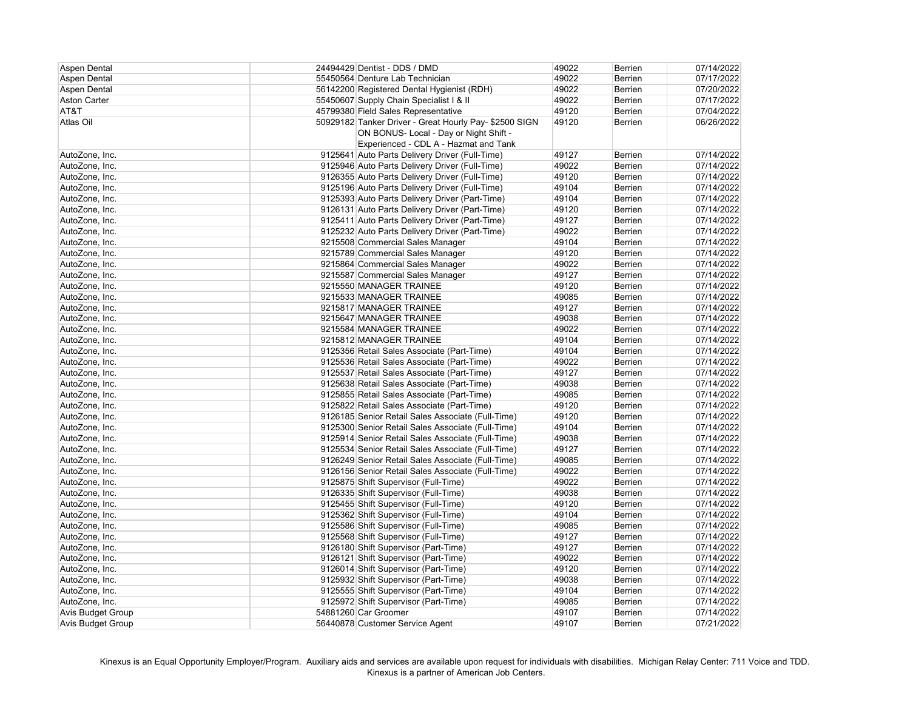| <b>Aspen Dental</b>      | 24494429 Dentist - DDS / DMD                           | 49022 | Berrien        | 07/14/2022 |
|--------------------------|--------------------------------------------------------|-------|----------------|------------|
| <b>Aspen Dental</b>      | 55450564 Denture Lab Technician                        | 49022 | Berrien        | 07/17/2022 |
| <b>Aspen Dental</b>      | 56142200 Registered Dental Hygienist (RDH)             | 49022 | Berrien        | 07/20/2022 |
| <b>Aston Carter</b>      | 55450607 Supply Chain Specialist I & II                | 49022 | Berrien        | 07/17/2022 |
| AT&T                     | 45799380 Field Sales Representative                    | 49120 | Berrien        | 07/04/2022 |
| Atlas Oil                | 50929182 Tanker Driver - Great Hourly Pay- \$2500 SIGN | 49120 | Berrien        | 06/26/2022 |
|                          | ON BONUS- Local - Day or Night Shift -                 |       |                |            |
|                          | Experienced - CDL A - Hazmat and Tank                  |       |                |            |
| AutoZone, Inc.           | 9125641 Auto Parts Delivery Driver (Full-Time)         | 49127 | <b>Berrien</b> | 07/14/2022 |
| AutoZone, Inc.           | 9125946 Auto Parts Delivery Driver (Full-Time)         | 49022 | Berrien        | 07/14/2022 |
| AutoZone, Inc.           | 9126355 Auto Parts Delivery Driver (Full-Time)         | 49120 | Berrien        | 07/14/2022 |
| AutoZone, Inc.           | 9125196 Auto Parts Delivery Driver (Full-Time)         | 49104 | Berrien        | 07/14/2022 |
| AutoZone, Inc.           | 9125393 Auto Parts Delivery Driver (Part-Time)         | 49104 | Berrien        | 07/14/2022 |
| AutoZone, Inc.           | 9126131 Auto Parts Delivery Driver (Part-Time)         | 49120 | Berrien        | 07/14/2022 |
| AutoZone, Inc.           | 9125411 Auto Parts Delivery Driver (Part-Time)         | 49127 | Berrien        | 07/14/2022 |
| AutoZone, Inc.           | 9125232 Auto Parts Delivery Driver (Part-Time)         | 49022 | Berrien        | 07/14/2022 |
| AutoZone, Inc.           | 9215508 Commercial Sales Manager                       | 49104 | Berrien        | 07/14/2022 |
| AutoZone, Inc.           | 9215789 Commercial Sales Manager                       | 49120 | Berrien        | 07/14/2022 |
| AutoZone, Inc.           | 9215864 Commercial Sales Manager                       | 49022 | Berrien        | 07/14/2022 |
| AutoZone, Inc.           | 9215587 Commercial Sales Manager                       | 49127 | Berrien        | 07/14/2022 |
| AutoZone, Inc.           | 9215550 MANAGER TRAINEE                                | 49120 | <b>Berrien</b> | 07/14/2022 |
| AutoZone, Inc.           | 9215533 MANAGER TRAINEE                                | 49085 | Berrien        | 07/14/2022 |
| AutoZone, Inc.           | 9215817 MANAGER TRAINEE                                | 49127 | Berrien        | 07/14/2022 |
| AutoZone, Inc.           | 9215647 MANAGER TRAINEE                                | 49038 | Berrien        | 07/14/2022 |
| AutoZone, Inc.           | 9215584 MANAGER TRAINEE                                | 49022 | Berrien        | 07/14/2022 |
| AutoZone, Inc.           | 9215812 MANAGER TRAINEE                                | 49104 | Berrien        | 07/14/2022 |
| AutoZone, Inc.           | 9125356 Retail Sales Associate (Part-Time)             | 49104 | Berrien        | 07/14/2022 |
| AutoZone, Inc.           | 9125536 Retail Sales Associate (Part-Time)             | 49022 | Berrien        | 07/14/2022 |
| AutoZone, Inc.           | 9125537 Retail Sales Associate (Part-Time)             | 49127 | Berrien        | 07/14/2022 |
| AutoZone, Inc.           | 9125638 Retail Sales Associate (Part-Time)             | 49038 | Berrien        | 07/14/2022 |
| AutoZone, Inc.           | 9125855 Retail Sales Associate (Part-Time)             | 49085 | Berrien        | 07/14/2022 |
| AutoZone, Inc.           | 9125822 Retail Sales Associate (Part-Time)             | 49120 | Berrien        | 07/14/2022 |
| AutoZone, Inc.           | 9126185 Senior Retail Sales Associate (Full-Time)      | 49120 | Berrien        | 07/14/2022 |
| AutoZone, Inc.           | 9125300 Senior Retail Sales Associate (Full-Time)      | 49104 | Berrien        | 07/14/2022 |
| AutoZone, Inc.           | 9125914 Senior Retail Sales Associate (Full-Time)      | 49038 | Berrien        | 07/14/2022 |
| AutoZone, Inc.           | 9125534 Senior Retail Sales Associate (Full-Time)      | 49127 | <b>Berrien</b> | 07/14/2022 |
| AutoZone, Inc.           | 9126249 Senior Retail Sales Associate (Full-Time)      | 49085 | Berrien        | 07/14/2022 |
| AutoZone, Inc.           | 9126156 Senior Retail Sales Associate (Full-Time)      | 49022 | <b>Berrien</b> | 07/14/2022 |
| AutoZone, Inc.           | 9125875 Shift Supervisor (Full-Time)                   | 49022 | <b>Berrien</b> | 07/14/2022 |
| AutoZone, Inc.           | 9126335 Shift Supervisor (Full-Time)                   | 49038 | Berrien        | 07/14/2022 |
| AutoZone, Inc.           | 9125455 Shift Supervisor (Full-Time)                   | 49120 | Berrien        | 07/14/2022 |
| AutoZone, Inc.           | 9125362 Shift Supervisor (Full-Time)                   | 49104 | <b>Berrien</b> | 07/14/2022 |
| AutoZone, Inc.           | 9125586 Shift Supervisor (Full-Time)                   | 49085 | <b>Berrien</b> | 07/14/2022 |
| AutoZone, Inc.           | 9125568 Shift Supervisor (Full-Time)                   | 49127 | <b>Berrien</b> | 07/14/2022 |
| AutoZone, Inc.           | 9126180 Shift Supervisor (Part-Time)                   | 49127 | <b>Berrien</b> | 07/14/2022 |
| AutoZone, Inc.           | 9126121 Shift Supervisor (Part-Time)                   | 49022 | <b>Berrien</b> | 07/14/2022 |
| AutoZone, Inc.           | 9126014 Shift Supervisor (Part-Time)                   | 49120 | <b>Berrien</b> | 07/14/2022 |
| AutoZone, Inc.           | 9125932 Shift Supervisor (Part-Time)                   | 49038 | Berrien        | 07/14/2022 |
| AutoZone, Inc.           | 9125555 Shift Supervisor (Part-Time)                   | 49104 | <b>Berrien</b> | 07/14/2022 |
| AutoZone, Inc.           | 9125972 Shift Supervisor (Part-Time)                   | 49085 | <b>Berrien</b> | 07/14/2022 |
| <b>Avis Budget Group</b> | 54881260 Car Groomer                                   | 49107 | <b>Berrien</b> | 07/14/2022 |
| <b>Avis Budget Group</b> | 56440878 Customer Service Agent                        | 49107 | <b>Berrien</b> | 07/21/2022 |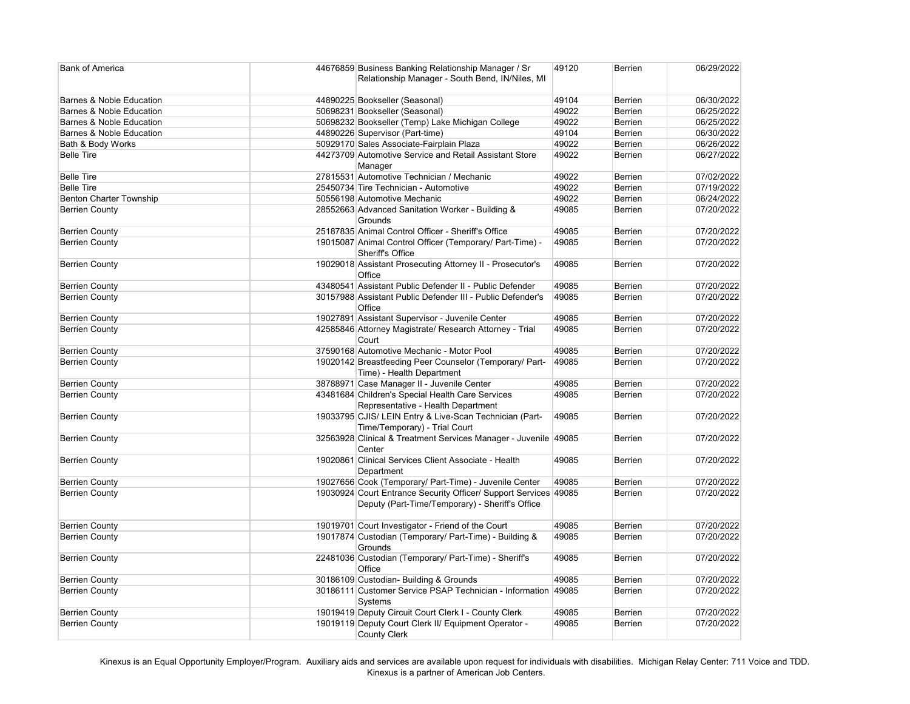| <b>Bank of America</b>              | 44676859 Business Banking Relationship Manager / Sr<br>Relationship Manager - South Bend, IN/Niles, MI              | 49120 | <b>Berrien</b> | 06/29/2022 |
|-------------------------------------|---------------------------------------------------------------------------------------------------------------------|-------|----------------|------------|
| <b>Barnes &amp; Noble Education</b> | 44890225 Bookseller (Seasonal)                                                                                      | 49104 | <b>Berrien</b> | 06/30/2022 |
| <b>Barnes &amp; Noble Education</b> | 50698231 Bookseller (Seasonal)                                                                                      | 49022 | <b>Berrien</b> | 06/25/2022 |
| <b>Barnes &amp; Noble Education</b> | 50698232 Bookseller (Temp) Lake Michigan College                                                                    | 49022 | <b>Berrien</b> | 06/25/2022 |
| <b>Barnes &amp; Noble Education</b> | 44890226 Supervisor (Part-time)                                                                                     | 49104 | <b>Berrien</b> | 06/30/2022 |
| Bath & Body Works                   | 50929170 Sales Associate-Fairplain Plaza                                                                            | 49022 | <b>Berrien</b> | 06/26/2022 |
| <b>Belle Tire</b>                   | 44273709 Automotive Service and Retail Assistant Store<br>Manager                                                   | 49022 | <b>Berrien</b> | 06/27/2022 |
| <b>Belle Tire</b>                   | 27815531 Automotive Technician / Mechanic                                                                           | 49022 | <b>Berrien</b> | 07/02/2022 |
| <b>Belle Tire</b>                   | 25450734 Tire Technician - Automotive                                                                               | 49022 | <b>Berrien</b> | 07/19/2022 |
| <b>Benton Charter Township</b>      | 50556198 Automotive Mechanic                                                                                        | 49022 | <b>Berrien</b> | 06/24/2022 |
| <b>Berrien County</b>               | 28552663 Advanced Sanitation Worker - Building &<br>Grounds                                                         | 49085 | <b>Berrien</b> | 07/20/2022 |
| <b>Berrien County</b>               | 25187835 Animal Control Officer - Sheriff's Office                                                                  | 49085 | <b>Berrien</b> | 07/20/2022 |
| <b>Berrien County</b>               | 19015087 Animal Control Officer (Temporary/ Part-Time) -<br>Sheriff's Office                                        | 49085 | <b>Berrien</b> | 07/20/2022 |
| <b>Berrien County</b>               | 19029018 Assistant Prosecuting Attorney II - Prosecutor's<br>Office                                                 | 49085 | <b>Berrien</b> | 07/20/2022 |
| <b>Berrien County</b>               | 43480541 Assistant Public Defender II - Public Defender                                                             | 49085 | <b>Berrien</b> | 07/20/2022 |
| <b>Berrien County</b>               | 30157988 Assistant Public Defender III - Public Defender's<br>Office                                                | 49085 | <b>Berrien</b> | 07/20/2022 |
| <b>Berrien County</b>               | 19027891 Assistant Supervisor - Juvenile Center                                                                     | 49085 | <b>Berrien</b> | 07/20/2022 |
| <b>Berrien County</b>               | 42585846 Attorney Magistrate/ Research Attorney - Trial<br>Court                                                    | 49085 | <b>Berrien</b> | 07/20/2022 |
| <b>Berrien County</b>               | 37590168 Automotive Mechanic - Motor Pool                                                                           | 49085 | <b>Berrien</b> | 07/20/2022 |
| <b>Berrien County</b>               | 19020142 Breastfeeding Peer Counselor (Temporary/ Part-<br>Time) - Health Department                                | 49085 | <b>Berrien</b> | 07/20/2022 |
| <b>Berrien County</b>               | 38788971 Case Manager II - Juvenile Center                                                                          | 49085 | <b>Berrien</b> | 07/20/2022 |
| <b>Berrien County</b>               | 43481684 Children's Special Health Care Services<br>Representative - Health Department                              | 49085 | <b>Berrien</b> | 07/20/2022 |
| <b>Berrien County</b>               | 19033795 CJIS/ LEIN Entry & Live-Scan Technician (Part-<br>Time/Temporary) - Trial Court                            | 49085 | <b>Berrien</b> | 07/20/2022 |
| <b>Berrien County</b>               | 32563928 Clinical & Treatment Services Manager - Juvenile 49085<br>Center                                           |       | <b>Berrien</b> | 07/20/2022 |
| <b>Berrien County</b>               | 19020861 Clinical Services Client Associate - Health<br>Department                                                  | 49085 | <b>Berrien</b> | 07/20/2022 |
| <b>Berrien County</b>               | 19027656 Cook (Temporary/ Part-Time) - Juvenile Center                                                              | 49085 | <b>Berrien</b> | 07/20/2022 |
| <b>Berrien County</b>               | 19030924 Court Entrance Security Officer/ Support Services 49085<br>Deputy (Part-Time/Temporary) - Sheriff's Office |       | <b>Berrien</b> | 07/20/2022 |
| <b>Berrien County</b>               | 19019701 Court Investigator - Friend of the Court                                                                   | 49085 | <b>Berrien</b> | 07/20/2022 |
| <b>Berrien County</b>               | 19017874 Custodian (Temporary/ Part-Time) - Building &<br>Grounds                                                   | 49085 | <b>Berrien</b> | 07/20/2022 |
| <b>Berrien County</b>               | 22481036 Custodian (Temporary/ Part-Time) - Sheriff's<br>Office                                                     | 49085 | <b>Berrien</b> | 07/20/2022 |
| <b>Berrien County</b>               | 30186109 Custodian- Building & Grounds                                                                              | 49085 | <b>Berrien</b> | 07/20/2022 |
| <b>Berrien County</b>               | 30186111 Customer Service PSAP Technician - Information<br>Systems                                                  | 49085 | <b>Berrien</b> | 07/20/2022 |
| <b>Berrien County</b>               | 19019419 Deputy Circuit Court Clerk I - County Clerk                                                                | 49085 | <b>Berrien</b> | 07/20/2022 |
| <b>Berrien County</b>               | 19019119 Deputy Court Clerk II/ Equipment Operator -<br><b>County Clerk</b>                                         | 49085 | <b>Berrien</b> | 07/20/2022 |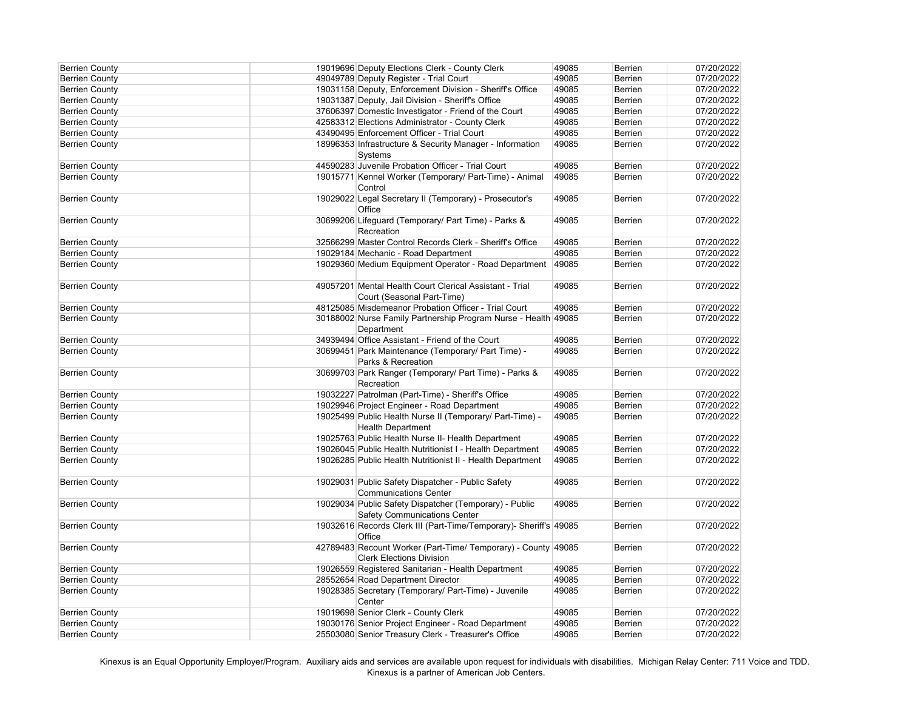| <b>Berrien County</b> | 19019696 Deputy Elections Clerk - County Clerk                                                   | 49085 | <b>Berrien</b> | 07/20/2022 |
|-----------------------|--------------------------------------------------------------------------------------------------|-------|----------------|------------|
| <b>Berrien County</b> | 49049789 Deputy Register - Trial Court                                                           | 49085 | <b>Berrien</b> | 07/20/2022 |
| <b>Berrien County</b> | 19031158 Deputy, Enforcement Division - Sheriff's Office                                         | 49085 | <b>Berrien</b> | 07/20/2022 |
| <b>Berrien County</b> | 19031387 Deputy, Jail Division - Sheriff's Office                                                | 49085 | <b>Berrien</b> | 07/20/2022 |
| <b>Berrien County</b> | 37606397 Domestic Investigator - Friend of the Court                                             | 49085 | <b>Berrien</b> | 07/20/2022 |
| <b>Berrien County</b> | 42583312 Elections Administrator - County Clerk                                                  | 49085 | <b>Berrien</b> | 07/20/2022 |
| <b>Berrien County</b> | 43490495 Enforcement Officer - Trial Court                                                       | 49085 | Berrien        | 07/20/2022 |
| <b>Berrien County</b> | 18996353 Infrastructure & Security Manager - Information<br>Systems                              | 49085 | Berrien        | 07/20/2022 |
| <b>Berrien County</b> | 44590283 Juvenile Probation Officer - Trial Court                                                | 49085 | <b>Berrien</b> | 07/20/2022 |
| <b>Berrien County</b> | 19015771 Kennel Worker (Temporary/ Part-Time) - Animal<br>Control                                | 49085 | <b>Berrien</b> | 07/20/2022 |
| <b>Berrien County</b> | 19029022 Legal Secretary II (Temporary) - Prosecutor's<br>Office                                 | 49085 | <b>Berrien</b> | 07/20/2022 |
| <b>Berrien County</b> | 30699206 Lifeguard (Temporary/ Part Time) - Parks &<br>Recreation                                | 49085 | <b>Berrien</b> | 07/20/2022 |
| <b>Berrien County</b> | 32566299 Master Control Records Clerk - Sheriff's Office                                         | 49085 | Berrien        | 07/20/2022 |
| <b>Berrien County</b> | 19029184 Mechanic - Road Department                                                              | 49085 | <b>Berrien</b> | 07/20/2022 |
| <b>Berrien County</b> | 19029360 Medium Equipment Operator - Road Department                                             | 49085 | <b>Berrien</b> | 07/20/2022 |
| <b>Berrien County</b> | 49057201 Mental Health Court Clerical Assistant - Trial                                          | 49085 | <b>Berrien</b> | 07/20/2022 |
|                       | Court (Seasonal Part-Time)                                                                       |       |                |            |
| <b>Berrien County</b> | 48125085 Misdemeanor Probation Officer - Trial Court                                             | 49085 | <b>Berrien</b> | 07/20/2022 |
| <b>Berrien County</b> | 30188002 Nurse Family Partnership Program Nurse - Health 49085<br>Department                     |       | <b>Berrien</b> | 07/20/2022 |
| <b>Berrien County</b> | 34939494 Office Assistant - Friend of the Court                                                  | 49085 | <b>Berrien</b> | 07/20/2022 |
| <b>Berrien County</b> | 30699451 Park Maintenance (Temporary/ Part Time) -<br>Parks & Recreation                         | 49085 | <b>Berrien</b> | 07/20/2022 |
| <b>Berrien County</b> | 30699703 Park Ranger (Temporary/ Part Time) - Parks &<br>Recreation                              | 49085 | <b>Berrien</b> | 07/20/2022 |
| <b>Berrien County</b> | 19032227 Patrolman (Part-Time) - Sheriff's Office                                                | 49085 | <b>Berrien</b> | 07/20/2022 |
| <b>Berrien County</b> | 19029946 Project Engineer - Road Department                                                      | 49085 | <b>Berrien</b> | 07/20/2022 |
| <b>Berrien County</b> | 19025499 Public Health Nurse II (Temporary/ Part-Time) -<br><b>Health Department</b>             | 49085 | Berrien        | 07/20/2022 |
| <b>Berrien County</b> | 19025763 Public Health Nurse II- Health Department                                               | 49085 | <b>Berrien</b> | 07/20/2022 |
| <b>Berrien County</b> | 19026045 Public Health Nutritionist I - Health Department                                        | 49085 | <b>Berrien</b> | 07/20/2022 |
| <b>Berrien County</b> | 19026285 Public Health Nutritionist II - Health Department                                       | 49085 | <b>Berrien</b> | 07/20/2022 |
| <b>Berrien County</b> | 19029031 Public Safety Dispatcher - Public Safety<br><b>Communications Center</b>                | 49085 | <b>Berrien</b> | 07/20/2022 |
| <b>Berrien County</b> | 19029034 Public Safety Dispatcher (Temporary) - Public<br><b>Safety Communications Center</b>    | 49085 | <b>Berrien</b> | 07/20/2022 |
| <b>Berrien County</b> | 19032616 Records Clerk III (Part-Time/Temporary)- Sheriff's 49085<br>Office                      |       | <b>Berrien</b> | 07/20/2022 |
| <b>Berrien County</b> | 42789483 Recount Worker (Part-Time/ Temporary) - County 49085<br><b>Clerk Elections Division</b> |       | <b>Berrien</b> | 07/20/2022 |
| <b>Berrien County</b> | 19026559 Registered Sanitarian - Health Department                                               | 49085 | <b>Berrien</b> | 07/20/2022 |
| <b>Berrien County</b> | 28552654 Road Department Director                                                                | 49085 | Berrien        | 07/20/2022 |
| <b>Berrien County</b> | 19028385 Secretary (Temporary/ Part-Time) - Juvenile<br>Center                                   | 49085 | <b>Berrien</b> | 07/20/2022 |
| <b>Berrien County</b> | 19019698 Senior Clerk - County Clerk                                                             | 49085 | <b>Berrien</b> | 07/20/2022 |
| <b>Berrien County</b> | 19030176 Senior Project Engineer - Road Department                                               | 49085 | <b>Berrien</b> | 07/20/2022 |
| <b>Berrien County</b> | 25503080 Senior Treasury Clerk - Treasurer's Office                                              | 49085 | <b>Berrien</b> | 07/20/2022 |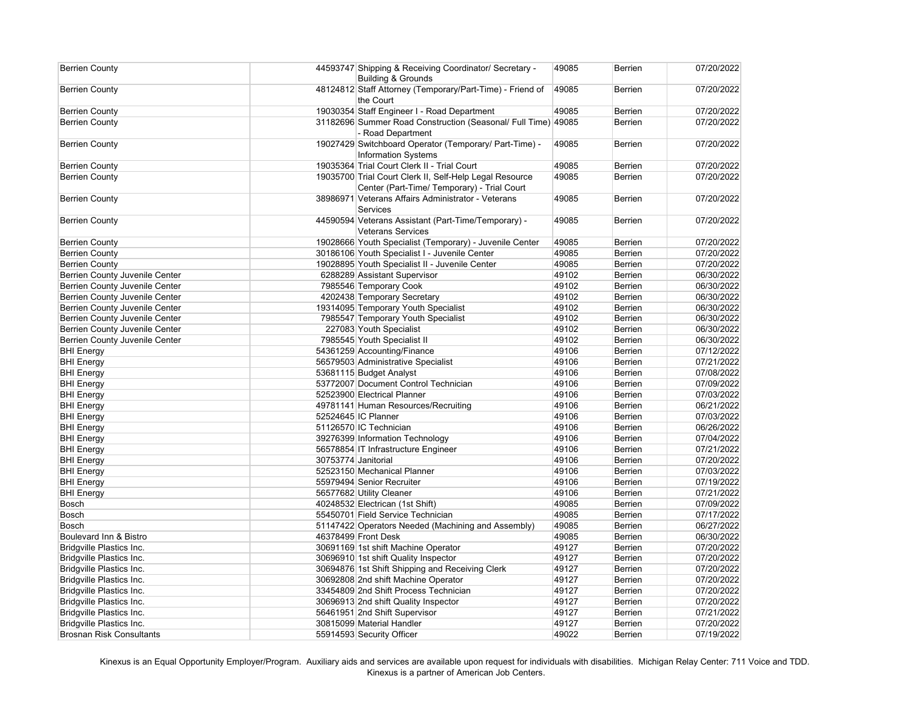| <b>Berrien County</b>                 |                     | 44593747 Shipping & Receiving Coordinator/ Secretary -<br><b>Building &amp; Grounds</b>                | 49085 | <b>Berrien</b> | 07/20/2022 |
|---------------------------------------|---------------------|--------------------------------------------------------------------------------------------------------|-------|----------------|------------|
| <b>Berrien County</b>                 |                     | 48124812 Staff Attorney (Temporary/Part-Time) - Friend of<br>the Court                                 | 49085 | Berrien        | 07/20/2022 |
| <b>Berrien County</b>                 |                     | 19030354 Staff Engineer I - Road Department                                                            | 49085 | <b>Berrien</b> | 07/20/2022 |
| <b>Berrien County</b>                 |                     | 31182696 Summer Road Construction (Seasonal/ Full Time) 49085<br>- Road Department                     |       | Berrien        | 07/20/2022 |
| <b>Berrien County</b>                 |                     | 19027429 Switchboard Operator (Temporary/ Part-Time) -<br><b>Information Systems</b>                   | 49085 | <b>Berrien</b> | 07/20/2022 |
| <b>Berrien County</b>                 |                     | 19035364 Trial Court Clerk II - Trial Court                                                            | 49085 | <b>Berrien</b> | 07/20/2022 |
| <b>Berrien County</b>                 |                     | 19035700 Trial Court Clerk II, Self-Help Legal Resource<br>Center (Part-Time/ Temporary) - Trial Court | 49085 | Berrien        | 07/20/2022 |
| <b>Berrien County</b>                 |                     | 38986971 Veterans Affairs Administrator - Veterans<br>Services                                         | 49085 | <b>Berrien</b> | 07/20/2022 |
| <b>Berrien County</b>                 |                     | 44590594 Veterans Assistant (Part-Time/Temporary) -<br><b>Veterans Services</b>                        | 49085 | Berrien        | 07/20/2022 |
| <b>Berrien County</b>                 |                     | 19028666 Youth Specialist (Temporary) - Juvenile Center                                                | 49085 | <b>Berrien</b> | 07/20/2022 |
| <b>Berrien County</b>                 |                     | 30186106 Youth Specialist I - Juvenile Center                                                          | 49085 | Berrien        | 07/20/2022 |
| <b>Berrien County</b>                 |                     | 19028895 Youth Specialist II - Juvenile Center                                                         | 49085 | Berrien        | 07/20/2022 |
| <b>Berrien County Juvenile Center</b> |                     | 6288289 Assistant Supervisor                                                                           | 49102 | Berrien        | 06/30/2022 |
| <b>Berrien County Juvenile Center</b> |                     | 7985546 Temporary Cook                                                                                 | 49102 | Berrien        | 06/30/2022 |
| <b>Berrien County Juvenile Center</b> |                     | 4202438 Temporary Secretary                                                                            | 49102 | Berrien        | 06/30/2022 |
| <b>Berrien County Juvenile Center</b> |                     | 19314095 Temporary Youth Specialist                                                                    | 49102 | Berrien        | 06/30/2022 |
| Berrien County Juvenile Center        |                     | 7985547 Temporary Youth Specialist                                                                     | 49102 | Berrien        | 06/30/2022 |
| Berrien County Juvenile Center        |                     | 227083 Youth Specialist                                                                                | 49102 | Berrien        | 06/30/2022 |
| Berrien County Juvenile Center        |                     | 7985545 Youth Specialist II                                                                            | 49102 | Berrien        | 06/30/2022 |
| <b>BHI Energy</b>                     |                     | 54361259 Accounting/Finance                                                                            | 49106 | Berrien        | 07/12/2022 |
| <b>BHI Energy</b>                     |                     | 56579503 Administrative Specialist                                                                     | 49106 | Berrien        | 07/21/2022 |
| <b>BHI Energy</b>                     |                     | 53681115 Budget Analyst                                                                                | 49106 | Berrien        | 07/08/2022 |
| <b>BHI Energy</b>                     |                     | 53772007 Document Control Technician                                                                   | 49106 | Berrien        | 07/09/2022 |
| <b>BHI Energy</b>                     |                     | 52523900 Electrical Planner                                                                            | 49106 | Berrien        | 07/03/2022 |
| <b>BHI Energy</b>                     |                     | 49781141 Human Resources/Recruiting                                                                    | 49106 | Berrien        | 06/21/2022 |
| <b>BHI Energy</b>                     |                     | 52524645 IC Planner                                                                                    | 49106 | Berrien        | 07/03/2022 |
| <b>BHI Energy</b>                     |                     | 51126570 IC Technician                                                                                 | 49106 | Berrien        | 06/26/2022 |
| <b>BHI</b> Energy                     |                     | 39276399 Information Technology                                                                        | 49106 | Berrien        | 07/04/2022 |
| <b>BHI</b> Energy                     |                     | 56578854 IT Infrastructure Engineer                                                                    | 49106 | <b>Berrien</b> | 07/21/2022 |
| <b>BHI Energy</b>                     | 30753774 Janitorial |                                                                                                        | 49106 | Berrien        | 07/20/2022 |
| <b>BHI Energy</b>                     |                     | 52523150 Mechanical Planner                                                                            | 49106 | <b>Berrien</b> | 07/03/2022 |
| <b>BHI Energy</b>                     |                     | 55979494 Senior Recruiter                                                                              | 49106 | Berrien        | 07/19/2022 |
| <b>BHI Energy</b>                     |                     | 56577682 Utility Cleaner                                                                               | 49106 | Berrien        | 07/21/2022 |
| Bosch                                 |                     | 40248532 Electrican (1st Shift)                                                                        | 49085 | Berrien        | 07/09/2022 |
| Bosch                                 |                     | 55450701 Field Service Technician                                                                      | 49085 | Berrien        | 07/17/2022 |
| Bosch                                 |                     | 51147422 Operators Needed (Machining and Assembly)                                                     | 49085 | <b>Berrien</b> | 06/27/2022 |
| Boulevard Inn & Bistro                |                     | 46378499 Front Desk                                                                                    | 49085 | <b>Berrien</b> | 06/30/2022 |
| Bridgville Plastics Inc.              |                     | 30691169 1st shift Machine Operator                                                                    | 49127 | <b>Berrien</b> | 07/20/2022 |
| Bridgville Plastics Inc.              |                     | 30696910 1st shift Quality Inspector                                                                   | 49127 | <b>Berrien</b> | 07/20/2022 |
| Bridgville Plastics Inc.              |                     | 30694876 1st Shift Shipping and Receiving Clerk                                                        | 49127 | <b>Berrien</b> | 07/20/2022 |
| Bridgville Plastics Inc.              |                     | 30692808 2nd shift Machine Operator                                                                    | 49127 | <b>Berrien</b> | 07/20/2022 |
| Bridgville Plastics Inc.              |                     | 33454809 2nd Shift Process Technician                                                                  | 49127 | <b>Berrien</b> | 07/20/2022 |
| Bridgville Plastics Inc.              |                     | 30696913 2nd shift Quality Inspector                                                                   | 49127 | <b>Berrien</b> | 07/20/2022 |
| Bridgville Plastics Inc.              |                     | 56461951 2nd Shift Supervisor                                                                          | 49127 | <b>Berrien</b> | 07/21/2022 |
| Bridgville Plastics Inc.              |                     | 30815099 Material Handler                                                                              | 49127 | <b>Berrien</b> | 07/20/2022 |
| <b>Brosnan Risk Consultants</b>       |                     | 55914593 Security Officer                                                                              | 49022 | <b>Berrien</b> | 07/19/2022 |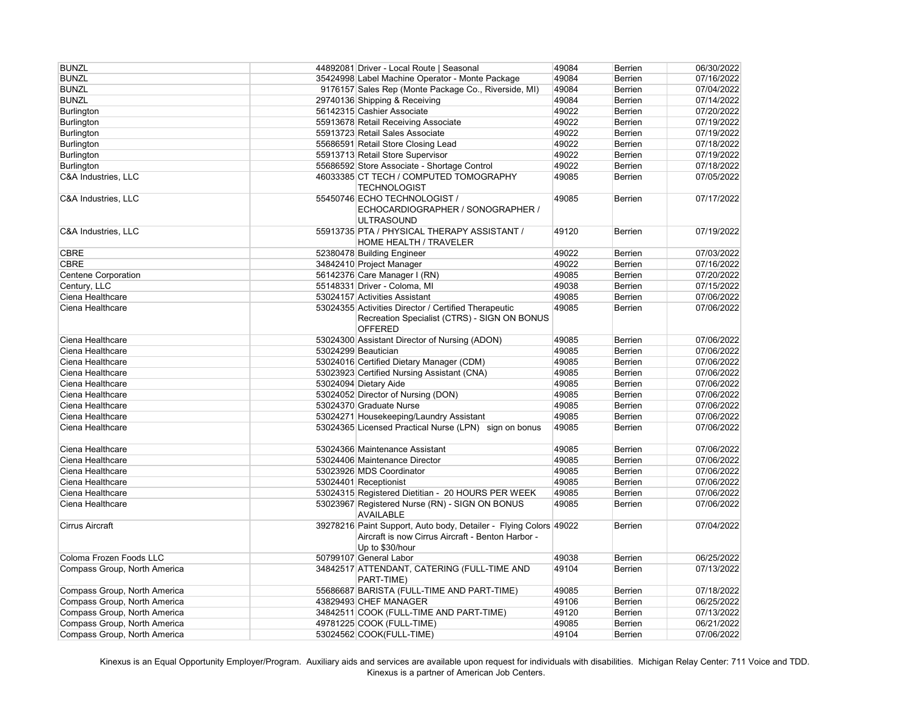| <b>BUNZL</b>                 | 44892081 Driver - Local Route   Seasonal                                                                                                  | 49084 | <b>Berrien</b> | 06/30/2022 |
|------------------------------|-------------------------------------------------------------------------------------------------------------------------------------------|-------|----------------|------------|
| <b>BUNZL</b>                 | 35424998 Label Machine Operator - Monte Package                                                                                           | 49084 | <b>Berrien</b> | 07/16/2022 |
| <b>BUNZL</b>                 | 9176157 Sales Rep (Monte Package Co., Riverside, MI)                                                                                      | 49084 | <b>Berrien</b> | 07/04/2022 |
| <b>BUNZL</b>                 | 29740136 Shipping & Receiving                                                                                                             | 49084 | <b>Berrien</b> | 07/14/2022 |
| Burlington                   | 56142315 Cashier Associate                                                                                                                | 49022 | <b>Berrien</b> | 07/20/2022 |
| <b>Burlington</b>            | 55913678 Retail Receiving Associate                                                                                                       | 49022 | <b>Berrien</b> | 07/19/2022 |
|                              | 55913723 Retail Sales Associate                                                                                                           | 49022 |                |            |
| <b>Burlington</b>            |                                                                                                                                           |       | Berrien        | 07/19/2022 |
| <b>Burlington</b>            | 55686591 Retail Store Closing Lead                                                                                                        | 49022 | Berrien        | 07/18/2022 |
| Burlington                   | 55913713 Retail Store Supervisor                                                                                                          | 49022 | Berrien        | 07/19/2022 |
| Burlington                   | 55686592 Store Associate - Shortage Control                                                                                               | 49022 | Berrien        | 07/18/2022 |
| C&A Industries, LLC          | 46033385 CT TECH / COMPUTED TOMOGRAPHY<br><b>TECHNOLOGIST</b>                                                                             | 49085 | Berrien        | 07/05/2022 |
| C&A Industries, LLC          | 55450746 ECHO TECHNOLOGIST /<br>ECHOCARDIOGRAPHER / SONOGRAPHER /<br><b>ULTRASOUND</b>                                                    | 49085 | <b>Berrien</b> | 07/17/2022 |
| C&A Industries, LLC          | 55913735 PTA / PHYSICAL THERAPY ASSISTANT /<br>HOME HEALTH / TRAVELER                                                                     | 49120 | <b>Berrien</b> | 07/19/2022 |
| <b>CBRE</b>                  | 52380478 Building Engineer                                                                                                                | 49022 | Berrien        | 07/03/2022 |
| <b>CBRE</b>                  | 34842410 Project Manager                                                                                                                  | 49022 | Berrien        | 07/16/2022 |
| <b>Centene Corporation</b>   | 56142376 Care Manager I (RN)                                                                                                              | 49085 | Berrien        | 07/20/2022 |
| Century, LLC                 | 55148331 Driver - Coloma, MI                                                                                                              | 49038 | Berrien        | 07/15/2022 |
| Ciena Healthcare             | 53024157 Activities Assistant                                                                                                             | 49085 | Berrien        | 07/06/2022 |
| Ciena Healthcare             | 53024355 Activities Director / Certified Therapeutic<br>Recreation Specialist (CTRS) - SIGN ON BONUS<br><b>OFFERED</b>                    | 49085 | Berrien        | 07/06/2022 |
| Ciena Healthcare             | 53024300 Assistant Director of Nursing (ADON)                                                                                             | 49085 | <b>Berrien</b> | 07/06/2022 |
| Ciena Healthcare             | 53024299 Beautician                                                                                                                       | 49085 | Berrien        | 07/06/2022 |
| Ciena Healthcare             | 53024016 Certified Dietary Manager (CDM)                                                                                                  | 49085 | Berrien        | 07/06/2022 |
| Ciena Healthcare             | 53023923 Certified Nursing Assistant (CNA)                                                                                                | 49085 | <b>Berrien</b> | 07/06/2022 |
| Ciena Healthcare             | 53024094 Dietary Aide                                                                                                                     | 49085 | Berrien        | 07/06/2022 |
| Ciena Healthcare             | 53024052 Director of Nursing (DON)                                                                                                        | 49085 | Berrien        | 07/06/2022 |
| Ciena Healthcare             | 53024370 Graduate Nurse                                                                                                                   | 49085 | Berrien        | 07/06/2022 |
| Ciena Healthcare             | 53024271 Housekeeping/Laundry Assistant                                                                                                   | 49085 | Berrien        | 07/06/2022 |
| Ciena Healthcare             |                                                                                                                                           |       |                |            |
|                              | 53024365 Licensed Practical Nurse (LPN) sign on bonus                                                                                     | 49085 | <b>Berrien</b> | 07/06/2022 |
| Ciena Healthcare             | 53024366 Maintenance Assistant                                                                                                            | 49085 | <b>Berrien</b> | 07/06/2022 |
| Ciena Healthcare             | 53024406 Maintenance Director                                                                                                             | 49085 | Berrien        | 07/06/2022 |
| Ciena Healthcare             | 53023926 MDS Coordinator                                                                                                                  | 49085 | Berrien        | 07/06/2022 |
| Ciena Healthcare             | 53024401 Receptionist                                                                                                                     | 49085 | Berrien        | 07/06/2022 |
| Ciena Healthcare             | 53024315 Registered Dietitian - 20 HOURS PER WEEK                                                                                         | 49085 | Berrien        | 07/06/2022 |
| Ciena Healthcare             | 53023967 Registered Nurse (RN) - SIGN ON BONUS<br><b>AVAILABLE</b>                                                                        | 49085 | <b>Berrien</b> | 07/06/2022 |
| <b>Cirrus Aircraft</b>       | 39278216 Paint Support, Auto body, Detailer - Flying Colors 49022<br>Aircraft is now Cirrus Aircraft - Benton Harbor -<br>Up to \$30/hour |       | Berrien        | 07/04/2022 |
| Coloma Frozen Foods LLC      | 50799107 General Labor                                                                                                                    | 49038 | <b>Berrien</b> | 06/25/2022 |
| Compass Group, North America | 34842517 ATTENDANT, CATERING (FULL-TIME AND                                                                                               | 49104 | Berrien        | 07/13/2022 |
| Compass Group, North America | PART-TIME)<br>55686687 BARISTA (FULL-TIME AND PART-TIME)                                                                                  | 49085 | Berrien        | 07/18/2022 |
| Compass Group, North America | 43829493 CHEF MANAGER                                                                                                                     | 49106 | Berrien        | 06/25/2022 |
|                              | 34842511 COOK (FULL-TIME AND PART-TIME)                                                                                                   | 49120 |                |            |
| Compass Group, North America |                                                                                                                                           |       | Berrien        | 07/13/2022 |
| Compass Group, North America | 49781225 COOK (FULL-TIME)                                                                                                                 | 49085 | Berrien        | 06/21/2022 |
| Compass Group, North America | 53024562 COOK(FULL-TIME)                                                                                                                  | 49104 | Berrien        | 07/06/2022 |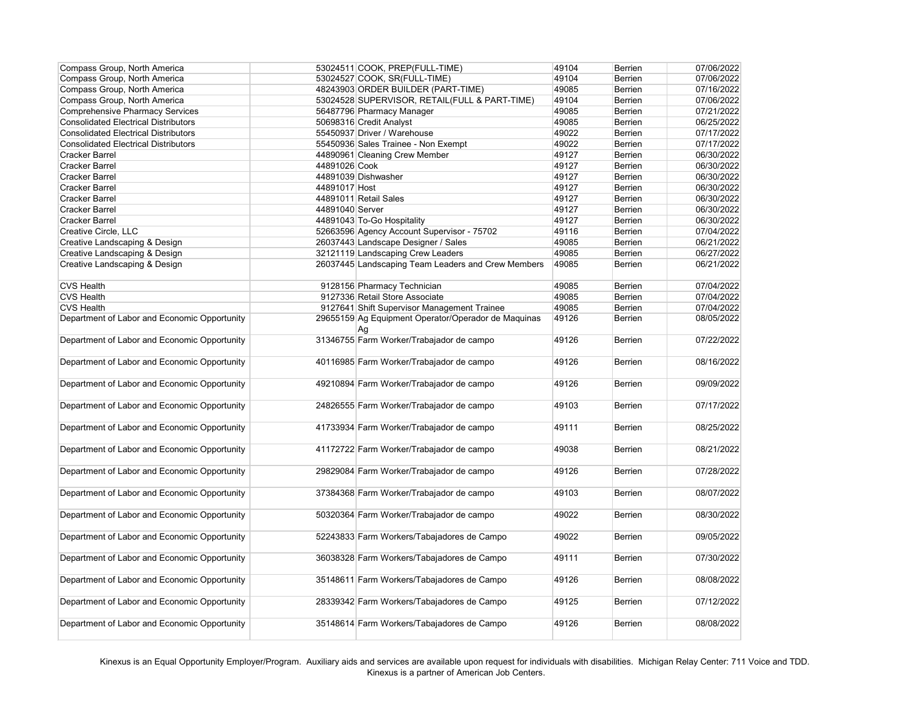| 53024511 COOK, PREP(FULL-TIME)<br>Compass Group, North America<br>07/06/2022<br>Compass Group, North America<br>53024527 COOK, SR(FULL-TIME)<br>07/06/2022<br>49104<br>Berrien<br>48243903 ORDER BUILDER (PART-TIME)<br>07/16/2022<br>Compass Group, North America<br>49085<br>Berrien<br>Compass Group, North America<br>53024528 SUPERVISOR, RETAIL(FULL & PART-TIME)<br>49104<br>07/06/2022<br>Berrien<br>Comprehensive Pharmacy Services<br>49085<br>56487796 Pharmacy Manager<br>Berrien<br>07/21/2022<br><b>Consolidated Electrical Distributors</b><br>50698316 Credit Analyst<br>49085<br>06/25/2022<br><b>Berrien</b><br>55450937 Driver / Warehouse<br>49022<br>07/17/2022<br><b>Consolidated Electrical Distributors</b><br>Berrien<br>55450936 Sales Trainee - Non Exempt<br>49022<br>07/17/2022<br>Berrien<br><b>Consolidated Electrical Distributors</b><br>49127<br>06/30/2022<br><b>Cracker Barrel</b><br>44890961 Cleaning Crew Member<br>Berrien<br>44891026 Cook<br>49127<br>06/30/2022<br><b>Cracker Barrel</b><br>Berrien<br>49127<br><b>Cracker Barrel</b><br>44891039 Dishwasher<br>Berrien<br>06/30/2022<br>44891017 Host<br>49127<br>06/30/2022<br><b>Cracker Barrel</b><br>Berrien<br>49127<br>06/30/2022<br><b>Cracker Barrel</b><br>44891011 Retail Sales<br><b>Berrien</b><br>44891040 Server<br>49127<br>06/30/2022<br><b>Cracker Barrel</b><br>Berrien<br>44891043 To-Go Hospitality<br>49127<br>06/30/2022<br><b>Cracker Barrel</b><br>Berrien<br>Creative Circle, LLC<br>52663596 Agency Account Supervisor - 75702<br>49116<br>07/04/2022<br>Berrien<br>26037443 Landscape Designer / Sales<br>49085<br>06/21/2022<br>Creative Landscaping & Design<br>Berrien<br>32121119 Landscaping Crew Leaders<br>Creative Landscaping & Design<br>49085<br>Berrien<br>06/27/2022<br>26037445 Landscaping Team Leaders and Crew Members<br>06/21/2022<br>Creative Landscaping & Design<br>49085<br><b>Berrien</b><br><b>CVS Health</b><br>9128156 Pharmacy Technician<br>07/04/2022<br>49085<br>Berrien<br>9127336 Retail Store Associate<br><b>CVS Health</b><br>49085<br>Berrien<br>07/04/2022<br>49085<br>9127641 Shift Supervisor Management Trainee<br>07/04/2022<br><b>CVS Health</b><br>Berrien<br>29655159 Ag Equipment Operator/Operador de Maquinas<br>Department of Labor and Economic Opportunity<br>49126<br>Berrien<br>08/05/2022<br>Ag<br>Department of Labor and Economic Opportunity<br>31346755 Farm Worker/Trabajador de campo<br>07/22/2022<br>49126<br>Berrien<br>Department of Labor and Economic Opportunity<br>08/16/2022<br>40116985 Farm Worker/Trabajador de campo<br>49126<br><b>Berrien</b><br>Department of Labor and Economic Opportunity<br>49210894 Farm Worker/Trabajador de campo<br>49126<br><b>Berrien</b><br>09/09/2022<br>Department of Labor and Economic Opportunity<br>07/17/2022<br>24826555 Farm Worker/Trabajador de campo<br>49103<br><b>Berrien</b><br>Department of Labor and Economic Opportunity<br>41733934 Farm Worker/Trabajador de campo<br>49111<br><b>Berrien</b><br>08/25/2022<br>Department of Labor and Economic Opportunity<br>49038<br>08/21/2022<br>41172722 Farm Worker/Trabajador de campo<br><b>Berrien</b> |
|-----------------------------------------------------------------------------------------------------------------------------------------------------------------------------------------------------------------------------------------------------------------------------------------------------------------------------------------------------------------------------------------------------------------------------------------------------------------------------------------------------------------------------------------------------------------------------------------------------------------------------------------------------------------------------------------------------------------------------------------------------------------------------------------------------------------------------------------------------------------------------------------------------------------------------------------------------------------------------------------------------------------------------------------------------------------------------------------------------------------------------------------------------------------------------------------------------------------------------------------------------------------------------------------------------------------------------------------------------------------------------------------------------------------------------------------------------------------------------------------------------------------------------------------------------------------------------------------------------------------------------------------------------------------------------------------------------------------------------------------------------------------------------------------------------------------------------------------------------------------------------------------------------------------------------------------------------------------------------------------------------------------------------------------------------------------------------------------------------------------------------------------------------------------------------------------------------------------------------------------------------------------------------------------------------------------------------------------------------------------------------------------------------------------------------------------------------------------------------------------------------------------------------------------------------------------------------------------------------------------------------------------------------------------------------------------------------------------------------------------------------------------------------------------------------------------------------------------------------------------------------------------------------------------------------------------------------------------------------------------------------------------------------------------------------------------------------------------------------------------------------------------------------------------------------------------------------|
|                                                                                                                                                                                                                                                                                                                                                                                                                                                                                                                                                                                                                                                                                                                                                                                                                                                                                                                                                                                                                                                                                                                                                                                                                                                                                                                                                                                                                                                                                                                                                                                                                                                                                                                                                                                                                                                                                                                                                                                                                                                                                                                                                                                                                                                                                                                                                                                                                                                                                                                                                                                                                                                                                                                                                                                                                                                                                                                                                                                                                                                                                                                                                                                                     |
|                                                                                                                                                                                                                                                                                                                                                                                                                                                                                                                                                                                                                                                                                                                                                                                                                                                                                                                                                                                                                                                                                                                                                                                                                                                                                                                                                                                                                                                                                                                                                                                                                                                                                                                                                                                                                                                                                                                                                                                                                                                                                                                                                                                                                                                                                                                                                                                                                                                                                                                                                                                                                                                                                                                                                                                                                                                                                                                                                                                                                                                                                                                                                                                                     |
|                                                                                                                                                                                                                                                                                                                                                                                                                                                                                                                                                                                                                                                                                                                                                                                                                                                                                                                                                                                                                                                                                                                                                                                                                                                                                                                                                                                                                                                                                                                                                                                                                                                                                                                                                                                                                                                                                                                                                                                                                                                                                                                                                                                                                                                                                                                                                                                                                                                                                                                                                                                                                                                                                                                                                                                                                                                                                                                                                                                                                                                                                                                                                                                                     |
|                                                                                                                                                                                                                                                                                                                                                                                                                                                                                                                                                                                                                                                                                                                                                                                                                                                                                                                                                                                                                                                                                                                                                                                                                                                                                                                                                                                                                                                                                                                                                                                                                                                                                                                                                                                                                                                                                                                                                                                                                                                                                                                                                                                                                                                                                                                                                                                                                                                                                                                                                                                                                                                                                                                                                                                                                                                                                                                                                                                                                                                                                                                                                                                                     |
|                                                                                                                                                                                                                                                                                                                                                                                                                                                                                                                                                                                                                                                                                                                                                                                                                                                                                                                                                                                                                                                                                                                                                                                                                                                                                                                                                                                                                                                                                                                                                                                                                                                                                                                                                                                                                                                                                                                                                                                                                                                                                                                                                                                                                                                                                                                                                                                                                                                                                                                                                                                                                                                                                                                                                                                                                                                                                                                                                                                                                                                                                                                                                                                                     |
|                                                                                                                                                                                                                                                                                                                                                                                                                                                                                                                                                                                                                                                                                                                                                                                                                                                                                                                                                                                                                                                                                                                                                                                                                                                                                                                                                                                                                                                                                                                                                                                                                                                                                                                                                                                                                                                                                                                                                                                                                                                                                                                                                                                                                                                                                                                                                                                                                                                                                                                                                                                                                                                                                                                                                                                                                                                                                                                                                                                                                                                                                                                                                                                                     |
|                                                                                                                                                                                                                                                                                                                                                                                                                                                                                                                                                                                                                                                                                                                                                                                                                                                                                                                                                                                                                                                                                                                                                                                                                                                                                                                                                                                                                                                                                                                                                                                                                                                                                                                                                                                                                                                                                                                                                                                                                                                                                                                                                                                                                                                                                                                                                                                                                                                                                                                                                                                                                                                                                                                                                                                                                                                                                                                                                                                                                                                                                                                                                                                                     |
|                                                                                                                                                                                                                                                                                                                                                                                                                                                                                                                                                                                                                                                                                                                                                                                                                                                                                                                                                                                                                                                                                                                                                                                                                                                                                                                                                                                                                                                                                                                                                                                                                                                                                                                                                                                                                                                                                                                                                                                                                                                                                                                                                                                                                                                                                                                                                                                                                                                                                                                                                                                                                                                                                                                                                                                                                                                                                                                                                                                                                                                                                                                                                                                                     |
|                                                                                                                                                                                                                                                                                                                                                                                                                                                                                                                                                                                                                                                                                                                                                                                                                                                                                                                                                                                                                                                                                                                                                                                                                                                                                                                                                                                                                                                                                                                                                                                                                                                                                                                                                                                                                                                                                                                                                                                                                                                                                                                                                                                                                                                                                                                                                                                                                                                                                                                                                                                                                                                                                                                                                                                                                                                                                                                                                                                                                                                                                                                                                                                                     |
|                                                                                                                                                                                                                                                                                                                                                                                                                                                                                                                                                                                                                                                                                                                                                                                                                                                                                                                                                                                                                                                                                                                                                                                                                                                                                                                                                                                                                                                                                                                                                                                                                                                                                                                                                                                                                                                                                                                                                                                                                                                                                                                                                                                                                                                                                                                                                                                                                                                                                                                                                                                                                                                                                                                                                                                                                                                                                                                                                                                                                                                                                                                                                                                                     |
|                                                                                                                                                                                                                                                                                                                                                                                                                                                                                                                                                                                                                                                                                                                                                                                                                                                                                                                                                                                                                                                                                                                                                                                                                                                                                                                                                                                                                                                                                                                                                                                                                                                                                                                                                                                                                                                                                                                                                                                                                                                                                                                                                                                                                                                                                                                                                                                                                                                                                                                                                                                                                                                                                                                                                                                                                                                                                                                                                                                                                                                                                                                                                                                                     |
|                                                                                                                                                                                                                                                                                                                                                                                                                                                                                                                                                                                                                                                                                                                                                                                                                                                                                                                                                                                                                                                                                                                                                                                                                                                                                                                                                                                                                                                                                                                                                                                                                                                                                                                                                                                                                                                                                                                                                                                                                                                                                                                                                                                                                                                                                                                                                                                                                                                                                                                                                                                                                                                                                                                                                                                                                                                                                                                                                                                                                                                                                                                                                                                                     |
|                                                                                                                                                                                                                                                                                                                                                                                                                                                                                                                                                                                                                                                                                                                                                                                                                                                                                                                                                                                                                                                                                                                                                                                                                                                                                                                                                                                                                                                                                                                                                                                                                                                                                                                                                                                                                                                                                                                                                                                                                                                                                                                                                                                                                                                                                                                                                                                                                                                                                                                                                                                                                                                                                                                                                                                                                                                                                                                                                                                                                                                                                                                                                                                                     |
|                                                                                                                                                                                                                                                                                                                                                                                                                                                                                                                                                                                                                                                                                                                                                                                                                                                                                                                                                                                                                                                                                                                                                                                                                                                                                                                                                                                                                                                                                                                                                                                                                                                                                                                                                                                                                                                                                                                                                                                                                                                                                                                                                                                                                                                                                                                                                                                                                                                                                                                                                                                                                                                                                                                                                                                                                                                                                                                                                                                                                                                                                                                                                                                                     |
|                                                                                                                                                                                                                                                                                                                                                                                                                                                                                                                                                                                                                                                                                                                                                                                                                                                                                                                                                                                                                                                                                                                                                                                                                                                                                                                                                                                                                                                                                                                                                                                                                                                                                                                                                                                                                                                                                                                                                                                                                                                                                                                                                                                                                                                                                                                                                                                                                                                                                                                                                                                                                                                                                                                                                                                                                                                                                                                                                                                                                                                                                                                                                                                                     |
|                                                                                                                                                                                                                                                                                                                                                                                                                                                                                                                                                                                                                                                                                                                                                                                                                                                                                                                                                                                                                                                                                                                                                                                                                                                                                                                                                                                                                                                                                                                                                                                                                                                                                                                                                                                                                                                                                                                                                                                                                                                                                                                                                                                                                                                                                                                                                                                                                                                                                                                                                                                                                                                                                                                                                                                                                                                                                                                                                                                                                                                                                                                                                                                                     |
|                                                                                                                                                                                                                                                                                                                                                                                                                                                                                                                                                                                                                                                                                                                                                                                                                                                                                                                                                                                                                                                                                                                                                                                                                                                                                                                                                                                                                                                                                                                                                                                                                                                                                                                                                                                                                                                                                                                                                                                                                                                                                                                                                                                                                                                                                                                                                                                                                                                                                                                                                                                                                                                                                                                                                                                                                                                                                                                                                                                                                                                                                                                                                                                                     |
|                                                                                                                                                                                                                                                                                                                                                                                                                                                                                                                                                                                                                                                                                                                                                                                                                                                                                                                                                                                                                                                                                                                                                                                                                                                                                                                                                                                                                                                                                                                                                                                                                                                                                                                                                                                                                                                                                                                                                                                                                                                                                                                                                                                                                                                                                                                                                                                                                                                                                                                                                                                                                                                                                                                                                                                                                                                                                                                                                                                                                                                                                                                                                                                                     |
|                                                                                                                                                                                                                                                                                                                                                                                                                                                                                                                                                                                                                                                                                                                                                                                                                                                                                                                                                                                                                                                                                                                                                                                                                                                                                                                                                                                                                                                                                                                                                                                                                                                                                                                                                                                                                                                                                                                                                                                                                                                                                                                                                                                                                                                                                                                                                                                                                                                                                                                                                                                                                                                                                                                                                                                                                                                                                                                                                                                                                                                                                                                                                                                                     |
|                                                                                                                                                                                                                                                                                                                                                                                                                                                                                                                                                                                                                                                                                                                                                                                                                                                                                                                                                                                                                                                                                                                                                                                                                                                                                                                                                                                                                                                                                                                                                                                                                                                                                                                                                                                                                                                                                                                                                                                                                                                                                                                                                                                                                                                                                                                                                                                                                                                                                                                                                                                                                                                                                                                                                                                                                                                                                                                                                                                                                                                                                                                                                                                                     |
|                                                                                                                                                                                                                                                                                                                                                                                                                                                                                                                                                                                                                                                                                                                                                                                                                                                                                                                                                                                                                                                                                                                                                                                                                                                                                                                                                                                                                                                                                                                                                                                                                                                                                                                                                                                                                                                                                                                                                                                                                                                                                                                                                                                                                                                                                                                                                                                                                                                                                                                                                                                                                                                                                                                                                                                                                                                                                                                                                                                                                                                                                                                                                                                                     |
|                                                                                                                                                                                                                                                                                                                                                                                                                                                                                                                                                                                                                                                                                                                                                                                                                                                                                                                                                                                                                                                                                                                                                                                                                                                                                                                                                                                                                                                                                                                                                                                                                                                                                                                                                                                                                                                                                                                                                                                                                                                                                                                                                                                                                                                                                                                                                                                                                                                                                                                                                                                                                                                                                                                                                                                                                                                                                                                                                                                                                                                                                                                                                                                                     |
|                                                                                                                                                                                                                                                                                                                                                                                                                                                                                                                                                                                                                                                                                                                                                                                                                                                                                                                                                                                                                                                                                                                                                                                                                                                                                                                                                                                                                                                                                                                                                                                                                                                                                                                                                                                                                                                                                                                                                                                                                                                                                                                                                                                                                                                                                                                                                                                                                                                                                                                                                                                                                                                                                                                                                                                                                                                                                                                                                                                                                                                                                                                                                                                                     |
|                                                                                                                                                                                                                                                                                                                                                                                                                                                                                                                                                                                                                                                                                                                                                                                                                                                                                                                                                                                                                                                                                                                                                                                                                                                                                                                                                                                                                                                                                                                                                                                                                                                                                                                                                                                                                                                                                                                                                                                                                                                                                                                                                                                                                                                                                                                                                                                                                                                                                                                                                                                                                                                                                                                                                                                                                                                                                                                                                                                                                                                                                                                                                                                                     |
|                                                                                                                                                                                                                                                                                                                                                                                                                                                                                                                                                                                                                                                                                                                                                                                                                                                                                                                                                                                                                                                                                                                                                                                                                                                                                                                                                                                                                                                                                                                                                                                                                                                                                                                                                                                                                                                                                                                                                                                                                                                                                                                                                                                                                                                                                                                                                                                                                                                                                                                                                                                                                                                                                                                                                                                                                                                                                                                                                                                                                                                                                                                                                                                                     |
|                                                                                                                                                                                                                                                                                                                                                                                                                                                                                                                                                                                                                                                                                                                                                                                                                                                                                                                                                                                                                                                                                                                                                                                                                                                                                                                                                                                                                                                                                                                                                                                                                                                                                                                                                                                                                                                                                                                                                                                                                                                                                                                                                                                                                                                                                                                                                                                                                                                                                                                                                                                                                                                                                                                                                                                                                                                                                                                                                                                                                                                                                                                                                                                                     |
|                                                                                                                                                                                                                                                                                                                                                                                                                                                                                                                                                                                                                                                                                                                                                                                                                                                                                                                                                                                                                                                                                                                                                                                                                                                                                                                                                                                                                                                                                                                                                                                                                                                                                                                                                                                                                                                                                                                                                                                                                                                                                                                                                                                                                                                                                                                                                                                                                                                                                                                                                                                                                                                                                                                                                                                                                                                                                                                                                                                                                                                                                                                                                                                                     |
|                                                                                                                                                                                                                                                                                                                                                                                                                                                                                                                                                                                                                                                                                                                                                                                                                                                                                                                                                                                                                                                                                                                                                                                                                                                                                                                                                                                                                                                                                                                                                                                                                                                                                                                                                                                                                                                                                                                                                                                                                                                                                                                                                                                                                                                                                                                                                                                                                                                                                                                                                                                                                                                                                                                                                                                                                                                                                                                                                                                                                                                                                                                                                                                                     |
|                                                                                                                                                                                                                                                                                                                                                                                                                                                                                                                                                                                                                                                                                                                                                                                                                                                                                                                                                                                                                                                                                                                                                                                                                                                                                                                                                                                                                                                                                                                                                                                                                                                                                                                                                                                                                                                                                                                                                                                                                                                                                                                                                                                                                                                                                                                                                                                                                                                                                                                                                                                                                                                                                                                                                                                                                                                                                                                                                                                                                                                                                                                                                                                                     |
|                                                                                                                                                                                                                                                                                                                                                                                                                                                                                                                                                                                                                                                                                                                                                                                                                                                                                                                                                                                                                                                                                                                                                                                                                                                                                                                                                                                                                                                                                                                                                                                                                                                                                                                                                                                                                                                                                                                                                                                                                                                                                                                                                                                                                                                                                                                                                                                                                                                                                                                                                                                                                                                                                                                                                                                                                                                                                                                                                                                                                                                                                                                                                                                                     |
|                                                                                                                                                                                                                                                                                                                                                                                                                                                                                                                                                                                                                                                                                                                                                                                                                                                                                                                                                                                                                                                                                                                                                                                                                                                                                                                                                                                                                                                                                                                                                                                                                                                                                                                                                                                                                                                                                                                                                                                                                                                                                                                                                                                                                                                                                                                                                                                                                                                                                                                                                                                                                                                                                                                                                                                                                                                                                                                                                                                                                                                                                                                                                                                                     |
|                                                                                                                                                                                                                                                                                                                                                                                                                                                                                                                                                                                                                                                                                                                                                                                                                                                                                                                                                                                                                                                                                                                                                                                                                                                                                                                                                                                                                                                                                                                                                                                                                                                                                                                                                                                                                                                                                                                                                                                                                                                                                                                                                                                                                                                                                                                                                                                                                                                                                                                                                                                                                                                                                                                                                                                                                                                                                                                                                                                                                                                                                                                                                                                                     |
|                                                                                                                                                                                                                                                                                                                                                                                                                                                                                                                                                                                                                                                                                                                                                                                                                                                                                                                                                                                                                                                                                                                                                                                                                                                                                                                                                                                                                                                                                                                                                                                                                                                                                                                                                                                                                                                                                                                                                                                                                                                                                                                                                                                                                                                                                                                                                                                                                                                                                                                                                                                                                                                                                                                                                                                                                                                                                                                                                                                                                                                                                                                                                                                                     |
|                                                                                                                                                                                                                                                                                                                                                                                                                                                                                                                                                                                                                                                                                                                                                                                                                                                                                                                                                                                                                                                                                                                                                                                                                                                                                                                                                                                                                                                                                                                                                                                                                                                                                                                                                                                                                                                                                                                                                                                                                                                                                                                                                                                                                                                                                                                                                                                                                                                                                                                                                                                                                                                                                                                                                                                                                                                                                                                                                                                                                                                                                                                                                                                                     |
|                                                                                                                                                                                                                                                                                                                                                                                                                                                                                                                                                                                                                                                                                                                                                                                                                                                                                                                                                                                                                                                                                                                                                                                                                                                                                                                                                                                                                                                                                                                                                                                                                                                                                                                                                                                                                                                                                                                                                                                                                                                                                                                                                                                                                                                                                                                                                                                                                                                                                                                                                                                                                                                                                                                                                                                                                                                                                                                                                                                                                                                                                                                                                                                                     |
|                                                                                                                                                                                                                                                                                                                                                                                                                                                                                                                                                                                                                                                                                                                                                                                                                                                                                                                                                                                                                                                                                                                                                                                                                                                                                                                                                                                                                                                                                                                                                                                                                                                                                                                                                                                                                                                                                                                                                                                                                                                                                                                                                                                                                                                                                                                                                                                                                                                                                                                                                                                                                                                                                                                                                                                                                                                                                                                                                                                                                                                                                                                                                                                                     |
| Department of Labor and Economic Opportunity<br>29829084 Farm Worker/Trabajador de campo<br>49126<br>07/28/2022<br>Berrien                                                                                                                                                                                                                                                                                                                                                                                                                                                                                                                                                                                                                                                                                                                                                                                                                                                                                                                                                                                                                                                                                                                                                                                                                                                                                                                                                                                                                                                                                                                                                                                                                                                                                                                                                                                                                                                                                                                                                                                                                                                                                                                                                                                                                                                                                                                                                                                                                                                                                                                                                                                                                                                                                                                                                                                                                                                                                                                                                                                                                                                                          |
|                                                                                                                                                                                                                                                                                                                                                                                                                                                                                                                                                                                                                                                                                                                                                                                                                                                                                                                                                                                                                                                                                                                                                                                                                                                                                                                                                                                                                                                                                                                                                                                                                                                                                                                                                                                                                                                                                                                                                                                                                                                                                                                                                                                                                                                                                                                                                                                                                                                                                                                                                                                                                                                                                                                                                                                                                                                                                                                                                                                                                                                                                                                                                                                                     |
| Department of Labor and Economic Opportunity<br>37384368 Farm Worker/Trabajador de campo<br>08/07/2022<br>49103<br>Berrien                                                                                                                                                                                                                                                                                                                                                                                                                                                                                                                                                                                                                                                                                                                                                                                                                                                                                                                                                                                                                                                                                                                                                                                                                                                                                                                                                                                                                                                                                                                                                                                                                                                                                                                                                                                                                                                                                                                                                                                                                                                                                                                                                                                                                                                                                                                                                                                                                                                                                                                                                                                                                                                                                                                                                                                                                                                                                                                                                                                                                                                                          |
|                                                                                                                                                                                                                                                                                                                                                                                                                                                                                                                                                                                                                                                                                                                                                                                                                                                                                                                                                                                                                                                                                                                                                                                                                                                                                                                                                                                                                                                                                                                                                                                                                                                                                                                                                                                                                                                                                                                                                                                                                                                                                                                                                                                                                                                                                                                                                                                                                                                                                                                                                                                                                                                                                                                                                                                                                                                                                                                                                                                                                                                                                                                                                                                                     |
| Department of Labor and Economic Opportunity<br>08/30/2022<br>50320364 Farm Worker/Trabajador de campo<br>49022<br>Berrien                                                                                                                                                                                                                                                                                                                                                                                                                                                                                                                                                                                                                                                                                                                                                                                                                                                                                                                                                                                                                                                                                                                                                                                                                                                                                                                                                                                                                                                                                                                                                                                                                                                                                                                                                                                                                                                                                                                                                                                                                                                                                                                                                                                                                                                                                                                                                                                                                                                                                                                                                                                                                                                                                                                                                                                                                                                                                                                                                                                                                                                                          |
|                                                                                                                                                                                                                                                                                                                                                                                                                                                                                                                                                                                                                                                                                                                                                                                                                                                                                                                                                                                                                                                                                                                                                                                                                                                                                                                                                                                                                                                                                                                                                                                                                                                                                                                                                                                                                                                                                                                                                                                                                                                                                                                                                                                                                                                                                                                                                                                                                                                                                                                                                                                                                                                                                                                                                                                                                                                                                                                                                                                                                                                                                                                                                                                                     |
| Department of Labor and Economic Opportunity<br>52243833 Farm Workers/Tabajadores de Campo<br>09/05/2022<br>49022<br>Berrien                                                                                                                                                                                                                                                                                                                                                                                                                                                                                                                                                                                                                                                                                                                                                                                                                                                                                                                                                                                                                                                                                                                                                                                                                                                                                                                                                                                                                                                                                                                                                                                                                                                                                                                                                                                                                                                                                                                                                                                                                                                                                                                                                                                                                                                                                                                                                                                                                                                                                                                                                                                                                                                                                                                                                                                                                                                                                                                                                                                                                                                                        |
|                                                                                                                                                                                                                                                                                                                                                                                                                                                                                                                                                                                                                                                                                                                                                                                                                                                                                                                                                                                                                                                                                                                                                                                                                                                                                                                                                                                                                                                                                                                                                                                                                                                                                                                                                                                                                                                                                                                                                                                                                                                                                                                                                                                                                                                                                                                                                                                                                                                                                                                                                                                                                                                                                                                                                                                                                                                                                                                                                                                                                                                                                                                                                                                                     |
| Department of Labor and Economic Opportunity<br>07/30/2022<br>49111<br>Berrien                                                                                                                                                                                                                                                                                                                                                                                                                                                                                                                                                                                                                                                                                                                                                                                                                                                                                                                                                                                                                                                                                                                                                                                                                                                                                                                                                                                                                                                                                                                                                                                                                                                                                                                                                                                                                                                                                                                                                                                                                                                                                                                                                                                                                                                                                                                                                                                                                                                                                                                                                                                                                                                                                                                                                                                                                                                                                                                                                                                                                                                                                                                      |
| 36038328 Farm Workers/Tabajadores de Campo                                                                                                                                                                                                                                                                                                                                                                                                                                                                                                                                                                                                                                                                                                                                                                                                                                                                                                                                                                                                                                                                                                                                                                                                                                                                                                                                                                                                                                                                                                                                                                                                                                                                                                                                                                                                                                                                                                                                                                                                                                                                                                                                                                                                                                                                                                                                                                                                                                                                                                                                                                                                                                                                                                                                                                                                                                                                                                                                                                                                                                                                                                                                                          |
|                                                                                                                                                                                                                                                                                                                                                                                                                                                                                                                                                                                                                                                                                                                                                                                                                                                                                                                                                                                                                                                                                                                                                                                                                                                                                                                                                                                                                                                                                                                                                                                                                                                                                                                                                                                                                                                                                                                                                                                                                                                                                                                                                                                                                                                                                                                                                                                                                                                                                                                                                                                                                                                                                                                                                                                                                                                                                                                                                                                                                                                                                                                                                                                                     |
| 08/08/2022<br>Department of Labor and Economic Opportunity<br>35148611 Farm Workers/Tabajadores de Campo<br>49126<br>Berrien                                                                                                                                                                                                                                                                                                                                                                                                                                                                                                                                                                                                                                                                                                                                                                                                                                                                                                                                                                                                                                                                                                                                                                                                                                                                                                                                                                                                                                                                                                                                                                                                                                                                                                                                                                                                                                                                                                                                                                                                                                                                                                                                                                                                                                                                                                                                                                                                                                                                                                                                                                                                                                                                                                                                                                                                                                                                                                                                                                                                                                                                        |
|                                                                                                                                                                                                                                                                                                                                                                                                                                                                                                                                                                                                                                                                                                                                                                                                                                                                                                                                                                                                                                                                                                                                                                                                                                                                                                                                                                                                                                                                                                                                                                                                                                                                                                                                                                                                                                                                                                                                                                                                                                                                                                                                                                                                                                                                                                                                                                                                                                                                                                                                                                                                                                                                                                                                                                                                                                                                                                                                                                                                                                                                                                                                                                                                     |
| 07/12/2022<br>Department of Labor and Economic Opportunity<br>28339342 Farm Workers/Tabajadores de Campo<br>49125<br>Berrien                                                                                                                                                                                                                                                                                                                                                                                                                                                                                                                                                                                                                                                                                                                                                                                                                                                                                                                                                                                                                                                                                                                                                                                                                                                                                                                                                                                                                                                                                                                                                                                                                                                                                                                                                                                                                                                                                                                                                                                                                                                                                                                                                                                                                                                                                                                                                                                                                                                                                                                                                                                                                                                                                                                                                                                                                                                                                                                                                                                                                                                                        |
| Department of Labor and Economic Opportunity<br>08/08/2022<br>35148614 Farm Workers/Tabajadores de Campo<br>49126<br>Berrien                                                                                                                                                                                                                                                                                                                                                                                                                                                                                                                                                                                                                                                                                                                                                                                                                                                                                                                                                                                                                                                                                                                                                                                                                                                                                                                                                                                                                                                                                                                                                                                                                                                                                                                                                                                                                                                                                                                                                                                                                                                                                                                                                                                                                                                                                                                                                                                                                                                                                                                                                                                                                                                                                                                                                                                                                                                                                                                                                                                                                                                                        |
|                                                                                                                                                                                                                                                                                                                                                                                                                                                                                                                                                                                                                                                                                                                                                                                                                                                                                                                                                                                                                                                                                                                                                                                                                                                                                                                                                                                                                                                                                                                                                                                                                                                                                                                                                                                                                                                                                                                                                                                                                                                                                                                                                                                                                                                                                                                                                                                                                                                                                                                                                                                                                                                                                                                                                                                                                                                                                                                                                                                                                                                                                                                                                                                                     |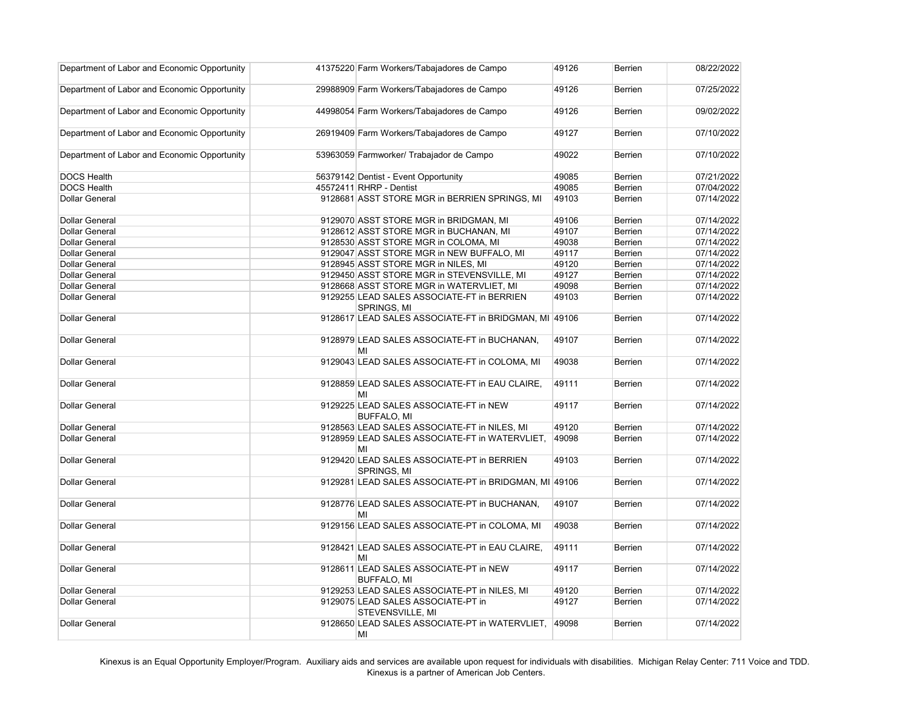| Department of Labor and Economic Opportunity | 41375220 Farm Workers/Tabajadores de Campo                   | 49126 | <b>Berrien</b> | 08/22/2022 |
|----------------------------------------------|--------------------------------------------------------------|-------|----------------|------------|
| Department of Labor and Economic Opportunity | 29988909 Farm Workers/Tabajadores de Campo                   | 49126 | <b>Berrien</b> | 07/25/2022 |
| Department of Labor and Economic Opportunity | 44998054 Farm Workers/Tabajadores de Campo                   | 49126 | <b>Berrien</b> | 09/02/2022 |
| Department of Labor and Economic Opportunity | 26919409 Farm Workers/Tabajadores de Campo                   | 49127 | <b>Berrien</b> | 07/10/2022 |
| Department of Labor and Economic Opportunity | 53963059 Farmworker/ Trabajador de Campo                     | 49022 | <b>Berrien</b> | 07/10/2022 |
| <b>DOCS Health</b>                           | 56379142 Dentist - Event Opportunity                         | 49085 | <b>Berrien</b> | 07/21/2022 |
| <b>DOCS Health</b>                           | 45572411 RHRP - Dentist                                      | 49085 | <b>Berrien</b> | 07/04/2022 |
| <b>Dollar General</b>                        | 9128681 ASST STORE MGR in BERRIEN SPRINGS, MI                | 49103 | <b>Berrien</b> | 07/14/2022 |
| <b>Dollar General</b>                        | 9129070 ASST STORE MGR in BRIDGMAN, MI                       | 49106 | <b>Berrien</b> | 07/14/2022 |
| <b>Dollar General</b>                        | 9128612 ASST STORE MGR in BUCHANAN, MI                       | 49107 | <b>Berrien</b> | 07/14/2022 |
| <b>Dollar General</b>                        | 9128530 ASST STORE MGR in COLOMA, MI                         | 49038 | <b>Berrien</b> | 07/14/2022 |
| <b>Dollar General</b>                        | 9129047 ASST STORE MGR in NEW BUFFALO, MI                    | 49117 | <b>Berrien</b> | 07/14/2022 |
| <b>Dollar General</b>                        | 9128945 ASST STORE MGR in NILES, MI                          | 49120 | <b>Berrien</b> | 07/14/2022 |
| <b>Dollar General</b>                        | 9129450 ASST STORE MGR in STEVENSVILLE, MI                   | 49127 | <b>Berrien</b> | 07/14/2022 |
| <b>Dollar General</b>                        | 9128668 ASST STORE MGR in WATERVLIET, MI                     | 49098 | <b>Berrien</b> | 07/14/2022 |
| <b>Dollar General</b>                        | 9129255 LEAD SALES ASSOCIATE-FT in BERRIEN<br>SPRINGS, MI    | 49103 | <b>Berrien</b> | 07/14/2022 |
| <b>Dollar General</b>                        | 9128617 LEAD SALES ASSOCIATE-FT in BRIDGMAN, MI 49106        |       | <b>Berrien</b> | 07/14/2022 |
| <b>Dollar General</b>                        | 9128979 LEAD SALES ASSOCIATE-FT in BUCHANAN,<br>MI           | 49107 | <b>Berrien</b> | 07/14/2022 |
| <b>Dollar General</b>                        | 9129043 LEAD SALES ASSOCIATE-FT in COLOMA, MI                | 49038 | <b>Berrien</b> | 07/14/2022 |
| <b>Dollar General</b>                        | 9128859 LEAD SALES ASSOCIATE-FT in EAU CLAIRE,<br>MI         | 49111 | <b>Berrien</b> | 07/14/2022 |
| <b>Dollar General</b>                        | 9129225 LEAD SALES ASSOCIATE-FT in NEW<br><b>BUFFALO, MI</b> | 49117 | <b>Berrien</b> | 07/14/2022 |
| <b>Dollar General</b>                        | 9128563 LEAD SALES ASSOCIATE-FT in NILES, MI                 | 49120 | <b>Berrien</b> | 07/14/2022 |
| <b>Dollar General</b>                        | 9128959 LEAD SALES ASSOCIATE-FT in WATERVLIET,<br>MI         | 49098 | <b>Berrien</b> | 07/14/2022 |
| <b>Dollar General</b>                        | 9129420 LEAD SALES ASSOCIATE-PT in BERRIEN<br>SPRINGS, MI    | 49103 | <b>Berrien</b> | 07/14/2022 |
| <b>Dollar General</b>                        | 9129281 LEAD SALES ASSOCIATE-PT in BRIDGMAN, MI 49106        |       | <b>Berrien</b> | 07/14/2022 |
| <b>Dollar General</b>                        | 9128776 LEAD SALES ASSOCIATE-PT in BUCHANAN,<br>ΜI           | 49107 | <b>Berrien</b> | 07/14/2022 |
| <b>Dollar General</b>                        | 9129156 LEAD SALES ASSOCIATE-PT in COLOMA, MI                | 49038 | <b>Berrien</b> | 07/14/2022 |
| <b>Dollar General</b>                        | 9128421 LEAD SALES ASSOCIATE-PT in EAU CLAIRE,<br>ΜI         | 49111 | <b>Berrien</b> | 07/14/2022 |
| <b>Dollar General</b>                        | 9128611 LEAD SALES ASSOCIATE-PT in NEW<br><b>BUFFALO, MI</b> | 49117 | <b>Berrien</b> | 07/14/2022 |
| <b>Dollar General</b>                        | 9129253 LEAD SALES ASSOCIATE-PT in NILES, MI                 | 49120 | <b>Berrien</b> | 07/14/2022 |
| <b>Dollar General</b>                        | 9129075 LEAD SALES ASSOCIATE-PT in<br>STEVENSVILLE, MI       | 49127 | <b>Berrien</b> | 07/14/2022 |
| <b>Dollar General</b>                        | 9128650 LEAD SALES ASSOCIATE-PT in WATERVLIET,<br>MI         | 49098 | <b>Berrien</b> | 07/14/2022 |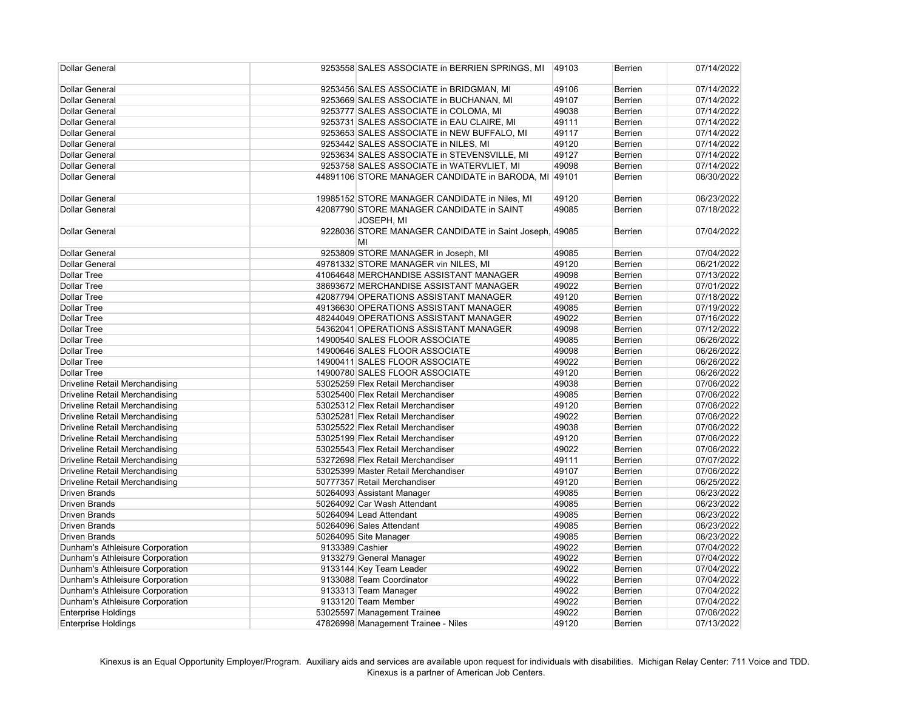| <b>Dollar General</b>                 |                 | 9253558 SALES ASSOCIATE in BERRIEN SPRINGS, MI               | 49103 | <b>Berrien</b> | 07/14/2022 |
|---------------------------------------|-----------------|--------------------------------------------------------------|-------|----------------|------------|
| <b>Dollar General</b>                 |                 | 9253456 SALES ASSOCIATE in BRIDGMAN, MI                      | 49106 | Berrien        | 07/14/2022 |
| <b>Dollar General</b>                 |                 | 9253669 SALES ASSOCIATE in BUCHANAN, MI                      | 49107 | Berrien        | 07/14/2022 |
| <b>Dollar General</b>                 |                 | 9253777 SALES ASSOCIATE in COLOMA, MI                        | 49038 | Berrien        | 07/14/2022 |
| <b>Dollar General</b>                 |                 | 9253731 SALES ASSOCIATE in EAU CLAIRE, MI                    | 49111 | Berrien        | 07/14/2022 |
| <b>Dollar General</b>                 |                 | 9253653 SALES ASSOCIATE in NEW BUFFALO, MI                   | 49117 | Berrien        | 07/14/2022 |
| <b>Dollar General</b>                 |                 | 9253442 SALES ASSOCIATE in NILES, MI                         | 49120 | Berrien        | 07/14/2022 |
| <b>Dollar General</b>                 |                 | 9253634 SALES ASSOCIATE in STEVENSVILLE, MI                  | 49127 | Berrien        | 07/14/2022 |
| <b>Dollar General</b>                 |                 | 9253758 SALES ASSOCIATE in WATERVLIET, MI                    | 49098 | Berrien        | 07/14/2022 |
| <b>Dollar General</b>                 |                 | 44891106 STORE MANAGER CANDIDATE in BARODA, MI 49101         |       | Berrien        | 06/30/2022 |
| <b>Dollar General</b>                 |                 | 19985152 STORE MANAGER CANDIDATE in Niles, MI                | 49120 | <b>Berrien</b> | 06/23/2022 |
| <b>Dollar General</b>                 |                 | 42087790 STORE MANAGER CANDIDATE in SAINT<br>JOSEPH, MI      | 49085 | Berrien        | 07/18/2022 |
| <b>Dollar General</b>                 |                 | 9228036 STORE MANAGER CANDIDATE in Saint Joseph, 49085<br>MI |       | <b>Berrien</b> | 07/04/2022 |
| <b>Dollar General</b>                 |                 | 9253809 STORE MANAGER in Joseph, MI                          | 49085 | Berrien        | 07/04/2022 |
| <b>Dollar General</b>                 |                 | 49781332 STORE MANAGER vin NILES, MI                         | 49120 | Berrien        | 06/21/2022 |
| <b>Dollar Tree</b>                    |                 | 41064648 MERCHANDISE ASSISTANT MANAGER                       | 49098 | Berrien        | 07/13/2022 |
| <b>Dollar Tree</b>                    |                 | 38693672 MERCHANDISE ASSISTANT MANAGER                       | 49022 | Berrien        | 07/01/2022 |
| <b>Dollar Tree</b>                    |                 | 42087794 OPERATIONS ASSISTANT MANAGER                        | 49120 | Berrien        | 07/18/2022 |
| <b>Dollar Tree</b>                    |                 | 49136630 OPERATIONS ASSISTANT MANAGER                        | 49085 | Berrien        | 07/19/2022 |
| <b>Dollar Tree</b>                    |                 | 48244049 OPERATIONS ASSISTANT MANAGER                        | 49022 | Berrien        | 07/16/2022 |
| <b>Dollar Tree</b>                    |                 | 54362041 OPERATIONS ASSISTANT MANAGER                        | 49098 | Berrien        | 07/12/2022 |
| <b>Dollar Tree</b>                    |                 | 14900540 SALES FLOOR ASSOCIATE                               | 49085 | Berrien        | 06/26/2022 |
| <b>Dollar Tree</b>                    |                 | 14900646 SALES FLOOR ASSOCIATE                               | 49098 | Berrien        | 06/26/2022 |
| <b>Dollar Tree</b>                    |                 | 14900411 SALES FLOOR ASSOCIATE                               | 49022 | Berrien        | 06/26/2022 |
| <b>Dollar Tree</b>                    |                 | 14900780 SALES FLOOR ASSOCIATE                               | 49120 | Berrien        | 06/26/2022 |
| <b>Driveline Retail Merchandising</b> |                 | 53025259 Flex Retail Merchandiser                            | 49038 | Berrien        | 07/06/2022 |
| <b>Driveline Retail Merchandising</b> |                 | 53025400 Flex Retail Merchandiser                            | 49085 | Berrien        | 07/06/2022 |
| <b>Driveline Retail Merchandising</b> |                 | 53025312 Flex Retail Merchandiser                            | 49120 | Berrien        | 07/06/2022 |
| <b>Driveline Retail Merchandising</b> |                 | 53025281 Flex Retail Merchandiser                            | 49022 | <b>Berrien</b> | 07/06/2022 |
| <b>Driveline Retail Merchandising</b> |                 | 53025522 Flex Retail Merchandiser                            | 49038 | <b>Berrien</b> | 07/06/2022 |
| <b>Driveline Retail Merchandising</b> |                 | 53025199 Flex Retail Merchandiser                            | 49120 | Berrien        | 07/06/2022 |
| <b>Driveline Retail Merchandising</b> |                 | 53025543 Flex Retail Merchandiser                            | 49022 | <b>Berrien</b> | 07/06/2022 |
| <b>Driveline Retail Merchandising</b> |                 | 53272698 Flex Retail Merchandiser                            | 49111 | Berrien        | 07/07/2022 |
| <b>Driveline Retail Merchandising</b> |                 | 53025399 Master Retail Merchandiser                          | 49107 | Berrien        | 07/06/2022 |
| Driveline Retail Merchandising        |                 | 50777357 Retail Merchandiser                                 | 49120 | Berrien        | 06/25/2022 |
| <b>Driven Brands</b>                  |                 | 50264093 Assistant Manager                                   | 49085 | Berrien        | 06/23/2022 |
| <b>Driven Brands</b>                  |                 | 50264092 Car Wash Attendant                                  | 49085 | Berrien        | 06/23/2022 |
| <b>Driven Brands</b>                  |                 | 50264094 Lead Attendant                                      | 49085 | Berrien        | 06/23/2022 |
| <b>Driven Brands</b>                  |                 | 50264096 Sales Attendant                                     | 49085 | <b>Berrien</b> | 06/23/2022 |
| <b>Driven Brands</b>                  |                 | 50264095 Site Manager                                        | 49085 | <b>Berrien</b> | 06/23/2022 |
| Dunham's Athleisure Corporation       | 9133389 Cashier |                                                              | 49022 | Berrien        | 07/04/2022 |
| Dunham's Athleisure Corporation       |                 | 9133279 General Manager                                      | 49022 | <b>Berrien</b> | 07/04/2022 |
| Dunham's Athleisure Corporation       |                 | 9133144 Key Team Leader                                      | 49022 | <b>Berrien</b> | 07/04/2022 |
| Dunham's Athleisure Corporation       |                 | 9133088 Team Coordinator                                     | 49022 | Berrien        | 07/04/2022 |
| Dunham's Athleisure Corporation       |                 | 9133313 Team Manager                                         | 49022 | Berrien        | 07/04/2022 |
| Dunham's Athleisure Corporation       |                 | 9133120 Team Member                                          | 49022 | <b>Berrien</b> | 07/04/2022 |
| <b>Enterprise Holdings</b>            |                 | 53025597 Management Trainee                                  | 49022 | Berrien        | 07/06/2022 |
| <b>Enterprise Holdings</b>            |                 | 47826998 Management Trainee - Niles                          | 49120 | Berrien        | 07/13/2022 |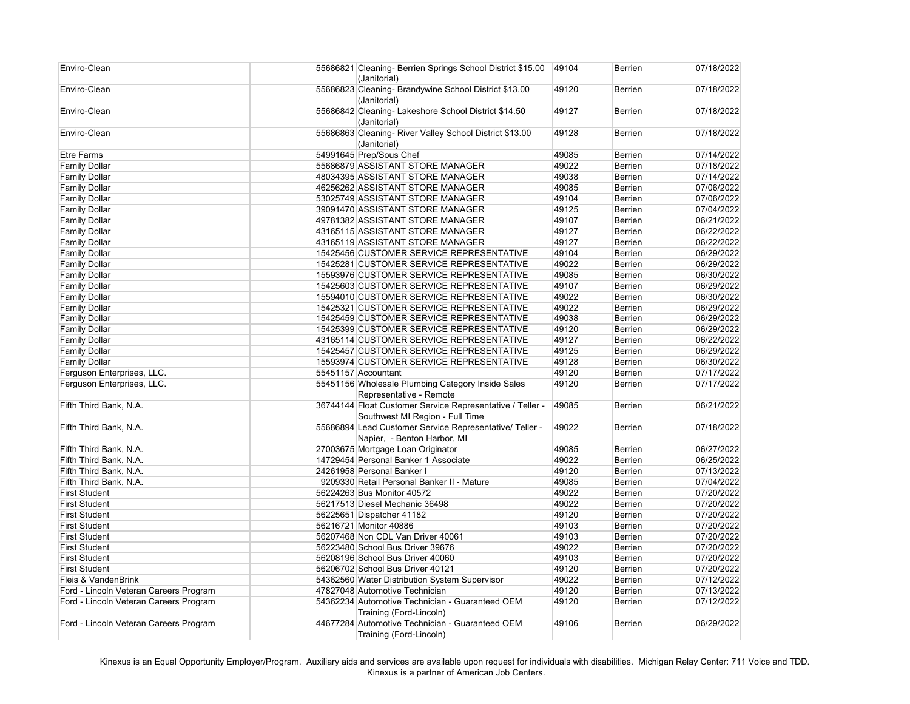| Enviro-Clean                           | 55686821 Cleaning- Berrien Springs School District \$15.00<br>(Janitorial)                   | 49104 | <b>Berrien</b> | 07/18/2022 |
|----------------------------------------|----------------------------------------------------------------------------------------------|-------|----------------|------------|
| Enviro-Clean                           | 55686823 Cleaning- Brandywine School District \$13.00<br>(Janitorial)                        | 49120 | <b>Berrien</b> | 07/18/2022 |
| Enviro-Clean                           | 55686842 Cleaning- Lakeshore School District \$14.50<br>(Janitorial)                         | 49127 | <b>Berrien</b> | 07/18/2022 |
| Enviro-Clean                           | 55686863 Cleaning- River Valley School District \$13.00<br>(Janitorial)                      | 49128 | <b>Berrien</b> | 07/18/2022 |
| <b>Etre Farms</b>                      | 54991645 Prep/Sous Chef                                                                      | 49085 | <b>Berrien</b> | 07/14/2022 |
| <b>Family Dollar</b>                   | 55686879 ASSISTANT STORE MANAGER                                                             | 49022 | <b>Berrien</b> | 07/18/2022 |
| <b>Family Dollar</b>                   | 48034395 ASSISTANT STORE MANAGER                                                             | 49038 | <b>Berrien</b> | 07/14/2022 |
| <b>Family Dollar</b>                   | 46256262 ASSISTANT STORE MANAGER                                                             | 49085 | <b>Berrien</b> | 07/06/2022 |
| <b>Family Dollar</b>                   | 53025749 ASSISTANT STORE MANAGER                                                             | 49104 | <b>Berrien</b> | 07/06/2022 |
| <b>Family Dollar</b>                   | 39091470 ASSISTANT STORE MANAGER                                                             | 49125 | <b>Berrien</b> | 07/04/2022 |
| <b>Family Dollar</b>                   | 49781382 ASSISTANT STORE MANAGER                                                             | 49107 | <b>Berrien</b> | 06/21/2022 |
| <b>Family Dollar</b>                   | 43165115 ASSISTANT STORE MANAGER                                                             | 49127 | <b>Berrien</b> | 06/22/2022 |
| <b>Family Dollar</b>                   | 43165119 ASSISTANT STORE MANAGER                                                             | 49127 | <b>Berrien</b> | 06/22/2022 |
| <b>Family Dollar</b>                   | 15425456 CUSTOMER SERVICE REPRESENTATIVE                                                     | 49104 | <b>Berrien</b> | 06/29/2022 |
| <b>Family Dollar</b>                   | 15425281 CUSTOMER SERVICE REPRESENTATIVE                                                     | 49022 | <b>Berrien</b> | 06/29/2022 |
| <b>Family Dollar</b>                   | 15593976 CUSTOMER SERVICE REPRESENTATIVE                                                     | 49085 | Berrien        | 06/30/2022 |
| <b>Family Dollar</b>                   | 15425603 CUSTOMER SERVICE REPRESENTATIVE                                                     | 49107 | <b>Berrien</b> | 06/29/2022 |
| <b>Family Dollar</b>                   | 15594010 CUSTOMER SERVICE REPRESENTATIVE                                                     | 49022 | <b>Berrien</b> | 06/30/2022 |
| <b>Family Dollar</b>                   | 15425321 CUSTOMER SERVICE REPRESENTATIVE                                                     | 49022 | Berrien        | 06/29/2022 |
| <b>Family Dollar</b>                   | 15425459 CUSTOMER SERVICE REPRESENTATIVE                                                     | 49038 | Berrien        | 06/29/2022 |
| <b>Family Dollar</b>                   | 15425399 CUSTOMER SERVICE REPRESENTATIVE                                                     | 49120 | <b>Berrien</b> | 06/29/2022 |
| <b>Family Dollar</b>                   | 43165114 CUSTOMER SERVICE REPRESENTATIVE                                                     | 49127 | <b>Berrien</b> | 06/22/2022 |
| <b>Family Dollar</b>                   | 15425457 CUSTOMER SERVICE REPRESENTATIVE                                                     | 49125 | <b>Berrien</b> | 06/29/2022 |
| <b>Family Dollar</b>                   | 15593974 CUSTOMER SERVICE REPRESENTATIVE                                                     | 49128 | <b>Berrien</b> | 06/30/2022 |
| Ferguson Enterprises, LLC.             | 55451157 Accountant                                                                          | 49120 | Berrien        | 07/17/2022 |
| Ferguson Enterprises, LLC.             | 55451156 Wholesale Plumbing Category Inside Sales<br>Representative - Remote                 | 49120 | Berrien        | 07/17/2022 |
| Fifth Third Bank, N.A.                 | 36744144 Float Customer Service Representative / Teller -<br>Southwest MI Region - Full Time | 49085 | <b>Berrien</b> | 06/21/2022 |
| Fifth Third Bank, N.A.                 | 55686894 Lead Customer Service Representative/ Teller -<br>Napier, - Benton Harbor, MI       | 49022 | Berrien        | 07/18/2022 |
| Fifth Third Bank, N.A.                 | 27003675 Mortgage Loan Originator                                                            | 49085 | <b>Berrien</b> | 06/27/2022 |
| Fifth Third Bank, N.A.                 | 14729454 Personal Banker 1 Associate                                                         | 49022 | Berrien        | 06/25/2022 |
| Fifth Third Bank, N.A.                 | 24261958 Personal Banker I                                                                   | 49120 | Berrien        | 07/13/2022 |
| Fifth Third Bank, N.A.                 | 9209330 Retail Personal Banker II - Mature                                                   | 49085 | Berrien        | 07/04/2022 |
| <b>First Student</b>                   | 56224263 Bus Monitor 40572                                                                   | 49022 | Berrien        | 07/20/2022 |
| <b>First Student</b>                   | 56217513 Diesel Mechanic 36498                                                               | 49022 | Berrien        | 07/20/2022 |
| <b>First Student</b>                   | 56225651 Dispatcher 41182                                                                    | 49120 | <b>Berrien</b> | 07/20/2022 |
| <b>First Student</b>                   | 56216721 Monitor 40886                                                                       | 49103 | Berrien        | 07/20/2022 |
| <b>First Student</b>                   | 56207468 Non CDL Van Driver 40061                                                            | 49103 | Berrien        | 07/20/2022 |
| <b>First Student</b>                   | 56223480 School Bus Driver 39676                                                             | 49022 | <b>Berrien</b> | 07/20/2022 |
| <b>First Student</b>                   | 56208196 School Bus Driver 40060                                                             | 49103 | <b>Berrien</b> | 07/20/2022 |
| <b>First Student</b>                   | 56206702 School Bus Driver 40121                                                             | 49120 | <b>Berrien</b> | 07/20/2022 |
| Fleis & VandenBrink                    | 54362560 Water Distribution System Supervisor                                                | 49022 | <b>Berrien</b> | 07/12/2022 |
| Ford - Lincoln Veteran Careers Program | 47827048 Automotive Technician                                                               | 49120 | Berrien        | 07/13/2022 |
| Ford - Lincoln Veteran Careers Program | 54362234 Automotive Technician - Guaranteed OEM                                              | 49120 | <b>Berrien</b> | 07/12/2022 |
|                                        | Training (Ford-Lincoln)                                                                      |       |                |            |
| Ford - Lincoln Veteran Careers Program | 44677284 Automotive Technician - Guaranteed OEM                                              | 49106 | Berrien        | 06/29/2022 |
|                                        | Training (Ford-Lincoln)                                                                      |       |                |            |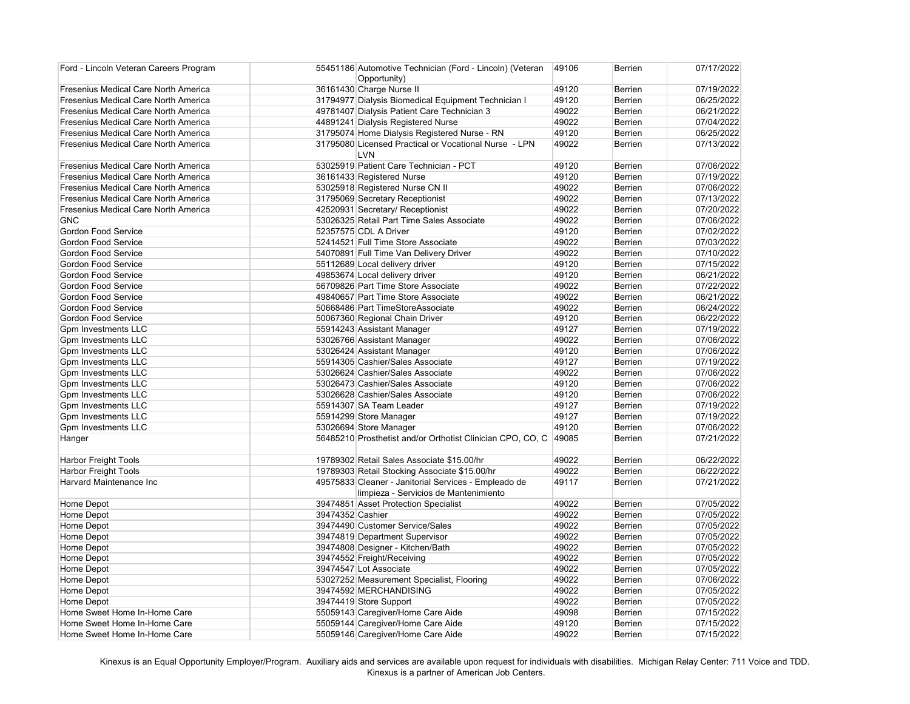| Ford - Lincoln Veteran Careers Program      | 55451186 Automotive Technician (Ford - Lincoln) (Veteran<br>Opportunity) | 49106 | <b>Berrien</b> | 07/17/2022 |
|---------------------------------------------|--------------------------------------------------------------------------|-------|----------------|------------|
| <b>Fresenius Medical Care North America</b> | 36161430 Charge Nurse II                                                 | 49120 | Berrien        | 07/19/2022 |
| <b>Fresenius Medical Care North America</b> | 31794977 Dialysis Biomedical Equipment Technician I                      | 49120 | <b>Berrien</b> | 06/25/2022 |
| <b>Fresenius Medical Care North America</b> | 49781407 Dialysis Patient Care Technician 3                              | 49022 | <b>Berrien</b> | 06/21/2022 |
| <b>Fresenius Medical Care North America</b> | 44891241 Dialysis Registered Nurse                                       | 49022 | Berrien        | 07/04/2022 |
| <b>Fresenius Medical Care North America</b> | 31795074 Home Dialysis Registered Nurse - RN                             | 49120 | <b>Berrien</b> | 06/25/2022 |
| <b>Fresenius Medical Care North America</b> | 31795080 Licensed Practical or Vocational Nurse - LPN                    | 49022 | <b>Berrien</b> | 07/13/2022 |
|                                             | LVN                                                                      |       |                |            |
| <b>Fresenius Medical Care North America</b> | 53025919 Patient Care Technician - PCT                                   | 49120 | <b>Berrien</b> | 07/06/2022 |
| <b>Fresenius Medical Care North America</b> | 36161433 Registered Nurse                                                | 49120 | Berrien        | 07/19/2022 |
| <b>Fresenius Medical Care North America</b> | 53025918 Registered Nurse CN II                                          | 49022 | Berrien        | 07/06/2022 |
| <b>Fresenius Medical Care North America</b> | 31795069 Secretary Receptionist                                          | 49022 | Berrien        | 07/13/2022 |
| <b>Fresenius Medical Care North America</b> | 42520931 Secretary/ Receptionist                                         | 49022 | Berrien        | 07/20/2022 |
| GNC                                         | 53026325 Retail Part Time Sales Associate                                | 49022 | Berrien        | 07/06/2022 |
| Gordon Food Service                         | 52357575 CDL A Driver                                                    | 49120 | <b>Berrien</b> | 07/02/2022 |
| <b>Gordon Food Service</b>                  | 52414521 Full Time Store Associate                                       | 49022 | <b>Berrien</b> | 07/03/2022 |
| Gordon Food Service                         | 54070891 Full Time Van Delivery Driver                                   | 49022 | Berrien        | 07/10/2022 |
| Gordon Food Service                         | 55112689 Local delivery driver                                           | 49120 | Berrien        | 07/15/2022 |
| Gordon Food Service                         | 49853674 Local delivery driver                                           | 49120 | Berrien        | 06/21/2022 |
| Gordon Food Service                         | 56709826 Part Time Store Associate                                       | 49022 | Berrien        | 07/22/2022 |
| Gordon Food Service                         | 49840657 Part Time Store Associate                                       | 49022 | Berrien        | 06/21/2022 |
| Gordon Food Service                         | 50668486 Part TimeStoreAssociate                                         | 49022 | Berrien        | 06/24/2022 |
| Gordon Food Service                         | 50067360 Regional Chain Driver                                           | 49120 | Berrien        | 06/22/2022 |
| <b>Gpm Investments LLC</b>                  | 55914243 Assistant Manager                                               | 49127 | Berrien        | 07/19/2022 |
| Gpm Investments LLC                         | 53026766 Assistant Manager                                               | 49022 | Berrien        | 07/06/2022 |
| Gpm Investments LLC                         | 53026424 Assistant Manager                                               | 49120 | Berrien        | 07/06/2022 |
| <b>Gpm Investments LLC</b>                  | 55914305 Cashier/Sales Associate                                         | 49127 | Berrien        | 07/19/2022 |
| Gpm Investments LLC                         | 53026624 Cashier/Sales Associate                                         | 49022 | <b>Berrien</b> | 07/06/2022 |
| Gpm Investments LLC                         | 53026473 Cashier/Sales Associate                                         | 49120 | <b>Berrien</b> | 07/06/2022 |
| <b>Gpm Investments LLC</b>                  | 53026628 Cashier/Sales Associate                                         | 49120 | <b>Berrien</b> | 07/06/2022 |
| Gpm Investments LLC                         | 55914307 SA Team Leader                                                  | 49127 | <b>Berrien</b> | 07/19/2022 |
| Gpm Investments LLC                         | 55914299 Store Manager                                                   | 49127 | Berrien        | 07/19/2022 |
| Gpm Investments LLC                         | 53026694 Store Manager                                                   | 49120 | Berrien        | 07/06/2022 |
| Hanger                                      | 56485210 Prosthetist and/or Orthotist Clinician CPO, CO, C               | 49085 | Berrien        | 07/21/2022 |
| <b>Harbor Freight Tools</b>                 | 19789302 Retail Sales Associate \$15.00/hr                               | 49022 | Berrien        | 06/22/2022 |
| <b>Harbor Freight Tools</b>                 | 19789303 Retail Stocking Associate \$15.00/hr                            | 49022 | Berrien        | 06/22/2022 |
| Harvard Maintenance Inc                     | 49575833 Cleaner - Janitorial Services - Empleado de                     | 49117 | Berrien        | 07/21/2022 |
|                                             | limpieza - Servicios de Mantenimiento                                    |       |                |            |
| Home Depot                                  | 39474851 Asset Protection Specialist                                     | 49022 | Berrien        | 07/05/2022 |
| Home Depot                                  | 39474352 Cashier                                                         | 49022 | Berrien        | 07/05/2022 |
| Home Depot                                  | 39474490 Customer Service/Sales                                          | 49022 | Berrien        | 07/05/2022 |
| Home Depot                                  | 39474819 Department Supervisor                                           | 49022 | Berrien        | 07/05/2022 |
| Home Depot                                  | 39474808 Designer - Kitchen/Bath                                         | 49022 | Berrien        | 07/05/2022 |
| Home Depot                                  | 39474552 Freight/Receiving                                               | 49022 | Berrien        | 07/05/2022 |
| Home Depot                                  | 39474547 Lot Associate                                                   | 49022 | <b>Berrien</b> | 07/05/2022 |
| Home Depot                                  | 53027252 Measurement Specialist, Flooring                                | 49022 | Berrien        | 07/06/2022 |
| Home Depot                                  | 39474592 MERCHANDISING                                                   | 49022 | Berrien        | 07/05/2022 |
| Home Depot                                  | 39474419 Store Support                                                   | 49022 | Berrien        | 07/05/2022 |
| Home Sweet Home In-Home Care                | 55059143 Caregiver/Home Care Aide                                        | 49098 | Berrien        | 07/15/2022 |
| Home Sweet Home In-Home Care                | 55059144 Caregiver/Home Care Aide                                        | 49120 | Berrien        | 07/15/2022 |
| Home Sweet Home In-Home Care                | 55059146 Caregiver/Home Care Aide                                        | 49022 | <b>Berrien</b> | 07/15/2022 |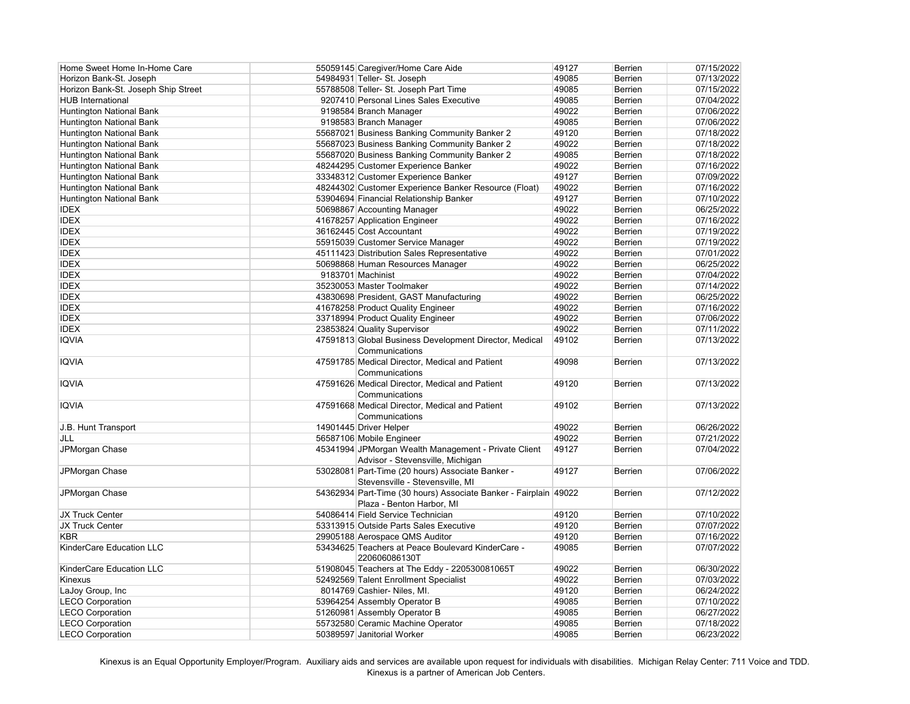| Home Sweet Home In-Home Care        | 55059145 Caregiver/Home Care Aide                                | 49127 | Berrien        | 07/15/2022 |
|-------------------------------------|------------------------------------------------------------------|-------|----------------|------------|
| Horizon Bank-St. Joseph             | 54984931 Teller- St. Joseph                                      | 49085 | Berrien        | 07/13/2022 |
| Horizon Bank-St. Joseph Ship Street | 55788508 Teller- St. Joseph Part Time                            | 49085 | Berrien        | 07/15/2022 |
| <b>HUB International</b>            | 9207410 Personal Lines Sales Executive                           | 49085 | <b>Berrien</b> | 07/04/2022 |
| Huntington National Bank            | 9198584 Branch Manager                                           | 49022 | <b>Berrien</b> | 07/06/2022 |
| <b>Huntington National Bank</b>     | 9198583 Branch Manager                                           | 49085 | Berrien        | 07/06/2022 |
| <b>Huntington National Bank</b>     | 55687021 Business Banking Community Banker 2                     | 49120 | Berrien        | 07/18/2022 |
| <b>Huntington National Bank</b>     | 55687023 Business Banking Community Banker 2                     | 49022 | Berrien        | 07/18/2022 |
| Huntington National Bank            | 55687020 Business Banking Community Banker 2                     | 49085 | Berrien        | 07/18/2022 |
| Huntington National Bank            | 48244295 Customer Experience Banker                              | 49022 | Berrien        | 07/16/2022 |
| Huntington National Bank            | 33348312 Customer Experience Banker                              | 49127 | Berrien        | 07/09/2022 |
| <b>Huntington National Bank</b>     | 48244302 Customer Experience Banker Resource (Float)             | 49022 | Berrien        | 07/16/2022 |
| <b>Huntington National Bank</b>     | 53904694 Financial Relationship Banker                           | 49127 | Berrien        | 07/10/2022 |
| <b>IDEX</b>                         | 50698867 Accounting Manager                                      | 49022 | Berrien        | 06/25/2022 |
| <b>IDEX</b>                         | 41678257 Application Engineer                                    | 49022 | Berrien        | 07/16/2022 |
| <b>IDEX</b>                         | 36162445 Cost Accountant                                         | 49022 | Berrien        | 07/19/2022 |
| <b>IDEX</b>                         | 55915039 Customer Service Manager                                | 49022 | Berrien        | 07/19/2022 |
|                                     |                                                                  |       |                |            |
| <b>IDEX</b>                         | 45111423 Distribution Sales Representative                       | 49022 | Berrien        | 07/01/2022 |
| <b>IDEX</b>                         | 50698868 Human Resources Manager                                 | 49022 | Berrien        | 06/25/2022 |
| <b>IDEX</b>                         | 9183701 Machinist                                                | 49022 | Berrien        | 07/04/2022 |
| <b>IDEX</b>                         | 35230053 Master Toolmaker                                        | 49022 | Berrien        | 07/14/2022 |
| <b>IDEX</b>                         | 43830698 President, GAST Manufacturing                           | 49022 | Berrien        | 06/25/2022 |
| <b>IDEX</b>                         | 41678258 Product Quality Engineer                                | 49022 | Berrien        | 07/16/2022 |
| <b>IDEX</b>                         | 33718994 Product Quality Engineer                                | 49022 | Berrien        | 07/06/2022 |
| <b>IDEX</b>                         | 23853824 Quality Supervisor                                      | 49022 | Berrien        | 07/11/2022 |
| <b>IQVIA</b>                        | 47591813 Global Business Development Director, Medical           | 49102 | Berrien        | 07/13/2022 |
|                                     | Communications                                                   |       |                |            |
| <b>IQVIA</b>                        | 47591785 Medical Director, Medical and Patient                   | 49098 | Berrien        | 07/13/2022 |
|                                     | Communications                                                   |       |                |            |
| <b>IQVIA</b>                        | 47591626 Medical Director, Medical and Patient                   | 49120 | <b>Berrien</b> | 07/13/2022 |
|                                     | Communications                                                   |       |                |            |
| <b>IQVIA</b>                        | 47591668 Medical Director, Medical and Patient                   | 49102 | <b>Berrien</b> | 07/13/2022 |
|                                     | Communications                                                   |       |                |            |
| J.B. Hunt Transport                 | 14901445 Driver Helper                                           | 49022 | Berrien        | 06/26/2022 |
| JLL                                 | 56587106 Mobile Engineer                                         | 49022 | Berrien        | 07/21/2022 |
| JPMorgan Chase                      | 45341994 JPMorgan Wealth Management - Private Client             | 49127 | <b>Berrien</b> | 07/04/2022 |
|                                     | Advisor - Stevensville, Michigan                                 |       |                |            |
| JPMorgan Chase                      | 53028081 Part-Time (20 hours) Associate Banker -                 | 49127 | Berrien        | 07/06/2022 |
|                                     | Stevensville - Stevensville, MI                                  |       |                |            |
| JPMorgan Chase                      | 54362934 Part-Time (30 hours) Associate Banker - Fairplain 49022 |       | Berrien        | 07/12/2022 |
|                                     | Plaza - Benton Harbor, MI                                        |       |                |            |
| JX Truck Center                     | 54086414 Field Service Technician                                | 49120 | Berrien        | 07/10/2022 |
| JX Truck Center                     | 53313915 Outside Parts Sales Executive                           | 49120 | Berrien        | 07/07/2022 |
| <b>KBR</b>                          | 29905188 Aerospace QMS Auditor                                   | 49120 | Berrien        | 07/16/2022 |
| KinderCare Education LLC            | 53434625 Teachers at Peace Boulevard KinderCare -                | 49085 | Berrien        | 07/07/2022 |
|                                     | 220606086130T                                                    |       |                |            |
| KinderCare Education LLC            | 51908045 Teachers at The Eddy - 220530081065T                    | 49022 | Berrien        | 06/30/2022 |
| Kinexus                             | 52492569 Talent Enrollment Specialist                            | 49022 | Berrien        | 07/03/2022 |
| LaJoy Group, Inc                    | 8014769 Cashier- Niles, MI.                                      | 49120 | Berrien        | 06/24/2022 |
| <b>LECO Corporation</b>             | 53964254 Assembly Operator B                                     | 49085 | Berrien        | 07/10/2022 |
|                                     |                                                                  |       |                |            |
| <b>LECO Corporation</b>             | 51260981 Assembly Operator B                                     | 49085 | Berrien        | 06/27/2022 |
| <b>LECO Corporation</b>             | 55732580 Ceramic Machine Operator                                | 49085 | Berrien        | 07/18/2022 |
| <b>LECO Corporation</b>             | 50389597 Janitorial Worker                                       | 49085 | <b>Berrien</b> | 06/23/2022 |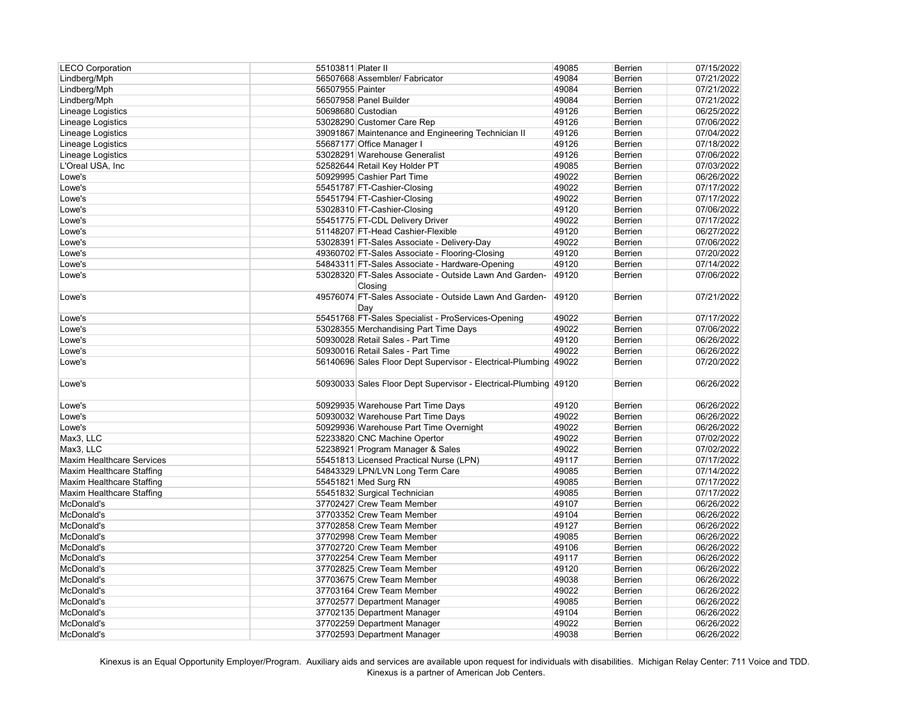| <b>LECO Corporation</b>          | 55103811 Plater II |                                                                  | 49085 | <b>Berrien</b> | 07/15/2022 |
|----------------------------------|--------------------|------------------------------------------------------------------|-------|----------------|------------|
| Lindberg/Mph                     |                    | 56507668 Assembler/ Fabricator                                   | 49084 | <b>Berrien</b> | 07/21/2022 |
| Lindberg/Mph                     | 56507955 Painter   |                                                                  | 49084 | Berrien        | 07/21/2022 |
| Lindberg/Mph                     |                    | 56507958 Panel Builder                                           | 49084 | <b>Berrien</b> | 07/21/2022 |
| Lineage Logistics                |                    | 50698680 Custodian                                               | 49126 | <b>Berrien</b> | 06/25/2022 |
| Lineage Logistics                |                    | 53028290 Customer Care Rep                                       | 49126 | <b>Berrien</b> | 07/06/2022 |
| Lineage Logistics                |                    | 39091867 Maintenance and Engineering Technician II               | 49126 | Berrien        | 07/04/2022 |
| Lineage Logistics                |                    | 55687177 Office Manager I                                        | 49126 | Berrien        | 07/18/2022 |
| Lineage Logistics                |                    | 53028291 Warehouse Generalist                                    | 49126 | Berrien        | 07/06/2022 |
| L'Oreal USA, Inc                 |                    | 52582644 Retail Key Holder PT                                    | 49085 | Berrien        | 07/03/2022 |
| Lowe's                           |                    | 50929995 Cashier Part Time                                       | 49022 | Berrien        | 06/26/2022 |
| Lowe's                           |                    | 55451787 FT-Cashier-Closing                                      | 49022 | Berrien        | 07/17/2022 |
| Lowe's                           |                    | 55451794 FT-Cashier-Closing                                      | 49022 | Berrien        | 07/17/2022 |
| Lowe's                           |                    | 53028310 FT-Cashier-Closing                                      | 49120 | Berrien        | 07/06/2022 |
| Lowe's                           |                    | 55451775 FT-CDL Delivery Driver                                  | 49022 | Berrien        | 07/17/2022 |
| Lowe's                           |                    | 51148207 FT-Head Cashier-Flexible                                | 49120 | Berrien        | 06/27/2022 |
| Lowe's                           |                    | 53028391 FT-Sales Associate - Delivery-Day                       | 49022 | Berrien        | 07/06/2022 |
| Lowe's                           |                    | 49360702 FT-Sales Associate - Flooring-Closing                   | 49120 | <b>Berrien</b> | 07/20/2022 |
| Lowe's                           |                    | 54843311 FT-Sales Associate - Hardware-Opening                   | 49120 | Berrien        | 07/14/2022 |
| Lowe's                           |                    | 53028320 FT-Sales Associate - Outside Lawn And Garden-           | 49120 | <b>Berrien</b> | 07/06/2022 |
|                                  |                    | Closing                                                          |       |                |            |
| Lowe's                           |                    | 49576074 FT-Sales Associate - Outside Lawn And Garden-           | 49120 | <b>Berrien</b> | 07/21/2022 |
|                                  |                    | Day                                                              |       |                |            |
|                                  |                    | 55451768 FT-Sales Specialist - ProServices-Opening               | 49022 | <b>Berrien</b> | 07/17/2022 |
| Lowe's<br>Lowe's                 |                    | 53028355 Merchandising Part Time Days                            | 49022 | Berrien        | 07/06/2022 |
|                                  |                    | 50930028 Retail Sales - Part Time                                | 49120 |                |            |
| Lowe's                           |                    |                                                                  | 49022 | Berrien        | 06/26/2022 |
| Lowe's                           |                    | 50930016 Retail Sales - Part Time                                |       | Berrien        | 06/26/2022 |
| Lowe's                           |                    | 56140696 Sales Floor Dept Supervisor - Electrical-Plumbing 49022 |       | Berrien        | 07/20/2022 |
| Lowe's                           |                    | 50930033 Sales Floor Dept Supervisor - Electrical-Plumbing 49120 |       | <b>Berrien</b> | 06/26/2022 |
|                                  |                    |                                                                  |       |                |            |
| Lowe's                           |                    | 50929935 Warehouse Part Time Days                                | 49120 | Berrien        | 06/26/2022 |
| Lowe's                           |                    | 50930032 Warehouse Part Time Days                                | 49022 | Berrien        | 06/26/2022 |
| Lowe's                           |                    | 50929936 Warehouse Part Time Overnight                           | 49022 | Berrien        | 06/26/2022 |
| Max3, LLC                        |                    | 52233820 CNC Machine Opertor                                     | 49022 | Berrien        | 07/02/2022 |
| Max3, LLC                        |                    | 52238921 Program Manager & Sales                                 | 49022 | <b>Berrien</b> | 07/02/2022 |
| <b>Maxim Healthcare Services</b> |                    | 55451813 Licensed Practical Nurse (LPN)                          | 49117 | Berrien        | 07/17/2022 |
| Maxim Healthcare Staffing        |                    | 54843329 LPN/LVN Long Term Care                                  | 49085 | Berrien        | 07/14/2022 |
| Maxim Healthcare Staffing        |                    | 55451821 Med Surg RN                                             | 49085 | Berrien        | 07/17/2022 |
| Maxim Healthcare Staffing        |                    | 55451832 Surgical Technician                                     | 49085 | Berrien        | 07/17/2022 |
| McDonald's                       |                    | 37702427 Crew Team Member                                        | 49107 | Berrien        | 06/26/2022 |
| McDonald's                       |                    | 37703352 Crew Team Member                                        | 49104 | Berrien        | 06/26/2022 |
| McDonald's                       |                    | 37702858 Crew Team Member                                        | 49127 | Berrien        | 06/26/2022 |
| McDonald's                       |                    | 37702998 Crew Team Member                                        | 49085 | Berrien        | 06/26/2022 |
| McDonald's                       |                    | 37702720 Crew Team Member                                        | 49106 | Berrien        | 06/26/2022 |
| McDonald's                       |                    | 37702254 Crew Team Member                                        | 49117 | Berrien        | 06/26/2022 |
| McDonald's                       |                    | 37702825 Crew Team Member                                        | 49120 | Berrien        | 06/26/2022 |
| McDonald's                       |                    | 37703675 Crew Team Member                                        | 49038 | <b>Berrien</b> | 06/26/2022 |
| McDonald's                       |                    | 37703164 Crew Team Member                                        | 49022 | <b>Berrien</b> | 06/26/2022 |
| McDonald's                       |                    | 37702577 Department Manager                                      | 49085 | <b>Berrien</b> | 06/26/2022 |
| McDonald's                       |                    | 37702135 Department Manager                                      | 49104 | Berrien        | 06/26/2022 |
| McDonald's                       |                    | 37702259 Department Manager                                      | 49022 | Berrien        | 06/26/2022 |
| McDonald's                       |                    | 37702593 Department Manager                                      | 49038 | <b>Berrien</b> | 06/26/2022 |
|                                  |                    |                                                                  |       |                |            |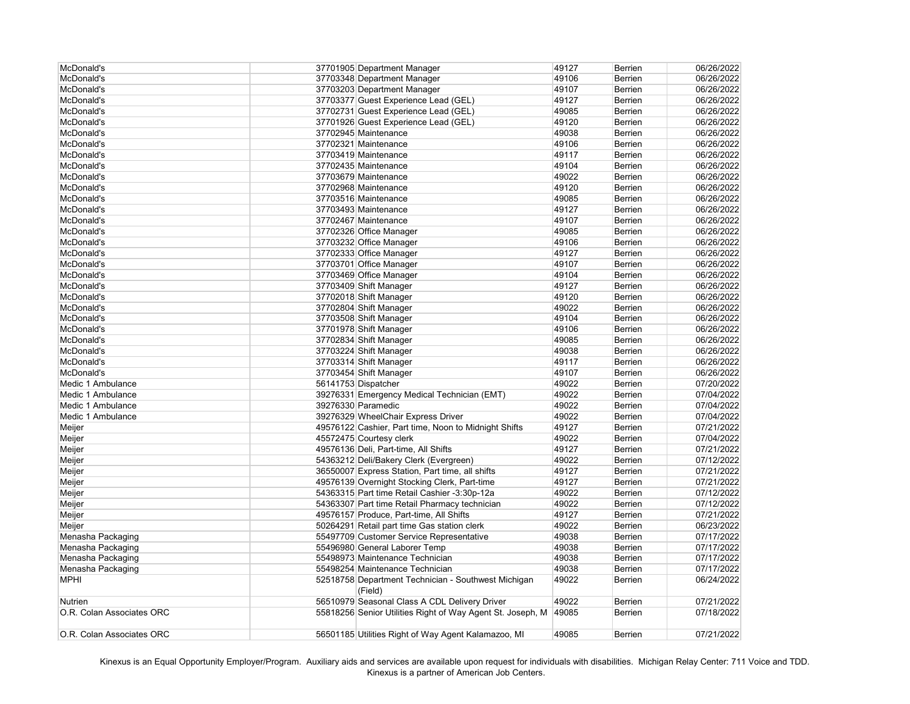| McDonald's                |                         | 37701905 Department Manager                                | 49127 | <b>Berrien</b> | 06/26/2022 |
|---------------------------|-------------------------|------------------------------------------------------------|-------|----------------|------------|
| McDonald's                |                         | 37703348 Department Manager                                | 49106 | <b>Berrien</b> | 06/26/2022 |
| McDonald's                |                         | 37703203 Department Manager                                | 49107 | <b>Berrien</b> | 06/26/2022 |
| McDonald's                |                         | 37703377 Guest Experience Lead (GEL)                       | 49127 | <b>Berrien</b> | 06/26/2022 |
| McDonald's                |                         | 37702731 Guest Experience Lead (GEL)                       | 49085 | Berrien        | 06/26/2022 |
| McDonald's                |                         | 37701926 Guest Experience Lead (GEL)                       | 49120 | <b>Berrien</b> | 06/26/2022 |
| McDonald's                | 37702945 Maintenance    |                                                            | 49038 | Berrien        | 06/26/2022 |
| McDonald's                | 37702321 Maintenance    |                                                            | 49106 | Berrien        | 06/26/2022 |
| McDonald's                | 37703419 Maintenance    |                                                            | 49117 | <b>Berrien</b> | 06/26/2022 |
| McDonald's                | 37702435 Maintenance    |                                                            | 49104 | Berrien        | 06/26/2022 |
| McDonald's                | 37703679 Maintenance    |                                                            | 49022 | <b>Berrien</b> | 06/26/2022 |
| McDonald's                | 37702968 Maintenance    |                                                            | 49120 | <b>Berrien</b> | 06/26/2022 |
| McDonald's                | 37703516 Maintenance    |                                                            | 49085 | Berrien        | 06/26/2022 |
| McDonald's                | 37703493 Maintenance    |                                                            | 49127 | <b>Berrien</b> | 06/26/2022 |
| McDonald's                | 37702467 Maintenance    |                                                            | 49107 | <b>Berrien</b> | 06/26/2022 |
| McDonald's                | 37702326 Office Manager |                                                            | 49085 | Berrien        | 06/26/2022 |
| McDonald's                | 37703232 Office Manager |                                                            | 49106 | <b>Berrien</b> | 06/26/2022 |
| McDonald's                | 37702333 Office Manager |                                                            | 49127 | Berrien        | 06/26/2022 |
| McDonald's                | 37703701 Office Manager |                                                            | 49107 | Berrien        | 06/26/2022 |
| McDonald's                | 37703469 Office Manager |                                                            | 49104 | <b>Berrien</b> | 06/26/2022 |
| McDonald's                | 37703409 Shift Manager  |                                                            | 49127 | <b>Berrien</b> | 06/26/2022 |
|                           |                         |                                                            | 49120 |                |            |
| McDonald's                | 37702018 Shift Manager  |                                                            |       | Berrien        | 06/26/2022 |
| McDonald's                | 37702804 Shift Manager  |                                                            | 49022 | <b>Berrien</b> | 06/26/2022 |
| McDonald's                | 37703508 Shift Manager  |                                                            | 49104 | <b>Berrien</b> | 06/26/2022 |
| McDonald's                | 37701978 Shift Manager  |                                                            | 49106 | <b>Berrien</b> | 06/26/2022 |
| McDonald's                | 37702834 Shift Manager  |                                                            | 49085 | <b>Berrien</b> | 06/26/2022 |
| McDonald's                | 37703224 Shift Manager  |                                                            | 49038 | <b>Berrien</b> | 06/26/2022 |
| McDonald's                | 37703314 Shift Manager  |                                                            | 49117 | <b>Berrien</b> | 06/26/2022 |
| McDonald's                | 37703454 Shift Manager  |                                                            | 49107 | <b>Berrien</b> | 06/26/2022 |
| Medic 1 Ambulance         | 56141753 Dispatcher     |                                                            | 49022 | Berrien        | 07/20/2022 |
| Medic 1 Ambulance         |                         | 39276331 Emergency Medical Technician (EMT)                | 49022 | Berrien        | 07/04/2022 |
| Medic 1 Ambulance         | 39276330 Paramedic      |                                                            | 49022 | <b>Berrien</b> | 07/04/2022 |
| Medic 1 Ambulance         |                         | 39276329 WheelChair Express Driver                         | 49022 | <b>Berrien</b> | 07/04/2022 |
| Meijer                    |                         | 49576122 Cashier, Part time, Noon to Midnight Shifts       | 49127 | Berrien        | 07/21/2022 |
| Meijer                    | 45572475 Courtesy clerk |                                                            | 49022 | Berrien        | 07/04/2022 |
| Meijer                    |                         | 49576136 Deli, Part-time, All Shifts                       | 49127 | <b>Berrien</b> | 07/21/2022 |
| Meijer                    |                         | 54363212 Deli/Bakery Clerk (Evergreen)                     | 49022 | <b>Berrien</b> | 07/12/2022 |
| Meijer                    |                         | 36550007 Express Station, Part time, all shifts            | 49127 | <b>Berrien</b> | 07/21/2022 |
| Meijer                    |                         | 49576139 Overnight Stocking Clerk, Part-time               | 49127 | <b>Berrien</b> | 07/21/2022 |
| Meijer                    |                         | 54363315 Part time Retail Cashier -3:30p-12a               | 49022 | <b>Berrien</b> | 07/12/2022 |
| Meijer                    |                         | 54363307 Part time Retail Pharmacy technician              | 49022 | <b>Berrien</b> | 07/12/2022 |
| Meijer                    |                         | 49576157 Produce, Part-time, All Shifts                    | 49127 | <b>Berrien</b> | 07/21/2022 |
| Meijer                    |                         | 50264291 Retail part time Gas station clerk                | 49022 | <b>Berrien</b> | 06/23/2022 |
| Menasha Packaging         |                         | 55497709 Customer Service Representative                   | 49038 | <b>Berrien</b> | 07/17/2022 |
| Menasha Packaging         |                         | 55496980 General Laborer Temp                              | 49038 | <b>Berrien</b> | 07/17/2022 |
| Menasha Packaging         |                         | 55498973 Maintenance Technician                            | 49038 | <b>Berrien</b> | 07/17/2022 |
| Menasha Packaging         |                         | 55498254 Maintenance Technician                            | 49038 | <b>Berrien</b> | 07/17/2022 |
| <b>MPHI</b>               | (Field)                 | 52518758 Department Technician - Southwest Michigan        | 49022 | <b>Berrien</b> | 06/24/2022 |
| Nutrien                   |                         | 56510979 Seasonal Class A CDL Delivery Driver              | 49022 | <b>Berrien</b> | 07/21/2022 |
| O.R. Colan Associates ORC |                         | 55818256 Senior Utilities Right of Way Agent St. Joseph, M | 49085 | <b>Berrien</b> | 07/18/2022 |
| O.R. Colan Associates ORC |                         | 56501185 Utilities Right of Way Agent Kalamazoo, MI        | 49085 | <b>Berrien</b> | 07/21/2022 |
|                           |                         |                                                            |       |                |            |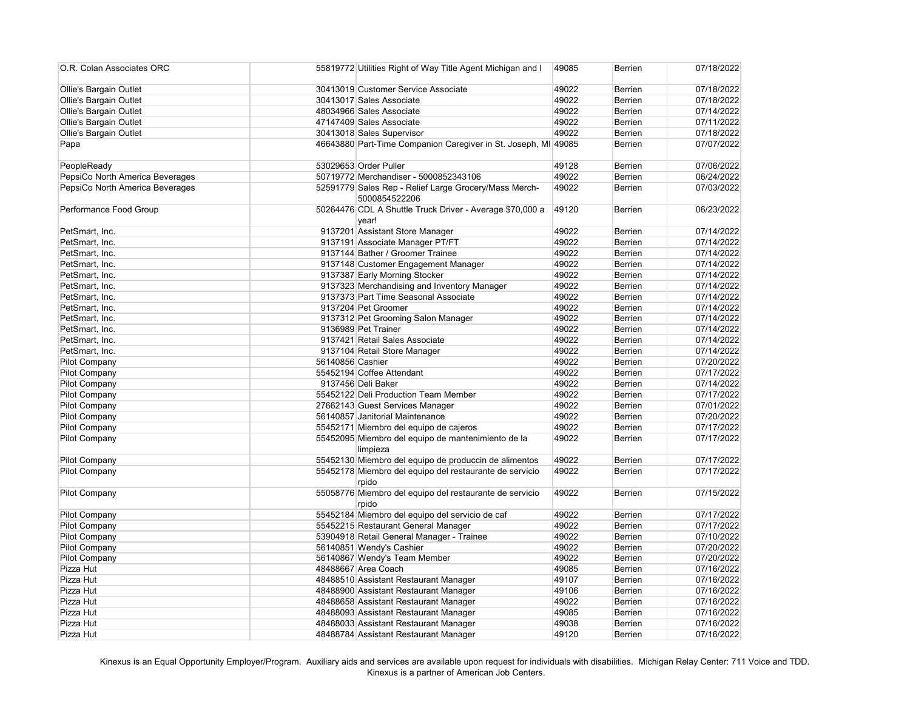| O.R. Colan Associates ORC       |                  | 55819772 Utilities Right of Way Title Agent Michigan and I             | 49085 | <b>Berrien</b> | 07/18/2022 |
|---------------------------------|------------------|------------------------------------------------------------------------|-------|----------------|------------|
| Ollie's Bargain Outlet          |                  | 30413019 Customer Service Associate                                    | 49022 | Berrien        | 07/18/2022 |
| Ollie's Bargain Outlet          |                  | 30413017 Sales Associate                                               | 49022 | Berrien        | 07/18/2022 |
| Ollie's Bargain Outlet          |                  | 48034966 Sales Associate                                               | 49022 | Berrien        | 07/14/2022 |
| Ollie's Bargain Outlet          |                  | 47147409 Sales Associate                                               | 49022 | Berrien        | 07/11/2022 |
| Ollie's Bargain Outlet          |                  | 30413018 Sales Supervisor                                              | 49022 | Berrien        | 07/18/2022 |
| Papa                            |                  | 46643880 Part-Time Companion Caregiver in St. Joseph, MI 49085         |       | <b>Berrien</b> | 07/07/2022 |
| PeopleReady                     |                  | 53029653 Order Puller                                                  | 49128 | <b>Berrien</b> | 07/06/2022 |
| PepsiCo North America Beverages |                  | 50719772 Merchandiser - 5000852343106                                  | 49022 | Berrien        | 06/24/2022 |
| PepsiCo North America Beverages |                  | 52591779 Sales Rep - Relief Large Grocery/Mass Merch-<br>5000854522206 | 49022 | Berrien        | 07/03/2022 |
| Performance Food Group          |                  | 50264476 CDL A Shuttle Truck Driver - Average \$70,000 a<br>year!      | 49120 | <b>Berrien</b> | 06/23/2022 |
| PetSmart, Inc.                  |                  | 9137201 Assistant Store Manager                                        | 49022 | Berrien        | 07/14/2022 |
| PetSmart, Inc.                  |                  | 9137191 Associate Manager PT/FT                                        | 49022 | Berrien        | 07/14/2022 |
| PetSmart, Inc.                  |                  | 9137144 Bather / Groomer Trainee                                       | 49022 | Berrien        | 07/14/2022 |
| PetSmart, Inc.                  |                  | 9137148 Customer Engagement Manager                                    | 49022 | Berrien        | 07/14/2022 |
| PetSmart, Inc.                  |                  | 9137387 Early Morning Stocker                                          | 49022 | <b>Berrien</b> | 07/14/2022 |
| PetSmart, Inc.                  |                  | 9137323 Merchandising and Inventory Manager                            | 49022 | Berrien        | 07/14/2022 |
| PetSmart, Inc.                  |                  | 9137373 Part Time Seasonal Associate                                   | 49022 | Berrien        | 07/14/2022 |
| PetSmart, Inc.                  |                  | 9137204 Pet Groomer                                                    | 49022 | <b>Berrien</b> | 07/14/2022 |
| PetSmart, Inc.                  |                  | 9137312 Pet Grooming Salon Manager                                     | 49022 | Berrien        | 07/14/2022 |
| PetSmart, Inc.                  |                  | 9136989 Pet Trainer                                                    | 49022 | Berrien        | 07/14/2022 |
| PetSmart, Inc.                  |                  | 9137421 Retail Sales Associate                                         | 49022 | <b>Berrien</b> | 07/14/2022 |
| PetSmart, Inc.                  |                  | 9137104 Retail Store Manager                                           | 49022 | Berrien        | 07/14/2022 |
| <b>Pilot Company</b>            | 56140856 Cashier |                                                                        | 49022 | Berrien        | 07/20/2022 |
| <b>Pilot Company</b>            |                  | 55452194 Coffee Attendant                                              | 49022 | <b>Berrien</b> | 07/17/2022 |
| <b>Pilot Company</b>            |                  | 9137456 Deli Baker                                                     | 49022 | <b>Berrien</b> | 07/14/2022 |
| <b>Pilot Company</b>            |                  | 55452122 Deli Production Team Member                                   | 49022 | <b>Berrien</b> | 07/17/2022 |
| <b>Pilot Company</b>            |                  | 27662143 Guest Services Manager                                        | 49022 | <b>Berrien</b> | 07/01/2022 |
| Pilot Company                   |                  | 56140857 Janitorial Maintenance                                        | 49022 | Berrien        | 07/20/2022 |
| <b>Pilot Company</b>            |                  | 55452171 Miembro del equipo de cajeros                                 | 49022 | Berrien        | 07/17/2022 |
| <b>Pilot Company</b>            |                  | 55452095 Miembro del equipo de mantenimiento de la<br>limpieza         | 49022 | <b>Berrien</b> | 07/17/2022 |
| <b>Pilot Company</b>            |                  | 55452130 Miembro del equipo de produccin de alimentos                  | 49022 | Berrien        | 07/17/2022 |
| <b>Pilot Company</b>            |                  | 55452178 Miembro del equipo del restaurante de servicio<br>rpido       | 49022 | Berrien        | 07/17/2022 |
| <b>Pilot Company</b>            |                  | 55058776 Miembro del equipo del restaurante de servicio<br>rpido       | 49022 | Berrien        | 07/15/2022 |
| Pilot Company                   |                  | 55452184 Miembro del equipo del servicio de caf                        | 49022 | Berrien        | 07/17/2022 |
| <b>Pilot Company</b>            |                  | 55452215 Restaurant General Manager                                    | 49022 | Berrien        | 07/17/2022 |
| <b>Pilot Company</b>            |                  | 53904918 Retail General Manager - Trainee                              | 49022 | Berrien        | 07/10/2022 |
| <b>Pilot Company</b>            |                  | 56140851 Wendy's Cashier                                               | 49022 | Berrien        | 07/20/2022 |
| <b>Pilot Company</b>            |                  | 56140867 Wendy's Team Member                                           | 49022 | Berrien        | 07/20/2022 |
| Pizza Hut                       |                  | 48488667 Area Coach                                                    | 49085 | Berrien        | 07/16/2022 |
| Pizza Hut                       |                  | 48488510 Assistant Restaurant Manager                                  | 49107 | Berrien        | 07/16/2022 |
| Pizza Hut                       |                  | 48488900 Assistant Restaurant Manager                                  | 49106 | Berrien        | 07/16/2022 |
| Pizza Hut                       |                  | 48488658 Assistant Restaurant Manager                                  | 49022 | Berrien        | 07/16/2022 |
| Pizza Hut                       |                  | 48488093 Assistant Restaurant Manager                                  | 49085 | Berrien        | 07/16/2022 |
| Pizza Hut                       |                  | 48488033 Assistant Restaurant Manager                                  | 49038 | Berrien        | 07/16/2022 |
| Pizza Hut                       |                  | 48488784 Assistant Restaurant Manager                                  | 49120 | Berrien        | 07/16/2022 |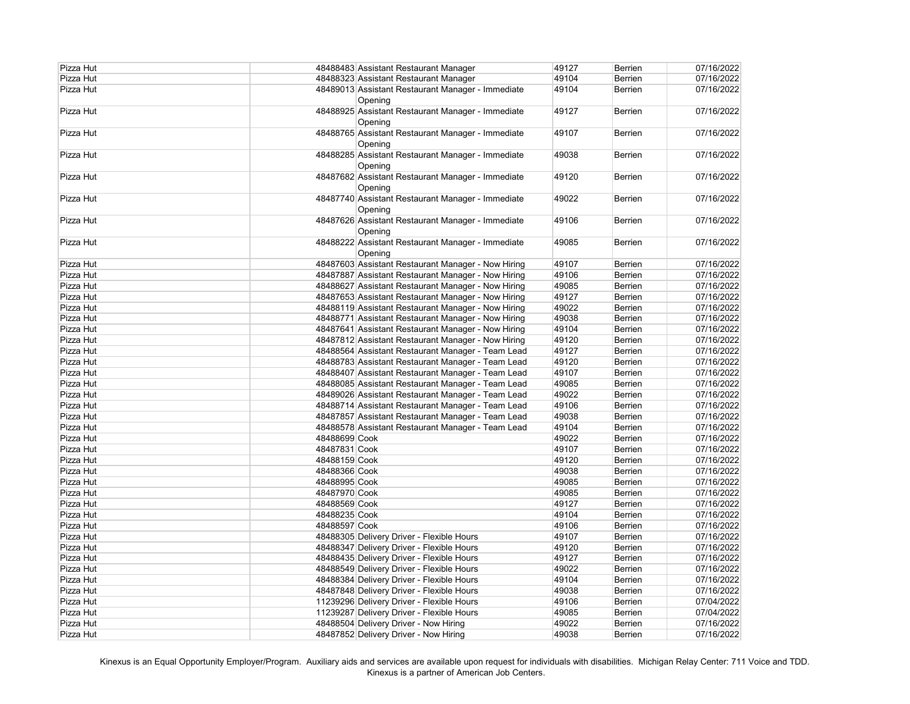| Pizza Hut | 48488483 Assistant Restaurant Manager                        | 49127 | <b>Berrien</b> | 07/16/2022 |
|-----------|--------------------------------------------------------------|-------|----------------|------------|
| Pizza Hut | 48488323 Assistant Restaurant Manager                        | 49104 | Berrien        | 07/16/2022 |
| Pizza Hut | 48489013 Assistant Restaurant Manager - Immediate<br>Opening | 49104 | Berrien        | 07/16/2022 |
| Pizza Hut | 48488925 Assistant Restaurant Manager - Immediate<br>Opening | 49127 | Berrien        | 07/16/2022 |
| Pizza Hut | 48488765 Assistant Restaurant Manager - Immediate<br>Opening | 49107 | <b>Berrien</b> | 07/16/2022 |
| Pizza Hut | 48488285 Assistant Restaurant Manager - Immediate<br>Opening | 49038 | Berrien        | 07/16/2022 |
| Pizza Hut | 48487682 Assistant Restaurant Manager - Immediate<br>Opening | 49120 | Berrien        | 07/16/2022 |
| Pizza Hut | 48487740 Assistant Restaurant Manager - Immediate<br>Opening | 49022 | <b>Berrien</b> | 07/16/2022 |
| Pizza Hut | 48487626 Assistant Restaurant Manager - Immediate<br>Opening | 49106 | Berrien        | 07/16/2022 |
| Pizza Hut | 48488222 Assistant Restaurant Manager - Immediate<br>Opening | 49085 | <b>Berrien</b> | 07/16/2022 |
| Pizza Hut | 48487603 Assistant Restaurant Manager - Now Hiring           | 49107 | Berrien        | 07/16/2022 |
| Pizza Hut | 48487887 Assistant Restaurant Manager - Now Hiring           | 49106 | Berrien        | 07/16/2022 |
| Pizza Hut | 48488627 Assistant Restaurant Manager - Now Hiring           | 49085 | Berrien        | 07/16/2022 |
| Pizza Hut | 48487653 Assistant Restaurant Manager - Now Hiring           | 49127 | Berrien        | 07/16/2022 |
| Pizza Hut | 48488119 Assistant Restaurant Manager - Now Hiring           | 49022 | Berrien        | 07/16/2022 |
| Pizza Hut | 48488771 Assistant Restaurant Manager - Now Hiring           | 49038 | Berrien        | 07/16/2022 |
| Pizza Hut | 48487641 Assistant Restaurant Manager - Now Hiring           | 49104 | Berrien        | 07/16/2022 |
| Pizza Hut | 48487812 Assistant Restaurant Manager - Now Hiring           | 49120 | Berrien        | 07/16/2022 |
| Pizza Hut | 48488564 Assistant Restaurant Manager - Team Lead            | 49127 | Berrien        | 07/16/2022 |
| Pizza Hut | 48488783 Assistant Restaurant Manager - Team Lead            | 49120 | Berrien        | 07/16/2022 |
| Pizza Hut | 48488407 Assistant Restaurant Manager - Team Lead            | 49107 | Berrien        | 07/16/2022 |
| Pizza Hut | 48488085 Assistant Restaurant Manager - Team Lead            | 49085 | Berrien        | 07/16/2022 |
| Pizza Hut | 48489026 Assistant Restaurant Manager - Team Lead            | 49022 | Berrien        | 07/16/2022 |
| Pizza Hut | 48488714 Assistant Restaurant Manager - Team Lead            | 49106 | Berrien        | 07/16/2022 |
| Pizza Hut | 48487857 Assistant Restaurant Manager - Team Lead            | 49038 | Berrien        | 07/16/2022 |
| Pizza Hut | 48488578 Assistant Restaurant Manager - Team Lead            | 49104 | Berrien        | 07/16/2022 |
| Pizza Hut | 48488699 Cook                                                | 49022 | Berrien        | 07/16/2022 |
| Pizza Hut | 48487831 Cook                                                | 49107 | <b>Berrien</b> | 07/16/2022 |
| Pizza Hut | 48488159 Cook                                                | 49120 | <b>Berrien</b> | 07/16/2022 |
| Pizza Hut | 48488366 Cook                                                | 49038 | <b>Berrien</b> | 07/16/2022 |
| Pizza Hut | 48488995 Cook                                                | 49085 | Berrien        | 07/16/2022 |
| Pizza Hut | 48487970 Cook                                                | 49085 | <b>Berrien</b> | 07/16/2022 |
| Pizza Hut | 48488569 Cook                                                | 49127 | Berrien        | 07/16/2022 |
| Pizza Hut | 48488235 Cook                                                | 49104 | Berrien        | 07/16/2022 |
| Pizza Hut | 48488597 Cook                                                | 49106 | Berrien        | 07/16/2022 |
| Pizza Hut | 48488305 Delivery Driver - Flexible Hours                    | 49107 | Berrien        | 07/16/2022 |
| Pizza Hut | 48488347 Delivery Driver - Flexible Hours                    | 49120 | <b>Berrien</b> | 07/16/2022 |
| Pizza Hut | 48488435 Delivery Driver - Flexible Hours                    | 49127 | <b>Berrien</b> | 07/16/2022 |
| Pizza Hut | 48488549 Delivery Driver - Flexible Hours                    | 49022 | <b>Berrien</b> | 07/16/2022 |
| Pizza Hut | 48488384 Delivery Driver - Flexible Hours                    | 49104 | <b>Berrien</b> | 07/16/2022 |
| Pizza Hut | 48487848 Delivery Driver - Flexible Hours                    | 49038 | <b>Berrien</b> | 07/16/2022 |
| Pizza Hut | 11239296 Delivery Driver - Flexible Hours                    | 49106 | <b>Berrien</b> | 07/04/2022 |
| Pizza Hut | 11239287 Delivery Driver - Flexible Hours                    | 49085 | Berrien        | 07/04/2022 |
| Pizza Hut | 48488504 Delivery Driver - Now Hiring                        | 49022 | Berrien        | 07/16/2022 |
| Pizza Hut | 48487852 Delivery Driver - Now Hiring                        | 49038 | <b>Berrien</b> | 07/16/2022 |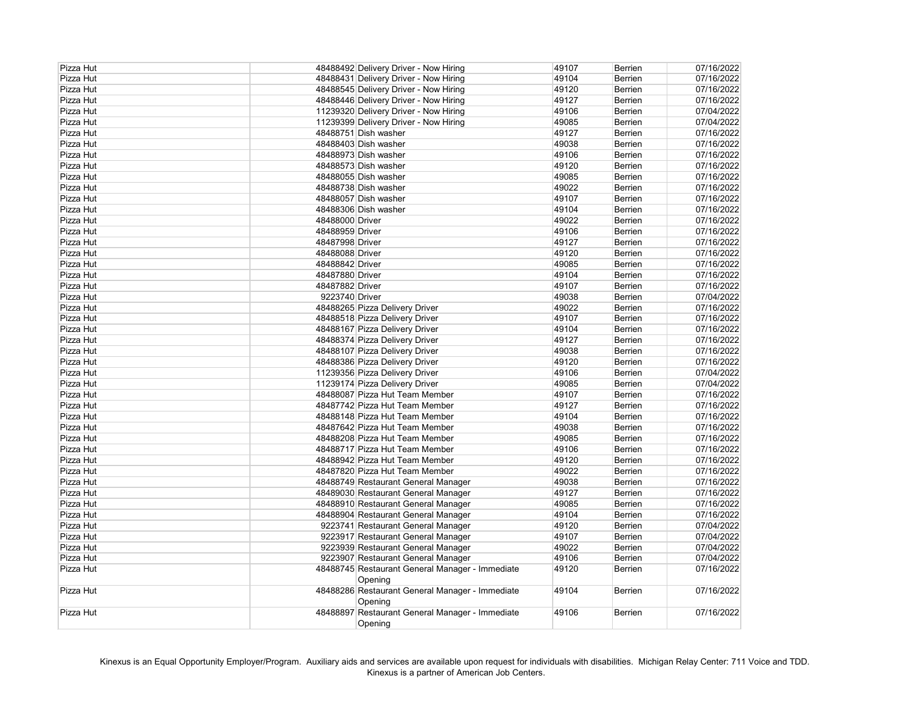| Pizza Hut | 48488492 Delivery Driver - Now Hiring                      | 49107 | Berrien        | 07/16/2022 |
|-----------|------------------------------------------------------------|-------|----------------|------------|
| Pizza Hut | 48488431 Delivery Driver - Now Hiring                      | 49104 | Berrien        | 07/16/2022 |
| Pizza Hut | 48488545 Delivery Driver - Now Hiring                      | 49120 | Berrien        | 07/16/2022 |
| Pizza Hut | 48488446 Delivery Driver - Now Hiring                      | 49127 | Berrien        | 07/16/2022 |
| Pizza Hut | 11239320 Delivery Driver - Now Hiring                      | 49106 | Berrien        | 07/04/2022 |
| Pizza Hut | 11239399 Delivery Driver - Now Hiring                      | 49085 | Berrien        | 07/04/2022 |
| Pizza Hut | 48488751 Dish washer                                       | 49127 | <b>Berrien</b> | 07/16/2022 |
| Pizza Hut | 48488403 Dish washer                                       | 49038 | <b>Berrien</b> | 07/16/2022 |
| Pizza Hut | 48488973 Dish washer                                       | 49106 | Berrien        | 07/16/2022 |
| Pizza Hut | 48488573 Dish washer                                       | 49120 | <b>Berrien</b> | 07/16/2022 |
| Pizza Hut | 48488055 Dish washer                                       | 49085 | <b>Berrien</b> | 07/16/2022 |
| Pizza Hut | 48488738 Dish washer                                       | 49022 | <b>Berrien</b> | 07/16/2022 |
| Pizza Hut | 48488057 Dish washer                                       | 49107 | <b>Berrien</b> | 07/16/2022 |
| Pizza Hut | 48488306 Dish washer                                       | 49104 | <b>Berrien</b> | 07/16/2022 |
| Pizza Hut | 48488000 Driver                                            | 49022 | Berrien        | 07/16/2022 |
| Pizza Hut | 48488959 Driver                                            | 49106 | Berrien        | 07/16/2022 |
| Pizza Hut | 48487998 Driver                                            | 49127 | Berrien        | 07/16/2022 |
| Pizza Hut | 48488088 Driver                                            | 49120 | Berrien        | 07/16/2022 |
| Pizza Hut | 48488842 Driver                                            | 49085 | Berrien        | 07/16/2022 |
| Pizza Hut | 48487880 Driver                                            | 49104 | Berrien        | 07/16/2022 |
| Pizza Hut | 48487882 Driver                                            | 49107 | <b>Berrien</b> | 07/16/2022 |
| Pizza Hut | 9223740 Driver                                             | 49038 | <b>Berrien</b> | 07/04/2022 |
| Pizza Hut | 48488265 Pizza Delivery Driver                             | 49022 |                | 07/16/2022 |
|           |                                                            |       | <b>Berrien</b> |            |
| Pizza Hut | 48488518 Pizza Delivery Driver                             | 49107 | <b>Berrien</b> | 07/16/2022 |
| Pizza Hut | 48488167 Pizza Delivery Driver                             | 49104 | Berrien        | 07/16/2022 |
| Pizza Hut | 48488374 Pizza Delivery Driver                             | 49127 | Berrien        | 07/16/2022 |
| Pizza Hut | 48488107 Pizza Delivery Driver                             | 49038 | Berrien        | 07/16/2022 |
| Pizza Hut | 48488386 Pizza Delivery Driver                             | 49120 | Berrien        | 07/16/2022 |
| Pizza Hut | 11239356 Pizza Delivery Driver                             | 49106 | Berrien        | 07/04/2022 |
| Pizza Hut | 11239174 Pizza Delivery Driver                             | 49085 | Berrien        | 07/04/2022 |
| Pizza Hut | 48488087 Pizza Hut Team Member                             | 49107 | <b>Berrien</b> | 07/16/2022 |
| Pizza Hut | 48487742 Pizza Hut Team Member                             | 49127 | <b>Berrien</b> | 07/16/2022 |
| Pizza Hut | 48488148 Pizza Hut Team Member                             | 49104 | <b>Berrien</b> | 07/16/2022 |
| Pizza Hut | 48487642 Pizza Hut Team Member                             | 49038 | <b>Berrien</b> | 07/16/2022 |
| Pizza Hut | 48488208 Pizza Hut Team Member                             | 49085 | Berrien        | 07/16/2022 |
| Pizza Hut | 48488717 Pizza Hut Team Member                             | 49106 | <b>Berrien</b> | 07/16/2022 |
| Pizza Hut | 48488942 Pizza Hut Team Member                             | 49120 | Berrien        | 07/16/2022 |
| Pizza Hut | 48487820 Pizza Hut Team Member                             | 49022 | <b>Berrien</b> | 07/16/2022 |
| Pizza Hut | 48488749 Restaurant General Manager                        | 49038 | <b>Berrien</b> | 07/16/2022 |
| Pizza Hut | 48489030 Restaurant General Manager                        | 49127 | Berrien        | 07/16/2022 |
| Pizza Hut | 48488910 Restaurant General Manager                        | 49085 | Berrien        | 07/16/2022 |
| Pizza Hut | 48488904 Restaurant General Manager                        | 49104 | <b>Berrien</b> | 07/16/2022 |
| Pizza Hut | 9223741 Restaurant General Manager                         | 49120 | Berrien        | 07/04/2022 |
| Pizza Hut | 9223917 Restaurant General Manager                         | 49107 | <b>Berrien</b> | 07/04/2022 |
| Pizza Hut | 9223939 Restaurant General Manager                         | 49022 | <b>Berrien</b> | 07/04/2022 |
| Pizza Hut | 9223907 Restaurant General Manager                         | 49106 | Berrien        | 07/04/2022 |
| Pizza Hut | 48488745 Restaurant General Manager - Immediate            | 49120 | <b>Berrien</b> | 07/16/2022 |
|           | Opening                                                    |       |                |            |
| Pizza Hut | 48488286 Restaurant General Manager - Immediate<br>Opening | 49104 | Berrien        | 07/16/2022 |
| Pizza Hut | 48488897 Restaurant General Manager - Immediate            | 49106 | Berrien        | 07/16/2022 |
|           | Opening                                                    |       |                |            |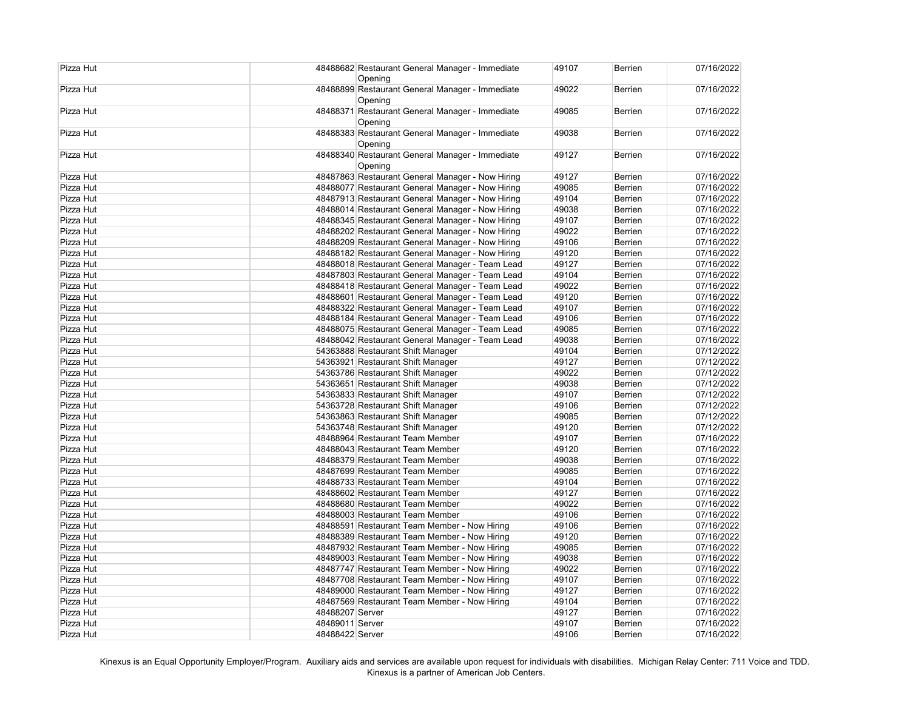| Pizza Hut | 48488682 Restaurant General Manager - Immediate<br>Opening | 49107 | <b>Berrien</b> | 07/16/2022 |
|-----------|------------------------------------------------------------|-------|----------------|------------|
| Pizza Hut | 48488899 Restaurant General Manager - Immediate<br>Opening | 49022 | Berrien        | 07/16/2022 |
| Pizza Hut | 48488371 Restaurant General Manager - Immediate<br>Opening | 49085 | Berrien        | 07/16/2022 |
| Pizza Hut | 48488383 Restaurant General Manager - Immediate<br>Opening | 49038 | <b>Berrien</b> | 07/16/2022 |
| Pizza Hut | 48488340 Restaurant General Manager - Immediate<br>Opening | 49127 | Berrien        | 07/16/2022 |
| Pizza Hut | 48487863 Restaurant General Manager - Now Hiring           | 49127 | Berrien        | 07/16/2022 |
| Pizza Hut | 48488077 Restaurant General Manager - Now Hiring           | 49085 | Berrien        | 07/16/2022 |
| Pizza Hut | 48487913 Restaurant General Manager - Now Hiring           | 49104 | Berrien        | 07/16/2022 |
| Pizza Hut | 48488014 Restaurant General Manager - Now Hiring           | 49038 | Berrien        | 07/16/2022 |
| Pizza Hut | 48488345 Restaurant General Manager - Now Hiring           | 49107 | Berrien        | 07/16/2022 |
| Pizza Hut | 48488202 Restaurant General Manager - Now Hiring           | 49022 | Berrien        | 07/16/2022 |
| Pizza Hut | 48488209 Restaurant General Manager - Now Hiring           | 49106 | Berrien        | 07/16/2022 |
| Pizza Hut | 48488182 Restaurant General Manager - Now Hiring           | 49120 | Berrien        | 07/16/2022 |
| Pizza Hut | 48488018 Restaurant General Manager - Team Lead            | 49127 | Berrien        | 07/16/2022 |
| Pizza Hut | 48487803 Restaurant General Manager - Team Lead            | 49104 | Berrien        | 07/16/2022 |
| Pizza Hut | 48488418 Restaurant General Manager - Team Lead            | 49022 | Berrien        | 07/16/2022 |
| Pizza Hut | 48488601 Restaurant General Manager - Team Lead            | 49120 | Berrien        | 07/16/2022 |
| Pizza Hut | 48488322 Restaurant General Manager - Team Lead            | 49107 | Berrien        | 07/16/2022 |
| Pizza Hut | 48488184 Restaurant General Manager - Team Lead            | 49106 | Berrien        | 07/16/2022 |
| Pizza Hut | 48488075 Restaurant General Manager - Team Lead            | 49085 | Berrien        | 07/16/2022 |
| Pizza Hut | 48488042 Restaurant General Manager - Team Lead            | 49038 | Berrien        | 07/16/2022 |
| Pizza Hut | 54363888 Restaurant Shift Manager                          | 49104 | Berrien        | 07/12/2022 |
| Pizza Hut | 54363921 Restaurant Shift Manager                          | 49127 | Berrien        | 07/12/2022 |
| Pizza Hut | 54363786 Restaurant Shift Manager                          | 49022 | Berrien        | 07/12/2022 |
| Pizza Hut | 54363651 Restaurant Shift Manager                          | 49038 | Berrien        | 07/12/2022 |
| Pizza Hut | 54363833 Restaurant Shift Manager                          | 49107 | Berrien        | 07/12/2022 |
| Pizza Hut | 54363728 Restaurant Shift Manager                          | 49106 | Berrien        | 07/12/2022 |
| Pizza Hut | 54363863 Restaurant Shift Manager                          | 49085 | Berrien        | 07/12/2022 |
| Pizza Hut | 54363748 Restaurant Shift Manager                          | 49120 | Berrien        | 07/12/2022 |
| Pizza Hut | 48488964 Restaurant Team Member                            | 49107 | Berrien        | 07/16/2022 |
| Pizza Hut | 48488043 Restaurant Team Member                            | 49120 | <b>Berrien</b> | 07/16/2022 |
| Pizza Hut | 48488379 Restaurant Team Member                            | 49038 | Berrien        | 07/16/2022 |
| Pizza Hut | 48487699 Restaurant Team Member                            | 49085 | Berrien        | 07/16/2022 |
| Pizza Hut | 48488733 Restaurant Team Member                            | 49104 | Berrien        | 07/16/2022 |
| Pizza Hut | 48488602 Restaurant Team Member                            | 49127 | Berrien        | 07/16/2022 |
| Pizza Hut | 48488680 Restaurant Team Member                            | 49022 | Berrien        | 07/16/2022 |
| Pizza Hut | 48488003 Restaurant Team Member                            | 49106 | Berrien        | 07/16/2022 |
| Pizza Hut | 48488591 Restaurant Team Member - Now Hiring               | 49106 | Berrien        | 07/16/2022 |
| Pizza Hut | 48488389 Restaurant Team Member - Now Hiring               | 49120 | Berrien        | 07/16/2022 |
| Pizza Hut | 48487932 Restaurant Team Member - Now Hiring               | 49085 | Berrien        | 07/16/2022 |
| Pizza Hut | 48489003 Restaurant Team Member - Now Hiring               | 49038 | Berrien        | 07/16/2022 |
| Pizza Hut | 48487747 Restaurant Team Member - Now Hiring               | 49022 | Berrien        | 07/16/2022 |
| Pizza Hut | 48487708 Restaurant Team Member - Now Hiring               | 49107 | Berrien        | 07/16/2022 |
| Pizza Hut | 48489000 Restaurant Team Member - Now Hiring               | 49127 | Berrien        | 07/16/2022 |
| Pizza Hut | 48487569 Restaurant Team Member - Now Hiring               | 49104 | Berrien        | 07/16/2022 |
| Pizza Hut | 48488207 Server                                            | 49127 | Berrien        | 07/16/2022 |
| Pizza Hut | 48489011 Server                                            | 49107 | Berrien        | 07/16/2022 |
| Pizza Hut | 48488422 Server                                            | 49106 | Berrien        | 07/16/2022 |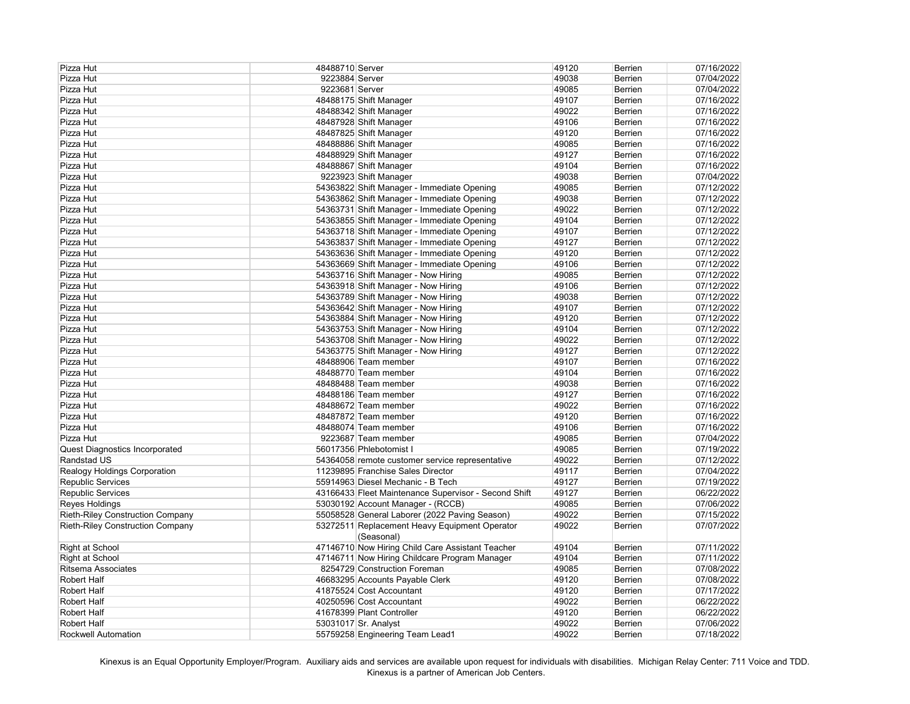| Pizza Hut                               | 48488710 Server |                                                      | 49120 | <b>Berrien</b> | 07/16/2022 |
|-----------------------------------------|-----------------|------------------------------------------------------|-------|----------------|------------|
| Pizza Hut                               | 9223884 Server  |                                                      | 49038 | <b>Berrien</b> | 07/04/2022 |
| Pizza Hut                               | 9223681 Server  |                                                      | 49085 | <b>Berrien</b> | 07/04/2022 |
| Pizza Hut                               |                 | 48488175 Shift Manager                               | 49107 | <b>Berrien</b> | 07/16/2022 |
| Pizza Hut                               |                 | 48488342 Shift Manager                               | 49022 | <b>Berrien</b> | 07/16/2022 |
| Pizza Hut                               |                 | 48487928 Shift Manager                               | 49106 | <b>Berrien</b> | 07/16/2022 |
| Pizza Hut                               |                 | 48487825 Shift Manager                               | 49120 | <b>Berrien</b> | 07/16/2022 |
| Pizza Hut                               |                 | 48488886 Shift Manager                               | 49085 | Berrien        | 07/16/2022 |
| Pizza Hut                               |                 | 48488929 Shift Manager                               | 49127 | <b>Berrien</b> | 07/16/2022 |
| Pizza Hut                               |                 | 48488867 Shift Manager                               | 49104 | Berrien        | 07/16/2022 |
| Pizza Hut                               |                 | 9223923 Shift Manager                                | 49038 | <b>Berrien</b> | 07/04/2022 |
| Pizza Hut                               |                 | 54363822 Shift Manager - Immediate Opening           | 49085 | <b>Berrien</b> | 07/12/2022 |
| Pizza Hut                               |                 | 54363862 Shift Manager - Immediate Opening           | 49038 | <b>Berrien</b> | 07/12/2022 |
| Pizza Hut                               |                 | 54363731 Shift Manager - Immediate Opening           | 49022 | <b>Berrien</b> | 07/12/2022 |
| Pizza Hut                               |                 | 54363855 Shift Manager - Immediate Opening           | 49104 | <b>Berrien</b> | 07/12/2022 |
| Pizza Hut                               |                 | 54363718 Shift Manager - Immediate Opening           | 49107 | <b>Berrien</b> | 07/12/2022 |
| Pizza Hut                               |                 | 54363837 Shift Manager - Immediate Opening           | 49127 | <b>Berrien</b> | 07/12/2022 |
|                                         |                 |                                                      | 49120 |                |            |
| Pizza Hut                               |                 | 54363636 Shift Manager - Immediate Opening           |       | <b>Berrien</b> | 07/12/2022 |
| Pizza Hut                               |                 | 54363669 Shift Manager - Immediate Opening           | 49106 | <b>Berrien</b> | 07/12/2022 |
| Pizza Hut                               |                 | 54363716 Shift Manager - Now Hiring                  | 49085 | <b>Berrien</b> | 07/12/2022 |
| Pizza Hut                               |                 | 54363918 Shift Manager - Now Hiring                  | 49106 | <b>Berrien</b> | 07/12/2022 |
| Pizza Hut                               |                 | 54363789 Shift Manager - Now Hiring                  | 49038 | <b>Berrien</b> | 07/12/2022 |
| Pizza Hut                               |                 | 54363642 Shift Manager - Now Hiring                  | 49107 | <b>Berrien</b> | 07/12/2022 |
| Pizza Hut                               |                 | 54363884 Shift Manager - Now Hiring                  | 49120 | <b>Berrien</b> | 07/12/2022 |
| Pizza Hut                               |                 | 54363753 Shift Manager - Now Hiring                  | 49104 | <b>Berrien</b> | 07/12/2022 |
| Pizza Hut                               |                 | 54363708 Shift Manager - Now Hiring                  | 49022 | <b>Berrien</b> | 07/12/2022 |
| Pizza Hut                               |                 | 54363775 Shift Manager - Now Hiring                  | 49127 | <b>Berrien</b> | 07/12/2022 |
| Pizza Hut                               |                 | 48488906 Team member                                 | 49107 | <b>Berrien</b> | 07/16/2022 |
| Pizza Hut                               |                 | 48488770 Team member                                 | 49104 | <b>Berrien</b> | 07/16/2022 |
| Pizza Hut                               |                 | 48488488 Team member                                 | 49038 | <b>Berrien</b> | 07/16/2022 |
| Pizza Hut                               |                 | 48488186 Team member                                 | 49127 | <b>Berrien</b> | 07/16/2022 |
| Pizza Hut                               |                 | 48488672 Team member                                 | 49022 | <b>Berrien</b> | 07/16/2022 |
| Pizza Hut                               |                 | 48487872 Team member                                 | 49120 | <b>Berrien</b> | 07/16/2022 |
| Pizza Hut                               |                 | 48488074 Team member                                 | 49106 | <b>Berrien</b> | 07/16/2022 |
| Pizza Hut                               |                 | 9223687 Team member                                  | 49085 | <b>Berrien</b> | 07/04/2022 |
| Quest Diagnostics Incorporated          |                 | 56017356 Phlebotomist I                              | 49085 | <b>Berrien</b> | 07/19/2022 |
| Randstad US                             |                 | 54364058 remote customer service representative      | 49022 | <b>Berrien</b> | 07/12/2022 |
| <b>Realogy Holdings Corporation</b>     |                 | 11239895 Franchise Sales Director                    | 49117 | <b>Berrien</b> | 07/04/2022 |
| Republic Services                       |                 | 55914963 Diesel Mechanic - B Tech                    | 49127 | <b>Berrien</b> | 07/19/2022 |
| <b>Republic Services</b>                |                 | 43166433 Fleet Maintenance Supervisor - Second Shift | 49127 | <b>Berrien</b> | 06/22/2022 |
| Reyes Holdings                          |                 | 53030192 Account Manager - (RCCB)                    | 49085 | <b>Berrien</b> | 07/06/2022 |
| <b>Rieth-Riley Construction Company</b> |                 | 55058528 General Laborer (2022 Paving Season)        | 49022 | <b>Berrien</b> | 07/15/2022 |
| <b>Rieth-Riley Construction Company</b> |                 | 53272511 Replacement Heavy Equipment Operator        | 49022 | <b>Berrien</b> | 07/07/2022 |
|                                         |                 | (Seasonal)                                           |       |                |            |
| Right at School                         |                 | 47146710 Now Hiring Child Care Assistant Teacher     | 49104 | <b>Berrien</b> | 07/11/2022 |
| <b>Right at School</b>                  |                 | 47146711 Now Hiring Childcare Program Manager        | 49104 | <b>Berrien</b> | 07/11/2022 |
| <b>Ritsema Associates</b>               |                 | 8254729 Construction Foreman                         | 49085 | <b>Berrien</b> | 07/08/2022 |
| Robert Half                             |                 | 46683295 Accounts Payable Clerk                      | 49120 | Berrien        | 07/08/2022 |
| Robert Half                             |                 | 41875524 Cost Accountant                             | 49120 | <b>Berrien</b> | 07/17/2022 |
| <b>Robert Half</b>                      |                 | 40250596 Cost Accountant                             | 49022 | <b>Berrien</b> | 06/22/2022 |
| <b>Robert Half</b>                      |                 | 41678399 Plant Controller                            | 49120 | <b>Berrien</b> | 06/22/2022 |
| <b>Robert Half</b>                      |                 | 53031017 Sr. Analyst                                 | 49022 | <b>Berrien</b> | 07/06/2022 |
| <b>Rockwell Automation</b>              |                 | 55759258 Engineering Team Lead1                      | 49022 | <b>Berrien</b> | 07/18/2022 |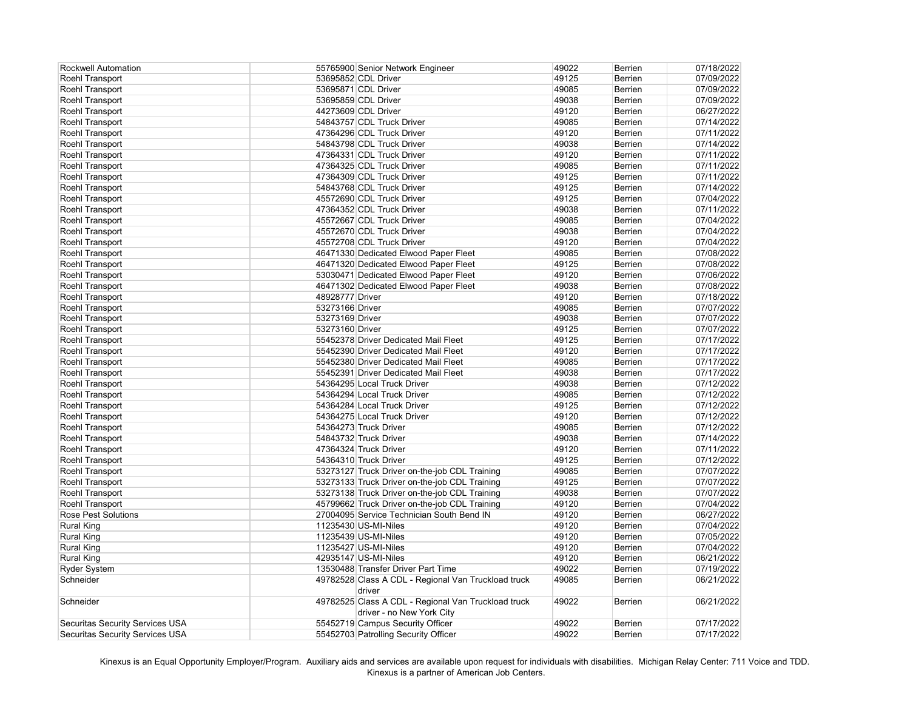| <b>Rockwell Automation</b>             | 55765900 Senior Network Engineer                                                 | 49022          | <b>Berrien</b>            | 07/18/2022               |
|----------------------------------------|----------------------------------------------------------------------------------|----------------|---------------------------|--------------------------|
| Roehl Transport                        | 53695852 CDL Driver                                                              | 49125          | <b>Berrien</b>            | 07/09/2022               |
| Roehl Transport                        | 53695871 CDL Driver                                                              | 49085          | <b>Berrien</b>            | 07/09/2022               |
| Roehl Transport                        | 53695859 CDL Driver                                                              | 49038          | <b>Berrien</b>            | 07/09/2022               |
| Roehl Transport                        | 44273609 CDL Driver                                                              | 49120          | <b>Berrien</b>            | 06/27/2022               |
| Roehl Transport                        | 54843757 CDL Truck Driver                                                        | 49085          | <b>Berrien</b>            | 07/14/2022               |
| Roehl Transport                        | 47364296 CDL Truck Driver                                                        | 49120          | <b>Berrien</b>            | 07/11/2022               |
| Roehl Transport                        | 54843798 CDL Truck Driver                                                        | 49038          | Berrien                   | 07/14/2022               |
| Roehl Transport                        | 47364331 CDL Truck Driver                                                        | 49120          | Berrien                   | 07/11/2022               |
| Roehl Transport                        | 47364325 CDL Truck Driver                                                        | 49085          | <b>Berrien</b>            | 07/11/2022               |
| Roehl Transport                        | 47364309 CDL Truck Driver                                                        | 49125          | Berrien                   | 07/11/2022               |
| Roehl Transport                        | 54843768 CDL Truck Driver                                                        | 49125          | Berrien                   | 07/14/2022               |
| Roehl Transport                        | 45572690 CDL Truck Driver                                                        | 49125          | <b>Berrien</b>            | 07/04/2022               |
| Roehl Transport                        | 47364352 CDL Truck Driver                                                        | 49038          | <b>Berrien</b>            | 07/11/2022               |
| Roehl Transport                        | 45572667 CDL Truck Driver                                                        | 49085          | Berrien                   | 07/04/2022               |
| Roehl Transport                        | 45572670 CDL Truck Driver                                                        | 49038          | <b>Berrien</b>            | 07/04/2022               |
| Roehl Transport                        | 45572708 CDL Truck Driver                                                        | 49120          | <b>Berrien</b>            | 07/04/2022               |
| Roehl Transport                        | 46471330 Dedicated Elwood Paper Fleet                                            | 49085          | Berrien                   | 07/08/2022               |
| Roehl Transport                        | 46471320 Dedicated Elwood Paper Fleet                                            | 49125          | <b>Berrien</b>            | 07/08/2022               |
| Roehl Transport                        | 53030471 Dedicated Elwood Paper Fleet                                            | 49120          | <b>Berrien</b>            | 07/06/2022               |
| Roehl Transport                        | 46471302 Dedicated Elwood Paper Fleet                                            | 49038          | <b>Berrien</b>            | 07/08/2022               |
| Roehl Transport                        | 48928777 Driver                                                                  | 49120          | <b>Berrien</b>            | 07/18/2022               |
| Roehl Transport                        | 53273166 Driver                                                                  | 49085          | Berrien                   | 07/07/2022               |
| Roehl Transport                        | 53273169 Driver                                                                  | 49038          | <b>Berrien</b>            | 07/07/2022               |
| Roehl Transport                        | 53273160 Driver                                                                  | 49125          | Berrien                   | 07/07/2022               |
| Roehl Transport                        | 55452378 Driver Dedicated Mail Fleet                                             | 49125          | <b>Berrien</b>            | 07/17/2022               |
| Roehl Transport                        | 55452390 Driver Dedicated Mail Fleet                                             | 49120          | <b>Berrien</b>            | 07/17/2022               |
| Roehl Transport                        | 55452380 Driver Dedicated Mail Fleet                                             | 49085          | <b>Berrien</b>            | 07/17/2022               |
| Roehl Transport                        | 55452391 Driver Dedicated Mail Fleet                                             | 49038          | <b>Berrien</b>            | 07/17/2022               |
| Roehl Transport                        | 54364295 Local Truck Driver                                                      | 49038          | <b>Berrien</b>            | 07/12/2022               |
| Roehl Transport                        | 54364294 Local Truck Driver                                                      | 49085          | <b>Berrien</b>            | 07/12/2022               |
| Roehl Transport                        | 54364284 Local Truck Driver                                                      | 49125          | <b>Berrien</b>            | 07/12/2022               |
| Roehl Transport                        | 54364275 Local Truck Driver                                                      | 49120          | Berrien                   | 07/12/2022               |
|                                        |                                                                                  |                |                           |                          |
| Roehl Transport                        | 54364273 Truck Driver<br>54843732 Truck Driver                                   | 49085<br>49038 | Berrien                   | 07/12/2022               |
| Roehl Transport<br>Roehl Transport     | 47364324 Truck Driver                                                            | 49120          | <b>Berrien</b><br>Berrien | 07/14/2022<br>07/11/2022 |
|                                        |                                                                                  |                |                           |                          |
| Roehl Transport                        | 54364310 Truck Driver                                                            | 49125          | Berrien                   | 07/12/2022               |
| Roehl Transport                        | 53273127 Truck Driver on-the-job CDL Training                                    | 49085          | <b>Berrien</b>            | 07/07/2022               |
| Roehl Transport                        | 53273133 Truck Driver on-the-job CDL Training                                    | 49125          | <b>Berrien</b>            | 07/07/2022               |
| Roehl Transport                        | 53273138 Truck Driver on-the-job CDL Training                                    | 49038          | <b>Berrien</b>            | 07/07/2022               |
| Roehl Transport                        | 45799662 Truck Driver on-the-job CDL Training                                    | 49120          | <b>Berrien</b>            | 07/04/2022               |
| <b>Rose Pest Solutions</b>             | 27004095 Service Technician South Bend IN                                        | 49120          | <b>Berrien</b>            | 06/27/2022               |
| <b>Rural King</b>                      | 11235430 US-MI-Niles                                                             | 49120          | <b>Berrien</b>            | 07/04/2022               |
| <b>Rural King</b>                      | 11235439 US-MI-Niles                                                             | 49120          | <b>Berrien</b>            | 07/05/2022               |
| <b>Rural King</b>                      | 11235427 US-MI-Niles                                                             | 49120          | <b>Berrien</b>            | 07/04/2022               |
| <b>Rural King</b>                      | 42935147 US-MI-Niles                                                             | 49120          | <b>Berrien</b>            | 06/21/2022               |
| <b>Ryder System</b>                    | 13530488 Transfer Driver Part Time                                               | 49022          | <b>Berrien</b>            | 07/19/2022               |
| Schneider                              | 49782528 Class A CDL - Regional Van Truckload truck<br>driver                    | 49085          | <b>Berrien</b>            | 06/21/2022               |
| Schneider                              | 49782525 Class A CDL - Regional Van Truckload truck<br>driver - no New York City | 49022          | <b>Berrien</b>            | 06/21/2022               |
| <b>Securitas Security Services USA</b> | 55452719 Campus Security Officer                                                 | 49022          | <b>Berrien</b>            | 07/17/2022               |
| <b>Securitas Security Services USA</b> | 55452703 Patrolling Security Officer                                             | 49022          | Berrien                   | 07/17/2022               |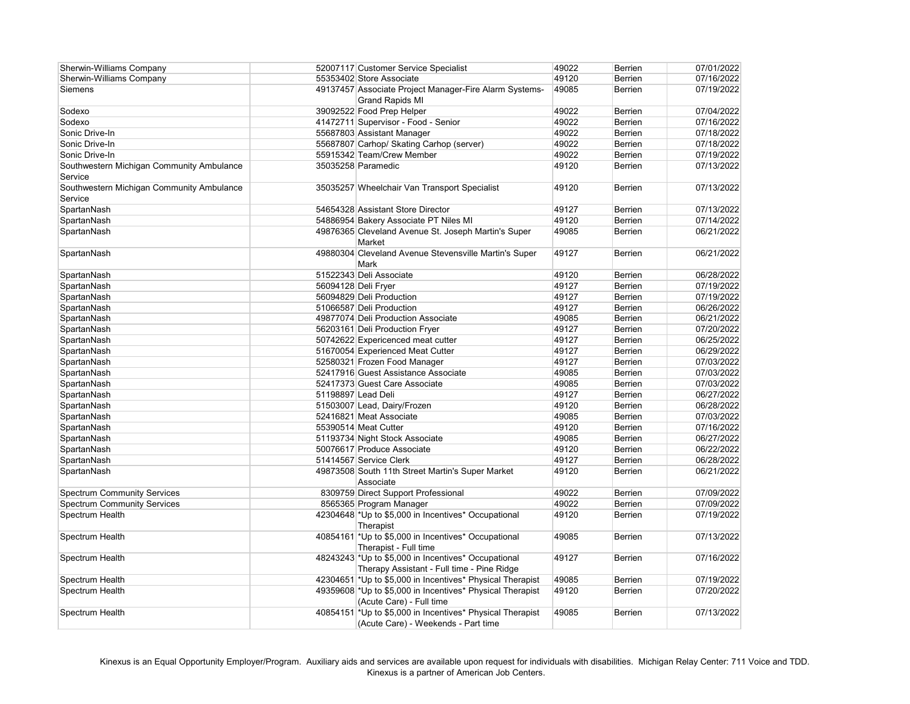| <b>Sherwin-Williams Company</b>           |                    | 52007117 Customer Service Specialist                      | 49022 | <b>Berrien</b> | 07/01/2022 |
|-------------------------------------------|--------------------|-----------------------------------------------------------|-------|----------------|------------|
| <b>Sherwin-Williams Company</b>           |                    | 55353402 Store Associate                                  | 49120 | <b>Berrien</b> | 07/16/2022 |
| <b>Siemens</b>                            |                    | 49137457 Associate Project Manager-Fire Alarm Systems-    | 49085 | <b>Berrien</b> | 07/19/2022 |
|                                           |                    | <b>Grand Rapids MI</b>                                    |       |                |            |
| Sodexo                                    |                    | 39092522 Food Prep Helper                                 | 49022 | Berrien        | 07/04/2022 |
| Sodexo                                    |                    | 41472711 Supervisor - Food - Senior                       | 49022 | Berrien        | 07/16/2022 |
| Sonic Drive-In                            |                    | 55687803 Assistant Manager                                | 49022 | Berrien        | 07/18/2022 |
| Sonic Drive-In                            |                    | 55687807 Carhop/ Skating Carhop (server)                  | 49022 | Berrien        | 07/18/2022 |
| Sonic Drive-In                            |                    | 55915342 Team/Crew Member                                 | 49022 | Berrien        | 07/19/2022 |
| Southwestern Michigan Community Ambulance |                    | 35035258 Paramedic                                        | 49120 | <b>Berrien</b> | 07/13/2022 |
| Service                                   |                    |                                                           |       |                |            |
| Southwestern Michigan Community Ambulance |                    | 35035257 Wheelchair Van Transport Specialist              | 49120 | <b>Berrien</b> | 07/13/2022 |
| Service                                   |                    |                                                           |       |                |            |
| SpartanNash                               |                    | 54654328 Assistant Store Director                         | 49127 | Berrien        | 07/13/2022 |
| SpartanNash                               |                    | 54886954 Bakery Associate PT Niles MI                     | 49120 | <b>Berrien</b> | 07/14/2022 |
| SpartanNash                               |                    | 49876365 Cleveland Avenue St. Joseph Martin's Super       | 49085 | <b>Berrien</b> | 06/21/2022 |
|                                           |                    | Market                                                    |       |                |            |
| SpartanNash                               |                    | 49880304 Cleveland Avenue Stevensville Martin's Super     | 49127 | <b>Berrien</b> | 06/21/2022 |
|                                           |                    | Mark                                                      |       |                |            |
| SpartanNash                               |                    | 51522343 Deli Associate                                   | 49120 | <b>Berrien</b> | 06/28/2022 |
| SpartanNash                               |                    | 56094128 Deli Fryer                                       | 49127 | Berrien        | 07/19/2022 |
| SpartanNash                               |                    | 56094829 Deli Production                                  | 49127 | Berrien        | 07/19/2022 |
| SpartanNash                               |                    | 51066587 Deli Production                                  | 49127 | Berrien        | 06/26/2022 |
| SpartanNash                               |                    | 49877074 Deli Production Associate                        | 49085 | <b>Berrien</b> | 06/21/2022 |
| SpartanNash                               |                    | 56203161 Deli Production Fryer                            | 49127 | Berrien        | 07/20/2022 |
| SpartanNash                               |                    | 50742622 Expericenced meat cutter                         | 49127 | Berrien        | 06/25/2022 |
| SpartanNash                               |                    | 51670054 Experienced Meat Cutter                          | 49127 | Berrien        | 06/29/2022 |
| SpartanNash                               |                    | 52580321 Frozen Food Manager                              | 49127 | Berrien        | 07/03/2022 |
| SpartanNash                               |                    | 52417916 Guest Assistance Associate                       | 49085 | Berrien        | 07/03/2022 |
| SpartanNash                               |                    | 52417373 Guest Care Associate                             | 49085 | Berrien        | 07/03/2022 |
| SpartanNash                               | 51198897 Lead Deli |                                                           | 49127 | Berrien        | 06/27/2022 |
| SpartanNash                               |                    | 51503007 Lead, Dairy/Frozen                               | 49120 | <b>Berrien</b> | 06/28/2022 |
| SpartanNash                               |                    | 52416821 Meat Associate                                   | 49085 | <b>Berrien</b> | 07/03/2022 |
| SpartanNash                               |                    | 55390514 Meat Cutter                                      | 49120 | <b>Berrien</b> | 07/16/2022 |
| SpartanNash                               |                    | 51193734 Night Stock Associate                            | 49085 | <b>Berrien</b> | 06/27/2022 |
| SpartanNash                               |                    | 50076617 Produce Associate                                | 49120 | <b>Berrien</b> | 06/22/2022 |
| SpartanNash                               |                    | 51414567 Service Clerk                                    | 49127 | Berrien        | 06/28/2022 |
| SpartanNash                               |                    | 49873508 South 11th Street Martin's Super Market          | 49120 | Berrien        | 06/21/2022 |
|                                           |                    | Associate                                                 |       |                |            |
| <b>Spectrum Community Services</b>        |                    | 8309759 Direct Support Professional                       | 49022 | Berrien        | 07/09/2022 |
| <b>Spectrum Community Services</b>        |                    | 8565365 Program Manager                                   | 49022 | Berrien        | 07/09/2022 |
| Spectrum Health                           |                    | 42304648 * Up to \$5,000 in Incentives* Occupational      | 49120 | Berrien        | 07/19/2022 |
|                                           |                    | Therapist                                                 |       |                |            |
|                                           |                    |                                                           |       |                |            |
| Spectrum Health                           |                    | 40854161 *Up to \$5,000 in Incentives* Occupational       | 49085 | Berrien        | 07/13/2022 |
|                                           |                    | Therapist - Full time                                     |       |                |            |
| Spectrum Health                           |                    | 48243243 *Up to \$5,000 in Incentives* Occupational       | 49127 | <b>Berrien</b> | 07/16/2022 |
|                                           |                    | Therapy Assistant - Full time - Pine Ridge                |       |                |            |
| Spectrum Health                           |                    | 42304651 *Up to \$5,000 in Incentives* Physical Therapist | 49085 | Berrien        | 07/19/2022 |
| Spectrum Health                           |                    | 49359608 *Up to \$5,000 in Incentives* Physical Therapist | 49120 | Berrien        | 07/20/2022 |
|                                           |                    | (Acute Care) - Full time                                  |       |                |            |
| Spectrum Health                           |                    | 40854151 *Up to \$5,000 in Incentives* Physical Therapist | 49085 | Berrien        | 07/13/2022 |
|                                           |                    | (Acute Care) - Weekends - Part time                       |       |                |            |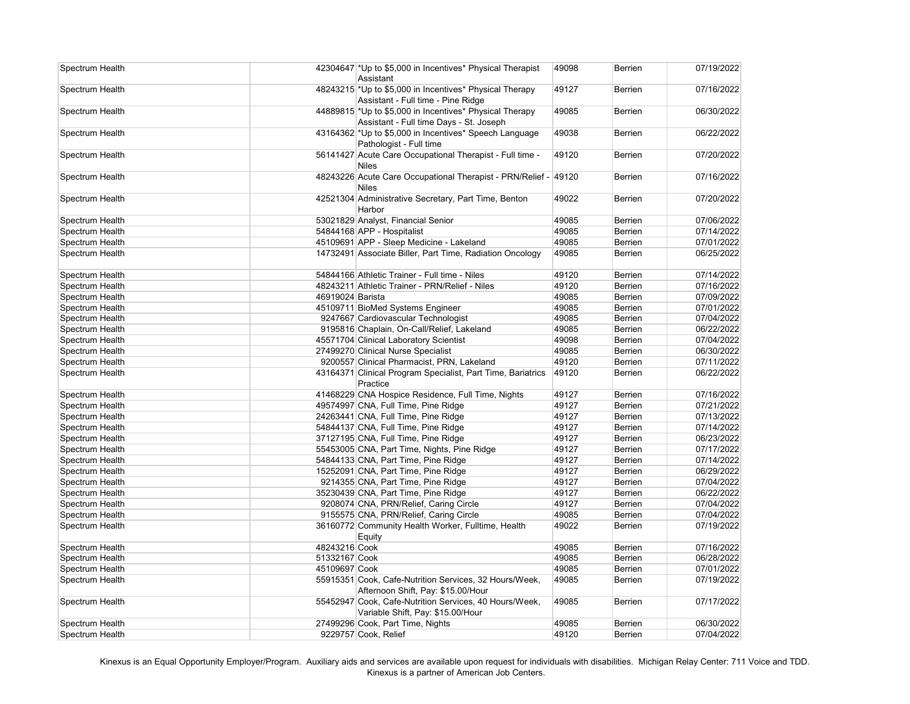| Spectrum Health |                  | 42304647 *Up to \$5,000 in Incentives* Physical Therapist<br>Assistant                             | 49098 | <b>Berrien</b> | 07/19/2022 |
|-----------------|------------------|----------------------------------------------------------------------------------------------------|-------|----------------|------------|
| Spectrum Health |                  | 48243215 *Up to \$5,000 in Incentives* Physical Therapy                                            | 49127 | Berrien        | 07/16/2022 |
|                 |                  | Assistant - Full time - Pine Ridge                                                                 |       |                |            |
| Spectrum Health |                  | 44889815 *Up to \$5,000 in Incentives* Physical Therapy<br>Assistant - Full time Days - St. Joseph | 49085 | <b>Berrien</b> | 06/30/2022 |
| Spectrum Health |                  | 43164362 *Up to \$5,000 in Incentives* Speech Language                                             | 49038 | <b>Berrien</b> | 06/22/2022 |
|                 |                  | Pathologist - Full time                                                                            |       |                |            |
| Spectrum Health |                  | 56141427 Acute Care Occupational Therapist - Full time -<br><b>Niles</b>                           | 49120 | Berrien        | 07/20/2022 |
| Spectrum Health |                  | 48243226 Acute Care Occupational Therapist - PRN/Relief - 49120                                    |       | <b>Berrien</b> | 07/16/2022 |
|                 |                  | Niles                                                                                              |       |                |            |
| Spectrum Health |                  | 42521304 Administrative Secretary, Part Time, Benton                                               | 49022 | Berrien        | 07/20/2022 |
|                 |                  | Harbor                                                                                             |       |                |            |
| Spectrum Health |                  | 53021829 Analyst, Financial Senior                                                                 | 49085 | Berrien        | 07/06/2022 |
| Spectrum Health |                  | 54844168 APP - Hospitalist                                                                         | 49085 | Berrien        | 07/14/2022 |
| Spectrum Health |                  | 45109691 APP - Sleep Medicine - Lakeland                                                           | 49085 | Berrien        | 07/01/2022 |
| Spectrum Health |                  | 14732491 Associate Biller, Part Time, Radiation Oncology                                           | 49085 | <b>Berrien</b> | 06/25/2022 |
| Spectrum Health |                  | 54844166 Athletic Trainer - Full time - Niles                                                      | 49120 | <b>Berrien</b> | 07/14/2022 |
| Spectrum Health |                  | 48243211 Athletic Trainer - PRN/Relief - Niles                                                     | 49120 | Berrien        | 07/16/2022 |
| Spectrum Health | 46919024 Barista |                                                                                                    | 49085 | Berrien        | 07/09/2022 |
| Spectrum Health |                  | 45109711 BioMed Systems Engineer                                                                   | 49085 | Berrien        | 07/01/2022 |
| Spectrum Health |                  | 9247667 Cardiovascular Technologist                                                                | 49085 | Berrien        | 07/04/2022 |
| Spectrum Health |                  | 9195816 Chaplain, On-Call/Relief, Lakeland                                                         | 49085 | Berrien        | 06/22/2022 |
| Spectrum Health |                  | 45571704 Clinical Laboratory Scientist                                                             | 49098 | Berrien        | 07/04/2022 |
| Spectrum Health |                  | 27499270 Clinical Nurse Specialist                                                                 | 49085 | Berrien        | 06/30/2022 |
| Spectrum Health |                  | 9200557 Clinical Pharmacist, PRN, Lakeland                                                         | 49120 | Berrien        | 07/11/2022 |
| Spectrum Health |                  | 43164371 Clinical Program Specialist, Part Time, Bariatrics                                        | 49120 | <b>Berrien</b> | 06/22/2022 |
|                 |                  | Practice                                                                                           |       |                |            |
| Spectrum Health |                  | 41468229 CNA Hospice Residence, Full Time, Nights                                                  | 49127 | <b>Berrien</b> | 07/16/2022 |
| Spectrum Health |                  | 49574997 CNA, Full Time, Pine Ridge                                                                | 49127 | Berrien        | 07/21/2022 |
| Spectrum Health |                  | 24263441 CNA, Full Time, Pine Ridge                                                                | 49127 | Berrien        | 07/13/2022 |
| Spectrum Health |                  | 54844137 CNA, Full Time, Pine Ridge                                                                | 49127 | Berrien        | 07/14/2022 |
| Spectrum Health |                  | 37127195 CNA, Full Time, Pine Ridge                                                                | 49127 | Berrien        | 06/23/2022 |
| Spectrum Health |                  | 55453005 CNA, Part Time, Nights, Pine Ridge                                                        | 49127 | <b>Berrien</b> | 07/17/2022 |
| Spectrum Health |                  | 54844133 CNA, Part Time, Pine Ridge                                                                | 49127 | Berrien        | 07/14/2022 |
| Spectrum Health |                  | 15252091 CNA, Part Time, Pine Ridge                                                                | 49127 | Berrien        | 06/29/2022 |
| Spectrum Health |                  | 9214355 CNA, Part Time, Pine Ridge                                                                 | 49127 | Berrien        | 07/04/2022 |
| Spectrum Health |                  | 35230439 CNA, Part Time, Pine Ridge                                                                | 49127 | Berrien        | 06/22/2022 |
| Spectrum Health |                  | 9208074 CNA, PRN/Relief, Caring Circle                                                             | 49127 | Berrien        | 07/04/2022 |
| Spectrum Health |                  | 9155575 CNA, PRN/Relief, Caring Circle                                                             | 49085 | Berrien        | 07/04/2022 |
| Spectrum Health |                  | 36160772 Community Health Worker, Fulltime, Health<br>Equity                                       | 49022 | Berrien        | 07/19/2022 |
| Spectrum Health | 48243216 Cook    |                                                                                                    | 49085 | Berrien        | 07/16/2022 |
| Spectrum Health | 51332167 Cook    |                                                                                                    | 49085 | Berrien        | 06/28/2022 |
| Spectrum Health | 45109697 Cook    |                                                                                                    | 49085 | Berrien        | 07/01/2022 |
| Spectrum Health |                  | 55915351 Cook, Cafe-Nutrition Services, 32 Hours/Week,                                             | 49085 | Berrien        | 07/19/2022 |
|                 |                  | Afternoon Shift, Pay: \$15.00/Hour                                                                 |       |                |            |
| Spectrum Health |                  | 55452947 Cook, Cafe-Nutrition Services, 40 Hours/Week,<br>Variable Shift, Pay: \$15.00/Hour        | 49085 | Berrien        | 07/17/2022 |
| Spectrum Health |                  | 27499296 Cook, Part Time, Nights                                                                   | 49085 | Berrien        | 06/30/2022 |
| Spectrum Health |                  | 9229757 Cook, Relief                                                                               | 49120 | Berrien        | 07/04/2022 |
|                 |                  |                                                                                                    |       |                |            |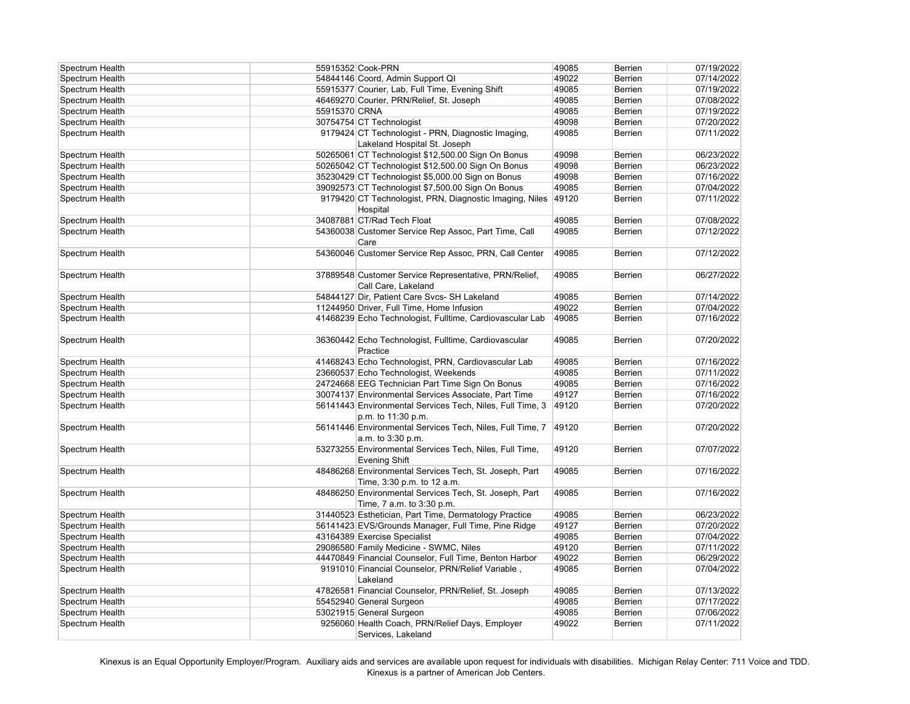| Spectrum Health |               | 55915352 Cook-PRN                                         | 49085 | <b>Berrien</b> | 07/19/2022 |
|-----------------|---------------|-----------------------------------------------------------|-------|----------------|------------|
| Spectrum Health |               | 54844146 Coord, Admin Support QI                          | 49022 | <b>Berrien</b> | 07/14/2022 |
| Spectrum Health |               | 55915377 Courier, Lab, Full Time, Evening Shift           | 49085 | Berrien        | 07/19/2022 |
| Spectrum Health |               | 46469270 Courier, PRN/Relief, St. Joseph                  | 49085 | Berrien        | 07/08/2022 |
| Spectrum Health | 55915370 CRNA |                                                           | 49085 | <b>Berrien</b> | 07/19/2022 |
| Spectrum Health |               | 30754754 CT Technologist                                  | 49098 | <b>Berrien</b> | 07/20/2022 |
| Spectrum Health |               | 9179424 CT Technologist - PRN, Diagnostic Imaging,        | 49085 | <b>Berrien</b> | 07/11/2022 |
|                 |               | Lakeland Hospital St. Joseph                              |       |                |            |
| Spectrum Health |               | 50265061 CT Technologist \$12,500.00 Sign On Bonus        | 49098 | <b>Berrien</b> | 06/23/2022 |
| Spectrum Health |               | 50265042 CT Technologist \$12,500.00 Sign On Bonus        | 49098 | Berrien        | 06/23/2022 |
| Spectrum Health |               | 35230429 CT Technologist \$5,000.00 Sign on Bonus         | 49098 | Berrien        | 07/16/2022 |
| Spectrum Health |               | 39092573 CT Technologist \$7,500.00 Sign On Bonus         | 49085 | Berrien        | 07/04/2022 |
| Spectrum Health |               | 9179420 CT Technologist, PRN, Diagnostic Imaging, Niles   | 49120 | Berrien        | 07/11/2022 |
|                 |               | Hospital                                                  |       |                |            |
| Spectrum Health |               | 34087881 CT/Rad Tech Float                                | 49085 | Berrien        | 07/08/2022 |
| Spectrum Health |               | 54360038 Customer Service Rep Assoc, Part Time, Call      | 49085 | Berrien        | 07/12/2022 |
|                 |               | Care                                                      |       |                |            |
| Spectrum Health |               | 54360046 Customer Service Rep Assoc, PRN, Call Center     | 49085 | <b>Berrien</b> | 07/12/2022 |
|                 |               |                                                           |       |                |            |
| Spectrum Health |               | 37889548 Customer Service Representative, PRN/Relief,     | 49085 | <b>Berrien</b> | 06/27/2022 |
|                 |               | Call Care, Lakeland                                       |       |                |            |
| Spectrum Health |               | 54844127 Dir, Patient Care Svcs- SH Lakeland              | 49085 | Berrien        | 07/14/2022 |
| Spectrum Health |               | 11244950 Driver, Full Time, Home Infusion                 | 49022 | Berrien        | 07/04/2022 |
| Spectrum Health |               | 41468239 Echo Technologist, Fulltime, Cardiovascular Lab  | 49085 | Berrien        | 07/16/2022 |
|                 |               |                                                           |       |                |            |
| Spectrum Health |               | 36360442 Echo Technologist, Fulltime, Cardiovascular      | 49085 | <b>Berrien</b> | 07/20/2022 |
|                 |               | Practice                                                  |       |                |            |
| Spectrum Health |               | 41468243 Echo Technologist, PRN, Cardiovascular Lab       | 49085 | Berrien        | 07/16/2022 |
| Spectrum Health |               | 23660537 Echo Technologist, Weekends                      | 49085 | Berrien        | 07/11/2022 |
| Spectrum Health |               | 24724668 EEG Technician Part Time Sign On Bonus           | 49085 | Berrien        | 07/16/2022 |
| Spectrum Health |               | 30074137 Environmental Services Associate, Part Time      | 49127 | Berrien        | 07/16/2022 |
| Spectrum Health |               | 56141443 Environmental Services Tech, Niles, Full Time, 3 | 49120 | Berrien        | 07/20/2022 |
|                 |               | p.m. to 11:30 p.m.                                        |       |                |            |
| Spectrum Health |               | 56141446 Environmental Services Tech, Niles, Full Time, 7 | 49120 | Berrien        | 07/20/2022 |
|                 |               | a.m. to 3:30 p.m.                                         |       |                |            |
| Spectrum Health |               | 53273255 Environmental Services Tech, Niles, Full Time,   | 49120 | <b>Berrien</b> | 07/07/2022 |
|                 |               | <b>Evening Shift</b>                                      |       |                |            |
| Spectrum Health |               | 48486268 Environmental Services Tech, St. Joseph, Part    | 49085 | Berrien        | 07/16/2022 |
|                 |               | Time, 3:30 p.m. to 12 a.m.                                |       |                |            |
| Spectrum Health |               | 48486250 Environmental Services Tech, St. Joseph, Part    | 49085 | Berrien        | 07/16/2022 |
|                 |               | Time, 7 a.m. to 3:30 p.m.                                 |       |                |            |
| Spectrum Health |               | 31440523 Esthetician, Part Time, Dermatology Practice     | 49085 | Berrien        | 06/23/2022 |
| Spectrum Health |               | 56141423 EVS/Grounds Manager, Full Time, Pine Ridge       | 49127 | Berrien        | 07/20/2022 |
| Spectrum Health |               | 43164389 Exercise Specialist                              | 49085 | Berrien        | 07/04/2022 |
| Spectrum Health |               | 29086580 Family Medicine - SWMC, Niles                    | 49120 | Berrien        | 07/11/2022 |
| Spectrum Health |               | 44470849 Financial Counselor, Full Time, Benton Harbor    | 49022 | Berrien        | 06/29/2022 |
| Spectrum Health |               | 9191010 Financial Counselor, PRN/Relief Variable,         | 49085 | Berrien        | 07/04/2022 |
|                 |               | Lakeland                                                  |       |                |            |
| Spectrum Health |               | 47826581 Financial Counselor, PRN/Relief, St. Joseph      | 49085 | <b>Berrien</b> | 07/13/2022 |
| Spectrum Health |               | 55452940 General Surgeon                                  | 49085 | Berrien        | 07/17/2022 |
|                 |               | 53021915 General Surgeon                                  | 49085 |                |            |
| Spectrum Health |               |                                                           |       | Berrien        | 07/06/2022 |
| Spectrum Health |               | 9256060 Health Coach, PRN/Relief Days, Employer           | 49022 | <b>Berrien</b> | 07/11/2022 |
|                 |               | Services, Lakeland                                        |       |                |            |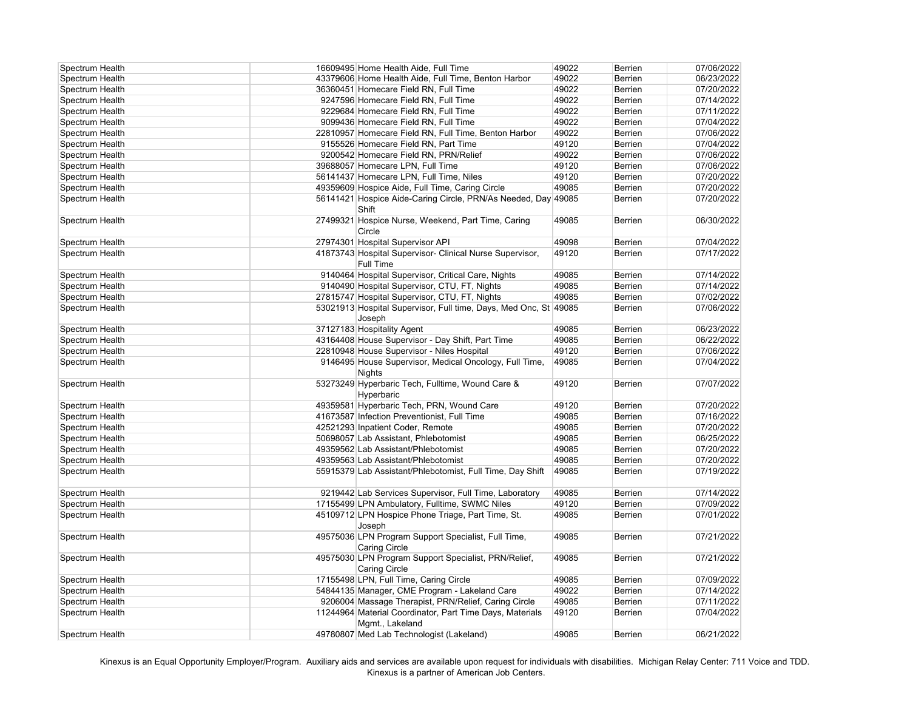| Spectrum Health | 16609495 Home Health Aide, Full Time                                         | 49022 | <b>Berrien</b> | 07/06/2022 |
|-----------------|------------------------------------------------------------------------------|-------|----------------|------------|
| Spectrum Health | 43379606 Home Health Aide, Full Time, Benton Harbor                          | 49022 | <b>Berrien</b> | 06/23/2022 |
| Spectrum Health | 36360451 Homecare Field RN, Full Time                                        | 49022 | <b>Berrien</b> | 07/20/2022 |
| Spectrum Health | 9247596 Homecare Field RN, Full Time                                         | 49022 | <b>Berrien</b> | 07/14/2022 |
| Spectrum Health | 9229684 Homecare Field RN, Full Time                                         | 49022 | <b>Berrien</b> | 07/11/2022 |
| Spectrum Health | 9099436 Homecare Field RN, Full Time                                         | 49022 | <b>Berrien</b> | 07/04/2022 |
| Spectrum Health | 22810957 Homecare Field RN, Full Time, Benton Harbor                         | 49022 | <b>Berrien</b> | 07/06/2022 |
| Spectrum Health | 9155526 Homecare Field RN, Part Time                                         | 49120 | <b>Berrien</b> | 07/04/2022 |
| Spectrum Health | 9200542 Homecare Field RN, PRN/Relief                                        | 49022 | <b>Berrien</b> | 07/06/2022 |
| Spectrum Health | 39688057 Homecare LPN, Full Time                                             | 49120 | <b>Berrien</b> | 07/06/2022 |
| Spectrum Health | 56141437 Homecare LPN, Full Time, Niles                                      | 49120 | <b>Berrien</b> | 07/20/2022 |
| Spectrum Health | 49359609 Hospice Aide, Full Time, Caring Circle                              | 49085 | <b>Berrien</b> | 07/20/2022 |
| Spectrum Health | 56141421 Hospice Aide-Caring Circle, PRN/As Needed, Day 49085                |       | <b>Berrien</b> | 07/20/2022 |
|                 | Shift                                                                        |       |                |            |
| Spectrum Health | 27499321 Hospice Nurse, Weekend, Part Time, Caring<br>Circle                 | 49085 | <b>Berrien</b> | 06/30/2022 |
| Spectrum Health | 27974301 Hospital Supervisor API                                             | 49098 | <b>Berrien</b> | 07/04/2022 |
| Spectrum Health | 41873743 Hospital Supervisor- Clinical Nurse Supervisor,<br><b>Full Time</b> | 49120 | <b>Berrien</b> | 07/17/2022 |
| Spectrum Health | 9140464 Hospital Supervisor, Critical Care, Nights                           | 49085 | <b>Berrien</b> | 07/14/2022 |
| Spectrum Health | 9140490 Hospital Supervisor, CTU, FT, Nights                                 | 49085 | <b>Berrien</b> | 07/14/2022 |
| Spectrum Health | 27815747 Hospital Supervisor, CTU, FT, Nights                                | 49085 | Berrien        | 07/02/2022 |
| Spectrum Health | 53021913 Hospital Supervisor, Full time, Days, Med Onc, St 49085<br>Joseph   |       | <b>Berrien</b> | 07/06/2022 |
| Spectrum Health | 37127183 Hospitality Agent                                                   | 49085 | <b>Berrien</b> | 06/23/2022 |
| Spectrum Health | 43164408 House Supervisor - Day Shift, Part Time                             | 49085 | Berrien        | 06/22/2022 |
| Spectrum Health | 22810948 House Supervisor - Niles Hospital                                   | 49120 | <b>Berrien</b> | 07/06/2022 |
| Spectrum Health | 9146495 House Supervisor, Medical Oncology, Full Time,<br><b>Nights</b>      | 49085 | <b>Berrien</b> | 07/04/2022 |
| Spectrum Health | 53273249 Hyperbaric Tech, Fulltime, Wound Care &<br>Hyperbaric               | 49120 | <b>Berrien</b> | 07/07/2022 |
| Spectrum Health | 49359581 Hyperbaric Tech, PRN, Wound Care                                    | 49120 | <b>Berrien</b> | 07/20/2022 |
| Spectrum Health | 41673587 Infection Preventionist, Full Time                                  | 49085 | <b>Berrien</b> | 07/16/2022 |
| Spectrum Health | 42521293 Inpatient Coder, Remote                                             | 49085 | <b>Berrien</b> | 07/20/2022 |
| Spectrum Health | 50698057 Lab Assistant, Phlebotomist                                         | 49085 | <b>Berrien</b> | 06/25/2022 |
| Spectrum Health | 49359562 Lab Assistant/Phlebotomist                                          | 49085 | <b>Berrien</b> | 07/20/2022 |
| Spectrum Health | 49359563 Lab Assistant/Phlebotomist                                          | 49085 | <b>Berrien</b> | 07/20/2022 |
| Spectrum Health | 55915379 Lab Assistant/Phlebotomist, Full Time, Day Shift                    | 49085 | <b>Berrien</b> | 07/19/2022 |
| Spectrum Health | 9219442 Lab Services Supervisor, Full Time, Laboratory                       | 49085 | <b>Berrien</b> | 07/14/2022 |
| Spectrum Health | 17155499 LPN Ambulatory, Fulltime, SWMC Niles                                | 49120 | <b>Berrien</b> | 07/09/2022 |
| Spectrum Health | 45109712 LPN Hospice Phone Triage, Part Time, St.<br>Joseph                  | 49085 | <b>Berrien</b> | 07/01/2022 |
| Spectrum Health | 49575036 LPN Program Support Specialist, Full Time,<br><b>Caring Circle</b>  | 49085 | Berrien        | 07/21/2022 |
| Spectrum Health | 49575030 LPN Program Support Specialist, PRN/Relief,<br><b>Caring Circle</b> | 49085 | <b>Berrien</b> | 07/21/2022 |
| Spectrum Health | 17155498 LPN, Full Time, Caring Circle                                       | 49085 | <b>Berrien</b> | 07/09/2022 |
| Spectrum Health | 54844135 Manager, CME Program - Lakeland Care                                | 49022 | <b>Berrien</b> | 07/14/2022 |
| Spectrum Health | 9206004 Massage Therapist, PRN/Relief, Caring Circle                         | 49085 | <b>Berrien</b> | 07/11/2022 |
| Spectrum Health | 11244964 Material Coordinator, Part Time Days, Materials                     | 49120 | <b>Berrien</b> | 07/04/2022 |
|                 | Mgmt., Lakeland                                                              |       |                |            |
| Spectrum Health | 49780807 Med Lab Technologist (Lakeland)                                     | 49085 | <b>Berrien</b> | 06/21/2022 |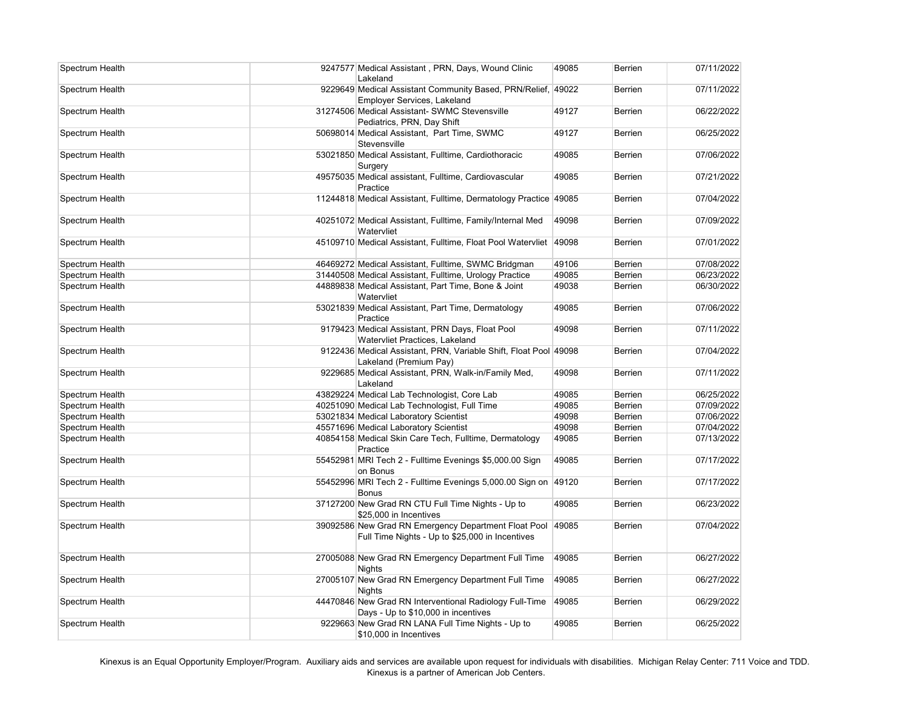| Spectrum Health | 9247577 Medical Assistant, PRN, Days, Wound Clinic<br>Lakeland                                          | 49085 | <b>Berrien</b> | 07/11/2022 |
|-----------------|---------------------------------------------------------------------------------------------------------|-------|----------------|------------|
| Spectrum Health | 9229649 Medical Assistant Community Based, PRN/Relief, 49022<br>Employer Services, Lakeland             |       | <b>Berrien</b> | 07/11/2022 |
| Spectrum Health | 31274506 Medical Assistant- SWMC Stevensville<br>Pediatrics, PRN, Day Shift                             | 49127 | <b>Berrien</b> | 06/22/2022 |
| Spectrum Health | 50698014 Medical Assistant, Part Time, SWMC<br>Stevensville                                             | 49127 | <b>Berrien</b> | 06/25/2022 |
| Spectrum Health | 53021850 Medical Assistant, Fulltime, Cardiothoracic<br>Surgery                                         | 49085 | <b>Berrien</b> | 07/06/2022 |
| Spectrum Health | 49575035 Medical assistant, Fulltime, Cardiovascular<br>Practice                                        | 49085 | <b>Berrien</b> | 07/21/2022 |
| Spectrum Health | 11244818 Medical Assistant, Fulltime, Dermatology Practice 49085                                        |       | <b>Berrien</b> | 07/04/2022 |
| Spectrum Health | 40251072 Medical Assistant, Fulltime, Family/Internal Med<br>Watervliet                                 | 49098 | <b>Berrien</b> | 07/09/2022 |
| Spectrum Health | 45109710 Medical Assistant, Fulltime, Float Pool Watervliet                                             | 49098 | <b>Berrien</b> | 07/01/2022 |
| Spectrum Health | 46469272 Medical Assistant, Fulltime, SWMC Bridgman                                                     | 49106 | <b>Berrien</b> | 07/08/2022 |
| Spectrum Health | 31440508 Medical Assistant, Fulltime, Urology Practice                                                  | 49085 | <b>Berrien</b> | 06/23/2022 |
| Spectrum Health | 44889838 Medical Assistant, Part Time, Bone & Joint<br>Watervliet                                       | 49038 | <b>Berrien</b> | 06/30/2022 |
| Spectrum Health | 53021839 Medical Assistant, Part Time, Dermatology<br>Practice                                          | 49085 | <b>Berrien</b> | 07/06/2022 |
| Spectrum Health | 9179423 Medical Assistant, PRN Days, Float Pool<br>Watervliet Practices, Lakeland                       | 49098 | <b>Berrien</b> | 07/11/2022 |
| Spectrum Health | 9122436 Medical Assistant, PRN, Variable Shift, Float Pool 49098<br>Lakeland (Premium Pay)              |       | <b>Berrien</b> | 07/04/2022 |
| Spectrum Health | 9229685 Medical Assistant, PRN, Walk-in/Family Med,<br>Lakeland                                         | 49098 | <b>Berrien</b> | 07/11/2022 |
| Spectrum Health | 43829224 Medical Lab Technologist, Core Lab                                                             | 49085 | <b>Berrien</b> | 06/25/2022 |
| Spectrum Health | 40251090 Medical Lab Technologist, Full Time                                                            | 49085 | <b>Berrien</b> | 07/09/2022 |
| Spectrum Health | 53021834 Medical Laboratory Scientist                                                                   | 49098 | <b>Berrien</b> | 07/06/2022 |
| Spectrum Health | 45571696 Medical Laboratory Scientist                                                                   | 49098 | <b>Berrien</b> | 07/04/2022 |
| Spectrum Health | 40854158 Medical Skin Care Tech, Fulltime, Dermatology<br>Practice                                      | 49085 | Berrien        | 07/13/2022 |
| Spectrum Health | 55452981 MRI Tech 2 - Fulltime Evenings \$5,000.00 Sign<br>on Bonus                                     | 49085 | <b>Berrien</b> | 07/17/2022 |
| Spectrum Health | 55452996 MRI Tech 2 - Fulltime Evenings 5,000.00 Sign on<br><b>Bonus</b>                                | 49120 | <b>Berrien</b> | 07/17/2022 |
| Spectrum Health | 37127200 New Grad RN CTU Full Time Nights - Up to<br>\$25,000 in Incentives                             | 49085 | <b>Berrien</b> | 06/23/2022 |
| Spectrum Health | 39092586 New Grad RN Emergency Department Float Pool<br>Full Time Nights - Up to \$25,000 in Incentives | 49085 | <b>Berrien</b> | 07/04/2022 |
| Spectrum Health | 27005088 New Grad RN Emergency Department Full Time<br><b>Nights</b>                                    | 49085 | <b>Berrien</b> | 06/27/2022 |
| Spectrum Health | 27005107 New Grad RN Emergency Department Full Time<br><b>Nights</b>                                    | 49085 | <b>Berrien</b> | 06/27/2022 |
| Spectrum Health | 44470846 New Grad RN Interventional Radiology Full-Time<br>Days - Up to \$10,000 in incentives          | 49085 | <b>Berrien</b> | 06/29/2022 |
| Spectrum Health | 9229663 New Grad RN LANA Full Time Nights - Up to<br>\$10,000 in Incentives                             | 49085 | <b>Berrien</b> | 06/25/2022 |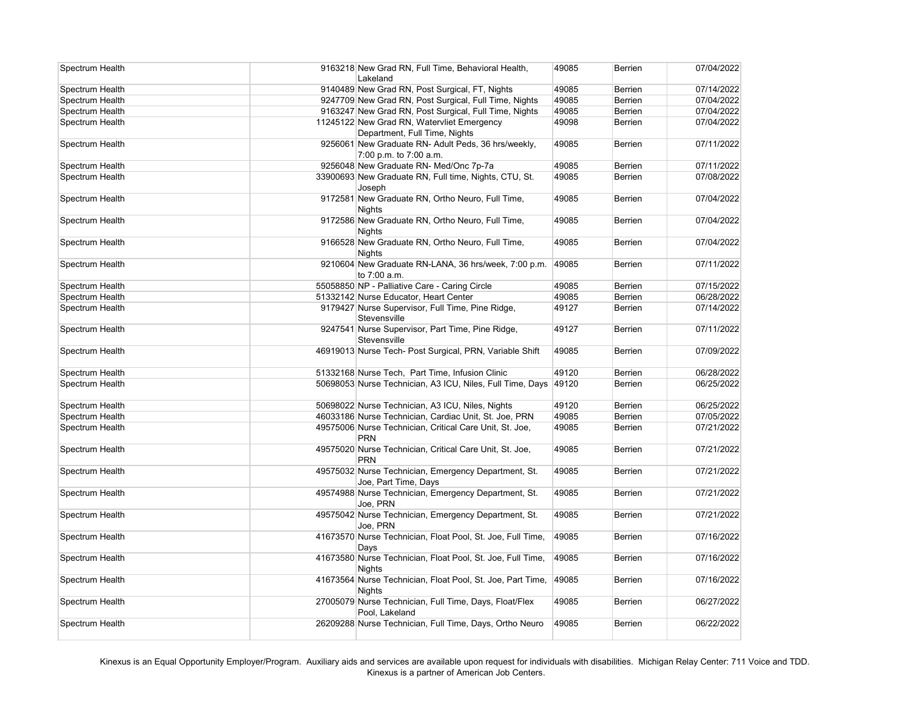| Spectrum Health | 9163218 New Grad RN, Full Time, Behavioral Health,<br>Lakeland            | 49085 | Berrien        | 07/04/2022 |
|-----------------|---------------------------------------------------------------------------|-------|----------------|------------|
| Spectrum Health | 9140489 New Grad RN, Post Surgical, FT, Nights                            | 49085 | <b>Berrien</b> | 07/14/2022 |
| Spectrum Health | 9247709 New Grad RN, Post Surgical, Full Time, Nights                     | 49085 | <b>Berrien</b> | 07/04/2022 |
| Spectrum Health | 9163247 New Grad RN, Post Surgical, Full Time, Nights                     | 49085 | Berrien        | 07/04/2022 |
| Spectrum Health | 11245122 New Grad RN, Watervliet Emergency                                | 49098 | Berrien        | 07/04/2022 |
|                 | Department, Full Time, Nights                                             |       |                |            |
| Spectrum Health | 9256061 New Graduate RN- Adult Peds, 36 hrs/weekly,                       | 49085 | <b>Berrien</b> | 07/11/2022 |
|                 | 7:00 p.m. to 7:00 a.m.                                                    |       |                |            |
| Spectrum Health | 9256048 New Graduate RN- Med/Onc 7p-7a                                    | 49085 | <b>Berrien</b> | 07/11/2022 |
| Spectrum Health | 33900693 New Graduate RN, Full time, Nights, CTU, St.                     | 49085 | <b>Berrien</b> | 07/08/2022 |
|                 | Joseph                                                                    |       |                |            |
| Spectrum Health | 9172581 New Graduate RN, Ortho Neuro, Full Time,                          | 49085 | <b>Berrien</b> | 07/04/2022 |
|                 | <b>Nights</b>                                                             |       |                |            |
| Spectrum Health | 9172586 New Graduate RN, Ortho Neuro, Full Time,                          | 49085 | <b>Berrien</b> | 07/04/2022 |
|                 | <b>Nights</b>                                                             |       |                |            |
| Spectrum Health | 9166528 New Graduate RN, Ortho Neuro, Full Time,                          | 49085 | <b>Berrien</b> | 07/04/2022 |
|                 | <b>Nights</b>                                                             |       |                |            |
| Spectrum Health | 9210604 New Graduate RN-LANA, 36 hrs/week, 7:00 p.m.                      | 49085 | <b>Berrien</b> | 07/11/2022 |
|                 | to 7:00 a.m.                                                              |       |                |            |
| Spectrum Health | 55058850 NP - Palliative Care - Caring Circle                             | 49085 | <b>Berrien</b> | 07/15/2022 |
| Spectrum Health | 51332142 Nurse Educator, Heart Center                                     | 49085 | <b>Berrien</b> | 06/28/2022 |
| Spectrum Health | 9179427 Nurse Supervisor, Full Time, Pine Ridge,                          | 49127 | Berrien        | 07/14/2022 |
|                 | Stevensville                                                              |       |                |            |
| Spectrum Health | 9247541 Nurse Supervisor, Part Time, Pine Ridge,                          | 49127 | <b>Berrien</b> | 07/11/2022 |
|                 | Stevensville                                                              |       |                |            |
| Spectrum Health | 46919013 Nurse Tech- Post Surgical, PRN, Variable Shift                   | 49085 | <b>Berrien</b> | 07/09/2022 |
|                 |                                                                           |       |                |            |
| Spectrum Health | 51332168 Nurse Tech, Part Time, Infusion Clinic                           | 49120 | <b>Berrien</b> | 06/28/2022 |
| Spectrum Health | 50698053 Nurse Technician, A3 ICU, Niles, Full Time, Days                 | 49120 | <b>Berrien</b> | 06/25/2022 |
|                 |                                                                           |       |                |            |
| Spectrum Health | 50698022 Nurse Technician, A3 ICU, Niles, Nights                          | 49120 | <b>Berrien</b> | 06/25/2022 |
| Spectrum Health | 46033186 Nurse Technician, Cardiac Unit, St. Joe, PRN                     | 49085 | <b>Berrien</b> | 07/05/2022 |
| Spectrum Health | 49575006 Nurse Technician, Critical Care Unit, St. Joe,                   | 49085 | Berrien        | 07/21/2022 |
|                 | <b>PRN</b>                                                                |       |                |            |
| Spectrum Health | 49575020 Nurse Technician, Critical Care Unit, St. Joe,                   | 49085 | <b>Berrien</b> | 07/21/2022 |
|                 | <b>PRN</b>                                                                |       |                |            |
| Spectrum Health | 49575032 Nurse Technician, Emergency Department, St.                      | 49085 | Berrien        | 07/21/2022 |
|                 | Joe, Part Time, Days                                                      |       |                |            |
| Spectrum Health | 49574988 Nurse Technician, Emergency Department, St.                      | 49085 | Berrien        | 07/21/2022 |
|                 | Joe, PRN                                                                  |       |                |            |
| Spectrum Health | 49575042 Nurse Technician, Emergency Department, St.                      | 49085 | Berrien        | 07/21/2022 |
|                 | Joe, PRN                                                                  |       |                |            |
| Spectrum Health | 41673570 Nurse Technician, Float Pool, St. Joe, Full Time,                | 49085 | Berrien        | 07/16/2022 |
|                 | Days                                                                      |       |                |            |
| Spectrum Health | 41673580 Nurse Technician, Float Pool, St. Joe, Full Time,                | 49085 | Berrien        | 07/16/2022 |
|                 | <b>Nights</b>                                                             |       |                |            |
| Spectrum Health | 41673564 Nurse Technician, Float Pool, St. Joe, Part Time,                | 49085 | Berrien        | 07/16/2022 |
|                 | <b>Nights</b>                                                             |       |                |            |
| Spectrum Health | 27005079 Nurse Technician, Full Time, Days, Float/Flex                    | 49085 | Berrien        | 06/27/2022 |
| Spectrum Health | Pool, Lakeland<br>26209288 Nurse Technician, Full Time, Days, Ortho Neuro | 49085 | Berrien        | 06/22/2022 |
|                 |                                                                           |       |                |            |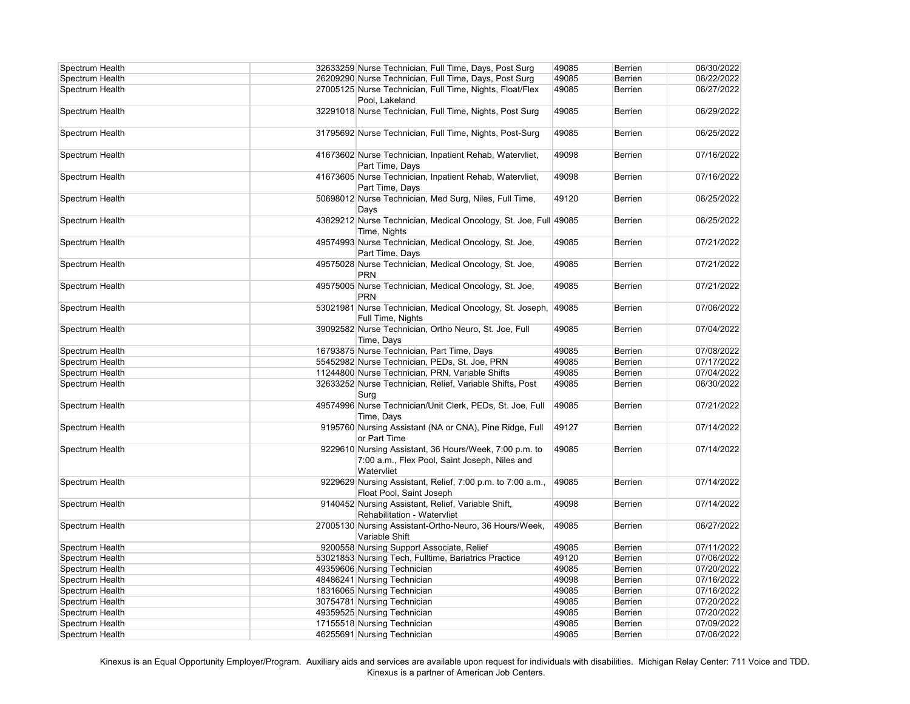| Spectrum Health | 32633259 Nurse Technician, Full Time, Days, Post Surg                                                                 | 49085 | Berrien | 06/30/2022 |
|-----------------|-----------------------------------------------------------------------------------------------------------------------|-------|---------|------------|
| Spectrum Health | 26209290 Nurse Technician, Full Time, Days, Post Surg                                                                 | 49085 | Berrien | 06/22/2022 |
| Spectrum Health | 27005125 Nurse Technician, Full Time, Nights, Float/Flex<br>Pool, Lakeland                                            | 49085 | Berrien | 06/27/2022 |
| Spectrum Health | 32291018 Nurse Technician, Full Time, Nights, Post Surg                                                               | 49085 | Berrien | 06/29/2022 |
| Spectrum Health | 31795692 Nurse Technician, Full Time, Nights, Post-Surg                                                               | 49085 | Berrien | 06/25/2022 |
| Spectrum Health | 41673602 Nurse Technician, Inpatient Rehab, Watervliet,<br>Part Time, Days                                            | 49098 | Berrien | 07/16/2022 |
| Spectrum Health | 41673605 Nurse Technician, Inpatient Rehab, Watervliet,<br>Part Time, Days                                            | 49098 | Berrien | 07/16/2022 |
| Spectrum Health | 50698012 Nurse Technician, Med Surg, Niles, Full Time,<br>Days                                                        | 49120 | Berrien | 06/25/2022 |
| Spectrum Health | 43829212 Nurse Technician, Medical Oncology, St. Joe, Full 49085<br>Time, Nights                                      |       | Berrien | 06/25/2022 |
| Spectrum Health | 49574993 Nurse Technician, Medical Oncology, St. Joe,<br>Part Time, Days                                              | 49085 | Berrien | 07/21/2022 |
| Spectrum Health | 49575028 Nurse Technician, Medical Oncology, St. Joe,<br><b>PRN</b>                                                   | 49085 | Berrien | 07/21/2022 |
| Spectrum Health | 49575005 Nurse Technician, Medical Oncology, St. Joe,<br><b>PRN</b>                                                   | 49085 | Berrien | 07/21/2022 |
| Spectrum Health | 53021981 Nurse Technician, Medical Oncology, St. Joseph,<br>Full Time, Nights                                         | 49085 | Berrien | 07/06/2022 |
| Spectrum Health | 39092582 Nurse Technician, Ortho Neuro, St. Joe, Full<br>Time, Days                                                   | 49085 | Berrien | 07/04/2022 |
| Spectrum Health | 16793875 Nurse Technician, Part Time, Days                                                                            | 49085 | Berrien | 07/08/2022 |
| Spectrum Health | 55452982 Nurse Technician, PEDs, St. Joe, PRN                                                                         | 49085 | Berrien | 07/17/2022 |
| Spectrum Health | 11244800 Nurse Technician, PRN, Variable Shifts                                                                       | 49085 | Berrien | 07/04/2022 |
| Spectrum Health | 32633252 Nurse Technician, Relief, Variable Shifts, Post<br>Surg                                                      | 49085 | Berrien | 06/30/2022 |
| Spectrum Health | 49574996 Nurse Technician/Unit Clerk, PEDs, St. Joe, Full<br>Time, Days                                               | 49085 | Berrien | 07/21/2022 |
| Spectrum Health | 9195760 Nursing Assistant (NA or CNA), Pine Ridge, Full<br>or Part Time                                               | 49127 | Berrien | 07/14/2022 |
| Spectrum Health | 9229610 Nursing Assistant, 36 Hours/Week, 7:00 p.m. to<br>7:00 a.m., Flex Pool, Saint Joseph, Niles and<br>Watervliet | 49085 | Berrien | 07/14/2022 |
| Spectrum Health | 9229629 Nursing Assistant, Relief, 7:00 p.m. to 7:00 a.m.,<br>Float Pool, Saint Joseph                                | 49085 | Berrien | 07/14/2022 |
| Spectrum Health | 9140452 Nursing Assistant, Relief, Variable Shift,<br>Rehabilitation - Watervliet                                     | 49098 | Berrien | 07/14/2022 |
| Spectrum Health | 27005130 Nursing Assistant-Ortho-Neuro, 36 Hours/Week,<br>Variable Shift                                              | 49085 | Berrien | 06/27/2022 |
| Spectrum Health | 9200558 Nursing Support Associate, Relief                                                                             | 49085 | Berrien | 07/11/2022 |
| Spectrum Health | 53021853 Nursing Tech, Fulltime, Bariatrics Practice                                                                  | 49120 | Berrien | 07/06/2022 |
| Spectrum Health | 49359606 Nursing Technician                                                                                           | 49085 | Berrien | 07/20/2022 |
| Spectrum Health | 48486241 Nursing Technician                                                                                           | 49098 | Berrien | 07/16/2022 |
| Spectrum Health | 18316065 Nursing Technician                                                                                           | 49085 | Berrien | 07/16/2022 |
| Spectrum Health | 30754781 Nursing Technician                                                                                           | 49085 | Berrien | 07/20/2022 |
| Spectrum Health | 49359525 Nursing Technician                                                                                           | 49085 | Berrien | 07/20/2022 |
| Spectrum Health | 17155518 Nursing Technician                                                                                           | 49085 | Berrien | 07/09/2022 |
| Spectrum Health | 46255691 Nursing Technician                                                                                           | 49085 | Berrien | 07/06/2022 |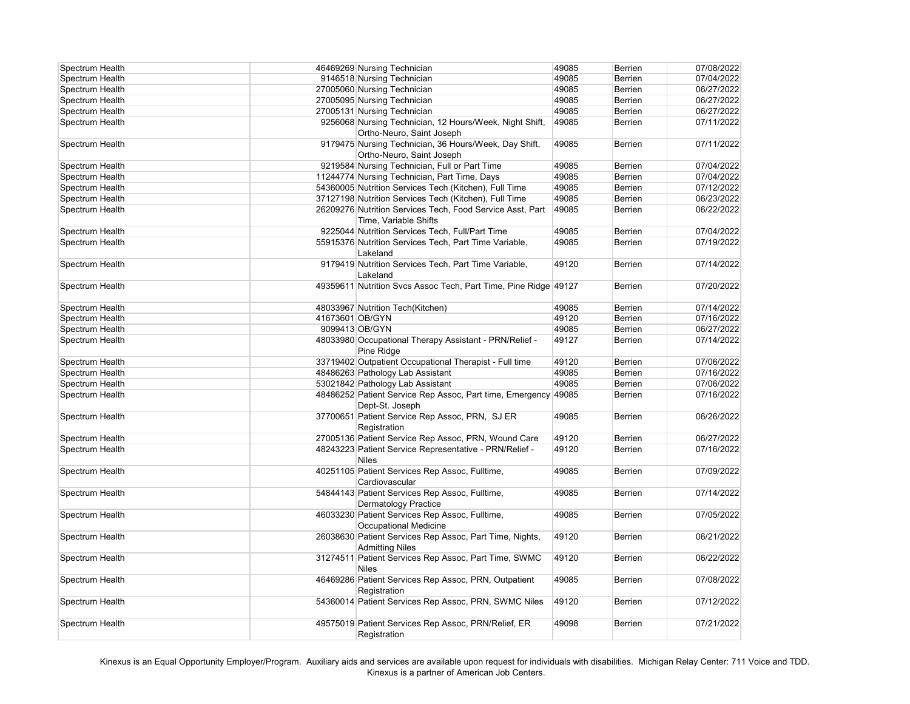| Spectrum Health |                 | 46469269 Nursing Technician                                     | 49085 | <b>Berrien</b> | 07/08/2022 |
|-----------------|-----------------|-----------------------------------------------------------------|-------|----------------|------------|
| Spectrum Health |                 | 9146518 Nursing Technician                                      | 49085 | <b>Berrien</b> | 07/04/2022 |
| Spectrum Health |                 | 27005060 Nursing Technician                                     | 49085 | <b>Berrien</b> | 06/27/2022 |
| Spectrum Health |                 | 27005095 Nursing Technician                                     | 49085 | <b>Berrien</b> | 06/27/2022 |
| Spectrum Health |                 | 27005131 Nursing Technician                                     | 49085 | <b>Berrien</b> | 06/27/2022 |
| Spectrum Health |                 | 9256068 Nursing Technician, 12 Hours/Week, Night Shift,         | 49085 | <b>Berrien</b> | 07/11/2022 |
|                 |                 | Ortho-Neuro, Saint Joseph                                       |       |                |            |
| Spectrum Health |                 | 9179475 Nursing Technician, 36 Hours/Week, Day Shift,           | 49085 | <b>Berrien</b> | 07/11/2022 |
|                 |                 | Ortho-Neuro, Saint Joseph                                       |       |                |            |
| Spectrum Health |                 | 9219584 Nursing Technician, Full or Part Time                   | 49085 | <b>Berrien</b> | 07/04/2022 |
| Spectrum Health |                 | 11244774 Nursing Technician, Part Time, Days                    | 49085 | <b>Berrien</b> | 07/04/2022 |
| Spectrum Health |                 | 54360005 Nutrition Services Tech (Kitchen), Full Time           | 49085 | <b>Berrien</b> | 07/12/2022 |
| Spectrum Health |                 | 37127198 Nutrition Services Tech (Kitchen), Full Time           | 49085 | <b>Berrien</b> | 06/23/2022 |
| Spectrum Health |                 | 26209276 Nutrition Services Tech, Food Service Asst, Part       | 49085 | <b>Berrien</b> | 06/22/2022 |
|                 |                 | Time, Variable Shifts                                           |       |                |            |
| Spectrum Health |                 | 9225044 Nutrition Services Tech, Full/Part Time                 | 49085 | <b>Berrien</b> | 07/04/2022 |
| Spectrum Health |                 | 55915376 Nutrition Services Tech, Part Time Variable,           | 49085 | <b>Berrien</b> | 07/19/2022 |
|                 |                 | Lakeland                                                        |       |                |            |
| Spectrum Health |                 | 9179419 Nutrition Services Tech, Part Time Variable,            | 49120 | <b>Berrien</b> | 07/14/2022 |
|                 |                 | Lakeland                                                        |       |                |            |
| Spectrum Health |                 | 49359611 Nutrition Svcs Assoc Tech, Part Time, Pine Ridge 49127 |       | <b>Berrien</b> | 07/20/2022 |
|                 |                 |                                                                 |       |                |            |
| Spectrum Health |                 | 48033967 Nutrition Tech(Kitchen)                                | 49085 | <b>Berrien</b> | 07/14/2022 |
| Spectrum Health | 41673601 OB/GYN |                                                                 | 49120 | Berrien        | 07/16/2022 |
| Spectrum Health | 9099413 OB/GYN  |                                                                 | 49085 | <b>Berrien</b> | 06/27/2022 |
| Spectrum Health |                 | 48033980 Occupational Therapy Assistant - PRN/Relief -          | 49127 | <b>Berrien</b> | 07/14/2022 |
|                 |                 | Pine Ridge                                                      |       |                |            |
| Spectrum Health |                 | 33719402 Outpatient Occupational Therapist - Full time          | 49120 | <b>Berrien</b> | 07/06/2022 |
| Spectrum Health |                 | 48486263 Pathology Lab Assistant                                | 49085 | <b>Berrien</b> | 07/16/2022 |
| Spectrum Health |                 | 53021842 Pathology Lab Assistant                                | 49085 | <b>Berrien</b> | 07/06/2022 |
| Spectrum Health |                 | 48486252 Patient Service Rep Assoc, Part time, Emergency 49085  |       | <b>Berrien</b> | 07/16/2022 |
|                 |                 | Dept-St. Joseph                                                 |       |                |            |
| Spectrum Health |                 | 37700651 Patient Service Rep Assoc, PRN, SJ ER                  | 49085 | <b>Berrien</b> | 06/26/2022 |
|                 |                 | Registration                                                    |       |                |            |
| Spectrum Health |                 | 27005136 Patient Service Rep Assoc, PRN, Wound Care             | 49120 | Berrien        | 06/27/2022 |
| Spectrum Health |                 | 48243223 Patient Service Representative - PRN/Relief -          | 49120 | <b>Berrien</b> | 07/16/2022 |
|                 |                 | <b>Niles</b>                                                    |       |                |            |
| Spectrum Health |                 | 40251105 Patient Services Rep Assoc, Fulltime,                  | 49085 | <b>Berrien</b> | 07/09/2022 |
|                 |                 | Cardiovascular                                                  |       |                |            |
| Spectrum Health |                 | 54844143 Patient Services Rep Assoc, Fulltime,                  | 49085 | <b>Berrien</b> | 07/14/2022 |
|                 |                 | <b>Dermatology Practice</b>                                     |       |                |            |
| Spectrum Health |                 | 46033230 Patient Services Rep Assoc, Fulltime,                  | 49085 | <b>Berrien</b> | 07/05/2022 |
|                 |                 | Occupational Medicine                                           |       |                |            |
| Spectrum Health |                 | 26038630 Patient Services Rep Assoc, Part Time, Nights,         | 49120 | <b>Berrien</b> | 06/21/2022 |
|                 |                 | <b>Admitting Niles</b>                                          |       |                |            |
| Spectrum Health |                 | 31274511 Patient Services Rep Assoc, Part Time, SWMC            | 49120 | <b>Berrien</b> | 06/22/2022 |
|                 |                 | <b>Niles</b>                                                    |       |                |            |
| Spectrum Health |                 | 46469286 Patient Services Rep Assoc, PRN, Outpatient            | 49085 | <b>Berrien</b> | 07/08/2022 |
|                 |                 | Registration                                                    |       |                |            |
| Spectrum Health |                 | 54360014 Patient Services Rep Assoc, PRN, SWMC Niles            | 49120 | Berrien        | 07/12/2022 |
|                 |                 |                                                                 |       |                |            |
| Spectrum Health |                 | 49575019 Patient Services Rep Assoc, PRN/Relief, ER             | 49098 | <b>Berrien</b> | 07/21/2022 |
|                 |                 | Registration                                                    |       |                |            |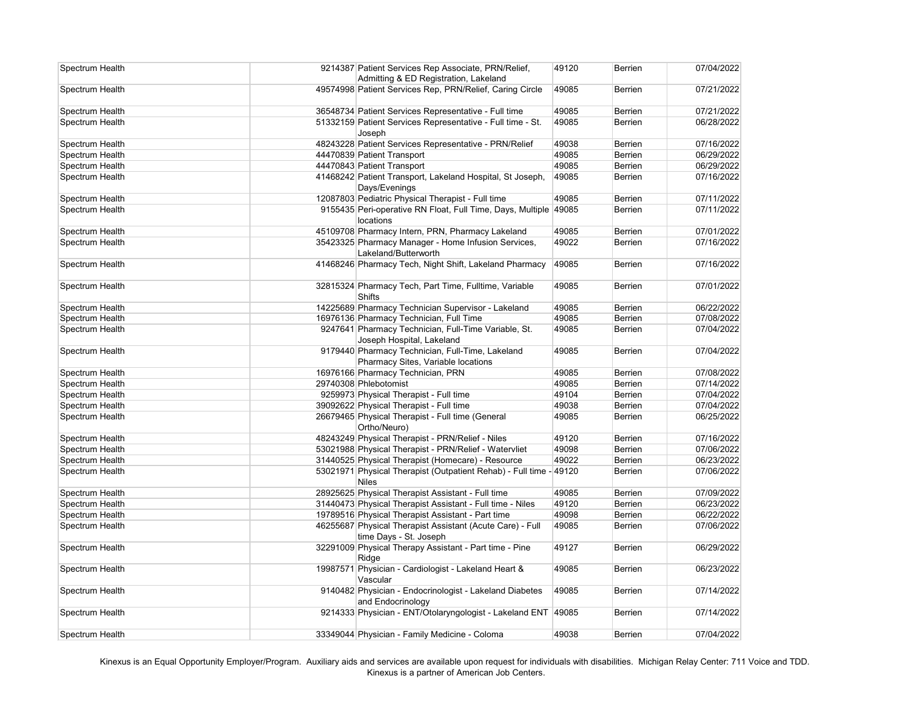| Spectrum Health | 9214387 Patient Services Rep Associate, PRN/Relief,<br>Admitting & ED Registration, Lakeland | 49120 | <b>Berrien</b> | 07/04/2022 |
|-----------------|----------------------------------------------------------------------------------------------|-------|----------------|------------|
| Spectrum Health | 49574998 Patient Services Rep, PRN/Relief, Caring Circle                                     | 49085 | <b>Berrien</b> | 07/21/2022 |
| Spectrum Health | 36548734 Patient Services Representative - Full time                                         | 49085 | <b>Berrien</b> | 07/21/2022 |
| Spectrum Health | 51332159 Patient Services Representative - Full time - St.<br>Joseph                         | 49085 | <b>Berrien</b> | 06/28/2022 |
| Spectrum Health | 48243228 Patient Services Representative - PRN/Relief                                        | 49038 | Berrien        | 07/16/2022 |
| Spectrum Health | 44470839 Patient Transport                                                                   | 49085 | Berrien        | 06/29/2022 |
| Spectrum Health | 44470843 Patient Transport                                                                   | 49085 | Berrien        | 06/29/2022 |
| Spectrum Health | 41468242 Patient Transport, Lakeland Hospital, St Joseph,<br>Days/Evenings                   | 49085 | Berrien        | 07/16/2022 |
| Spectrum Health | 12087803 Pediatric Physical Therapist - Full time                                            | 49085 | <b>Berrien</b> | 07/11/2022 |
| Spectrum Health | 9155435 Peri-operative RN Float, Full Time, Days, Multiple<br>locations                      | 49085 | <b>Berrien</b> | 07/11/2022 |
| Spectrum Health | 45109708 Pharmacy Intern, PRN, Pharmacy Lakeland                                             | 49085 | <b>Berrien</b> | 07/01/2022 |
| Spectrum Health | 35423325 Pharmacy Manager - Home Infusion Services,<br>Lakeland/Butterworth                  | 49022 | <b>Berrien</b> | 07/16/2022 |
| Spectrum Health | 41468246 Pharmacy Tech, Night Shift, Lakeland Pharmacy                                       | 49085 | <b>Berrien</b> | 07/16/2022 |
| Spectrum Health | 32815324 Pharmacy Tech, Part Time, Fulltime, Variable<br><b>Shifts</b>                       | 49085 | <b>Berrien</b> | 07/01/2022 |
| Spectrum Health | 14225689 Pharmacy Technician Supervisor - Lakeland                                           | 49085 | <b>Berrien</b> | 06/22/2022 |
| Spectrum Health | 16976136 Pharmacy Technician, Full Time                                                      | 49085 | <b>Berrien</b> | 07/08/2022 |
| Spectrum Health | 9247641 Pharmacy Technician, Full-Time Variable, St.<br>Joseph Hospital, Lakeland            | 49085 | <b>Berrien</b> | 07/04/2022 |
| Spectrum Health | 9179440 Pharmacy Technician, Full-Time, Lakeland<br>Pharmacy Sites, Variable locations       | 49085 | <b>Berrien</b> | 07/04/2022 |
| Spectrum Health | 16976166 Pharmacy Technician, PRN                                                            | 49085 | <b>Berrien</b> | 07/08/2022 |
| Spectrum Health | 29740308 Phlebotomist                                                                        | 49085 | <b>Berrien</b> | 07/14/2022 |
| Spectrum Health | 9259973 Physical Therapist - Full time                                                       | 49104 | <b>Berrien</b> | 07/04/2022 |
| Spectrum Health | 39092622 Physical Therapist - Full time                                                      | 49038 | <b>Berrien</b> | 07/04/2022 |
| Spectrum Health | 26679465 Physical Therapist - Full time (General<br>Ortho/Neuro)                             | 49085 | <b>Berrien</b> | 06/25/2022 |
| Spectrum Health | 48243249 Physical Therapist - PRN/Relief - Niles                                             | 49120 | <b>Berrien</b> | 07/16/2022 |
| Spectrum Health | 53021988 Physical Therapist - PRN/Relief - Watervliet                                        | 49098 | <b>Berrien</b> | 07/06/2022 |
| Spectrum Health | 31440525 Physical Therapist (Homecare) - Resource                                            | 49022 | <b>Berrien</b> | 06/23/2022 |
| Spectrum Health | 53021971 Physical Therapist (Outpatient Rehab) - Full time - 49120<br><b>Niles</b>           |       | <b>Berrien</b> | 07/06/2022 |
| Spectrum Health | 28925625 Physical Therapist Assistant - Full time                                            | 49085 | <b>Berrien</b> | 07/09/2022 |
| Spectrum Health | 31440473 Physical Therapist Assistant - Full time - Niles                                    | 49120 | <b>Berrien</b> | 06/23/2022 |
| Spectrum Health | 19789516 Physical Therapist Assistant - Part time                                            | 49098 | <b>Berrien</b> | 06/22/2022 |
| Spectrum Health | 46255687 Physical Therapist Assistant (Acute Care) - Full<br>time Days - St. Joseph          | 49085 | <b>Berrien</b> | 07/06/2022 |
| Spectrum Health | 32291009 Physical Therapy Assistant - Part time - Pine<br>Ridge                              | 49127 | <b>Berrien</b> | 06/29/2022 |
| Spectrum Health | 19987571 Physician - Cardiologist - Lakeland Heart &<br>Vascular                             | 49085 | <b>Berrien</b> | 06/23/2022 |
| Spectrum Health | 9140482 Physician - Endocrinologist - Lakeland Diabetes<br>and Endocrinology                 | 49085 | <b>Berrien</b> | 07/14/2022 |
| Spectrum Health | 9214333 Physician - ENT/Otolaryngologist - Lakeland ENT                                      | 49085 | <b>Berrien</b> | 07/14/2022 |
| Spectrum Health | 33349044 Physician - Family Medicine - Coloma                                                | 49038 | Berrien        | 07/04/2022 |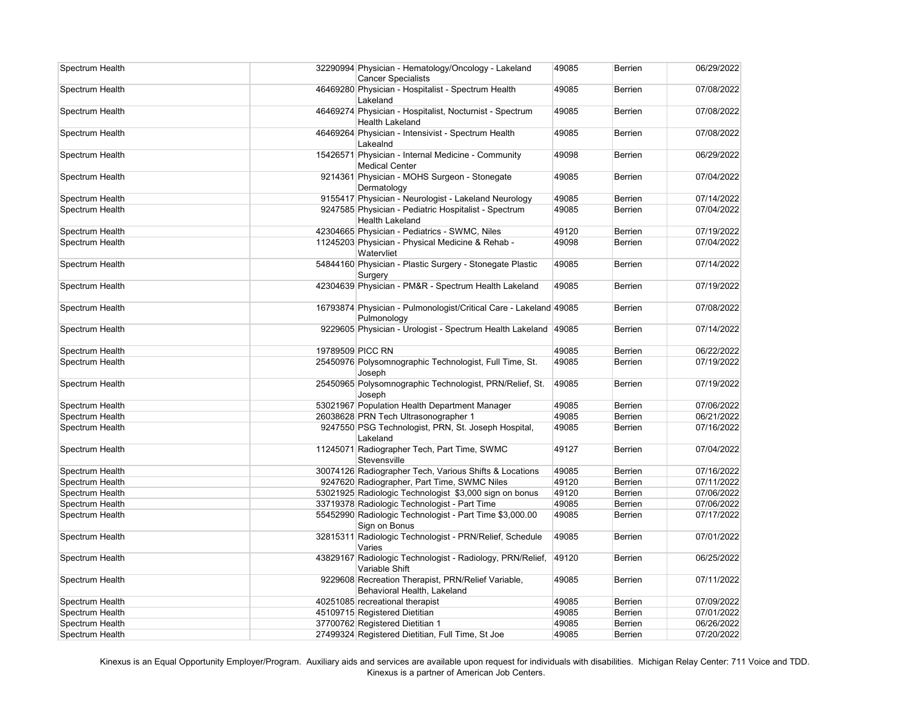| Spectrum Health |                  | 32290994 Physician - Hematology/Oncology - Lakeland<br><b>Cancer Specialists</b>  | 49085 | <b>Berrien</b> | 06/29/2022 |
|-----------------|------------------|-----------------------------------------------------------------------------------|-------|----------------|------------|
| Spectrum Health |                  | 46469280 Physician - Hospitalist - Spectrum Health<br>Lakeland                    | 49085 | Berrien        | 07/08/2022 |
| Spectrum Health |                  | 46469274 Physician - Hospitalist, Nocturnist - Spectrum<br><b>Health Lakeland</b> | 49085 | <b>Berrien</b> | 07/08/2022 |
| Spectrum Health |                  | 46469264 Physician - Intensivist - Spectrum Health<br>Lakealnd                    | 49085 | <b>Berrien</b> | 07/08/2022 |
| Spectrum Health |                  | 15426571 Physician - Internal Medicine - Community<br><b>Medical Center</b>       | 49098 | Berrien        | 06/29/2022 |
| Spectrum Health |                  | 9214361 Physician - MOHS Surgeon - Stonegate<br>Dermatology                       | 49085 | Berrien        | 07/04/2022 |
| Spectrum Health |                  | 9155417 Physician - Neurologist - Lakeland Neurology                              | 49085 | <b>Berrien</b> | 07/14/2022 |
| Spectrum Health |                  | 9247585 Physician - Pediatric Hospitalist - Spectrum<br><b>Health Lakeland</b>    | 49085 | <b>Berrien</b> | 07/04/2022 |
| Spectrum Health |                  | 42304665 Physician - Pediatrics - SWMC, Niles                                     | 49120 | <b>Berrien</b> | 07/19/2022 |
| Spectrum Health |                  | 11245203 Physician - Physical Medicine & Rehab -<br>Watervliet                    | 49098 | <b>Berrien</b> | 07/04/2022 |
| Spectrum Health |                  | 54844160 Physician - Plastic Surgery - Stonegate Plastic<br>Surgery               | 49085 | <b>Berrien</b> | 07/14/2022 |
| Spectrum Health |                  | 42304639 Physician - PM&R - Spectrum Health Lakeland                              | 49085 | <b>Berrien</b> | 07/19/2022 |
| Spectrum Health |                  | 16793874 Physician - Pulmonologist/Critical Care - Lakeland 49085<br>Pulmonology  |       | <b>Berrien</b> | 07/08/2022 |
| Spectrum Health |                  | 9229605 Physician - Urologist - Spectrum Health Lakeland 49085                    |       | Berrien        | 07/14/2022 |
| Spectrum Health | 19789509 PICC RN |                                                                                   | 49085 | <b>Berrien</b> | 06/22/2022 |
| Spectrum Health |                  | 25450976 Polysomnographic Technologist, Full Time, St.<br>Joseph                  | 49085 | Berrien        | 07/19/2022 |
| Spectrum Health |                  | 25450965 Polysomnographic Technologist, PRN/Relief, St.<br>Joseph                 | 49085 | <b>Berrien</b> | 07/19/2022 |
| Spectrum Health |                  | 53021967 Population Health Department Manager                                     | 49085 | <b>Berrien</b> | 07/06/2022 |
| Spectrum Health |                  | 26038628 PRN Tech Ultrasonographer 1                                              | 49085 | Berrien        | 06/21/2022 |
| Spectrum Health |                  | 9247550 PSG Technologist, PRN, St. Joseph Hospital,<br>Lakeland                   | 49085 | <b>Berrien</b> | 07/16/2022 |
| Spectrum Health |                  | 11245071 Radiographer Tech, Part Time, SWMC<br>Stevensville                       | 49127 | <b>Berrien</b> | 07/04/2022 |
| Spectrum Health |                  | 30074126 Radiographer Tech, Various Shifts & Locations                            | 49085 | Berrien        | 07/16/2022 |
| Spectrum Health |                  | 9247620 Radiographer, Part Time, SWMC Niles                                       | 49120 | Berrien        | 07/11/2022 |
| Spectrum Health |                  | 53021925 Radiologic Technologist \$3,000 sign on bonus                            | 49120 | Berrien        | 07/06/2022 |
| Spectrum Health |                  | 33719378 Radiologic Technologist - Part Time                                      | 49085 | Berrien        | 07/06/2022 |
| Spectrum Health |                  | 55452990 Radiologic Technologist - Part Time \$3,000.00<br>Sign on Bonus          | 49085 | Berrien        | 07/17/2022 |
| Spectrum Health |                  | 32815311 Radiologic Technologist - PRN/Relief, Schedule<br>Varies                 | 49085 | Berrien        | 07/01/2022 |
| Spectrum Health |                  | 43829167 Radiologic Technologist - Radiology, PRN/Relief,<br>Variable Shift       | 49120 | Berrien        | 06/25/2022 |
| Spectrum Health |                  | 9229608 Recreation Therapist, PRN/Relief Variable,<br>Behavioral Health, Lakeland | 49085 | Berrien        | 07/11/2022 |
| Spectrum Health |                  | 40251085 recreational therapist                                                   | 49085 | Berrien        | 07/09/2022 |
| Spectrum Health |                  | 45109715 Registered Dietitian                                                     | 49085 | Berrien        | 07/01/2022 |
| Spectrum Health |                  | 37700762 Registered Dietitian 1                                                   | 49085 | Berrien        | 06/26/2022 |
| Spectrum Health |                  | 27499324 Registered Dietitian, Full Time, St Joe                                  | 49085 | <b>Berrien</b> | 07/20/2022 |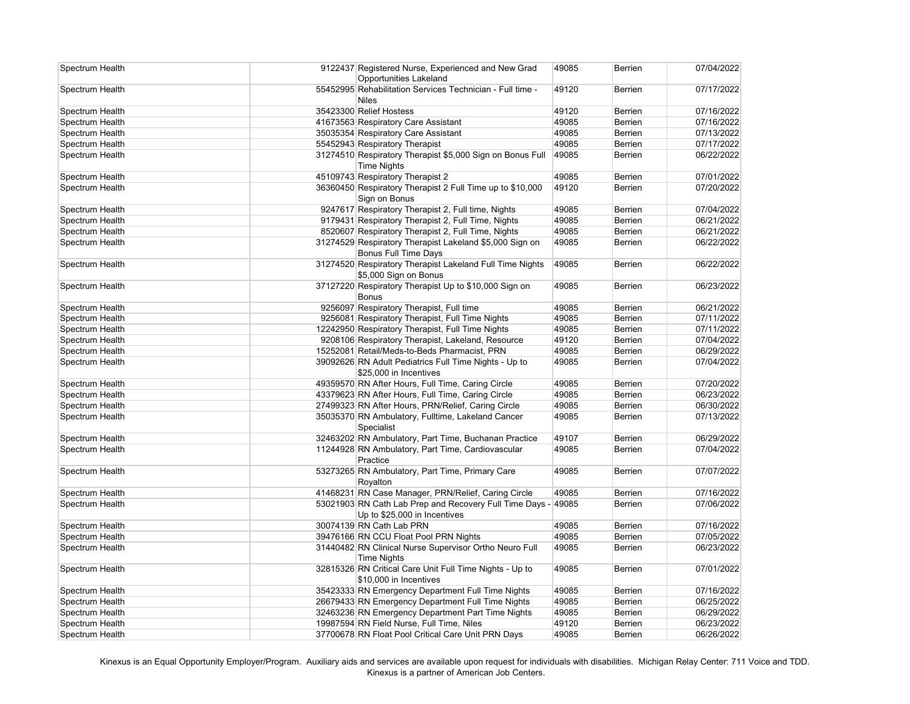| Spectrum Health | 9122437 Registered Nurse, Experienced and New Grad<br><b>Opportunities Lakeland</b>           | 49085 | <b>Berrien</b> | 07/04/2022 |
|-----------------|-----------------------------------------------------------------------------------------------|-------|----------------|------------|
| Spectrum Health | 55452995 Rehabilitation Services Technician - Full time -<br><b>Niles</b>                     | 49120 | Berrien        | 07/17/2022 |
| Spectrum Health | 35423300 Relief Hostess                                                                       | 49120 | <b>Berrien</b> | 07/16/2022 |
| Spectrum Health | 41673563 Respiratory Care Assistant                                                           | 49085 | Berrien        | 07/16/2022 |
| Spectrum Health | 35035354 Respiratory Care Assistant                                                           | 49085 | <b>Berrien</b> | 07/13/2022 |
| Spectrum Health | 55452943 Respiratory Therapist                                                                | 49085 | Berrien        | 07/17/2022 |
| Spectrum Health | 31274510 Respiratory Therapist \$5,000 Sign on Bonus Full<br><b>Time Nights</b>               | 49085 | Berrien        | 06/22/2022 |
| Spectrum Health | 45109743 Respiratory Therapist 2                                                              | 49085 | Berrien        | 07/01/2022 |
| Spectrum Health | 36360450 Respiratory Therapist 2 Full Time up to \$10,000<br>Sign on Bonus                    | 49120 | Berrien        | 07/20/2022 |
| Spectrum Health | 9247617 Respiratory Therapist 2, Full time, Nights                                            | 49085 | Berrien        | 07/04/2022 |
| Spectrum Health | 9179431 Respiratory Therapist 2, Full Time, Nights                                            | 49085 | Berrien        | 06/21/2022 |
| Spectrum Health | 8520607 Respiratory Therapist 2, Full Time, Nights                                            | 49085 | Berrien        | 06/21/2022 |
| Spectrum Health | 31274529 Respiratory Therapist Lakeland \$5,000 Sign on<br><b>Bonus Full Time Days</b>        | 49085 | <b>Berrien</b> | 06/22/2022 |
| Spectrum Health | 31274520 Respiratory Therapist Lakeland Full Time Nights<br>\$5,000 Sign on Bonus             | 49085 | <b>Berrien</b> | 06/22/2022 |
| Spectrum Health | 37127220 Respiratory Therapist Up to \$10,000 Sign on<br><b>Bonus</b>                         | 49085 | <b>Berrien</b> | 06/23/2022 |
| Spectrum Health | 9256097 Respiratory Therapist, Full time                                                      | 49085 | <b>Berrien</b> | 06/21/2022 |
| Spectrum Health | 9256081 Respiratory Therapist, Full Time Nights                                               | 49085 | Berrien        | 07/11/2022 |
| Spectrum Health | 12242950 Respiratory Therapist, Full Time Nights                                              | 49085 | Berrien        | 07/11/2022 |
| Spectrum Health | 9208106 Respiratory Therapist, Lakeland, Resource                                             | 49120 | Berrien        | 07/04/2022 |
| Spectrum Health | 15252081 Retail/Meds-to-Beds Pharmacist, PRN                                                  | 49085 | Berrien        | 06/29/2022 |
| Spectrum Health | 39092626 RN Adult Pediatrics Full Time Nights - Up to<br>\$25,000 in Incentives               | 49085 | Berrien        | 07/04/2022 |
| Spectrum Health | 49359570 RN After Hours, Full Time, Caring Circle                                             | 49085 | Berrien        | 07/20/2022 |
| Spectrum Health | 43379623 RN After Hours, Full Time, Caring Circle                                             | 49085 | Berrien        | 06/23/2022 |
| Spectrum Health | 27499323 RN After Hours, PRN/Relief, Caring Circle                                            | 49085 | Berrien        | 06/30/2022 |
| Spectrum Health | 35035370 RN Ambulatory, Fulltime, Lakeland Cancer<br>Specialist                               | 49085 | <b>Berrien</b> | 07/13/2022 |
| Spectrum Health | 32463202 RN Ambulatory, Part Time, Buchanan Practice                                          | 49107 | <b>Berrien</b> | 06/29/2022 |
| Spectrum Health | 11244928 RN Ambulatory, Part Time, Cardiovascular<br>Practice                                 | 49085 | <b>Berrien</b> | 07/04/2022 |
| Spectrum Health | 53273265 RN Ambulatory, Part Time, Primary Care<br>Royalton                                   | 49085 | Berrien        | 07/07/2022 |
| Spectrum Health | 41468231 RN Case Manager, PRN/Relief, Caring Circle                                           | 49085 | Berrien        | 07/16/2022 |
| Spectrum Health | 53021903 RN Cath Lab Prep and Recovery Full Time Days - 49085<br>Up to \$25,000 in Incentives |       | Berrien        | 07/06/2022 |
| Spectrum Health | 30074139 RN Cath Lab PRN                                                                      | 49085 | Berrien        | 07/16/2022 |
| Spectrum Health | 39476166 RN CCU Float Pool PRN Nights                                                         | 49085 | Berrien        | 07/05/2022 |
| Spectrum Health | 31440482 RN Clinical Nurse Supervisor Ortho Neuro Full<br><b>Time Nights</b>                  | 49085 | <b>Berrien</b> | 06/23/2022 |
| Spectrum Health | 32815326 RN Critical Care Unit Full Time Nights - Up to<br>\$10,000 in Incentives             | 49085 | Berrien        | 07/01/2022 |
| Spectrum Health | 35423333 RN Emergency Department Full Time Nights                                             | 49085 | Berrien        | 07/16/2022 |
| Spectrum Health | 26679433 RN Emergency Department Full Time Nights                                             | 49085 | Berrien        | 06/25/2022 |
| Spectrum Health | 32463236 RN Emergency Department Part Time Nights                                             | 49085 | Berrien        | 06/29/2022 |
| Spectrum Health | 19987594 RN Field Nurse, Full Time, Niles                                                     | 49120 | Berrien        | 06/23/2022 |
| Spectrum Health | 37700678 RN Float Pool Critical Care Unit PRN Days                                            | 49085 | <b>Berrien</b> | 06/26/2022 |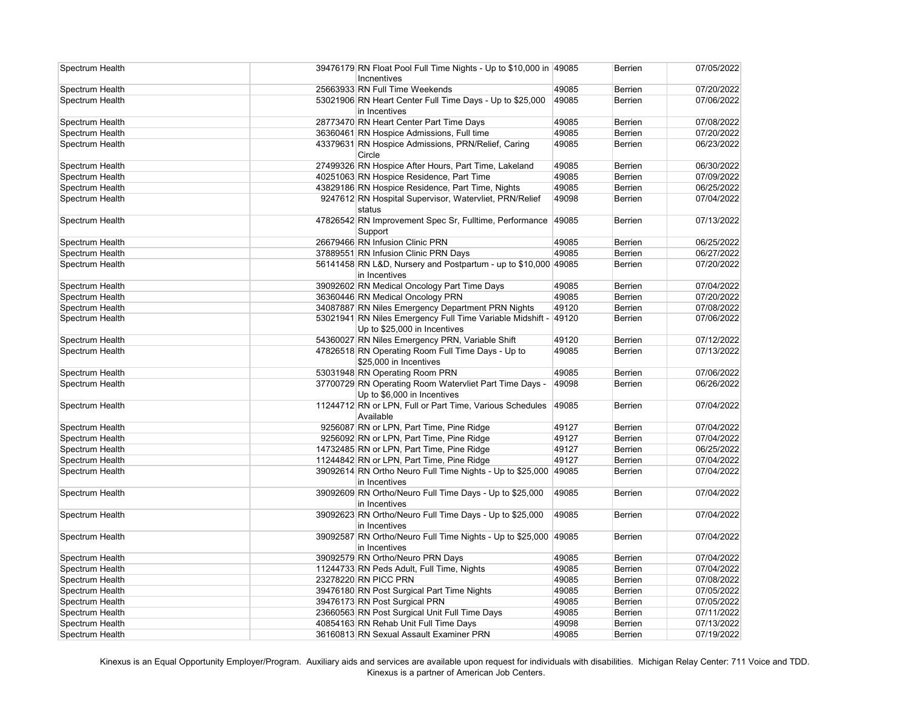| Spectrum Health | Incnentives                               | 39476179 RN Float Pool Full Time Nights - Up to \$10,000 in 49085                         |       | <b>Berrien</b> | 07/05/2022 |
|-----------------|-------------------------------------------|-------------------------------------------------------------------------------------------|-------|----------------|------------|
| Spectrum Health | 25663933 RN Full Time Weekends            |                                                                                           | 49085 | Berrien        | 07/20/2022 |
| Spectrum Health | in Incentives                             | 53021906 RN Heart Center Full Time Days - Up to \$25,000                                  | 49085 | <b>Berrien</b> | 07/06/2022 |
| Spectrum Health | 28773470 RN Heart Center Part Time Days   |                                                                                           | 49085 | Berrien        | 07/08/2022 |
| Spectrum Health |                                           | 36360461 RN Hospice Admissions, Full time                                                 | 49085 | <b>Berrien</b> | 07/20/2022 |
| Spectrum Health | Circle                                    | 43379631 RN Hospice Admissions, PRN/Relief, Caring                                        | 49085 | <b>Berrien</b> | 06/23/2022 |
| Spectrum Health |                                           | 27499326 RN Hospice After Hours, Part Time, Lakeland                                      | 49085 | Berrien        | 06/30/2022 |
| Spectrum Health |                                           | 40251063 RN Hospice Residence, Part Time                                                  | 49085 | Berrien        | 07/09/2022 |
| Spectrum Health |                                           | 43829186 RN Hospice Residence, Part Time, Nights                                          | 49085 | Berrien        | 06/25/2022 |
| Spectrum Health | status                                    | 9247612 RN Hospital Supervisor, Watervliet, PRN/Relief                                    | 49098 | Berrien        | 07/04/2022 |
| Spectrum Health | Support                                   | 47826542 RN Improvement Spec Sr, Fulltime, Performance                                    | 49085 | Berrien        | 07/13/2022 |
| Spectrum Health | 26679466 RN Infusion Clinic PRN           |                                                                                           | 49085 | <b>Berrien</b> | 06/25/2022 |
| Spectrum Health | 37889551 RN Infusion Clinic PRN Days      |                                                                                           | 49085 | Berrien        | 06/27/2022 |
| Spectrum Health | in Incentives                             | 56141458 RN L&D, Nursery and Postpartum - up to \$10,000 49085                            |       | <b>Berrien</b> | 07/20/2022 |
| Spectrum Health |                                           | 39092602 RN Medical Oncology Part Time Days                                               | 49085 | <b>Berrien</b> | 07/04/2022 |
| Spectrum Health | 36360446 RN Medical Oncology PRN          |                                                                                           | 49085 | Berrien        | 07/20/2022 |
| Spectrum Health |                                           | 34087887 RN Niles Emergency Department PRN Nights                                         | 49120 | <b>Berrien</b> | 07/08/2022 |
| Spectrum Health |                                           | 53021941 RN Niles Emergency Full Time Variable Midshift -<br>Up to \$25,000 in Incentives | 49120 | Berrien        | 07/06/2022 |
| Spectrum Health |                                           | 54360027 RN Niles Emergency PRN, Variable Shift                                           | 49120 | Berrien        | 07/12/2022 |
| Spectrum Health | \$25,000 in Incentives                    | 47826518 RN Operating Room Full Time Days - Up to                                         | 49085 | Berrien        | 07/13/2022 |
| Spectrum Health | 53031948 RN Operating Room PRN            |                                                                                           | 49085 | <b>Berrien</b> | 07/06/2022 |
| Spectrum Health |                                           | 37700729 RN Operating Room Watervliet Part Time Days -<br>Up to \$6,000 in Incentives     | 49098 | <b>Berrien</b> | 06/26/2022 |
| Spectrum Health | Available                                 | 11244712 RN or LPN, Full or Part Time, Various Schedules                                  | 49085 | <b>Berrien</b> | 07/04/2022 |
| Spectrum Health |                                           | 9256087 RN or LPN, Part Time, Pine Ridge                                                  | 49127 | Berrien        | 07/04/2022 |
| Spectrum Health |                                           | 9256092 RN or LPN, Part Time, Pine Ridge                                                  | 49127 | Berrien        | 07/04/2022 |
| Spectrum Health |                                           | 14732485 RN or LPN, Part Time, Pine Ridge                                                 | 49127 | <b>Berrien</b> | 06/25/2022 |
| Spectrum Health |                                           | 11244842 RN or LPN, Part Time, Pine Ridge                                                 | 49127 | Berrien        | 07/04/2022 |
| Spectrum Health | in Incentives                             | 39092614 RN Ortho Neuro Full Time Nights - Up to \$25,000                                 | 49085 | Berrien        | 07/04/2022 |
| Spectrum Health | in Incentives                             | 39092609 RN Ortho/Neuro Full Time Days - Up to \$25,000                                   | 49085 | Berrien        | 07/04/2022 |
| Spectrum Health | in Incentives                             | 39092623 RN Ortho/Neuro Full Time Days - Up to \$25,000                                   | 49085 | Berrien        | 07/04/2022 |
| Spectrum Health | in Incentives                             | 39092587 RN Ortho/Neuro Full Time Nights - Up to \$25,000                                 | 49085 | <b>Berrien</b> | 07/04/2022 |
| Spectrum Health | 39092579 RN Ortho/Neuro PRN Days          |                                                                                           | 49085 | Berrien        | 07/04/2022 |
| Spectrum Health | 11244733 RN Peds Adult, Full Time, Nights |                                                                                           | 49085 | <b>Berrien</b> | 07/04/2022 |
| Spectrum Health | 23278220 RN PICC PRN                      |                                                                                           | 49085 | <b>Berrien</b> | 07/08/2022 |
| Spectrum Health |                                           | 39476180 RN Post Surgical Part Time Nights                                                | 49085 | Berrien        | 07/05/2022 |
| Spectrum Health | 39476173 RN Post Surgical PRN             |                                                                                           | 49085 | <b>Berrien</b> | 07/05/2022 |
| Spectrum Health |                                           | 23660563 RN Post Surgical Unit Full Time Days                                             | 49085 | Berrien        | 07/11/2022 |
| Spectrum Health | 40854163 RN Rehab Unit Full Time Days     |                                                                                           | 49098 | Berrien        | 07/13/2022 |
| Spectrum Health |                                           | 36160813 RN Sexual Assault Examiner PRN                                                   | 49085 | <b>Berrien</b> | 07/19/2022 |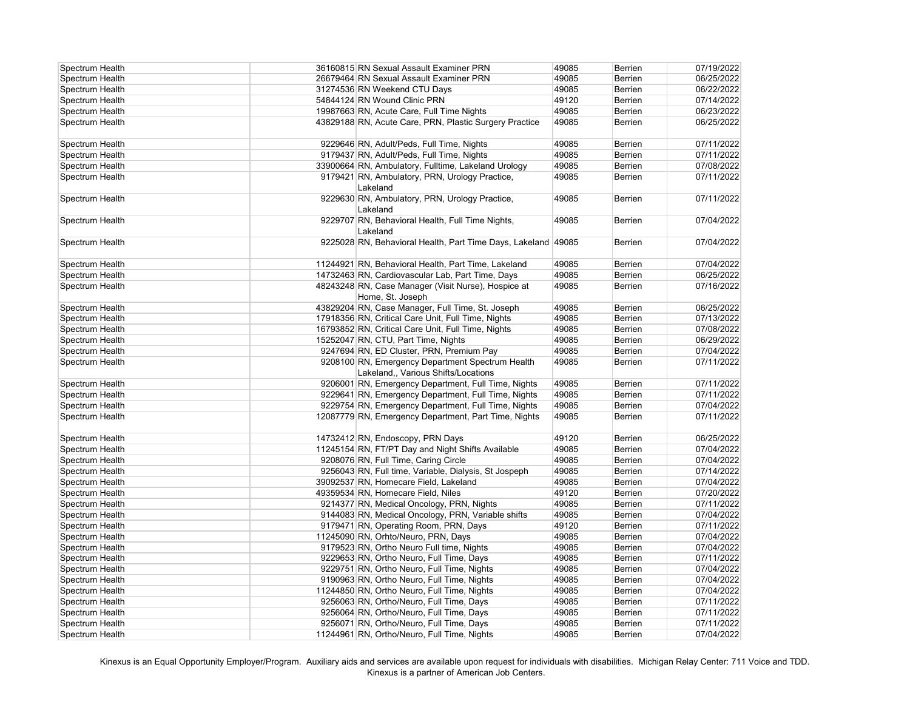| Spectrum Health | 36160815 RN Sexual Assault Examiner PRN                                                 | 49085 | <b>Berrien</b> | 07/19/2022 |
|-----------------|-----------------------------------------------------------------------------------------|-------|----------------|------------|
| Spectrum Health | 26679464 RN Sexual Assault Examiner PRN                                                 | 49085 | <b>Berrien</b> | 06/25/2022 |
| Spectrum Health | 31274536 RN Weekend CTU Days                                                            | 49085 | <b>Berrien</b> | 06/22/2022 |
| Spectrum Health | 54844124 RN Wound Clinic PRN                                                            | 49120 | <b>Berrien</b> | 07/14/2022 |
| Spectrum Health | 19987663 RN, Acute Care, Full Time Nights                                               | 49085 | <b>Berrien</b> | 06/23/2022 |
| Spectrum Health | 43829188 RN, Acute Care, PRN, Plastic Surgery Practice                                  | 49085 | <b>Berrien</b> | 06/25/2022 |
| Spectrum Health | 9229646 RN, Adult/Peds, Full Time, Nights                                               | 49085 | <b>Berrien</b> | 07/11/2022 |
| Spectrum Health | 9179437 RN, Adult/Peds, Full Time, Nights                                               | 49085 | Berrien        | 07/11/2022 |
| Spectrum Health | 33900664 RN, Ambulatory, Fulltime, Lakeland Urology                                     | 49085 | <b>Berrien</b> | 07/08/2022 |
| Spectrum Health | 9179421 RN, Ambulatory, PRN, Urology Practice,<br>Lakeland                              | 49085 | <b>Berrien</b> | 07/11/2022 |
| Spectrum Health | 9229630 RN, Ambulatory, PRN, Urology Practice,<br>Lakeland                              | 49085 | <b>Berrien</b> | 07/11/2022 |
| Spectrum Health | 9229707 RN, Behavioral Health, Full Time Nights,<br>Lakeland                            | 49085 | <b>Berrien</b> | 07/04/2022 |
| Spectrum Health | 9225028 RN, Behavioral Health, Part Time Days, Lakeland 49085                           |       | <b>Berrien</b> | 07/04/2022 |
| Spectrum Health | 11244921 RN, Behavioral Health, Part Time, Lakeland                                     | 49085 | <b>Berrien</b> | 07/04/2022 |
| Spectrum Health | 14732463 RN, Cardiovascular Lab, Part Time, Days                                        | 49085 | <b>Berrien</b> | 06/25/2022 |
| Spectrum Health | 48243248 RN, Case Manager (Visit Nurse), Hospice at<br>Home, St. Joseph                 | 49085 | <b>Berrien</b> | 07/16/2022 |
| Spectrum Health | 43829204 RN, Case Manager, Full Time, St. Joseph                                        | 49085 | <b>Berrien</b> | 06/25/2022 |
| Spectrum Health | 17918356 RN, Critical Care Unit, Full Time, Nights                                      | 49085 | Berrien        | 07/13/2022 |
| Spectrum Health | 16793852 RN, Critical Care Unit, Full Time, Nights                                      | 49085 | <b>Berrien</b> | 07/08/2022 |
| Spectrum Health | 15252047 RN, CTU, Part Time, Nights                                                     | 49085 | <b>Berrien</b> | 06/29/2022 |
| Spectrum Health | 9247694 RN, ED Cluster, PRN, Premium Pay                                                | 49085 | <b>Berrien</b> | 07/04/2022 |
| Spectrum Health | 9208100 RN, Emergency Department Spectrum Health<br>Lakeland,, Various Shifts/Locations | 49085 | <b>Berrien</b> | 07/11/2022 |
| Spectrum Health | 9206001 RN, Emergency Department, Full Time, Nights                                     | 49085 | <b>Berrien</b> | 07/11/2022 |
| Spectrum Health | 9229641 RN, Emergency Department, Full Time, Nights                                     | 49085 | <b>Berrien</b> | 07/11/2022 |
| Spectrum Health | 9229754 RN, Emergency Department, Full Time, Nights                                     | 49085 | <b>Berrien</b> | 07/04/2022 |
| Spectrum Health | 12087779 RN, Emergency Department, Part Time, Nights                                    | 49085 | <b>Berrien</b> | 07/11/2022 |
| Spectrum Health | 14732412 RN, Endoscopy, PRN Days                                                        | 49120 | <b>Berrien</b> | 06/25/2022 |
| Spectrum Health | 11245154 RN, FT/PT Day and Night Shifts Available                                       | 49085 | <b>Berrien</b> | 07/04/2022 |
| Spectrum Health | 9208076 RN, Full Time, Caring Circle                                                    | 49085 | <b>Berrien</b> | 07/04/2022 |
| Spectrum Health | 9256043 RN, Full time, Variable, Dialysis, St Jospeph                                   | 49085 | <b>Berrien</b> | 07/14/2022 |
| Spectrum Health | 39092537 RN, Homecare Field, Lakeland                                                   | 49085 | <b>Berrien</b> | 07/04/2022 |
| Spectrum Health | 49359534 RN, Homecare Field, Niles                                                      | 49120 | <b>Berrien</b> | 07/20/2022 |
| Spectrum Health | 9214377 RN, Medical Oncology, PRN, Nights                                               | 49085 | <b>Berrien</b> | 07/11/2022 |
| Spectrum Health | 9144083 RN, Medical Oncology, PRN, Variable shifts                                      | 49085 | <b>Berrien</b> | 07/04/2022 |
| Spectrum Health | 9179471 RN, Operating Room, PRN, Days                                                   | 49120 | <b>Berrien</b> | 07/11/2022 |
| Spectrum Health | 11245090 RN, Orhto/Neuro, PRN, Days                                                     | 49085 | Berrien        | 07/04/2022 |
| Spectrum Health | 9179523 RN, Ortho Neuro Full time, Nights                                               | 49085 | Berrien        | 07/04/2022 |
| Spectrum Health | 9229653 RN, Ortho Neuro, Full Time, Days                                                | 49085 | <b>Berrien</b> | 07/11/2022 |
| Spectrum Health | 9229751 RN, Ortho Neuro, Full Time, Nights                                              | 49085 | <b>Berrien</b> | 07/04/2022 |
| Spectrum Health | 9190963 RN, Ortho Neuro, Full Time, Nights                                              | 49085 | <b>Berrien</b> | 07/04/2022 |
| Spectrum Health | 11244850 RN, Ortho Neuro, Full Time, Nights                                             | 49085 | <b>Berrien</b> | 07/04/2022 |
| Spectrum Health | 9256063 RN, Ortho/Neuro, Full Time, Days                                                | 49085 | Berrien        | 07/11/2022 |
| Spectrum Health | 9256064 RN, Ortho/Neuro, Full Time, Days                                                | 49085 | <b>Berrien</b> | 07/11/2022 |
| Spectrum Health | 9256071 RN, Ortho/Neuro, Full Time, Days                                                | 49085 | <b>Berrien</b> | 07/11/2022 |
| Spectrum Health | 11244961 RN, Ortho/Neuro, Full Time, Nights                                             | 49085 | <b>Berrien</b> | 07/04/2022 |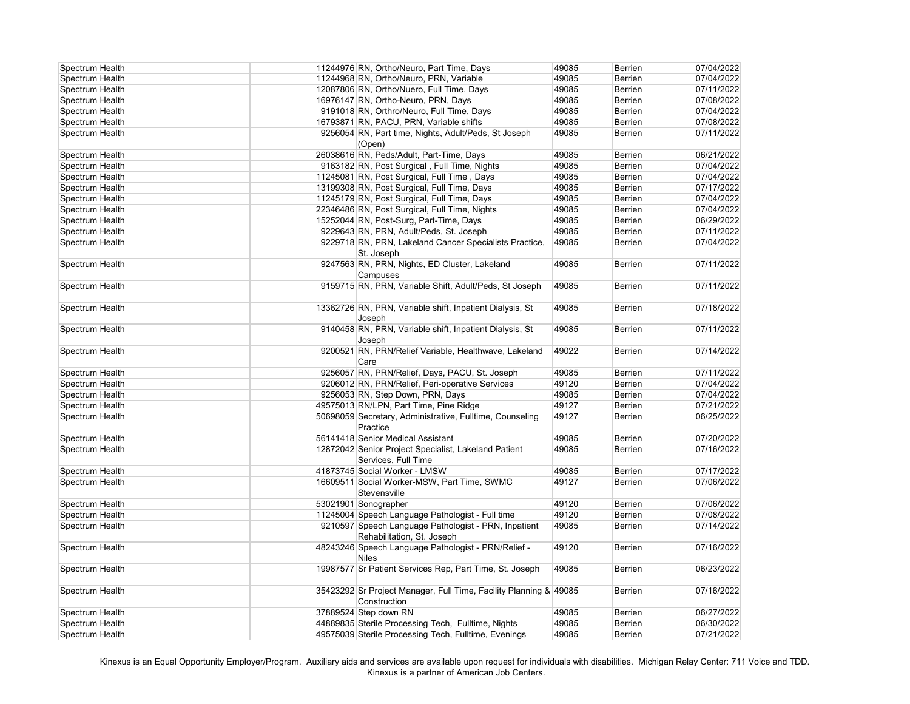| Spectrum Health | 11244976 RN, Ortho/Neuro, Part Time, Days                                         | 49085 | <b>Berrien</b> | 07/04/2022 |
|-----------------|-----------------------------------------------------------------------------------|-------|----------------|------------|
| Spectrum Health | 11244968 RN, Ortho/Neuro, PRN, Variable                                           | 49085 | <b>Berrien</b> | 07/04/2022 |
| Spectrum Health | 12087806 RN, Ortho/Nuero, Full Time, Days                                         | 49085 | <b>Berrien</b> | 07/11/2022 |
| Spectrum Health | 16976147 RN, Ortho-Neuro, PRN, Days                                               | 49085 | <b>Berrien</b> | 07/08/2022 |
| Spectrum Health | 9191018 RN, Orthro/Neuro, Full Time, Days                                         | 49085 | <b>Berrien</b> | 07/04/2022 |
| Spectrum Health | 16793871 RN, PACU, PRN, Variable shifts                                           | 49085 | <b>Berrien</b> | 07/08/2022 |
| Spectrum Health | 9256054 RN, Part time, Nights, Adult/Peds, St Joseph                              | 49085 | <b>Berrien</b> | 07/11/2022 |
|                 | (Open)                                                                            |       |                |            |
| Spectrum Health | 26038616 RN, Peds/Adult, Part-Time, Days                                          | 49085 | <b>Berrien</b> | 06/21/2022 |
| Spectrum Health | 9163182 RN, Post Surgical, Full Time, Nights                                      | 49085 | <b>Berrien</b> | 07/04/2022 |
| Spectrum Health | 11245081 RN, Post Surgical, Full Time, Days                                       | 49085 | <b>Berrien</b> | 07/04/2022 |
| Spectrum Health | 13199308 RN, Post Surgical, Full Time, Days                                       | 49085 | <b>Berrien</b> | 07/17/2022 |
| Spectrum Health | 11245179 RN, Post Surgical, Full Time, Days                                       | 49085 | <b>Berrien</b> | 07/04/2022 |
| Spectrum Health | 22346486 RN, Post Surgical, Full Time, Nights                                     | 49085 | <b>Berrien</b> | 07/04/2022 |
| Spectrum Health | 15252044 RN, Post-Surg, Part-Time, Days                                           | 49085 | <b>Berrien</b> | 06/29/2022 |
| Spectrum Health | 9229643 RN, PRN, Adult/Peds, St. Joseph                                           | 49085 | <b>Berrien</b> | 07/11/2022 |
| Spectrum Health | 9229718 RN, PRN, Lakeland Cancer Specialists Practice,                            | 49085 | <b>Berrien</b> | 07/04/2022 |
|                 | St. Joseph                                                                        |       |                |            |
| Spectrum Health | 9247563 RN, PRN, Nights, ED Cluster, Lakeland                                     | 49085 | <b>Berrien</b> | 07/11/2022 |
|                 | Campuses                                                                          |       |                |            |
| Spectrum Health | 9159715 RN, PRN, Variable Shift, Adult/Peds, St Joseph                            | 49085 | <b>Berrien</b> | 07/11/2022 |
|                 |                                                                                   |       |                |            |
| Spectrum Health | 13362726 RN, PRN, Variable shift, Inpatient Dialysis, St                          | 49085 | <b>Berrien</b> | 07/18/2022 |
|                 | Joseph                                                                            |       |                |            |
| Spectrum Health | 9140458 RN, PRN, Variable shift, Inpatient Dialysis, St                           | 49085 | <b>Berrien</b> | 07/11/2022 |
|                 | Joseph                                                                            |       |                |            |
| Spectrum Health | 9200521 RN, PRN/Relief Variable, Healthwave, Lakeland                             | 49022 | <b>Berrien</b> | 07/14/2022 |
|                 | Care                                                                              |       |                |            |
| Spectrum Health | 9256057 RN, PRN/Relief, Days, PACU, St. Joseph                                    | 49085 | <b>Berrien</b> | 07/11/2022 |
| Spectrum Health | 9206012 RN, PRN/Relief, Peri-operative Services                                   | 49120 | <b>Berrien</b> | 07/04/2022 |
| Spectrum Health | 9256053 RN, Step Down, PRN, Days                                                  | 49085 | <b>Berrien</b> | 07/04/2022 |
| Spectrum Health | 49575013 RN/LPN, Part Time, Pine Ridge                                            | 49127 | <b>Berrien</b> | 07/21/2022 |
| Spectrum Health | 50698059 Secretary, Administrative, Fulltime, Counseling                          | 49127 | Berrien        | 06/25/2022 |
|                 | Practice                                                                          |       |                |            |
| Spectrum Health | 56141418 Senior Medical Assistant                                                 | 49085 | Berrien        | 07/20/2022 |
| Spectrum Health | 12872042 Senior Project Specialist, Lakeland Patient                              | 49085 | <b>Berrien</b> | 07/16/2022 |
|                 | Services, Full Time                                                               |       |                |            |
| Spectrum Health | 41873745 Social Worker - LMSW                                                     | 49085 | <b>Berrien</b> | 07/17/2022 |
| Spectrum Health | 16609511 Social Worker-MSW, Part Time, SWMC                                       | 49127 | <b>Berrien</b> | 07/06/2022 |
|                 | Stevensville                                                                      |       |                |            |
| Spectrum Health | 53021901 Sonographer                                                              | 49120 | Berrien        | 07/06/2022 |
| Spectrum Health | 11245004 Speech Language Pathologist - Full time                                  | 49120 | <b>Berrien</b> | 07/08/2022 |
| Spectrum Health | 9210597 Speech Language Pathologist - PRN, Inpatient                              | 49085 | <b>Berrien</b> | 07/14/2022 |
|                 | Rehabilitation, St. Joseph                                                        |       |                |            |
| Spectrum Health | 48243246 Speech Language Pathologist - PRN/Relief -                               | 49120 | <b>Berrien</b> | 07/16/2022 |
|                 | <b>Niles</b>                                                                      |       |                |            |
|                 | 19987577 Sr Patient Services Rep, Part Time, St. Joseph                           | 49085 | <b>Berrien</b> | 06/23/2022 |
| Spectrum Health |                                                                                   |       |                |            |
|                 |                                                                                   |       |                |            |
| Spectrum Health | 35423292 Sr Project Manager, Full Time, Facility Planning & 49085<br>Construction |       | <b>Berrien</b> | 07/16/2022 |
|                 |                                                                                   |       |                |            |
| Spectrum Health | 37889524 Step down RN                                                             | 49085 | <b>Berrien</b> | 06/27/2022 |
| Spectrum Health | 44889835 Sterile Processing Tech, Fulltime, Nights                                | 49085 | <b>Berrien</b> | 06/30/2022 |
| Spectrum Health | 49575039 Sterile Processing Tech, Fulltime, Evenings                              | 49085 | <b>Berrien</b> | 07/21/2022 |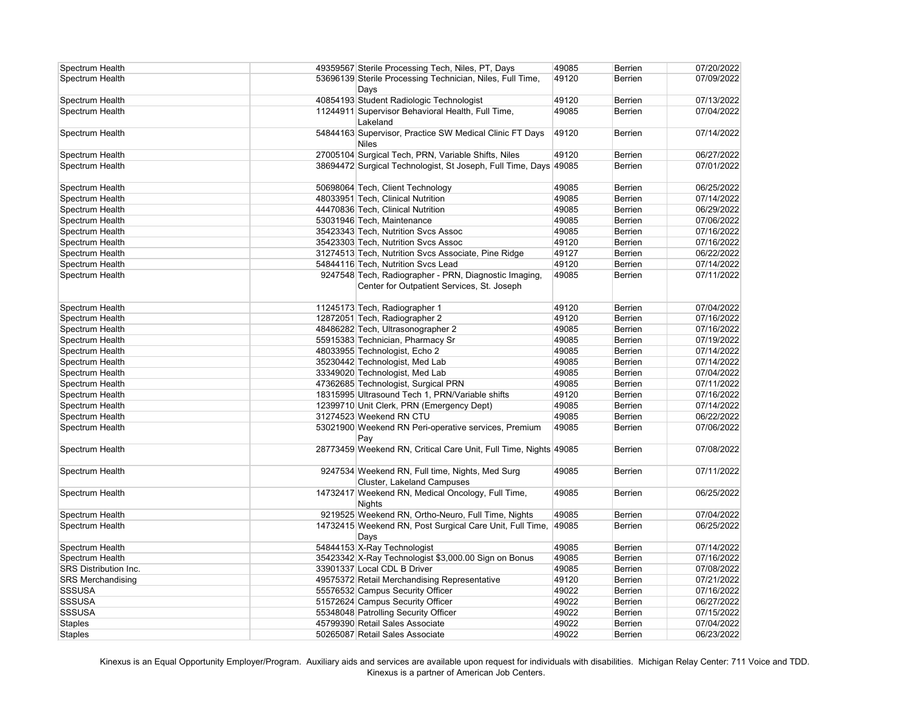| Spectrum Health          | 49359567 Sterile Processing Tech, Niles, PT, Days                | 49085 | Berrien        | 07/20/2022 |
|--------------------------|------------------------------------------------------------------|-------|----------------|------------|
| Spectrum Health          | 53696139 Sterile Processing Technician, Niles, Full Time,        | 49120 | Berrien        | 07/09/2022 |
|                          | Days                                                             |       |                |            |
| Spectrum Health          | 40854193 Student Radiologic Technologist                         | 49120 | Berrien        | 07/13/2022 |
| Spectrum Health          | 11244911 Supervisor Behavioral Health, Full Time,                | 49085 | Berrien        | 07/04/2022 |
|                          | Lakeland                                                         |       |                |            |
| Spectrum Health          | 54844163 Supervisor, Practice SW Medical Clinic FT Days          | 49120 | Berrien        | 07/14/2022 |
|                          | <b>Niles</b>                                                     |       |                |            |
| Spectrum Health          | 27005104 Surgical Tech, PRN, Variable Shifts, Niles              | 49120 | <b>Berrien</b> | 06/27/2022 |
| Spectrum Health          | 38694472 Surgical Technologist, St Joseph, Full Time, Days 49085 |       | Berrien        | 07/01/2022 |
|                          |                                                                  |       |                |            |
| Spectrum Health          | 50698064 Tech, Client Technology                                 | 49085 | <b>Berrien</b> | 06/25/2022 |
| Spectrum Health          | 48033951 Tech, Clinical Nutrition                                | 49085 | <b>Berrien</b> | 07/14/2022 |
| Spectrum Health          | 44470836 Tech, Clinical Nutrition                                | 49085 | Berrien        | 06/29/2022 |
| Spectrum Health          | 53031946 Tech, Maintenance                                       | 49085 | Berrien        | 07/06/2022 |
| Spectrum Health          | 35423343 Tech, Nutrition Svcs Assoc                              | 49085 | <b>Berrien</b> | 07/16/2022 |
| Spectrum Health          | 35423303 Tech, Nutrition Svcs Assoc                              | 49120 | Berrien        | 07/16/2022 |
| Spectrum Health          | 31274513 Tech, Nutrition Svcs Associate, Pine Ridge              | 49127 | Berrien        | 06/22/2022 |
| Spectrum Health          | 54844116 Tech, Nutrition Svcs Lead                               | 49120 | <b>Berrien</b> | 07/14/2022 |
| Spectrum Health          | 9247548 Tech, Radiographer - PRN, Diagnostic Imaging,            | 49085 | Berrien        | 07/11/2022 |
|                          | Center for Outpatient Services, St. Joseph                       |       |                |            |
|                          |                                                                  |       |                |            |
| Spectrum Health          | 11245173 Tech, Radiographer 1                                    | 49120 | Berrien        | 07/04/2022 |
| Spectrum Health          | 12872051 Tech, Radiographer 2                                    | 49120 | Berrien        | 07/16/2022 |
| Spectrum Health          | 48486282 Tech, Ultrasonographer 2                                | 49085 | Berrien        | 07/16/2022 |
| Spectrum Health          | 55915383 Technician, Pharmacy Sr                                 | 49085 | Berrien        | 07/19/2022 |
| Spectrum Health          | 48033955 Technologist, Echo 2                                    | 49085 | Berrien        | 07/14/2022 |
| Spectrum Health          | 35230442 Technologist, Med Lab                                   | 49085 | Berrien        | 07/14/2022 |
| Spectrum Health          | 33349020 Technologist, Med Lab                                   | 49085 | Berrien        | 07/04/2022 |
| Spectrum Health          | 47362685 Technologist, Surgical PRN                              | 49085 | Berrien        | 07/11/2022 |
| Spectrum Health          | 18315995 Ultrasound Tech 1, PRN/Variable shifts                  | 49120 | Berrien        | 07/16/2022 |
| Spectrum Health          | 12399710 Unit Clerk, PRN (Emergency Dept)                        | 49085 | <b>Berrien</b> | 07/14/2022 |
| Spectrum Health          | 31274523 Weekend RN CTU                                          | 49085 | Berrien        | 06/22/2022 |
| Spectrum Health          | 53021900 Weekend RN Peri-operative services, Premium             | 49085 | Berrien        | 07/06/2022 |
|                          | Pay                                                              |       |                |            |
| Spectrum Health          | 28773459 Weekend RN, Critical Care Unit, Full Time, Nights 49085 |       | <b>Berrien</b> | 07/08/2022 |
|                          |                                                                  |       |                |            |
| Spectrum Health          | 9247534 Weekend RN, Full time, Nights, Med Surg                  | 49085 | Berrien        | 07/11/2022 |
|                          | Cluster, Lakeland Campuses                                       |       |                |            |
| Spectrum Health          | 14732417 Weekend RN, Medical Oncology, Full Time,                | 49085 | Berrien        | 06/25/2022 |
|                          | <b>Nights</b>                                                    |       |                |            |
| Spectrum Health          | 9219525 Weekend RN, Ortho-Neuro, Full Time, Nights               | 49085 | Berrien        | 07/04/2022 |
| Spectrum Health          | 14732415 Weekend RN, Post Surgical Care Unit, Full Time,         | 49085 | Berrien        | 06/25/2022 |
|                          | Days                                                             |       |                |            |
| Spectrum Health          | 54844153 X-Ray Technologist                                      | 49085 | Berrien        | 07/14/2022 |
| Spectrum Health          | 35423342 X-Ray Technologist \$3,000.00 Sign on Bonus             | 49085 | Berrien        | 07/16/2022 |
| SRS Distribution Inc.    | 33901337 Local CDL B Driver                                      | 49085 | Berrien        | 07/08/2022 |
| <b>SRS Merchandising</b> | 49575372 Retail Merchandising Representative                     | 49120 | Berrien        | 07/21/2022 |
| <b>SSSUSA</b>            | 55576532 Campus Security Officer                                 | 49022 | Berrien        | 07/16/2022 |
| <b>SSSUSA</b>            | 51572624 Campus Security Officer                                 | 49022 | <b>Berrien</b> | 06/27/2022 |
| <b>SSSUSA</b>            | 55348048 Patrolling Security Officer                             | 49022 | Berrien        | 07/15/2022 |
| <b>Staples</b>           | 45799390 Retail Sales Associate                                  | 49022 | Berrien        | 07/04/2022 |
| <b>Staples</b>           | 50265087 Retail Sales Associate                                  | 49022 | Berrien        | 06/23/2022 |
|                          |                                                                  |       |                |            |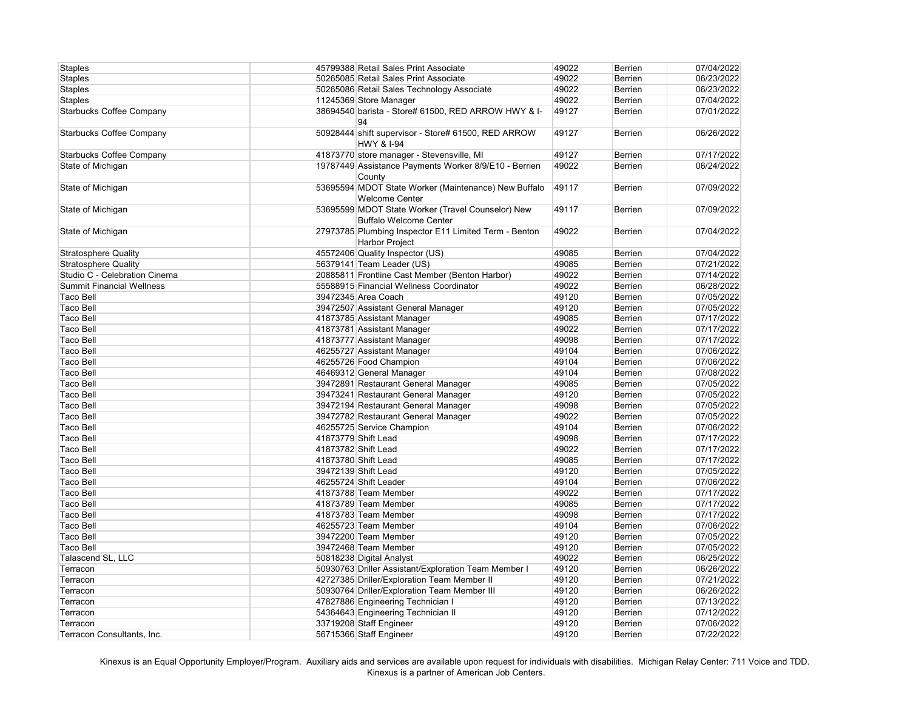| <b>Staples</b>                   | 45799388 Retail Sales Print Associate                                              | 49022 | <b>Berrien</b> | 07/04/2022 |
|----------------------------------|------------------------------------------------------------------------------------|-------|----------------|------------|
| <b>Staples</b>                   | 50265085 Retail Sales Print Associate                                              | 49022 | <b>Berrien</b> | 06/23/2022 |
| <b>Staples</b>                   | 50265086 Retail Sales Technology Associate                                         | 49022 | Berrien        | 06/23/2022 |
| <b>Staples</b>                   | 11245369 Store Manager                                                             | 49022 | <b>Berrien</b> | 07/04/2022 |
| <b>Starbucks Coffee Company</b>  | 38694540 barista - Store# 61500, RED ARROW HWY & I-<br>94                          | 49127 | <b>Berrien</b> | 07/01/2022 |
| <b>Starbucks Coffee Company</b>  | 50928444 shift supervisor - Store# 61500, RED ARROW<br><b>HWY &amp; I-94</b>       | 49127 | <b>Berrien</b> | 06/26/2022 |
| <b>Starbucks Coffee Company</b>  | 41873770 store manager - Stevensville, MI                                          | 49127 | <b>Berrien</b> | 07/17/2022 |
| State of Michigan                | 19787449 Assistance Payments Worker 8/9/E10 - Berrien<br>County                    | 49022 | <b>Berrien</b> | 06/24/2022 |
| State of Michigan                | 53695594 MDOT State Worker (Maintenance) New Buffalo<br><b>Welcome Center</b>      | 49117 | Berrien        | 07/09/2022 |
| State of Michigan                | 53695599 MDOT State Worker (Travel Counselor) New<br><b>Buffalo Welcome Center</b> | 49117 | Berrien        | 07/09/2022 |
| State of Michigan                | 27973785 Plumbing Inspector E11 Limited Term - Benton<br>Harbor Project            | 49022 | Berrien        | 07/04/2022 |
| <b>Stratosphere Quality</b>      | 45572406 Quality Inspector (US)                                                    | 49085 | Berrien        | 07/04/2022 |
| <b>Stratosphere Quality</b>      | 56379141 Team Leader (US)                                                          | 49085 | Berrien        | 07/21/2022 |
| Studio C - Celebration Cinema    | 20885811 Frontline Cast Member (Benton Harbor)                                     | 49022 | Berrien        | 07/14/2022 |
| <b>Summit Financial Wellness</b> | 55588915 Financial Wellness Coordinator                                            | 49022 | Berrien        | 06/28/2022 |
| <b>Taco Bell</b>                 | 39472345 Area Coach                                                                | 49120 | Berrien        | 07/05/2022 |
| <b>Taco Bell</b>                 | 39472507 Assistant General Manager                                                 | 49120 | Berrien        | 07/05/2022 |
| <b>Taco Bell</b>                 | 41873785 Assistant Manager                                                         | 49085 | Berrien        | 07/17/2022 |
| <b>Taco Bell</b>                 | 41873781 Assistant Manager                                                         | 49022 | Berrien        | 07/17/2022 |
| <b>Taco Bell</b>                 | 41873777 Assistant Manager                                                         | 49098 | Berrien        | 07/17/2022 |
| <b>Taco Bell</b>                 | 46255727 Assistant Manager                                                         | 49104 | Berrien        | 07/06/2022 |
| <b>Taco Bell</b>                 | 46255726 Food Champion                                                             | 49104 | Berrien        | 07/06/2022 |
| <b>Taco Bell</b>                 | 46469312 General Manager                                                           | 49104 | Berrien        | 07/08/2022 |
| <b>Taco Bell</b>                 | 39472891 Restaurant General Manager                                                | 49085 | Berrien        | 07/05/2022 |
| <b>Taco Bell</b>                 | 39473241 Restaurant General Manager                                                | 49120 | Berrien        | 07/05/2022 |
| <b>Taco Bell</b>                 | 39472194 Restaurant General Manager                                                | 49098 | Berrien        | 07/05/2022 |
| <b>Taco Bell</b>                 | 39472782 Restaurant General Manager                                                | 49022 | Berrien        | 07/05/2022 |
| <b>Taco Bell</b>                 | 46255725 Service Champion                                                          | 49104 | Berrien        | 07/06/2022 |
| <b>Taco Bell</b>                 | 41873779 Shift Lead                                                                | 49098 | Berrien        | 07/17/2022 |
| <b>Taco Bell</b>                 | 41873782 Shift Lead                                                                | 49022 | Berrien        | 07/17/2022 |
| <b>Taco Bell</b>                 | 41873780 Shift Lead                                                                | 49085 | Berrien        | 07/17/2022 |
| <b>Taco Bell</b>                 | 39472139 Shift Lead                                                                | 49120 | Berrien        | 07/05/2022 |
| <b>Taco Bell</b>                 | 46255724 Shift Leader                                                              | 49104 | Berrien        | 07/06/2022 |
| <b>Taco Bell</b>                 | 41873788 Team Member                                                               | 49022 | Berrien        | 07/17/2022 |
| <b>Taco Bell</b>                 | 41873789 Team Member                                                               | 49085 | Berrien        | 07/17/2022 |
| <b>Taco Bell</b>                 | 41873783 Team Member                                                               | 49098 | Berrien        | 07/17/2022 |
| <b>Taco Bell</b>                 | 46255723 Team Member                                                               | 49104 | Berrien        | 07/06/2022 |
| <b>Taco Bell</b>                 | 39472200 Team Member                                                               | 49120 | Berrien        | 07/05/2022 |
| <b>Taco Bell</b>                 | 39472468 Team Member                                                               | 49120 | Berrien        | 07/05/2022 |
| Talascend SL, LLC                | 50818238 Digital Analyst                                                           | 49022 | Berrien        | 06/25/2022 |
| Terracon                         | 50930763 Driller Assistant/Exploration Team Member I                               | 49120 | Berrien        | 06/26/2022 |
| Terracon                         | 42727385 Driller/Exploration Team Member II                                        | 49120 | Berrien        | 07/21/2022 |
| Terracon                         | 50930764 Driller/Exploration Team Member III                                       | 49120 | Berrien        | 06/26/2022 |
| Terracon                         | 47827886 Engineering Technician I                                                  | 49120 | <b>Berrien</b> | 07/13/2022 |
| Terracon                         | 54364643 Engineering Technician II                                                 | 49120 | Berrien        | 07/12/2022 |
| Terracon                         | 33719208 Staff Engineer                                                            | 49120 | Berrien        | 07/06/2022 |
| Terracon Consultants, Inc.       | 56715366 Staff Engineer                                                            | 49120 | <b>Berrien</b> | 07/22/2022 |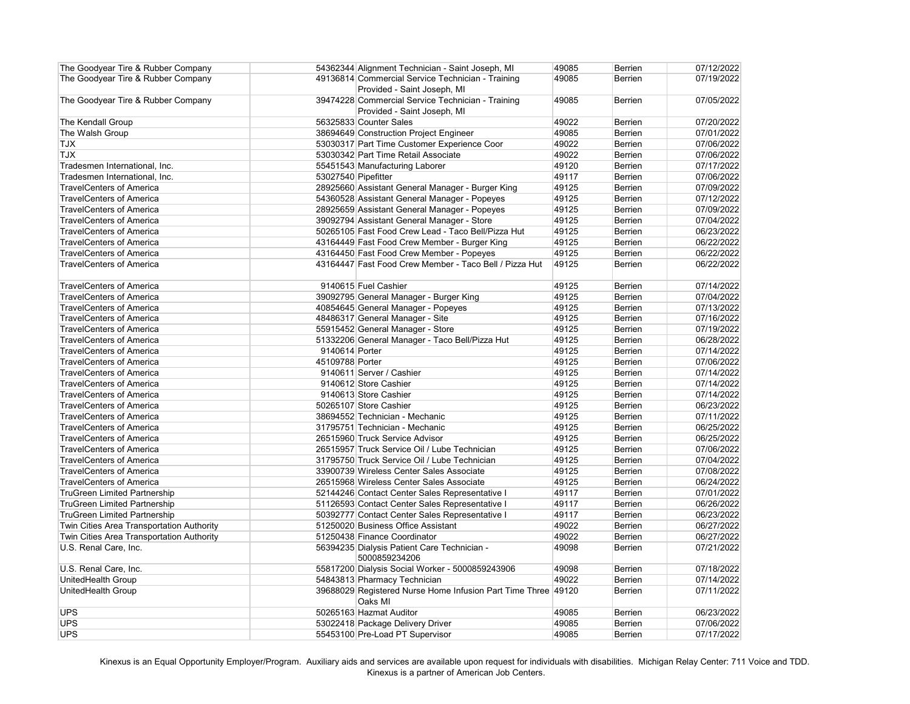| The Goodyear Tire & Rubber Company                                         |                     | 54362344 Alignment Technician - Saint Joseph, MI                                     | 49085 | Berrien        | 07/12/2022 |
|----------------------------------------------------------------------------|---------------------|--------------------------------------------------------------------------------------|-------|----------------|------------|
| The Goodyear Tire & Rubber Company                                         |                     | 49136814 Commercial Service Technician - Training                                    | 49085 | <b>Berrien</b> | 07/19/2022 |
|                                                                            |                     | Provided - Saint Joseph, MI                                                          |       |                |            |
| The Goodyear Tire & Rubber Company                                         |                     | 39474228 Commercial Service Technician - Training                                    | 49085 | <b>Berrien</b> | 07/05/2022 |
|                                                                            |                     | Provided - Saint Joseph, MI                                                          |       |                |            |
| The Kendall Group                                                          |                     | 56325833 Counter Sales                                                               | 49022 | <b>Berrien</b> | 07/20/2022 |
| The Walsh Group                                                            |                     | 38694649 Construction Project Engineer                                               | 49085 | Berrien        | 07/01/2022 |
| <b>TJX</b>                                                                 |                     | 53030317 Part Time Customer Experience Coor                                          | 49022 | Berrien        | 07/06/2022 |
| <b>TJX</b>                                                                 |                     | 53030342 Part Time Retail Associate                                                  | 49022 | Berrien        | 07/06/2022 |
| Tradesmen International, Inc.                                              |                     | 55451543 Manufacturing Laborer                                                       | 49120 | Berrien        | 07/17/2022 |
| Tradesmen International, Inc.                                              | 53027540 Pipefitter |                                                                                      | 49117 | Berrien        | 07/06/2022 |
| <b>TravelCenters of America</b>                                            |                     | 28925660 Assistant General Manager - Burger King                                     | 49125 | Berrien        | 07/09/2022 |
| <b>TravelCenters of America</b>                                            |                     | 54360528 Assistant General Manager - Popeyes                                         | 49125 | Berrien        | 07/12/2022 |
| <b>TravelCenters of America</b>                                            |                     | 28925659 Assistant General Manager - Popeyes                                         | 49125 | Berrien        | 07/09/2022 |
| <b>TravelCenters of America</b>                                            |                     | 39092794 Assistant General Manager - Store                                           | 49125 | Berrien        | 07/04/2022 |
| <b>TravelCenters of America</b>                                            |                     | 50265105 Fast Food Crew Lead - Taco Bell/Pizza Hut                                   | 49125 | Berrien        | 06/23/2022 |
| <b>TravelCenters of America</b>                                            |                     | 43164449 Fast Food Crew Member - Burger King                                         | 49125 | Berrien        | 06/22/2022 |
| <b>TravelCenters of America</b>                                            |                     | 43164450 Fast Food Crew Member - Popeyes                                             | 49125 | Berrien        | 06/22/2022 |
| <b>TravelCenters of America</b>                                            |                     | 43164447 Fast Food Crew Member - Taco Bell / Pizza Hut                               | 49125 | Berrien        | 06/22/2022 |
|                                                                            |                     |                                                                                      |       |                |            |
| <b>TravelCenters of America</b>                                            |                     | 9140615 Fuel Cashier                                                                 | 49125 | <b>Berrien</b> | 07/14/2022 |
| <b>TravelCenters of America</b>                                            |                     | 39092795 General Manager - Burger King                                               | 49125 | Berrien        | 07/04/2022 |
| <b>TravelCenters of America</b>                                            |                     | 40854645 General Manager - Popeyes                                                   | 49125 | Berrien        | 07/13/2022 |
| <b>TravelCenters of America</b>                                            |                     | 48486317 General Manager - Site                                                      | 49125 | Berrien        | 07/16/2022 |
| <b>TravelCenters of America</b>                                            |                     | 55915452 General Manager - Store                                                     | 49125 | Berrien        | 07/19/2022 |
| <b>TravelCenters of America</b>                                            |                     | 51332206 General Manager - Taco Bell/Pizza Hut                                       | 49125 | Berrien        | 06/28/2022 |
| <b>TravelCenters of America</b>                                            | 9140614 Porter      |                                                                                      | 49125 | Berrien        | 07/14/2022 |
| <b>TravelCenters of America</b>                                            | 45109788 Porter     |                                                                                      | 49125 | Berrien        | 07/06/2022 |
| <b>TravelCenters of America</b>                                            |                     | 9140611 Server / Cashier                                                             | 49125 | Berrien        | 07/14/2022 |
| <b>TravelCenters of America</b>                                            |                     | 9140612 Store Cashier                                                                | 49125 | Berrien        | 07/14/2022 |
| <b>TravelCenters of America</b>                                            |                     | 9140613 Store Cashier                                                                | 49125 | Berrien        | 07/14/2022 |
| <b>TravelCenters of America</b>                                            |                     | 50265107 Store Cashier                                                               | 49125 | Berrien        | 06/23/2022 |
| <b>TravelCenters of America</b>                                            |                     | 38694552 Technician - Mechanic                                                       | 49125 | Berrien        | 07/11/2022 |
| <b>TravelCenters of America</b>                                            |                     | 31795751 Technician - Mechanic                                                       | 49125 | Berrien        | 06/25/2022 |
| <b>TravelCenters of America</b>                                            |                     | 26515960 Truck Service Advisor                                                       | 49125 | Berrien        | 06/25/2022 |
| <b>TravelCenters of America</b>                                            |                     | 26515957 Truck Service Oil / Lube Technician                                         | 49125 | <b>Berrien</b> | 07/06/2022 |
| <b>TravelCenters of America</b>                                            |                     | 31795750 Truck Service Oil / Lube Technician                                         | 49125 | Berrien        | 07/04/2022 |
| <b>TravelCenters of America</b>                                            |                     | 33900739 Wireless Center Sales Associate                                             | 49125 | Berrien        | 07/08/2022 |
| <b>TravelCenters of America</b>                                            |                     | 26515968 Wireless Center Sales Associate                                             | 49125 | Berrien        | 06/24/2022 |
|                                                                            |                     |                                                                                      |       |                |            |
| <b>TruGreen Limited Partnership</b>                                        |                     | 52144246 Contact Center Sales Representative I                                       | 49117 | Berrien        | 07/01/2022 |
| <b>TruGreen Limited Partnership</b><br><b>TruGreen Limited Partnership</b> |                     | 51126593 Contact Center Sales Representative I                                       | 49117 | Berrien        | 06/26/2022 |
|                                                                            |                     | 50392777 Contact Center Sales Representative I<br>51250020 Business Office Assistant | 49117 | Berrien        | 06/23/2022 |
| Twin Cities Area Transportation Authority                                  |                     |                                                                                      | 49022 | Berrien        | 06/27/2022 |
| Twin Cities Area Transportation Authority                                  |                     | 51250438 Finance Coordinator                                                         | 49022 | Berrien        | 06/27/2022 |
| U.S. Renal Care, Inc.                                                      |                     | 56394235 Dialysis Patient Care Technician -<br>5000859234206                         | 49098 | Berrien        | 07/21/2022 |
| U.S. Renal Care, Inc.                                                      |                     | 55817200 Dialysis Social Worker - 5000859243906                                      | 49098 | Berrien        | 07/18/2022 |
| UnitedHealth Group                                                         |                     | 54843813 Pharmacy Technician                                                         | 49022 | Berrien        | 07/14/2022 |
| UnitedHealth Group                                                         |                     | 39688029 Registered Nurse Home Infusion Part Time Three 49120                        |       | Berrien        | 07/11/2022 |
|                                                                            |                     | Oaks MI                                                                              |       |                |            |
| <b>UPS</b>                                                                 |                     | 50265163 Hazmat Auditor                                                              | 49085 | Berrien        | 06/23/2022 |
| <b>UPS</b>                                                                 |                     | 53022418 Package Delivery Driver                                                     | 49085 | Berrien        | 07/06/2022 |
| <b>UPS</b>                                                                 |                     | 55453100 Pre-Load PT Supervisor                                                      | 49085 | <b>Berrien</b> | 07/17/2022 |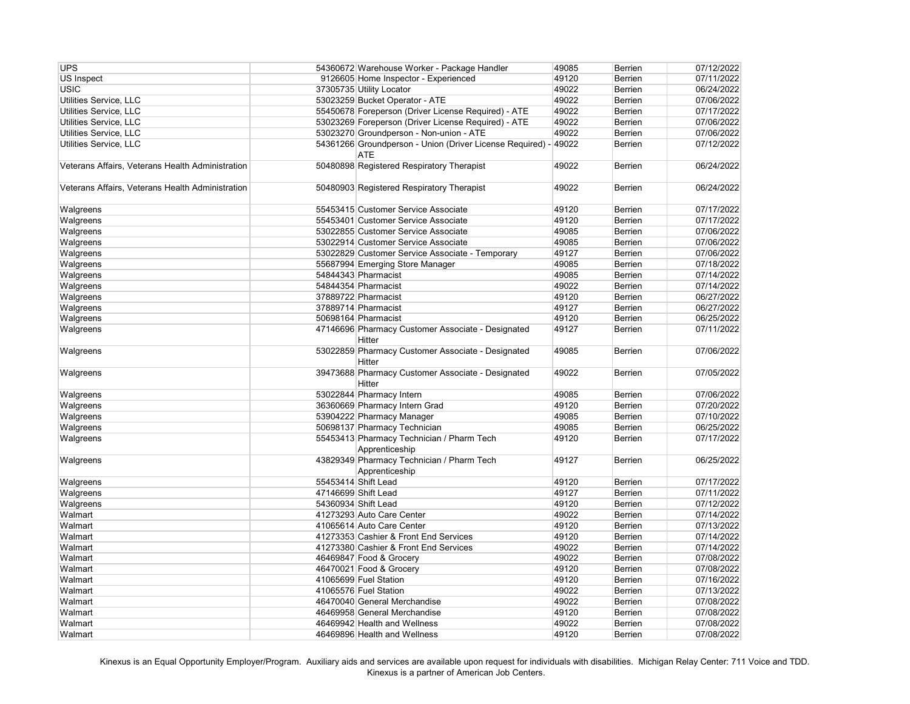| <b>UPS</b>                                       |                     | 54360672 Warehouse Worker - Package Handler                                   | 49085 | <b>Berrien</b> | 07/12/2022 |
|--------------------------------------------------|---------------------|-------------------------------------------------------------------------------|-------|----------------|------------|
| <b>US Inspect</b>                                |                     | 9126605 Home Inspector - Experienced                                          | 49120 | <b>Berrien</b> | 07/11/2022 |
| <b>USIC</b>                                      |                     | 37305735 Utility Locator                                                      | 49022 | <b>Berrien</b> | 06/24/2022 |
| Utilities Service, LLC                           |                     | 53023259 Bucket Operator - ATE                                                | 49022 | <b>Berrien</b> | 07/06/2022 |
| Utilities Service, LLC                           |                     | 55450678 Foreperson (Driver License Required) - ATE                           | 49022 | <b>Berrien</b> | 07/17/2022 |
| Utilities Service, LLC                           |                     | 53023269 Foreperson (Driver License Required) - ATE                           | 49022 | <b>Berrien</b> | 07/06/2022 |
| Utilities Service, LLC                           |                     | 53023270 Groundperson - Non-union - ATE                                       | 49022 | Berrien        | 07/06/2022 |
| Utilities Service, LLC                           |                     | 54361266 Groundperson - Union (Driver License Required) - 49022<br><b>ATE</b> |       | <b>Berrien</b> | 07/12/2022 |
| Veterans Affairs, Veterans Health Administration |                     | 50480898 Registered Respiratory Therapist                                     | 49022 | <b>Berrien</b> | 06/24/2022 |
| Veterans Affairs, Veterans Health Administration |                     | 50480903 Registered Respiratory Therapist                                     | 49022 | <b>Berrien</b> | 06/24/2022 |
| Walgreens                                        |                     | 55453415 Customer Service Associate                                           | 49120 | <b>Berrien</b> | 07/17/2022 |
| Walgreens                                        |                     | 55453401 Customer Service Associate                                           | 49120 | <b>Berrien</b> | 07/17/2022 |
| Walgreens                                        |                     | 53022855 Customer Service Associate                                           | 49085 | <b>Berrien</b> | 07/06/2022 |
| Walgreens                                        |                     | 53022914 Customer Service Associate                                           | 49085 | <b>Berrien</b> | 07/06/2022 |
| Walgreens                                        |                     | 53022829 Customer Service Associate - Temporary                               | 49127 | Berrien        | 07/06/2022 |
| Walgreens                                        |                     | 55687994 Emerging Store Manager                                               | 49085 | Berrien        | 07/18/2022 |
| Walgreens                                        |                     | 54844343 Pharmacist                                                           | 49085 | Berrien        | 07/14/2022 |
| Walgreens                                        |                     | 54844354 Pharmacist                                                           | 49022 | Berrien        | 07/14/2022 |
| Walgreens                                        |                     | 37889722 Pharmacist                                                           | 49120 | Berrien        | 06/27/2022 |
| Walgreens                                        |                     | 37889714 Pharmacist                                                           | 49127 | <b>Berrien</b> | 06/27/2022 |
| Walgreens                                        |                     | 50698164 Pharmacist                                                           | 49120 | <b>Berrien</b> | 06/25/2022 |
| Walgreens                                        |                     | 47146696 Pharmacy Customer Associate - Designated<br>Hitter                   | 49127 | <b>Berrien</b> | 07/11/2022 |
| Walgreens                                        |                     | 53022859 Pharmacy Customer Associate - Designated<br>Hitter                   | 49085 | <b>Berrien</b> | 07/06/2022 |
| Walgreens                                        |                     | 39473688 Pharmacy Customer Associate - Designated<br>Hitter                   | 49022 | <b>Berrien</b> | 07/05/2022 |
| Walgreens                                        |                     | 53022844 Pharmacy Intern                                                      | 49085 | <b>Berrien</b> | 07/06/2022 |
| Walgreens                                        |                     | 36360669 Pharmacy Intern Grad                                                 | 49120 | Berrien        | 07/20/2022 |
| Walgreens                                        |                     | 53904222 Pharmacy Manager                                                     | 49085 | Berrien        | 07/10/2022 |
| Walgreens                                        |                     | 50698137 Pharmacy Technician                                                  | 49085 | <b>Berrien</b> | 06/25/2022 |
| Walgreens                                        |                     | 55453413 Pharmacy Technician / Pharm Tech<br>Apprenticeship                   | 49120 | <b>Berrien</b> | 07/17/2022 |
| Walgreens                                        |                     | 43829349 Pharmacy Technician / Pharm Tech<br>Apprenticeship                   | 49127 | <b>Berrien</b> | 06/25/2022 |
| Walgreens                                        |                     | 55453414 Shift Lead                                                           | 49120 | Berrien        | 07/17/2022 |
| Walgreens                                        | 47146699 Shift Lead |                                                                               | 49127 | Berrien        | 07/11/2022 |
| Walgreens                                        | 54360934 Shift Lead |                                                                               | 49120 | Berrien        | 07/12/2022 |
| Walmart                                          |                     | 41273293 Auto Care Center                                                     | 49022 | Berrien        | 07/14/2022 |
| Walmart                                          |                     | 41065614 Auto Care Center                                                     | 49120 | Berrien        | 07/13/2022 |
| Walmart                                          |                     | 41273353 Cashier & Front End Services                                         | 49120 | Berrien        | 07/14/2022 |
| Walmart                                          |                     | 41273380 Cashier & Front End Services                                         | 49022 | <b>Berrien</b> | 07/14/2022 |
| Walmart                                          |                     | 46469847 Food & Grocery                                                       | 49022 | <b>Berrien</b> | 07/08/2022 |
| Walmart                                          |                     | 46470021 Food & Grocery                                                       | 49120 | <b>Berrien</b> | 07/08/2022 |
| Walmart                                          |                     | 41065699 Fuel Station                                                         | 49120 | Berrien        | 07/16/2022 |
| Walmart                                          |                     | 41065576 Fuel Station                                                         | 49022 | <b>Berrien</b> | 07/13/2022 |
| Walmart                                          |                     | 46470040 General Merchandise                                                  | 49022 | <b>Berrien</b> | 07/08/2022 |
| Walmart                                          |                     | 46469958 General Merchandise                                                  | 49120 | <b>Berrien</b> | 07/08/2022 |
| Walmart                                          |                     | 46469942 Health and Wellness                                                  | 49022 | Berrien        | 07/08/2022 |
| Walmart                                          |                     | 46469896 Health and Wellness                                                  | 49120 | <b>Berrien</b> | 07/08/2022 |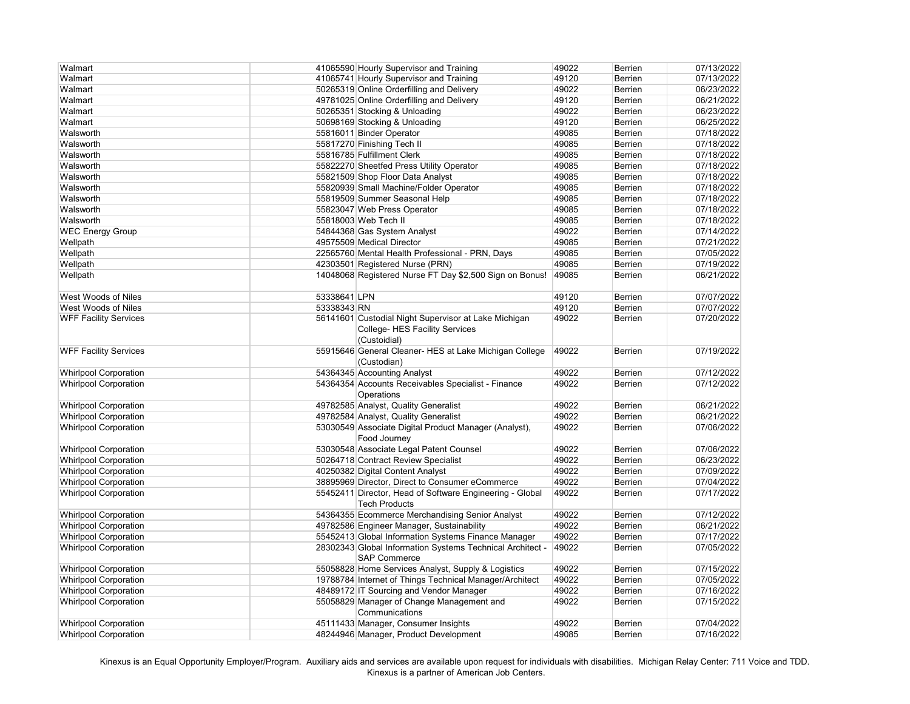| Walmart                      |              | 41065590 Hourly Supervisor and Training                   | 49022 | <b>Berrien</b> | 07/13/2022 |
|------------------------------|--------------|-----------------------------------------------------------|-------|----------------|------------|
| Walmart                      |              | 41065741 Hourly Supervisor and Training                   | 49120 | <b>Berrien</b> | 07/13/2022 |
| Walmart                      |              | 50265319 Online Orderfilling and Delivery                 | 49022 | <b>Berrien</b> | 06/23/2022 |
| Walmart                      |              | 49781025 Online Orderfilling and Delivery                 | 49120 | <b>Berrien</b> | 06/21/2022 |
| Walmart                      |              | 50265351 Stocking & Unloading                             | 49022 | <b>Berrien</b> | 06/23/2022 |
| Walmart                      |              | 50698169 Stocking & Unloading                             | 49120 | <b>Berrien</b> | 06/25/2022 |
| Walsworth                    |              | 55816011 Binder Operator                                  | 49085 | Berrien        | 07/18/2022 |
| Walsworth                    |              | 55817270 Finishing Tech II                                | 49085 | Berrien        | 07/18/2022 |
| Walsworth                    |              | 55816785 Fulfillment Clerk                                | 49085 | <b>Berrien</b> | 07/18/2022 |
| Walsworth                    |              | 55822270 Sheetfed Press Utility Operator                  | 49085 | Berrien        | 07/18/2022 |
| Walsworth                    |              | 55821509 Shop Floor Data Analyst                          | 49085 | Berrien        | 07/18/2022 |
| Walsworth                    |              | 55820939 Small Machine/Folder Operator                    | 49085 | <b>Berrien</b> | 07/18/2022 |
| Walsworth                    |              | 55819509 Summer Seasonal Help                             | 49085 | <b>Berrien</b> | 07/18/2022 |
| Walsworth                    |              | 55823047 Web Press Operator                               | 49085 | <b>Berrien</b> | 07/18/2022 |
| Walsworth                    |              | 55818003 Web Tech II                                      | 49085 | <b>Berrien</b> | 07/18/2022 |
| <b>WEC Energy Group</b>      |              | 54844368 Gas System Analyst                               | 49022 | <b>Berrien</b> | 07/14/2022 |
| Wellpath                     |              | 49575509 Medical Director                                 | 49085 | Berrien        | 07/21/2022 |
| Wellpath                     |              | 22565760 Mental Health Professional - PRN, Days           | 49085 | Berrien        | 07/05/2022 |
| Wellpath                     |              | 42303501 Registered Nurse (PRN)                           | 49085 | <b>Berrien</b> | 07/19/2022 |
| Wellpath                     |              | 14048068 Registered Nurse FT Day \$2,500 Sign on Bonus!   | 49085 | Berrien        | 06/21/2022 |
|                              |              |                                                           |       |                |            |
| West Woods of Niles          | 53338641 LPN |                                                           | 49120 | <b>Berrien</b> | 07/07/2022 |
| <b>West Woods of Niles</b>   | 53338343 RN  |                                                           | 49120 | Berrien        | 07/07/2022 |
| <b>WFF Facility Services</b> |              | 56141601 Custodial Night Supervisor at Lake Michigan      | 49022 | <b>Berrien</b> | 07/20/2022 |
|                              |              | College- HES Facility Services                            |       |                |            |
|                              |              |                                                           |       |                |            |
|                              |              | (Custoidial)                                              |       |                |            |
| <b>WFF Facility Services</b> |              | 55915646 General Cleaner- HES at Lake Michigan College    | 49022 | <b>Berrien</b> | 07/19/2022 |
|                              |              | (Custodian)                                               |       |                |            |
| <b>Whirlpool Corporation</b> |              | 54364345 Accounting Analyst                               | 49022 | Berrien        | 07/12/2022 |
| <b>Whirlpool Corporation</b> |              | 54364354 Accounts Receivables Specialist - Finance        | 49022 | <b>Berrien</b> | 07/12/2022 |
|                              |              | Operations                                                |       |                |            |
| <b>Whirlpool Corporation</b> |              | 49782585 Analyst, Quality Generalist                      | 49022 | <b>Berrien</b> | 06/21/2022 |
| <b>Whirlpool Corporation</b> |              | 49782584 Analyst, Quality Generalist                      | 49022 | Berrien        | 06/21/2022 |
| <b>Whirlpool Corporation</b> |              | 53030549 Associate Digital Product Manager (Analyst),     | 49022 | <b>Berrien</b> | 07/06/2022 |
|                              |              | Food Journey                                              |       |                |            |
| <b>Whirlpool Corporation</b> |              | 53030548 Associate Legal Patent Counsel                   | 49022 | <b>Berrien</b> | 07/06/2022 |
| <b>Whirlpool Corporation</b> |              | 50264718 Contract Review Specialist                       | 49022 | <b>Berrien</b> | 06/23/2022 |
| <b>Whirlpool Corporation</b> |              | 40250382 Digital Content Analyst                          | 49022 | <b>Berrien</b> | 07/09/2022 |
| <b>Whirlpool Corporation</b> |              | 38895969 Director, Direct to Consumer eCommerce           | 49022 | <b>Berrien</b> | 07/04/2022 |
| <b>Whirlpool Corporation</b> |              | 55452411 Director, Head of Software Engineering - Global  | 49022 | <b>Berrien</b> | 07/17/2022 |
|                              |              | <b>Tech Products</b>                                      |       |                |            |
| <b>Whirlpool Corporation</b> |              | 54364355 Ecommerce Merchandising Senior Analyst           | 49022 | <b>Berrien</b> | 07/12/2022 |
| <b>Whirlpool Corporation</b> |              | 49782586 Engineer Manager, Sustainability                 | 49022 | <b>Berrien</b> | 06/21/2022 |
| <b>Whirlpool Corporation</b> |              | 55452413 Global Information Systems Finance Manager       | 49022 | <b>Berrien</b> | 07/17/2022 |
| <b>Whirlpool Corporation</b> |              | 28302343 Global Information Systems Technical Architect - | 49022 | <b>Berrien</b> | 07/05/2022 |
|                              |              | <b>SAP Commerce</b>                                       |       |                |            |
| <b>Whirlpool Corporation</b> |              | 55058828 Home Services Analyst, Supply & Logistics        | 49022 | <b>Berrien</b> | 07/15/2022 |
| <b>Whirlpool Corporation</b> |              | 19788784 Internet of Things Technical Manager/Architect   | 49022 | <b>Berrien</b> | 07/05/2022 |
| <b>Whirlpool Corporation</b> |              | 48489172 IT Sourcing and Vendor Manager                   | 49022 | <b>Berrien</b> | 07/16/2022 |
| <b>Whirlpool Corporation</b> |              | 55058829 Manager of Change Management and                 | 49022 | <b>Berrien</b> | 07/15/2022 |
|                              |              | Communications                                            |       |                |            |
|                              |              |                                                           |       |                |            |
| <b>Whirlpool Corporation</b> |              | 45111433 Manager, Consumer Insights                       | 49022 | <b>Berrien</b> | 07/04/2022 |
| <b>Whirlpool Corporation</b> |              | 48244946 Manager, Product Development                     | 49085 | <b>Berrien</b> | 07/16/2022 |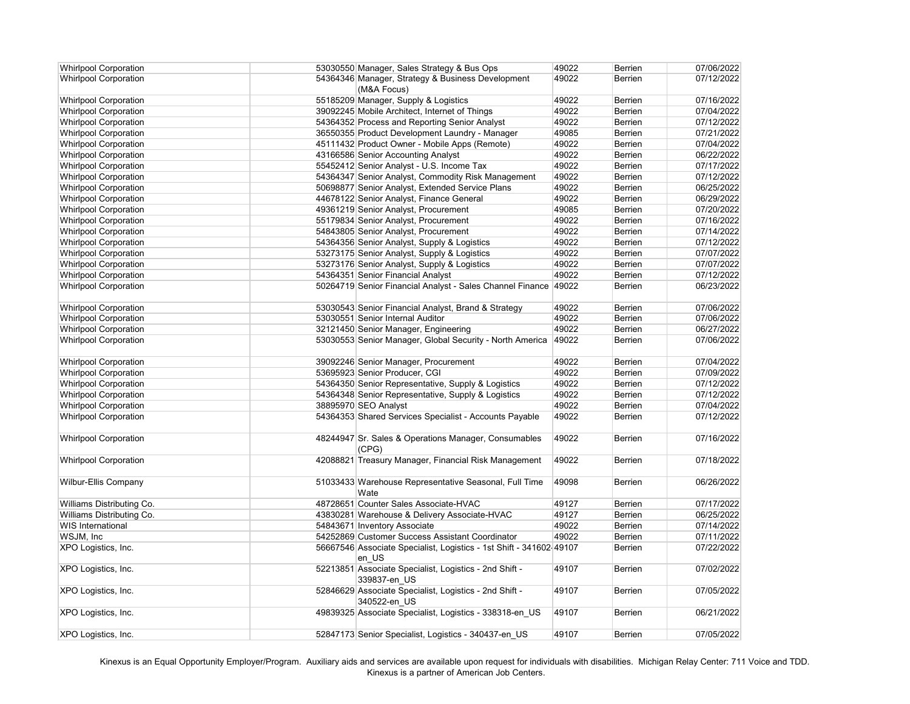| <b>Whirlpool Corporation</b> | 53030550 Manager, Sales Strategy & Bus Ops                          | 49022 | <b>Berrien</b> | 07/06/2022 |
|------------------------------|---------------------------------------------------------------------|-------|----------------|------------|
| <b>Whirlpool Corporation</b> | 54364346 Manager, Strategy & Business Development                   | 49022 | <b>Berrien</b> | 07/12/2022 |
|                              | (M&A Focus)                                                         |       |                |            |
| <b>Whirlpool Corporation</b> | 55185209 Manager, Supply & Logistics                                | 49022 | <b>Berrien</b> | 07/16/2022 |
| <b>Whirlpool Corporation</b> | 39092245 Mobile Architect, Internet of Things                       | 49022 | <b>Berrien</b> | 07/04/2022 |
| <b>Whirlpool Corporation</b> | 54364352 Process and Reporting Senior Analyst                       | 49022 | <b>Berrien</b> | 07/12/2022 |
| <b>Whirlpool Corporation</b> | 36550355 Product Development Laundry - Manager                      | 49085 | <b>Berrien</b> | 07/21/2022 |
| <b>Whirlpool Corporation</b> | 45111432 Product Owner - Mobile Apps (Remote)                       | 49022 | <b>Berrien</b> | 07/04/2022 |
| <b>Whirlpool Corporation</b> | 43166586 Senior Accounting Analyst                                  | 49022 | <b>Berrien</b> | 06/22/2022 |
| <b>Whirlpool Corporation</b> | 55452412 Senior Analyst - U.S. Income Tax                           | 49022 | Berrien        | 07/17/2022 |
| <b>Whirlpool Corporation</b> | 54364347 Senior Analyst, Commodity Risk Management                  | 49022 | <b>Berrien</b> | 07/12/2022 |
| <b>Whirlpool Corporation</b> | 50698877 Senior Analyst, Extended Service Plans                     | 49022 | <b>Berrien</b> | 06/25/2022 |
| <b>Whirlpool Corporation</b> | 44678122 Senior Analyst, Finance General                            | 49022 | <b>Berrien</b> | 06/29/2022 |
| <b>Whirlpool Corporation</b> | 49361219 Senior Analyst, Procurement                                | 49085 | <b>Berrien</b> | 07/20/2022 |
| <b>Whirlpool Corporation</b> | 55179834 Senior Analyst, Procurement                                | 49022 | <b>Berrien</b> | 07/16/2022 |
| <b>Whirlpool Corporation</b> | 54843805 Senior Analyst, Procurement                                | 49022 | Berrien        | 07/14/2022 |
| <b>Whirlpool Corporation</b> | 54364356 Senior Analyst, Supply & Logistics                         | 49022 | <b>Berrien</b> | 07/12/2022 |
| <b>Whirlpool Corporation</b> | 53273175 Senior Analyst, Supply & Logistics                         | 49022 | <b>Berrien</b> | 07/07/2022 |
| <b>Whirlpool Corporation</b> | 53273176 Senior Analyst, Supply & Logistics                         | 49022 | <b>Berrien</b> | 07/07/2022 |
| <b>Whirlpool Corporation</b> | 54364351 Senior Financial Analyst                                   | 49022 | Berrien        | 07/12/2022 |
| <b>Whirlpool Corporation</b> | 50264719 Senior Financial Analyst - Sales Channel Finance 49022     |       | <b>Berrien</b> | 06/23/2022 |
|                              |                                                                     |       |                |            |
| <b>Whirlpool Corporation</b> | 53030543 Senior Financial Analyst, Brand & Strategy                 | 49022 | <b>Berrien</b> | 07/06/2022 |
| <b>Whirlpool Corporation</b> | 53030551 Senior Internal Auditor                                    | 49022 | Berrien        | 07/06/2022 |
| <b>Whirlpool Corporation</b> | 32121450 Senior Manager, Engineering                                | 49022 | <b>Berrien</b> | 06/27/2022 |
| <b>Whirlpool Corporation</b> | 53030553 Senior Manager, Global Security - North America            | 49022 | <b>Berrien</b> | 07/06/2022 |
|                              |                                                                     |       |                |            |
| <b>Whirlpool Corporation</b> | 39092246 Senior Manager, Procurement                                | 49022 | <b>Berrien</b> | 07/04/2022 |
| <b>Whirlpool Corporation</b> | 53695923 Senior Producer, CGI                                       | 49022 | <b>Berrien</b> | 07/09/2022 |
| <b>Whirlpool Corporation</b> | 54364350 Senior Representative, Supply & Logistics                  | 49022 | <b>Berrien</b> | 07/12/2022 |
| <b>Whirlpool Corporation</b> | 54364348 Senior Representative, Supply & Logistics                  | 49022 | <b>Berrien</b> | 07/12/2022 |
| <b>Whirlpool Corporation</b> | 38895970 SEO Analyst                                                | 49022 | <b>Berrien</b> | 07/04/2022 |
| <b>Whirlpool Corporation</b> | 54364353 Shared Services Specialist - Accounts Payable              | 49022 | Berrien        | 07/12/2022 |
|                              |                                                                     |       |                |            |
| <b>Whirlpool Corporation</b> | 48244947 Sr. Sales & Operations Manager, Consumables                | 49022 | <b>Berrien</b> | 07/16/2022 |
|                              | (CPG)                                                               |       |                |            |
| <b>Whirlpool Corporation</b> | 42088821 Treasury Manager, Financial Risk Management                | 49022 | <b>Berrien</b> | 07/18/2022 |
|                              |                                                                     |       |                |            |
| <b>Wilbur-Ellis Company</b>  | 51033433 Warehouse Representative Seasonal, Full Time               | 49098 | <b>Berrien</b> | 06/26/2022 |
|                              | Wate                                                                |       |                |            |
| Williams Distributing Co.    | 48728651 Counter Sales Associate-HVAC                               | 49127 | <b>Berrien</b> | 07/17/2022 |
| Williams Distributing Co.    | 43830281 Warehouse & Delivery Associate-HVAC                        | 49127 | <b>Berrien</b> | 06/25/2022 |
| <b>WIS International</b>     | 54843671 Inventory Associate                                        | 49022 | <b>Berrien</b> | 07/14/2022 |
| WSJM, Inc                    | 54252869 Customer Success Assistant Coordinator                     | 49022 | Berrien        | 07/11/2022 |
| XPO Logistics, Inc.          | 56667546 Associate Specialist, Logistics - 1st Shift - 341602 49107 |       | <b>Berrien</b> | 07/22/2022 |
|                              | en US                                                               |       |                |            |
| XPO Logistics, Inc.          | 52213851 Associate Specialist, Logistics - 2nd Shift -              | 49107 | <b>Berrien</b> | 07/02/2022 |
|                              | 339837-en US                                                        |       |                |            |
| XPO Logistics, Inc.          | 52846629 Associate Specialist, Logistics - 2nd Shift -              | 49107 | <b>Berrien</b> | 07/05/2022 |
|                              | 340522-en US                                                        |       |                |            |
| XPO Logistics, Inc.          | 49839325 Associate Specialist, Logistics - 338318-en US             | 49107 | <b>Berrien</b> | 06/21/2022 |
|                              |                                                                     |       |                |            |
| XPO Logistics, Inc.          | 52847173 Senior Specialist, Logistics - 340437-en_US                | 49107 | <b>Berrien</b> | 07/05/2022 |
|                              |                                                                     |       |                |            |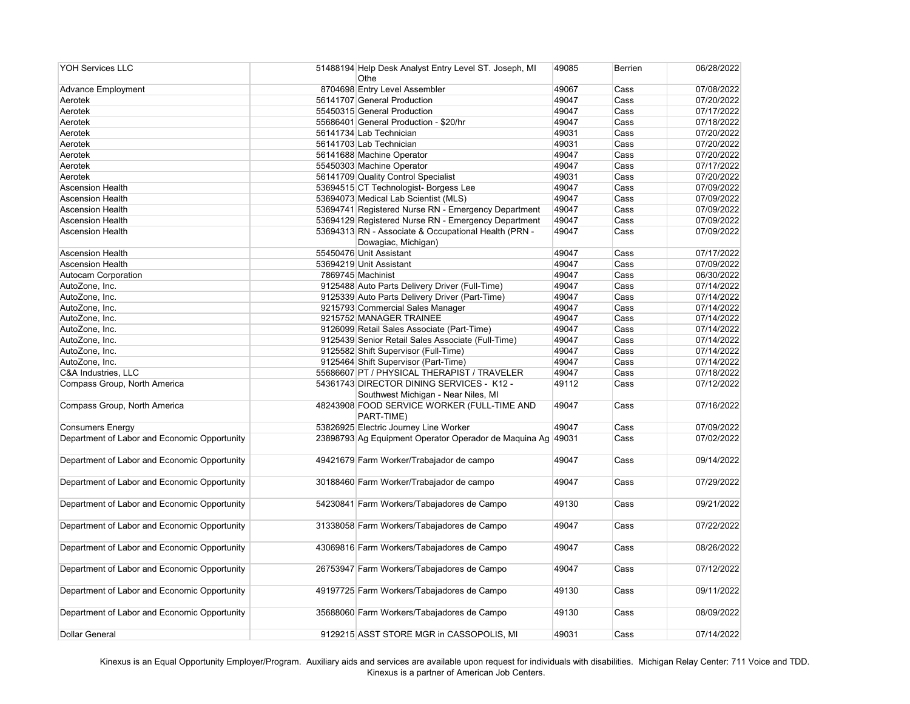| <b>YOH Services LLC</b>                      | 51488194 Help Desk Analyst Entry Level ST. Joseph, MI<br>Othe | 49085 | <b>Berrien</b> | 06/28/2022 |
|----------------------------------------------|---------------------------------------------------------------|-------|----------------|------------|
| Advance Employment                           | 8704698 Entry Level Assembler                                 | 49067 | Cass           | 07/08/2022 |
| Aerotek                                      | 56141707 General Production                                   | 49047 | Cass           | 07/20/2022 |
| Aerotek                                      | 55450315 General Production                                   | 49047 | Cass           | 07/17/2022 |
| Aerotek                                      | 55686401 General Production - \$20/hr                         | 49047 | Cass           | 07/18/2022 |
| Aerotek                                      | 56141734 Lab Technician                                       | 49031 | Cass           | 07/20/2022 |
| Aerotek                                      | 56141703 Lab Technician                                       | 49031 | Cass           | 07/20/2022 |
| Aerotek                                      | 56141688 Machine Operator                                     | 49047 | Cass           | 07/20/2022 |
| Aerotek                                      | 55450303 Machine Operator                                     | 49047 | Cass           | 07/17/2022 |
| Aerotek                                      | 56141709 Quality Control Specialist                           | 49031 | Cass           | 07/20/2022 |
| <b>Ascension Health</b>                      | 53694515 CT Technologist- Borgess Lee                         | 49047 | Cass           | 07/09/2022 |
| <b>Ascension Health</b>                      | 53694073 Medical Lab Scientist (MLS)                          | 49047 | Cass           | 07/09/2022 |
| <b>Ascension Health</b>                      | 53694741 Registered Nurse RN - Emergency Department           | 49047 | Cass           | 07/09/2022 |
| <b>Ascension Health</b>                      | 53694129 Registered Nurse RN - Emergency Department           | 49047 | Cass           | 07/09/2022 |
| <b>Ascension Health</b>                      | 53694313 RN - Associate & Occupational Health (PRN -          | 49047 | Cass           | 07/09/2022 |
|                                              | Dowagiac, Michigan)                                           |       |                |            |
| <b>Ascension Health</b>                      | 55450476 Unit Assistant                                       | 49047 | Cass           | 07/17/2022 |
| <b>Ascension Health</b>                      | 53694219 Unit Assistant                                       | 49047 | Cass           | 07/09/2022 |
| <b>Autocam Corporation</b>                   | 7869745 Machinist                                             | 49047 | Cass           | 06/30/2022 |
| AutoZone, Inc.                               | 9125488 Auto Parts Delivery Driver (Full-Time)                | 49047 | Cass           | 07/14/2022 |
| AutoZone, Inc.                               | 9125339 Auto Parts Delivery Driver (Part-Time)                | 49047 | Cass           | 07/14/2022 |
| AutoZone, Inc.                               | 9215793 Commercial Sales Manager                              | 49047 | Cass           | 07/14/2022 |
| AutoZone, Inc.                               | 9215752 MANAGER TRAINEE                                       | 49047 | Cass           | 07/14/2022 |
| AutoZone, Inc.                               | 9126099 Retail Sales Associate (Part-Time)                    | 49047 | Cass           | 07/14/2022 |
| AutoZone, Inc.                               | 9125439 Senior Retail Sales Associate (Full-Time)             | 49047 | Cass           | 07/14/2022 |
| AutoZone, Inc.                               | 9125582 Shift Supervisor (Full-Time)                          | 49047 | Cass           | 07/14/2022 |
| AutoZone, Inc.                               | 9125464 Shift Supervisor (Part-Time)                          | 49047 | Cass           | 07/14/2022 |
| C&A Industries, LLC                          | 55686607 PT / PHYSICAL THERAPIST / TRAVELER                   | 49047 | Cass           | 07/18/2022 |
| Compass Group, North America                 | 54361743 DIRECTOR DINING SERVICES - K12 -                     | 49112 | Cass           | 07/12/2022 |
|                                              | Southwest Michigan - Near Niles, MI                           |       |                |            |
| Compass Group, North America                 | 48243908 FOOD SERVICE WORKER (FULL-TIME AND                   | 49047 | Cass           | 07/16/2022 |
|                                              | PART-TIME)                                                    |       |                |            |
| <b>Consumers Energy</b>                      | 53826925 Electric Journey Line Worker                         | 49047 | Cass           | 07/09/2022 |
| Department of Labor and Economic Opportunity | 23898793 Ag Equipment Operator Operador de Maquina Ag 49031   |       | Cass           | 07/02/2022 |
|                                              |                                                               |       |                |            |
| Department of Labor and Economic Opportunity | 49421679 Farm Worker/Trabajador de campo                      | 49047 | Cass           | 09/14/2022 |
|                                              |                                                               |       |                |            |
| Department of Labor and Economic Opportunity | 30188460 Farm Worker/Trabajador de campo                      | 49047 | Cass           | 07/29/2022 |
|                                              |                                                               |       |                |            |
| Department of Labor and Economic Opportunity | 54230841 Farm Workers/Tabajadores de Campo                    | 49130 | Cass           | 09/21/2022 |
| Department of Labor and Economic Opportunity | 31338058 Farm Workers/Tabajadores de Campo                    | 49047 | Cass           | 07/22/2022 |
|                                              |                                                               |       |                |            |
| Department of Labor and Economic Opportunity | 43069816 Farm Workers/Tabajadores de Campo                    | 49047 | Cass           | 08/26/2022 |
|                                              |                                                               |       |                |            |
| Department of Labor and Economic Opportunity | 26753947 Farm Workers/Tabajadores de Campo                    | 49047 | Cass           | 07/12/2022 |
|                                              |                                                               | 49130 | Cass           | 09/11/2022 |
| Department of Labor and Economic Opportunity | 49197725 Farm Workers/Tabajadores de Campo                    |       |                |            |
| Department of Labor and Economic Opportunity | 35688060 Farm Workers/Tabajadores de Campo                    | 49130 | Cass           | 08/09/2022 |
|                                              |                                                               |       |                |            |
| Dollar General                               | 9129215 ASST STORE MGR in CASSOPOLIS, MI                      | 49031 | Cass           | 07/14/2022 |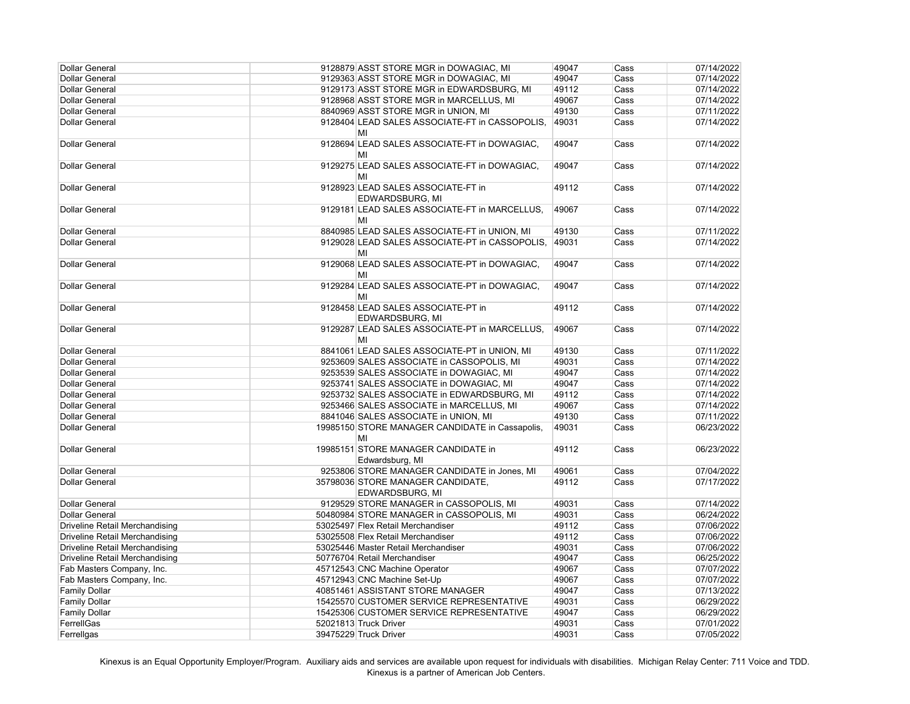| <b>Dollar General</b>                 | 9128879 ASST STORE MGR in DOWAGIAC, MI                       | 49047 | Cass | 07/14/2022 |
|---------------------------------------|--------------------------------------------------------------|-------|------|------------|
| <b>Dollar General</b>                 | 9129363 ASST STORE MGR in DOWAGIAC, MI                       | 49047 | Cass | 07/14/2022 |
| <b>Dollar General</b>                 | 9129173 ASST STORE MGR in EDWARDSBURG, MI                    | 49112 | Cass | 07/14/2022 |
| <b>Dollar General</b>                 | 9128968 ASST STORE MGR in MARCELLUS, MI                      | 49067 | Cass | 07/14/2022 |
| <b>Dollar General</b>                 | 8840969 ASST STORE MGR in UNION, MI                          | 49130 | Cass | 07/11/2022 |
| <b>Dollar General</b>                 | 9128404 LEAD SALES ASSOCIATE-FT in CASSOPOLIS,               | 49031 | Cass | 07/14/2022 |
|                                       | MI                                                           |       |      |            |
| <b>Dollar General</b>                 | 9128694 LEAD SALES ASSOCIATE-FT in DOWAGIAC,<br>MI           | 49047 | Cass | 07/14/2022 |
| <b>Dollar General</b>                 | 9129275 LEAD SALES ASSOCIATE-FT in DOWAGIAC,<br>MI           | 49047 | Cass | 07/14/2022 |
| <b>Dollar General</b>                 | 9128923 LEAD SALES ASSOCIATE-FT in<br>EDWARDSBURG, MI        | 49112 | Cass | 07/14/2022 |
| <b>Dollar General</b>                 | 9129181 LEAD SALES ASSOCIATE-FT in MARCELLUS,<br>MI          | 49067 | Cass | 07/14/2022 |
| <b>Dollar General</b>                 | 8840985 LEAD SALES ASSOCIATE-FT in UNION, MI                 | 49130 | Cass | 07/11/2022 |
| <b>Dollar General</b>                 | 9129028 LEAD SALES ASSOCIATE-PT in CASSOPOLIS,<br>MI         | 49031 | Cass | 07/14/2022 |
| <b>Dollar General</b>                 | 9129068 LEAD SALES ASSOCIATE-PT in DOWAGIAC,<br>MI           | 49047 | Cass | 07/14/2022 |
| <b>Dollar General</b>                 | 9129284 LEAD SALES ASSOCIATE-PT in DOWAGIAC,<br>MI           | 49047 | Cass | 07/14/2022 |
| <b>Dollar General</b>                 | 9128458 LEAD SALES ASSOCIATE-PT in<br><b>EDWARDSBURG, MI</b> | 49112 | Cass | 07/14/2022 |
| <b>Dollar General</b>                 | 9129287 LEAD SALES ASSOCIATE-PT in MARCELLUS,<br>MI          | 49067 | Cass | 07/14/2022 |
| <b>Dollar General</b>                 | 8841061 LEAD SALES ASSOCIATE-PT in UNION, MI                 | 49130 | Cass | 07/11/2022 |
| <b>Dollar General</b>                 | 9253609 SALES ASSOCIATE in CASSOPOLIS, MI                    | 49031 | Cass | 07/14/2022 |
| <b>Dollar General</b>                 | 9253539 SALES ASSOCIATE in DOWAGIAC, MI                      | 49047 | Cass | 07/14/2022 |
| <b>Dollar General</b>                 | 9253741 SALES ASSOCIATE in DOWAGIAC, MI                      | 49047 | Cass | 07/14/2022 |
| <b>Dollar General</b>                 | 9253732 SALES ASSOCIATE in EDWARDSBURG, MI                   | 49112 | Cass | 07/14/2022 |
| <b>Dollar General</b>                 | 9253466 SALES ASSOCIATE in MARCELLUS, MI                     | 49067 | Cass | 07/14/2022 |
| <b>Dollar General</b>                 | 8841046 SALES ASSOCIATE in UNION, MI                         | 49130 | Cass | 07/11/2022 |
| <b>Dollar General</b>                 | 19985150 STORE MANAGER CANDIDATE in Cassapolis,<br>MI        | 49031 | Cass | 06/23/2022 |
| Dollar General                        | 19985151 STORE MANAGER CANDIDATE in<br>Edwardsburg, MI       | 49112 | Cass | 06/23/2022 |
| <b>Dollar General</b>                 | 9253806 STORE MANAGER CANDIDATE in Jones, MI                 | 49061 | Cass | 07/04/2022 |
| <b>Dollar General</b>                 | 35798036 STORE MANAGER CANDIDATE,<br><b>EDWARDSBURG, MI</b>  | 49112 | Cass | 07/17/2022 |
| <b>Dollar General</b>                 | 9129529 STORE MANAGER in CASSOPOLIS, MI                      | 49031 | Cass | 07/14/2022 |
| <b>Dollar General</b>                 | 50480984 STORE MANAGER in CASSOPOLIS, MI                     | 49031 | Cass | 06/24/2022 |
| <b>Driveline Retail Merchandising</b> | 53025497 Flex Retail Merchandiser                            | 49112 | Cass | 07/06/2022 |
| <b>Driveline Retail Merchandising</b> | 53025508 Flex Retail Merchandiser                            | 49112 | Cass | 07/06/2022 |
| <b>Driveline Retail Merchandising</b> | 53025446 Master Retail Merchandiser                          | 49031 | Cass | 07/06/2022 |
| <b>Driveline Retail Merchandising</b> | 50776704 Retail Merchandiser                                 | 49047 | Cass | 06/25/2022 |
| Fab Masters Company, Inc.             | 45712543 CNC Machine Operator                                | 49067 | Cass | 07/07/2022 |
| Fab Masters Company, Inc.             | 45712943 CNC Machine Set-Up                                  | 49067 | Cass | 07/07/2022 |
| <b>Family Dollar</b>                  | 40851461 ASSISTANT STORE MANAGER                             | 49047 | Cass | 07/13/2022 |
| <b>Family Dollar</b>                  | 15425570 CUSTOMER SERVICE REPRESENTATIVE                     | 49031 | Cass | 06/29/2022 |
| <b>Family Dollar</b>                  | 15425306 CUSTOMER SERVICE REPRESENTATIVE                     | 49047 | Cass | 06/29/2022 |
| FerrellGas                            | 52021813 Truck Driver                                        | 49031 | Cass | 07/01/2022 |
| Ferrellgas                            | 39475229 Truck Driver                                        | 49031 | Cass | 07/05/2022 |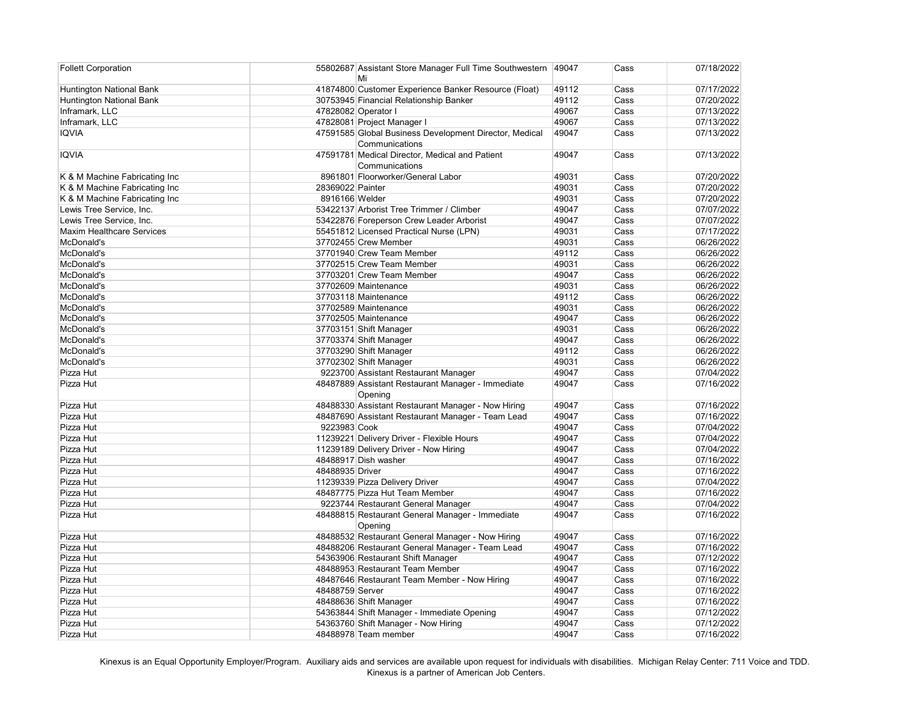| <b>Follett Corporation</b>       |                  | 55802687 Assistant Store Manager Full Time Southwestern 49047<br>Mi |       | Cass | 07/18/2022 |
|----------------------------------|------------------|---------------------------------------------------------------------|-------|------|------------|
| Huntington National Bank         |                  | 41874800 Customer Experience Banker Resource (Float)                | 49112 | Cass | 07/17/2022 |
| Huntington National Bank         |                  | 30753945 Financial Relationship Banker                              | 49112 | Cass | 07/20/2022 |
| Inframark, LLC                   |                  | 47828082 Operator I                                                 | 49067 | Cass | 07/13/2022 |
| Inframark, LLC                   |                  | 47828081 Project Manager I                                          | 49067 | Cass | 07/13/2022 |
| <b>IQVIA</b>                     |                  | 47591585 Global Business Development Director, Medical              | 49047 | Cass | 07/13/2022 |
|                                  |                  | Communications                                                      |       |      |            |
| <b>IQVIA</b>                     |                  | 47591781 Medical Director, Medical and Patient                      | 49047 | Cass | 07/13/2022 |
|                                  |                  | Communications                                                      |       |      |            |
| K & M Machine Fabricating Inc    |                  | 8961801 Floorworker/General Labor                                   | 49031 | Cass | 07/20/2022 |
| K & M Machine Fabricating Inc    | 28369022 Painter |                                                                     | 49031 | Cass | 07/20/2022 |
| K & M Machine Fabricating Inc    | 8916166 Welder   |                                                                     | 49031 | Cass | 07/20/2022 |
| Lewis Tree Service, Inc.         |                  | 53422137 Arborist Tree Trimmer / Climber                            | 49047 | Cass | 07/07/2022 |
| Lewis Tree Service, Inc.         |                  | 53422876 Foreperson Crew Leader Arborist                            | 49047 | Cass | 07/07/2022 |
| <b>Maxim Healthcare Services</b> |                  | 55451812 Licensed Practical Nurse (LPN)                             | 49031 | Cass | 07/17/2022 |
| McDonald's                       |                  | 37702455 Crew Member                                                | 49031 | Cass | 06/26/2022 |
| McDonald's                       |                  | 37701940 Crew Team Member                                           | 49112 | Cass | 06/26/2022 |
| McDonald's                       |                  | 37702515 Crew Team Member                                           | 49031 | Cass | 06/26/2022 |
| McDonald's                       |                  | 37703201 Crew Team Member                                           | 49047 | Cass | 06/26/2022 |
| McDonald's                       |                  | 37702609 Maintenance                                                | 49031 | Cass | 06/26/2022 |
| McDonald's                       |                  | 37703118 Maintenance                                                | 49112 | Cass | 06/26/2022 |
| McDonald's                       |                  | 37702589 Maintenance                                                | 49031 | Cass | 06/26/2022 |
| McDonald's                       |                  | 37702505 Maintenance                                                | 49047 | Cass | 06/26/2022 |
| McDonald's                       |                  | 37703151 Shift Manager                                              | 49031 | Cass | 06/26/2022 |
| McDonald's                       |                  | 37703374 Shift Manager                                              | 49047 | Cass | 06/26/2022 |
| McDonald's                       |                  | 37703290 Shift Manager                                              | 49112 | Cass | 06/26/2022 |
| McDonald's                       |                  | 37702302 Shift Manager                                              | 49031 | Cass | 06/26/2022 |
| Pizza Hut                        |                  | 9223700 Assistant Restaurant Manager                                | 49047 | Cass | 07/04/2022 |
| Pizza Hut                        |                  | 48487889 Assistant Restaurant Manager - Immediate                   | 49047 | Cass | 07/16/2022 |
|                                  |                  | Opening                                                             |       |      |            |
| Pizza Hut                        |                  | 48488330 Assistant Restaurant Manager - Now Hiring                  | 49047 | Cass | 07/16/2022 |
| Pizza Hut                        |                  | 48487690 Assistant Restaurant Manager - Team Lead                   | 49047 | Cass | 07/16/2022 |
| Pizza Hut                        | 9223983 Cook     |                                                                     | 49047 | Cass | 07/04/2022 |
| Pizza Hut                        |                  | 11239221 Delivery Driver - Flexible Hours                           | 49047 | Cass | 07/04/2022 |
| Pizza Hut                        |                  | 11239189 Delivery Driver - Now Hiring                               | 49047 | Cass | 07/04/2022 |
| Pizza Hut                        |                  | 48488917 Dish washer                                                | 49047 | Cass | 07/16/2022 |
| Pizza Hut                        | 48488935 Driver  |                                                                     | 49047 | Cass | 07/16/2022 |
| Pizza Hut                        |                  | 11239339 Pizza Delivery Driver                                      | 49047 | Cass | 07/04/2022 |
| Pizza Hut                        |                  | 48487775 Pizza Hut Team Member                                      | 49047 | Cass | 07/16/2022 |
| Pizza Hut                        |                  | 9223744 Restaurant General Manager                                  | 49047 | Cass | 07/04/2022 |
| Pizza Hut                        |                  | 48488815 Restaurant General Manager - Immediate                     | 49047 | Cass | 07/16/2022 |
|                                  |                  | Opening                                                             |       |      |            |
| Pizza Hut                        |                  | 48488532 Restaurant General Manager - Now Hiring                    | 49047 | Cass | 07/16/2022 |
| Pizza Hut                        |                  | 48488206 Restaurant General Manager - Team Lead                     | 49047 | Cass | 07/16/2022 |
| Pizza Hut                        |                  | 54363906 Restaurant Shift Manager                                   | 49047 | Cass | 07/12/2022 |
| Pizza Hut                        |                  | 48488953 Restaurant Team Member                                     | 49047 | Cass | 07/16/2022 |
| Pizza Hut                        |                  | 48487646 Restaurant Team Member - Now Hiring                        | 49047 | Cass | 07/16/2022 |
| Pizza Hut                        | 48488759 Server  |                                                                     | 49047 | Cass | 07/16/2022 |
| Pizza Hut                        |                  | 48488636 Shift Manager                                              | 49047 | Cass | 07/16/2022 |
| Pizza Hut                        |                  | 54363844 Shift Manager - Immediate Opening                          | 49047 | Cass | 07/12/2022 |
| Pizza Hut                        |                  | 54363760 Shift Manager - Now Hiring                                 | 49047 | Cass | 07/12/2022 |
| Pizza Hut                        |                  | 48488978 Team member                                                | 49047 | Cass | 07/16/2022 |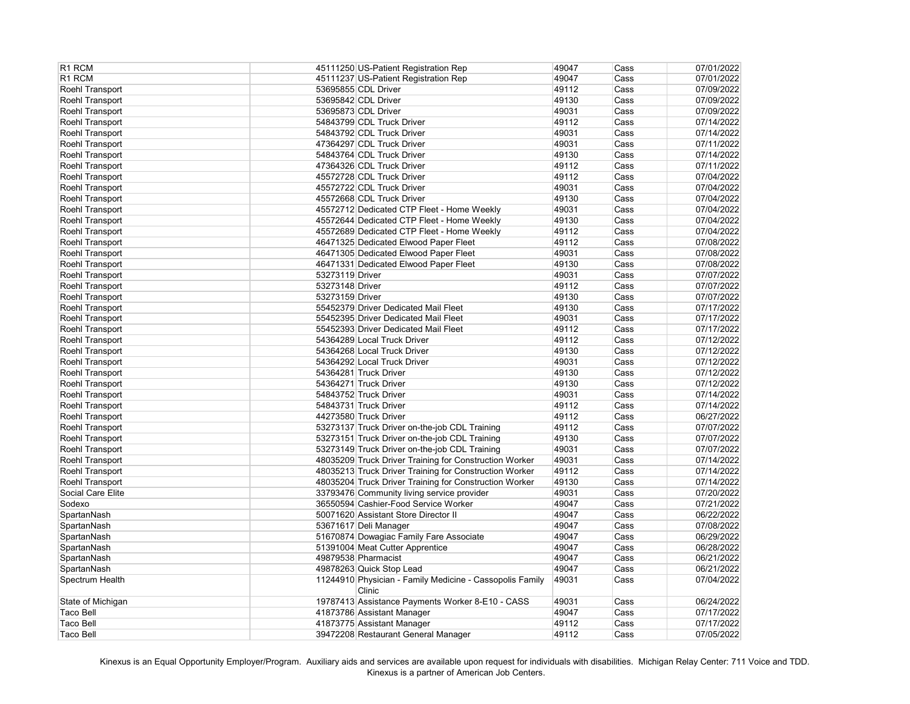| R1 RCM                             |                 | 45111250 US-Patient Registration Rep                                   | 49047          | Cass         | 07/01/2022               |
|------------------------------------|-----------------|------------------------------------------------------------------------|----------------|--------------|--------------------------|
| R1 RCM                             |                 | 45111237 US-Patient Registration Rep                                   | 49047          | Cass         | 07/01/2022               |
| Roehl Transport                    |                 | 53695855 CDL Driver                                                    | 49112          | Cass         | 07/09/2022               |
| Roehl Transport                    |                 | 53695842 CDL Driver                                                    | 49130          | Cass         | 07/09/2022               |
| Roehl Transport                    |                 | 53695873 CDL Driver                                                    | 49031          | Cass         | 07/09/2022               |
| Roehl Transport                    |                 | 54843799 CDL Truck Driver                                              | 49112          | Cass         | 07/14/2022               |
| Roehl Transport                    |                 | 54843792 CDL Truck Driver                                              | 49031          | Cass         | 07/14/2022               |
| Roehl Transport                    |                 | 47364297 CDL Truck Driver                                              | 49031          | Cass         | 07/11/2022               |
| Roehl Transport                    |                 | 54843764 CDL Truck Driver                                              | 49130          | Cass         | 07/14/2022               |
| Roehl Transport                    |                 | 47364326 CDL Truck Driver                                              | 49112          | Cass         | 07/11/2022               |
| Roehl Transport                    |                 | 45572728 CDL Truck Driver                                              | 49112          | Cass         | 07/04/2022               |
| Roehl Transport                    |                 | 45572722 CDL Truck Driver                                              | 49031          | Cass         | 07/04/2022               |
| Roehl Transport                    |                 | 45572668 CDL Truck Driver                                              | 49130          | Cass         | 07/04/2022               |
| Roehl Transport                    |                 | 45572712 Dedicated CTP Fleet - Home Weekly                             | 49031          | Cass         | 07/04/2022               |
| Roehl Transport                    |                 | 45572644 Dedicated CTP Fleet - Home Weekly                             | 49130          | Cass         | 07/04/2022               |
| Roehl Transport                    |                 | 45572689 Dedicated CTP Fleet - Home Weekly                             | 49112          | Cass         | 07/04/2022               |
| Roehl Transport                    |                 | 46471325 Dedicated Elwood Paper Fleet                                  | 49112          | Cass         | 07/08/2022               |
| Roehl Transport                    |                 | 46471305 Dedicated Elwood Paper Fleet                                  | 49031          | Cass         | 07/08/2022               |
| Roehl Transport                    |                 | 46471331 Dedicated Elwood Paper Fleet                                  | 49130          | Cass         | 07/08/2022               |
| Roehl Transport                    | 53273119 Driver |                                                                        | 49031          | Cass         | 07/07/2022               |
| Roehl Transport                    | 53273148 Driver |                                                                        | 49112          | Cass         | 07/07/2022               |
| Roehl Transport                    | 53273159 Driver |                                                                        | 49130          | Cass         | 07/07/2022               |
| Roehl Transport                    |                 | 55452379 Driver Dedicated Mail Fleet                                   | 49130          | Cass         | 07/17/2022               |
| Roehl Transport                    |                 | 55452395 Driver Dedicated Mail Fleet                                   | 49031          | Cass         | 07/17/2022               |
|                                    |                 | 55452393 Driver Dedicated Mail Fleet                                   | 49112          | Cass         | 07/17/2022               |
| Roehl Transport                    |                 |                                                                        | 49112          |              |                          |
| Roehl Transport                    |                 | 54364289 Local Truck Driver                                            |                | Cass         | 07/12/2022               |
| Roehl Transport                    |                 | 54364268 Local Truck Driver<br>54364292 Local Truck Driver             | 49130<br>49031 | Cass         | 07/12/2022               |
| Roehl Transport                    |                 | 54364281 Truck Driver                                                  | 49130          | Cass<br>Cass | 07/12/2022<br>07/12/2022 |
| Roehl Transport                    |                 | 54364271 Truck Driver                                                  | 49130          | Cass         | 07/12/2022               |
| Roehl Transport<br>Roehl Transport |                 | 54843752 Truck Driver                                                  | 49031          | Cass         | 07/14/2022               |
| Roehl Transport                    |                 | 54843731 Truck Driver                                                  | 49112          | Cass         | 07/14/2022               |
|                                    |                 |                                                                        |                | Cass         |                          |
| Roehl Transport                    |                 | 44273580 Truck Driver<br>53273137 Truck Driver on-the-job CDL Training | 49112          | Cass         | 06/27/2022               |
| Roehl Transport<br>Roehl Transport |                 | 53273151 Truck Driver on-the-job CDL Training                          | 49112<br>49130 | Cass         | 07/07/2022<br>07/07/2022 |
| Roehl Transport                    |                 | 53273149 Truck Driver on-the-job CDL Training                          | 49031          | Cass         | 07/07/2022               |
|                                    |                 |                                                                        |                |              |                          |
| Roehl Transport                    |                 | 48035209 Truck Driver Training for Construction Worker                 | 49031          | Cass         | 07/14/2022               |
| Roehl Transport                    |                 | 48035213 Truck Driver Training for Construction Worker                 | 49112          | Cass         | 07/14/2022               |
| Roehl Transport                    |                 | 48035204 Truck Driver Training for Construction Worker                 | 49130          | Cass         | 07/14/2022               |
| Social Care Elite                  |                 | 33793476 Community living service provider                             | 49031          | Cass         | 07/20/2022               |
| Sodexo                             |                 | 36550594 Cashier-Food Service Worker                                   | 49047          | Cass         | 07/21/2022               |
| SpartanNash                        |                 | 50071620 Assistant Store Director II<br>53671617 Deli Manager          | 49047          | Cass         | 06/22/2022               |
| SpartanNash                        |                 |                                                                        | 49047          | Cass         | 07/08/2022               |
| SpartanNash                        |                 | 51670874 Dowagiac Family Fare Associate                                | 49047          | Cass         | 06/29/2022               |
| SpartanNash                        |                 | 51391004 Meat Cutter Apprentice                                        | 49047          | Cass         | 06/28/2022               |
| SpartanNash                        |                 | 49879538 Pharmacist                                                    | 49047<br>49047 | Cass         | 06/21/2022               |
| SpartanNash                        |                 | 49878263 Quick Stop Lead                                               |                | Cass         | 06/21/2022               |
| Spectrum Health                    |                 | 11244910 Physician - Family Medicine - Cassopolis Family<br>Clinic     | 49031          | Cass         | 07/04/2022               |
| State of Michigan                  |                 | 19787413 Assistance Payments Worker 8-E10 - CASS                       | 49031          | Cass         | 06/24/2022               |
| <b>Taco Bell</b>                   |                 | 41873786 Assistant Manager                                             | 49047          | Cass         | 07/17/2022               |
| <b>Taco Bell</b>                   |                 | 41873775 Assistant Manager                                             | 49112          | Cass         | 07/17/2022               |
| <b>Taco Bell</b>                   |                 | 39472208 Restaurant General Manager                                    | 49112          | Cass         | 07/05/2022               |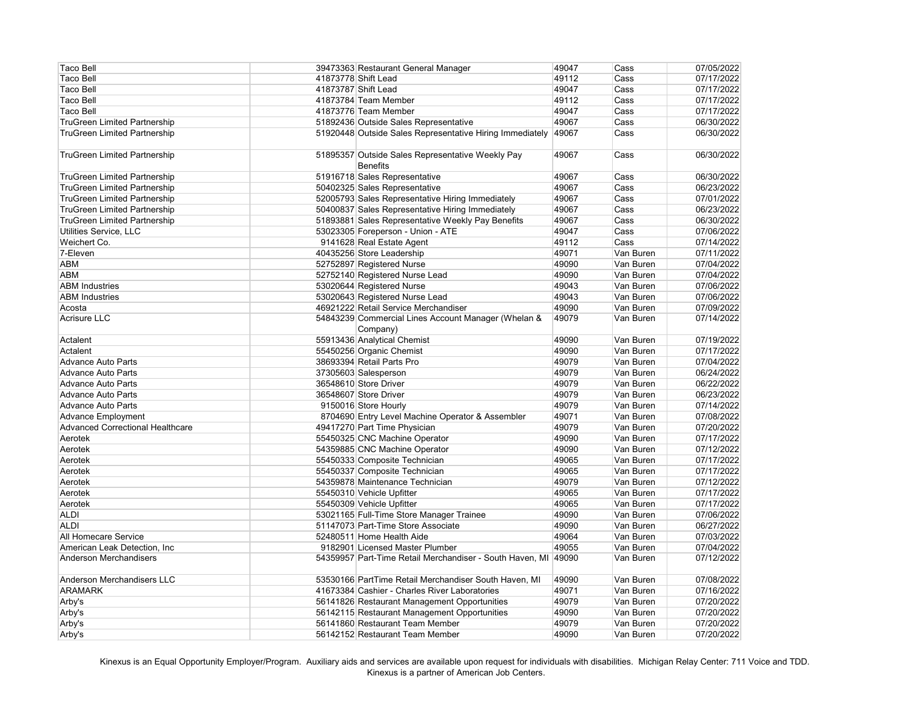| <b>Taco Bell</b>                        |                     | 39473363 Restaurant General Manager                      | 49047 | Cass      | 07/05/2022 |
|-----------------------------------------|---------------------|----------------------------------------------------------|-------|-----------|------------|
| <b>Taco Bell</b>                        |                     | 41873778 Shift Lead                                      | 49112 | Cass      | 07/17/2022 |
| <b>Taco Bell</b>                        | 41873787 Shift Lead |                                                          | 49047 | Cass      | 07/17/2022 |
| <b>Taco Bell</b>                        |                     | 41873784 Team Member                                     | 49112 | Cass      | 07/17/2022 |
| <b>Taco Bell</b>                        |                     | 41873776 Team Member                                     | 49047 | Cass      | 07/17/2022 |
| <b>TruGreen Limited Partnership</b>     |                     | 51892436 Outside Sales Representative                    | 49067 | Cass      | 06/30/2022 |
| <b>TruGreen Limited Partnership</b>     |                     | 51920448 Outside Sales Representative Hiring Immediately | 49067 | Cass      | 06/30/2022 |
|                                         |                     |                                                          |       |           |            |
| <b>TruGreen Limited Partnership</b>     |                     | 51895357 Outside Sales Representative Weekly Pay         | 49067 | Cass      | 06/30/2022 |
|                                         |                     | <b>Benefits</b>                                          |       |           |            |
|                                         |                     |                                                          | 49067 | Cass      | 06/30/2022 |
| <b>TruGreen Limited Partnership</b>     |                     | 51916718 Sales Representative                            | 49067 | Cass      | 06/23/2022 |
| <b>TruGreen Limited Partnership</b>     |                     | 50402325 Sales Representative                            |       |           |            |
| <b>TruGreen Limited Partnership</b>     |                     | 52005793 Sales Representative Hiring Immediately         | 49067 | Cass      | 07/01/2022 |
| <b>TruGreen Limited Partnership</b>     |                     | 50400837 Sales Representative Hiring Immediately         | 49067 | Cass      | 06/23/2022 |
| <b>TruGreen Limited Partnership</b>     |                     | 51893881 Sales Representative Weekly Pay Benefits        | 49067 | Cass      | 06/30/2022 |
| Utilities Service, LLC                  |                     | 53023305 Foreperson - Union - ATE                        | 49047 | Cass      | 07/06/2022 |
| Weichert Co.                            |                     | 9141628 Real Estate Agent                                | 49112 | Cass      | 07/14/2022 |
| 7-Eleven                                |                     | 40435256 Store Leadership                                | 49071 | Van Buren | 07/11/2022 |
| <b>ABM</b>                              |                     | 52752897 Registered Nurse                                | 49090 | Van Buren | 07/04/2022 |
| <b>ABM</b>                              |                     | 52752140 Registered Nurse Lead                           | 49090 | Van Buren | 07/04/2022 |
| <b>ABM Industries</b>                   |                     | 53020644 Registered Nurse                                | 49043 | Van Buren | 07/06/2022 |
| <b>ABM Industries</b>                   |                     | 53020643 Registered Nurse Lead                           | 49043 | Van Buren | 07/06/2022 |
| Acosta                                  |                     | 46921222 Retail Service Merchandiser                     | 49090 | Van Buren | 07/09/2022 |
| <b>Acrisure LLC</b>                     |                     | 54843239 Commercial Lines Account Manager (Whelan &      | 49079 | Van Buren | 07/14/2022 |
|                                         |                     | Company)                                                 |       |           |            |
| Actalent                                |                     | 55913436 Analytical Chemist                              | 49090 | Van Buren | 07/19/2022 |
| Actalent                                |                     | 55450256 Organic Chemist                                 | 49090 | Van Buren | 07/17/2022 |
| <b>Advance Auto Parts</b>               |                     | 38693394 Retail Parts Pro                                | 49079 | Van Buren | 07/04/2022 |
| <b>Advance Auto Parts</b>               |                     | 37305603 Salesperson                                     | 49079 | Van Buren | 06/24/2022 |
| <b>Advance Auto Parts</b>               |                     | 36548610 Store Driver                                    | 49079 | Van Buren | 06/22/2022 |
| <b>Advance Auto Parts</b>               |                     | 36548607 Store Driver                                    | 49079 | Van Buren | 06/23/2022 |
| <b>Advance Auto Parts</b>               |                     | 9150016 Store Hourly                                     | 49079 | Van Buren | 07/14/2022 |
| Advance Employment                      |                     | 8704690 Entry Level Machine Operator & Assembler         | 49071 | Van Buren | 07/08/2022 |
| <b>Advanced Correctional Healthcare</b> |                     | 49417270 Part Time Physician                             | 49079 | Van Buren | 07/20/2022 |
| Aerotek                                 |                     | 55450325 CNC Machine Operator                            | 49090 | Van Buren | 07/17/2022 |
| Aerotek                                 |                     | 54359885 CNC Machine Operator                            | 49090 | Van Buren | 07/12/2022 |
| Aerotek                                 |                     | 55450333 Composite Technician                            | 49065 | Van Buren | 07/17/2022 |
| Aerotek                                 |                     | 55450337 Composite Technician                            | 49065 | Van Buren | 07/17/2022 |
| Aerotek                                 |                     | 54359878 Maintenance Technician                          | 49079 | Van Buren | 07/12/2022 |
| Aerotek                                 |                     | 55450310 Vehicle Upfitter                                | 49065 | Van Buren | 07/17/2022 |
| Aerotek                                 |                     | 55450309 Vehicle Upfitter                                | 49065 | Van Buren | 07/17/2022 |
| <b>ALDI</b>                             |                     | 53021165 Full-Time Store Manager Trainee                 | 49090 | Van Buren | 07/06/2022 |
| <b>ALDI</b>                             |                     | 51147073 Part-Time Store Associate                       | 49090 | Van Buren | 06/27/2022 |
| <b>All Homecare Service</b>             |                     | 52480511 Home Health Aide                                | 49064 | Van Buren | 07/03/2022 |
| American Leak Detection, Inc            |                     | 9182901 Licensed Master Plumber                          | 49055 | Van Buren | 07/04/2022 |
| <b>Anderson Merchandisers</b>           |                     | 54359957 Part-Time Retail Merchandiser - South Haven, MI | 49090 | Van Buren | 07/12/2022 |
|                                         |                     |                                                          |       |           |            |
| <b>Anderson Merchandisers LLC</b>       |                     | 53530166 PartTime Retail Merchandiser South Haven, MI    | 49090 | Van Buren | 07/08/2022 |
| <b>ARAMARK</b>                          |                     | 41673384 Cashier - Charles River Laboratories            | 49071 | Van Buren | 07/16/2022 |
| Arby's                                  |                     | 56141826 Restaurant Management Opportunities             | 49079 | Van Buren | 07/20/2022 |
| Arby's                                  |                     | 56142115 Restaurant Management Opportunities             | 49090 | Van Buren | 07/20/2022 |
| Arby's                                  |                     | 56141860 Restaurant Team Member                          | 49079 | Van Buren | 07/20/2022 |
| Arby's                                  |                     | 56142152 Restaurant Team Member                          | 49090 | Van Buren | 07/20/2022 |
|                                         |                     |                                                          |       |           |            |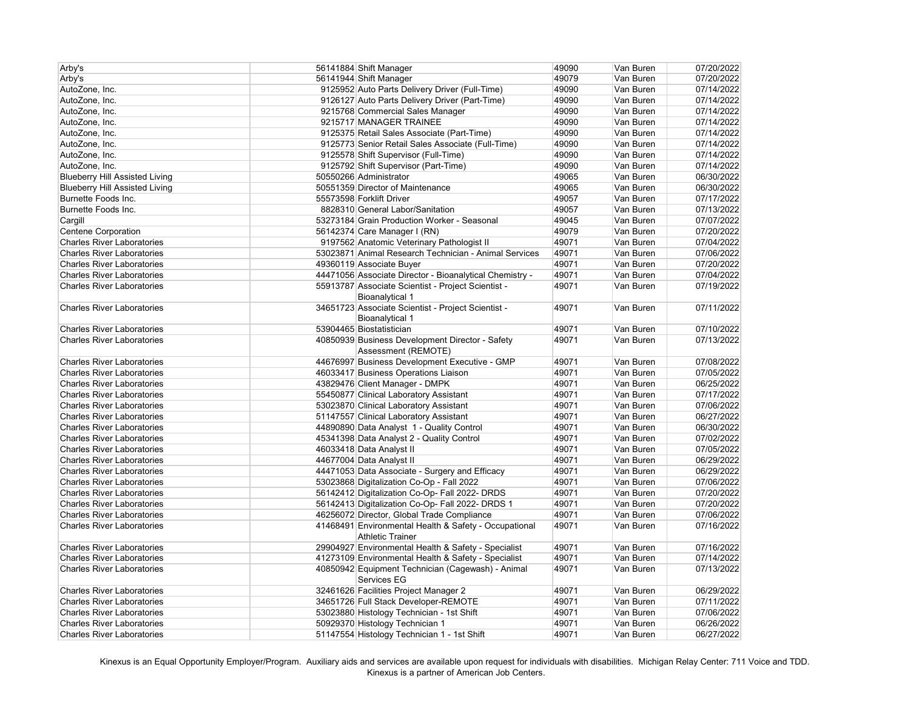| Arby's                                | 56141884 Shift Manager                                                       | 49090 | Van Buren | 07/20/2022 |
|---------------------------------------|------------------------------------------------------------------------------|-------|-----------|------------|
| Arby's                                | 56141944 Shift Manager                                                       | 49079 | Van Buren | 07/20/2022 |
| AutoZone, Inc.                        | 9125952 Auto Parts Delivery Driver (Full-Time)                               | 49090 | Van Buren | 07/14/2022 |
| AutoZone, Inc.                        | 9126127 Auto Parts Delivery Driver (Part-Time)                               | 49090 | Van Buren | 07/14/2022 |
| AutoZone, Inc.                        | 9215768 Commercial Sales Manager                                             | 49090 | Van Buren | 07/14/2022 |
| AutoZone, Inc.                        | 9215717 MANAGER TRAINEE                                                      | 49090 | Van Buren | 07/14/2022 |
| AutoZone, Inc.                        | 9125375 Retail Sales Associate (Part-Time)                                   | 49090 | Van Buren | 07/14/2022 |
| AutoZone, Inc.                        | 9125773 Senior Retail Sales Associate (Full-Time)                            | 49090 | Van Buren | 07/14/2022 |
| AutoZone, Inc.                        | 9125578 Shift Supervisor (Full-Time)                                         | 49090 | Van Buren | 07/14/2022 |
| AutoZone, Inc.                        | 9125792 Shift Supervisor (Part-Time)                                         | 49090 | Van Buren | 07/14/2022 |
| <b>Blueberry Hill Assisted Living</b> | 50550266 Administrator                                                       | 49065 | Van Buren | 06/30/2022 |
| <b>Blueberry Hill Assisted Living</b> | 50551359 Director of Maintenance                                             | 49065 | Van Buren | 06/30/2022 |
| Burnette Foods Inc.                   | 55573598 Forklift Driver                                                     | 49057 | Van Buren | 07/17/2022 |
| Burnette Foods Inc.                   | 8828310 General Labor/Sanitation                                             | 49057 | Van Buren | 07/13/2022 |
| Cargill                               | 53273184 Grain Production Worker - Seasonal                                  | 49045 | Van Buren | 07/07/2022 |
| Centene Corporation                   | 56142374 Care Manager I (RN)                                                 | 49079 | Van Buren | 07/20/2022 |
| <b>Charles River Laboratories</b>     | 9197562 Anatomic Veterinary Pathologist II                                   | 49071 | Van Buren | 07/04/2022 |
| <b>Charles River Laboratories</b>     | 53023871 Animal Research Technician - Animal Services                        | 49071 | Van Buren | 07/06/2022 |
| <b>Charles River Laboratories</b>     | 49360119 Associate Buyer                                                     | 49071 | Van Buren | 07/20/2022 |
| <b>Charles River Laboratories</b>     | 44471056 Associate Director - Bioanalytical Chemistry -                      | 49071 | Van Buren | 07/04/2022 |
| <b>Charles River Laboratories</b>     | 55913787 Associate Scientist - Project Scientist -                           | 49071 | Van Buren | 07/19/2022 |
|                                       |                                                                              |       |           |            |
| <b>Charles River Laboratories</b>     | <b>Bioanalytical 1</b><br>34651723 Associate Scientist - Project Scientist - | 49071 | Van Buren | 07/11/2022 |
|                                       |                                                                              |       |           |            |
|                                       | <b>Bioanalytical 1</b>                                                       |       | Van Buren |            |
| <b>Charles River Laboratories</b>     | 53904465 Biostatistician                                                     | 49071 |           | 07/10/2022 |
| <b>Charles River Laboratories</b>     | 40850939 Business Development Director - Safety<br>Assessment (REMOTE)       | 49071 | Van Buren | 07/13/2022 |
| <b>Charles River Laboratories</b>     | 44676997 Business Development Executive - GMP                                | 49071 | Van Buren | 07/08/2022 |
| <b>Charles River Laboratories</b>     | 46033417 Business Operations Liaison                                         | 49071 | Van Buren | 07/05/2022 |
| <b>Charles River Laboratories</b>     | 43829476 Client Manager - DMPK                                               | 49071 | Van Buren | 06/25/2022 |
| <b>Charles River Laboratories</b>     | 55450877 Clinical Laboratory Assistant                                       | 49071 | Van Buren | 07/17/2022 |
| <b>Charles River Laboratories</b>     | 53023870 Clinical Laboratory Assistant                                       | 49071 | Van Buren | 07/06/2022 |
| <b>Charles River Laboratories</b>     | 51147557 Clinical Laboratory Assistant                                       | 49071 | Van Buren | 06/27/2022 |
| <b>Charles River Laboratories</b>     | 44890890 Data Analyst 1 - Quality Control                                    | 49071 | Van Buren | 06/30/2022 |
| <b>Charles River Laboratories</b>     | 45341398 Data Analyst 2 - Quality Control                                    | 49071 | Van Buren | 07/02/2022 |
| <b>Charles River Laboratories</b>     | 46033418 Data Analyst II                                                     | 49071 | Van Buren | 07/05/2022 |
| <b>Charles River Laboratories</b>     | 44677004 Data Analyst II                                                     | 49071 | Van Buren | 06/29/2022 |
| <b>Charles River Laboratories</b>     | 44471053 Data Associate - Surgery and Efficacy                               | 49071 | Van Buren | 06/29/2022 |
| <b>Charles River Laboratories</b>     | 53023868 Digitalization Co-Op - Fall 2022                                    | 49071 | Van Buren | 07/06/2022 |
| <b>Charles River Laboratories</b>     | 56142412 Digitalization Co-Op- Fall 2022- DRDS                               | 49071 | Van Buren | 07/20/2022 |
| <b>Charles River Laboratories</b>     | 56142413 Digitalization Co-Op- Fall 2022- DRDS 1                             | 49071 | Van Buren | 07/20/2022 |
| <b>Charles River Laboratories</b>     | 46256072 Director, Global Trade Compliance                                   | 49071 | Van Buren | 07/06/2022 |
| <b>Charles River Laboratories</b>     | 41468491 Environmental Health & Safety - Occupational                        | 49071 | Van Buren | 07/16/2022 |
|                                       | <b>Athletic Trainer</b>                                                      |       |           |            |
| <b>Charles River Laboratories</b>     | 29904927 Environmental Health & Safety - Specialist                          | 49071 | Van Buren | 07/16/2022 |
| <b>Charles River Laboratories</b>     | 41273109 Environmental Health & Safety - Specialist                          | 49071 | Van Buren | 07/14/2022 |
| <b>Charles River Laboratories</b>     | 40850942 Equipment Technician (Cagewash) - Animal                            | 49071 | Van Buren | 07/13/2022 |
|                                       | Services EG                                                                  |       |           |            |
| <b>Charles River Laboratories</b>     | 32461626 Facilities Project Manager 2                                        | 49071 | Van Buren | 06/29/2022 |
| <b>Charles River Laboratories</b>     | 34651726 Full Stack Developer-REMOTE                                         | 49071 | Van Buren | 07/11/2022 |
| <b>Charles River Laboratories</b>     | 53023880 Histology Technician - 1st Shift                                    | 49071 | Van Buren | 07/06/2022 |
| <b>Charles River Laboratories</b>     | 50929370 Histology Technician 1                                              | 49071 | Van Buren | 06/26/2022 |
| <b>Charles River Laboratories</b>     | 51147554 Histology Technician 1 - 1st Shift                                  | 49071 | Van Buren | 06/27/2022 |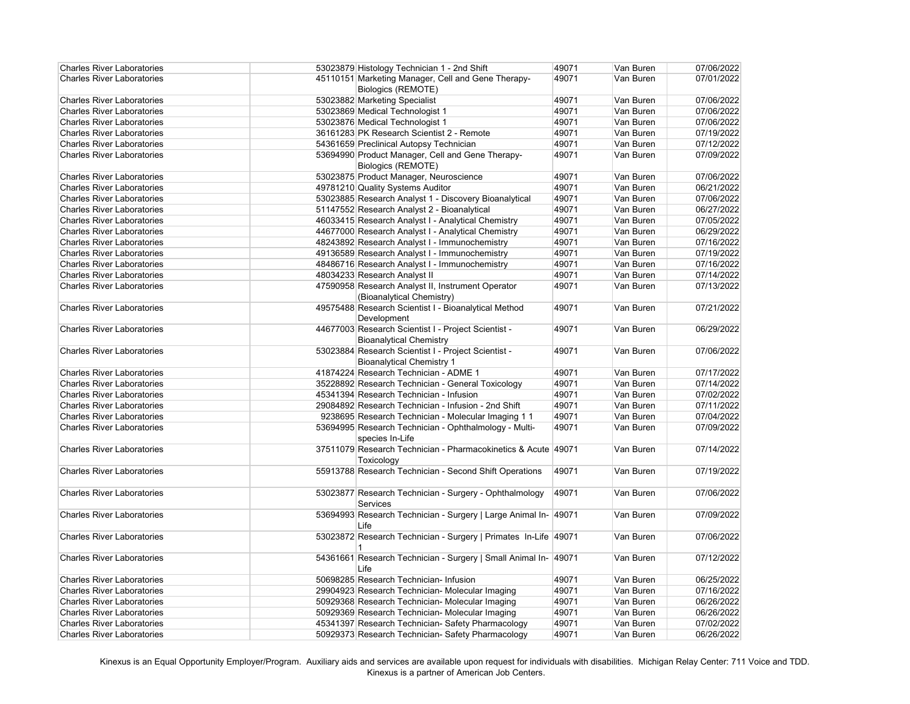| <b>Charles River Laboratories</b> | 53023879 Histology Technician 1 - 2nd Shift                               | 49071 | Van Buren | 07/06/2022 |
|-----------------------------------|---------------------------------------------------------------------------|-------|-----------|------------|
| <b>Charles River Laboratories</b> | 45110151 Marketing Manager, Cell and Gene Therapy-                        | 49071 | Van Buren | 07/01/2022 |
|                                   | <b>Biologics (REMOTE)</b>                                                 |       |           |            |
| <b>Charles River Laboratories</b> | 53023882 Marketing Specialist                                             | 49071 | Van Buren | 07/06/2022 |
| <b>Charles River Laboratories</b> | 53023869 Medical Technologist 1                                           | 49071 | Van Buren | 07/06/2022 |
| <b>Charles River Laboratories</b> | 53023876 Medical Technologist 1                                           | 49071 | Van Buren | 07/06/2022 |
| <b>Charles River Laboratories</b> | 36161283 PK Research Scientist 2 - Remote                                 | 49071 | Van Buren | 07/19/2022 |
| <b>Charles River Laboratories</b> | 54361659 Preclinical Autopsy Technician                                   | 49071 | Van Buren | 07/12/2022 |
| <b>Charles River Laboratories</b> | 53694990 Product Manager, Cell and Gene Therapy-                          | 49071 | Van Buren | 07/09/2022 |
|                                   | <b>Biologics (REMOTE)</b>                                                 |       |           |            |
| <b>Charles River Laboratories</b> | 53023875 Product Manager, Neuroscience                                    | 49071 | Van Buren | 07/06/2022 |
| <b>Charles River Laboratories</b> | 49781210 Quality Systems Auditor                                          | 49071 | Van Buren | 06/21/2022 |
| <b>Charles River Laboratories</b> | 53023885 Research Analyst 1 - Discovery Bioanalytical                     | 49071 | Van Buren | 07/06/2022 |
| <b>Charles River Laboratories</b> | 51147552 Research Analyst 2 - Bioanalytical                               | 49071 | Van Buren | 06/27/2022 |
| <b>Charles River Laboratories</b> | 46033415 Research Analyst I - Analytical Chemistry                        | 49071 | Van Buren | 07/05/2022 |
| <b>Charles River Laboratories</b> | 44677000 Research Analyst I - Analytical Chemistry                        | 49071 | Van Buren | 06/29/2022 |
| <b>Charles River Laboratories</b> | 48243892 Research Analyst I - Immunochemistry                             | 49071 | Van Buren | 07/16/2022 |
| <b>Charles River Laboratories</b> | 49136589 Research Analyst I - Immunochemistry                             | 49071 | Van Buren | 07/19/2022 |
| <b>Charles River Laboratories</b> | 48486716 Research Analyst I - Immunochemistry                             | 49071 | Van Buren | 07/16/2022 |
| <b>Charles River Laboratories</b> | 48034233 Research Analyst II                                              | 49071 | Van Buren | 07/14/2022 |
| <b>Charles River Laboratories</b> | 47590958 Research Analyst II, Instrument Operator                         | 49071 | Van Buren | 07/13/2022 |
|                                   | (Bioanalytical Chemistry)                                                 |       |           |            |
| <b>Charles River Laboratories</b> | 49575488 Research Scientist I - Bioanalytical Method                      | 49071 | Van Buren | 07/21/2022 |
|                                   | Development                                                               |       |           |            |
| <b>Charles River Laboratories</b> | 44677003 Research Scientist I - Project Scientist -                       | 49071 | Van Buren | 06/29/2022 |
|                                   | <b>Bioanalytical Chemistry</b>                                            |       |           |            |
| <b>Charles River Laboratories</b> | 53023884 Research Scientist I - Project Scientist -                       | 49071 | Van Buren | 07/06/2022 |
|                                   |                                                                           |       |           |            |
|                                   | <b>Bioanalytical Chemistry 1</b><br>41874224 Research Technician - ADME 1 |       |           |            |
| <b>Charles River Laboratories</b> |                                                                           | 49071 | Van Buren | 07/17/2022 |
| <b>Charles River Laboratories</b> | 35228892 Research Technician - General Toxicology                         | 49071 | Van Buren | 07/14/2022 |
| <b>Charles River Laboratories</b> | 45341394 Research Technician - Infusion                                   | 49071 | Van Buren | 07/02/2022 |
| <b>Charles River Laboratories</b> | 29084892 Research Technician - Infusion - 2nd Shift                       | 49071 | Van Buren | 07/11/2022 |
| <b>Charles River Laboratories</b> | 9238695 Research Technician - Molecular Imaging 1 1                       | 49071 | Van Buren | 07/04/2022 |
| <b>Charles River Laboratories</b> | 53694995 Research Technician - Ophthalmology - Multi-<br>species In-Life  | 49071 | Van Buren | 07/09/2022 |
| <b>Charles River Laboratories</b> | 37511079 Research Technician - Pharmacokinetics & Acute 49071             |       | Van Buren | 07/14/2022 |
|                                   | Toxicology                                                                |       |           |            |
| <b>Charles River Laboratories</b> | 55913788 Research Technician - Second Shift Operations                    | 49071 | Van Buren | 07/19/2022 |
| <b>Charles River Laboratories</b> | 53023877 Research Technician - Surgery - Ophthalmology                    | 49071 | Van Buren | 07/06/2022 |
|                                   | Services                                                                  |       |           |            |
| <b>Charles River Laboratories</b> | 53694993 Research Technician - Surgery   Large Animal In-                 | 49071 | Van Buren | 07/09/2022 |
|                                   | Life                                                                      |       |           |            |
| <b>Charles River Laboratories</b> | 53023872 Research Technician - Surgery   Primates In-Life 49071           |       | Van Buren | 07/06/2022 |
|                                   |                                                                           |       |           |            |
| <b>Charles River Laboratories</b> | 54361661 Research Technician - Surgery   Small Animal In- 49071           |       | Van Buren | 07/12/2022 |
|                                   | Life                                                                      |       |           |            |
| <b>Charles River Laboratories</b> | 50698285 Research Technician- Infusion                                    | 49071 | Van Buren | 06/25/2022 |
| <b>Charles River Laboratories</b> | 29904923 Research Technician- Molecular Imaging                           | 49071 | Van Buren | 07/16/2022 |
| <b>Charles River Laboratories</b> | 50929368 Research Technician- Molecular Imaging                           | 49071 | Van Buren | 06/26/2022 |
| <b>Charles River Laboratories</b> | 50929369 Research Technician- Molecular Imaging                           | 49071 | Van Buren | 06/26/2022 |
| <b>Charles River Laboratories</b> | 45341397 Research Technician- Safety Pharmacology                         | 49071 | Van Buren | 07/02/2022 |
| <b>Charles River Laboratories</b> | 50929373 Research Technician- Safety Pharmacology                         | 49071 | Van Buren | 06/26/2022 |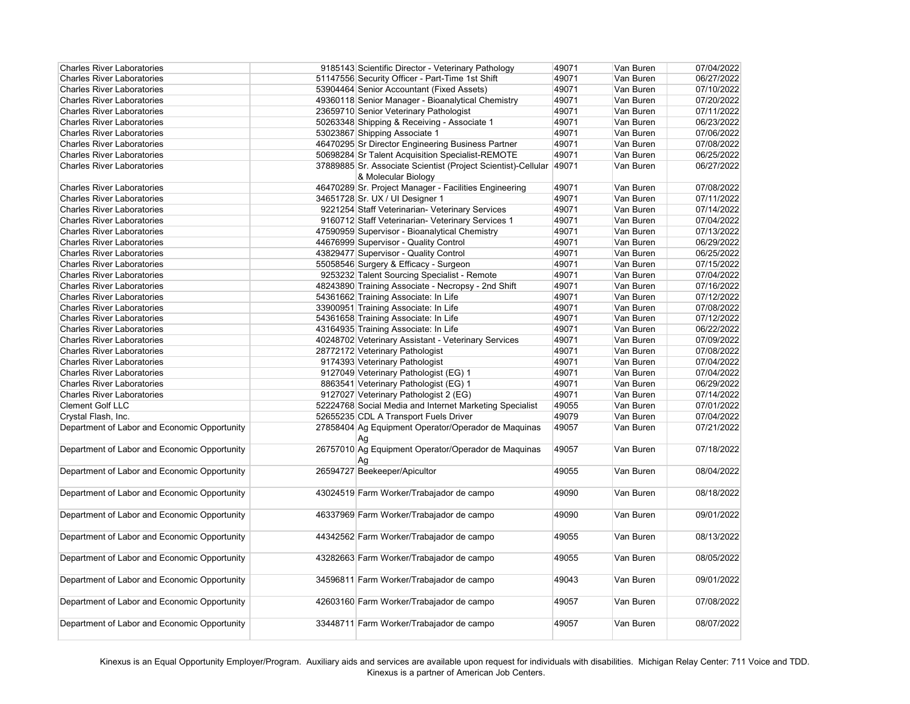| <b>Charles River Laboratories</b>            | 9185143 Scientific Director - Veterinary Pathology            | 49071 | Van Buren | 07/04/2022 |
|----------------------------------------------|---------------------------------------------------------------|-------|-----------|------------|
| <b>Charles River Laboratories</b>            | 51147556 Security Officer - Part-Time 1st Shift               | 49071 | Van Buren | 06/27/2022 |
| <b>Charles River Laboratories</b>            | 53904464 Senior Accountant (Fixed Assets)                     | 49071 | Van Buren | 07/10/2022 |
| <b>Charles River Laboratories</b>            | 49360118 Senior Manager - Bioanalytical Chemistry             | 49071 | Van Buren | 07/20/2022 |
| <b>Charles River Laboratories</b>            | 23659710 Senior Veterinary Pathologist                        | 49071 | Van Buren | 07/11/2022 |
| <b>Charles River Laboratories</b>            | 50263348 Shipping & Receiving - Associate 1                   | 49071 | Van Buren | 06/23/2022 |
| <b>Charles River Laboratories</b>            | 53023867 Shipping Associate 1                                 | 49071 | Van Buren | 07/06/2022 |
| <b>Charles River Laboratories</b>            | 46470295 Sr Director Engineering Business Partner             | 49071 | Van Buren | 07/08/2022 |
| <b>Charles River Laboratories</b>            | 50698284 Sr Talent Acquisition Specialist-REMOTE              | 49071 | Van Buren | 06/25/2022 |
| <b>Charles River Laboratories</b>            | 37889885 Sr. Associate Scientist (Project Scientist)-Cellular | 49071 | Van Buren | 06/27/2022 |
|                                              | & Molecular Biology                                           |       |           |            |
| <b>Charles River Laboratories</b>            | 46470289 Sr. Project Manager - Facilities Engineering         | 49071 | Van Buren | 07/08/2022 |
| <b>Charles River Laboratories</b>            | 34651728 Sr. UX / UI Designer 1                               | 49071 | Van Buren | 07/11/2022 |
| <b>Charles River Laboratories</b>            | 9221254 Staff Veterinarian- Veterinary Services               | 49071 | Van Buren | 07/14/2022 |
| <b>Charles River Laboratories</b>            | 9160712 Staff Veterinarian- Veterinary Services 1             | 49071 | Van Buren | 07/04/2022 |
| <b>Charles River Laboratories</b>            | 47590959 Supervisor - Bioanalytical Chemistry                 | 49071 | Van Buren | 07/13/2022 |
| <b>Charles River Laboratories</b>            | 44676999 Supervisor - Quality Control                         | 49071 | Van Buren | 06/29/2022 |
| <b>Charles River Laboratories</b>            | 43829477 Supervisor - Quality Control                         | 49071 | Van Buren | 06/25/2022 |
| <b>Charles River Laboratories</b>            | 55058546 Surgery & Efficacy - Surgeon                         | 49071 | Van Buren | 07/15/2022 |
| <b>Charles River Laboratories</b>            | 9253232 Talent Sourcing Specialist - Remote                   | 49071 | Van Buren | 07/04/2022 |
| <b>Charles River Laboratories</b>            | 48243890 Training Associate - Necropsy - 2nd Shift            | 49071 | Van Buren | 07/16/2022 |
| <b>Charles River Laboratories</b>            | 54361662 Training Associate: In Life                          | 49071 | Van Buren | 07/12/2022 |
| <b>Charles River Laboratories</b>            | 33900951 Training Associate: In Life                          | 49071 | Van Buren | 07/08/2022 |
| <b>Charles River Laboratories</b>            | 54361658 Training Associate: In Life                          | 49071 | Van Buren | 07/12/2022 |
| <b>Charles River Laboratories</b>            | 43164935 Training Associate: In Life                          | 49071 | Van Buren | 06/22/2022 |
| <b>Charles River Laboratories</b>            | 40248702 Veterinary Assistant - Veterinary Services           | 49071 | Van Buren | 07/09/2022 |
| <b>Charles River Laboratories</b>            | 28772172 Veterinary Pathologist                               | 49071 | Van Buren | 07/08/2022 |
| <b>Charles River Laboratories</b>            | 9174393 Veterinary Pathologist                                | 49071 | Van Buren | 07/04/2022 |
| <b>Charles River Laboratories</b>            | 9127049 Veterinary Pathologist (EG) 1                         | 49071 | Van Buren | 07/04/2022 |
| <b>Charles River Laboratories</b>            | 8863541 Veterinary Pathologist (EG) 1                         | 49071 | Van Buren | 06/29/2022 |
| <b>Charles River Laboratories</b>            | 9127027 Veterinary Pathologist 2 (EG)                         | 49071 | Van Buren | 07/14/2022 |
| <b>Clement Golf LLC</b>                      | 52224768 Social Media and Internet Marketing Specialist       | 49055 | Van Buren | 07/01/2022 |
| Crystal Flash, Inc.                          | 52655235 CDL A Transport Fuels Driver                         | 49079 | Van Buren | 07/04/2022 |
| Department of Labor and Economic Opportunity | 27858404 Ag Equipment Operator/Operador de Maquinas           | 49057 | Van Buren | 07/21/2022 |
|                                              | Ag                                                            |       |           |            |
| Department of Labor and Economic Opportunity | 26757010 Ag Equipment Operator/Operador de Maquinas           | 49057 | Van Buren | 07/18/2022 |
|                                              | Ag                                                            |       |           |            |
| Department of Labor and Economic Opportunity | 26594727 Beekeeper/Apicultor                                  | 49055 | Van Buren | 08/04/2022 |
|                                              |                                                               |       |           |            |
| Department of Labor and Economic Opportunity | 43024519 Farm Worker/Trabajador de campo                      | 49090 | Van Buren | 08/18/2022 |
|                                              |                                                               |       |           |            |
| Department of Labor and Economic Opportunity | 46337969 Farm Worker/Trabajador de campo                      | 49090 | Van Buren | 09/01/2022 |
|                                              |                                                               |       |           |            |
|                                              |                                                               |       |           |            |
| Department of Labor and Economic Opportunity | 44342562 Farm Worker/Trabajador de campo                      | 49055 | Van Buren | 08/13/2022 |
|                                              |                                                               |       |           |            |
| Department of Labor and Economic Opportunity | 43282663 Farm Worker/Trabajador de campo                      | 49055 | Van Buren | 08/05/2022 |
|                                              |                                                               |       |           |            |
| Department of Labor and Economic Opportunity | 34596811 Farm Worker/Trabajador de campo                      | 49043 | Van Buren | 09/01/2022 |
|                                              |                                                               |       |           |            |
| Department of Labor and Economic Opportunity | 42603160 Farm Worker/Trabajador de campo                      | 49057 | Van Buren | 07/08/2022 |
|                                              |                                                               |       |           |            |
| Department of Labor and Economic Opportunity | 33448711 Farm Worker/Trabajador de campo                      | 49057 | Van Buren | 08/07/2022 |
|                                              |                                                               |       |           |            |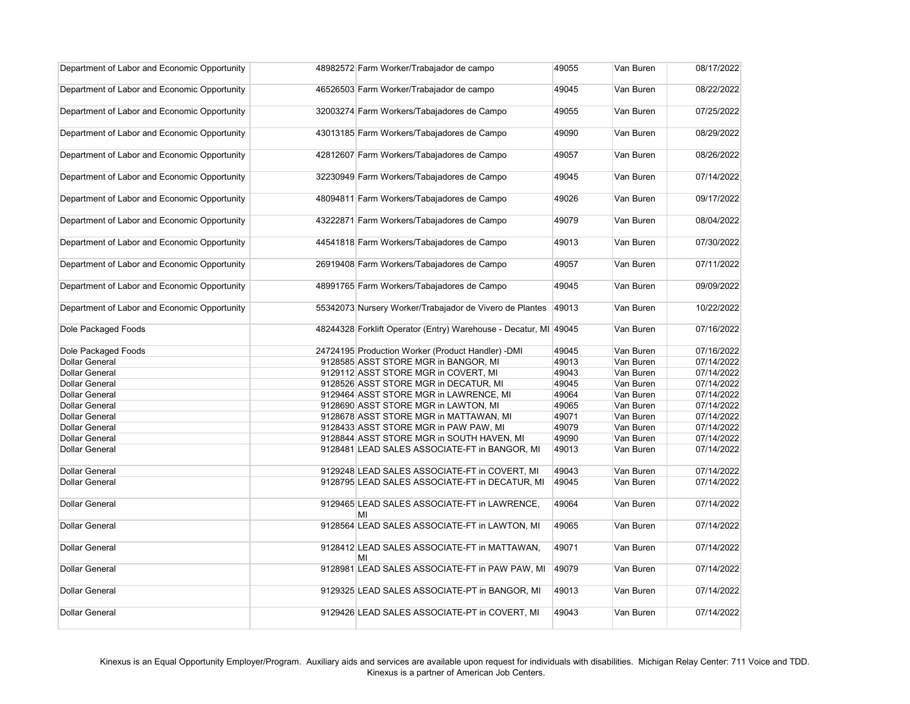| Department of Labor and Economic Opportunity | 48982572 Farm Worker/Trabajador de campo                         | 49055 | Van Buren | 08/17/2022 |
|----------------------------------------------|------------------------------------------------------------------|-------|-----------|------------|
| Department of Labor and Economic Opportunity | 46526503 Farm Worker/Trabajador de campo                         | 49045 | Van Buren | 08/22/2022 |
| Department of Labor and Economic Opportunity | 32003274 Farm Workers/Tabajadores de Campo                       | 49055 | Van Buren | 07/25/2022 |
| Department of Labor and Economic Opportunity | 43013185 Farm Workers/Tabajadores de Campo                       | 49090 | Van Buren | 08/29/2022 |
| Department of Labor and Economic Opportunity | 42812607 Farm Workers/Tabajadores de Campo                       | 49057 | Van Buren | 08/26/2022 |
| Department of Labor and Economic Opportunity | 32230949 Farm Workers/Tabajadores de Campo                       | 49045 | Van Buren | 07/14/2022 |
| Department of Labor and Economic Opportunity | 48094811 Farm Workers/Tabajadores de Campo                       | 49026 | Van Buren | 09/17/2022 |
| Department of Labor and Economic Opportunity | 43222871 Farm Workers/Tabajadores de Campo                       | 49079 | Van Buren | 08/04/2022 |
| Department of Labor and Economic Opportunity | 44541818 Farm Workers/Tabajadores de Campo                       | 49013 | Van Buren | 07/30/2022 |
| Department of Labor and Economic Opportunity | 26919408 Farm Workers/Tabajadores de Campo                       | 49057 | Van Buren | 07/11/2022 |
| Department of Labor and Economic Opportunity | 48991765 Farm Workers/Tabajadores de Campo                       | 49045 | Van Buren | 09/09/2022 |
| Department of Labor and Economic Opportunity | 55342073 Nursery Worker/Trabajador de Vivero de Plantes          | 49013 | Van Buren | 10/22/2022 |
| Dole Packaged Foods                          | 48244328 Forklift Operator (Entry) Warehouse - Decatur, MI 49045 |       | Van Buren | 07/16/2022 |
| Dole Packaged Foods                          | 24724195 Production Worker (Product Handler) -DMI                | 49045 | Van Buren | 07/16/2022 |
| <b>Dollar General</b>                        | 9128585 ASST STORE MGR in BANGOR, MI                             | 49013 | Van Buren | 07/14/2022 |
| <b>Dollar General</b>                        | 9129112 ASST STORE MGR in COVERT, MI                             | 49043 | Van Buren | 07/14/2022 |
| <b>Dollar General</b>                        | 9128526 ASST STORE MGR in DECATUR, MI                            | 49045 | Van Buren | 07/14/2022 |
| <b>Dollar General</b>                        | 9129464 ASST STORE MGR in LAWRENCE, MI                           | 49064 | Van Buren | 07/14/2022 |
| <b>Dollar General</b>                        | 9128690 ASST STORE MGR in LAWTON, MI                             | 49065 | Van Buren | 07/14/2022 |
| <b>Dollar General</b>                        | 9128678 ASST STORE MGR in MATTAWAN, MI                           | 49071 | Van Buren | 07/14/2022 |
| <b>Dollar General</b>                        | 9128433 ASST STORE MGR in PAW PAW, MI                            | 49079 | Van Buren | 07/14/2022 |
| <b>Dollar General</b>                        | 9128844 ASST STORE MGR in SOUTH HAVEN, MI                        | 49090 | Van Buren | 07/14/2022 |
| <b>Dollar General</b>                        | 9128481 LEAD SALES ASSOCIATE-FT in BANGOR, MI                    | 49013 | Van Buren | 07/14/2022 |
| <b>Dollar General</b>                        | 9129248 LEAD SALES ASSOCIATE-FT in COVERT, MI                    | 49043 | Van Buren | 07/14/2022 |
| <b>Dollar General</b>                        | 9128795 LEAD SALES ASSOCIATE-FT in DECATUR, MI                   | 49045 | Van Buren | 07/14/2022 |
| <b>Dollar General</b>                        | 9129465 LEAD SALES ASSOCIATE-FT in LAWRENCE,<br>MI               | 49064 | Van Buren | 07/14/2022 |
| <b>Dollar General</b>                        | 9128564 LEAD SALES ASSOCIATE-FT in LAWTON, MI                    | 49065 | Van Buren | 07/14/2022 |
| <b>Dollar General</b>                        | 9128412 LEAD SALES ASSOCIATE-FT in MATTAWAN,<br>MI               | 49071 | Van Buren | 07/14/2022 |
| <b>Dollar General</b>                        | 9128981 LEAD SALES ASSOCIATE-FT in PAW PAW, MI                   | 49079 | Van Buren | 07/14/2022 |
| <b>Dollar General</b>                        | 9129325 LEAD SALES ASSOCIATE-PT in BANGOR, MI                    | 49013 | Van Buren | 07/14/2022 |
| <b>Dollar General</b>                        | 9129426 LEAD SALES ASSOCIATE-PT in COVERT, MI                    | 49043 | Van Buren | 07/14/2022 |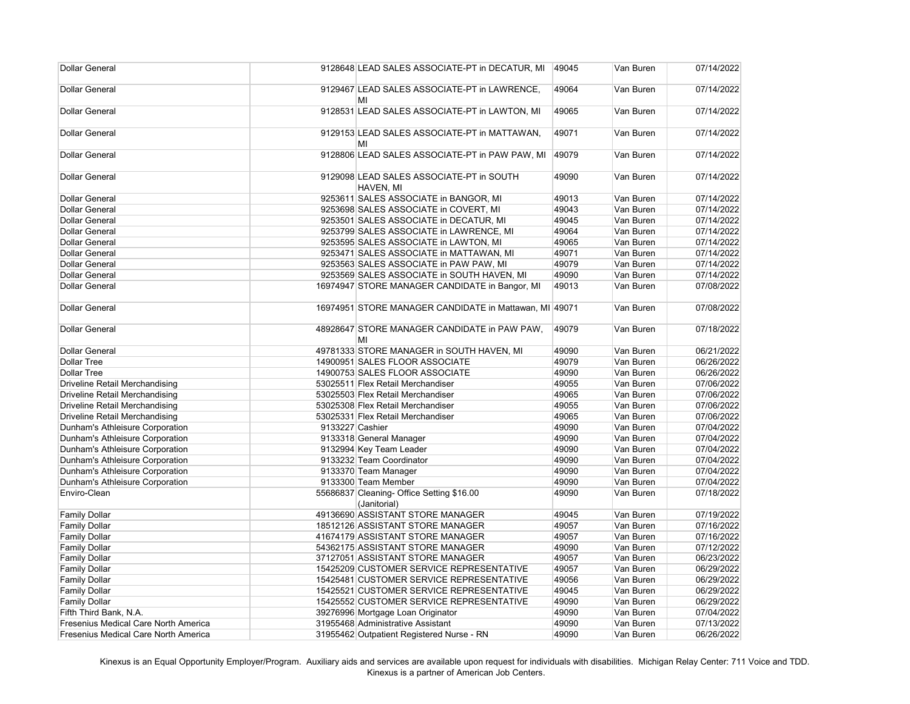| <b>Dollar General</b>                       |                 | 9128648 LEAD SALES ASSOCIATE-PT in DECATUR, MI            | 49045 | Van Buren | 07/14/2022 |
|---------------------------------------------|-----------------|-----------------------------------------------------------|-------|-----------|------------|
| <b>Dollar General</b>                       |                 | 9129467 LEAD SALES ASSOCIATE-PT in LAWRENCE,<br>MI        | 49064 | Van Buren | 07/14/2022 |
| <b>Dollar General</b>                       |                 | 9128531 LEAD SALES ASSOCIATE-PT in LAWTON, MI             | 49065 | Van Buren | 07/14/2022 |
| <b>Dollar General</b>                       |                 | 9129153 LEAD SALES ASSOCIATE-PT in MATTAWAN,<br>MI        | 49071 | Van Buren | 07/14/2022 |
| <b>Dollar General</b>                       |                 | 9128806 LEAD SALES ASSOCIATE-PT in PAW PAW, MI            | 49079 | Van Buren | 07/14/2022 |
| <b>Dollar General</b>                       |                 | 9129098 LEAD SALES ASSOCIATE-PT in SOUTH<br>HAVEN, MI     | 49090 | Van Buren | 07/14/2022 |
| <b>Dollar General</b>                       |                 | 9253611 SALES ASSOCIATE in BANGOR, MI                     | 49013 | Van Buren | 07/14/2022 |
| <b>Dollar General</b>                       |                 | 9253698 SALES ASSOCIATE in COVERT, MI                     | 49043 | Van Buren | 07/14/2022 |
| <b>Dollar General</b>                       |                 | 9253501 SALES ASSOCIATE in DECATUR, MI                    | 49045 | Van Buren | 07/14/2022 |
| <b>Dollar General</b>                       |                 | 9253799 SALES ASSOCIATE in LAWRENCE, MI                   | 49064 | Van Buren | 07/14/2022 |
| <b>Dollar General</b>                       |                 | 9253595 SALES ASSOCIATE in LAWTON, MI                     | 49065 | Van Buren | 07/14/2022 |
| <b>Dollar General</b>                       |                 | 9253471 SALES ASSOCIATE in MATTAWAN, MI                   | 49071 | Van Buren | 07/14/2022 |
| <b>Dollar General</b>                       |                 | 9253563 SALES ASSOCIATE in PAW PAW, MI                    | 49079 | Van Buren | 07/14/2022 |
| <b>Dollar General</b>                       |                 | 9253569 SALES ASSOCIATE in SOUTH HAVEN, MI                | 49090 | Van Buren | 07/14/2022 |
| <b>Dollar General</b>                       |                 | 16974947 STORE MANAGER CANDIDATE in Bangor, MI            | 49013 | Van Buren | 07/08/2022 |
| <b>Dollar General</b>                       |                 | 16974951 STORE MANAGER CANDIDATE in Mattawan, MI 49071    |       | Van Buren | 07/08/2022 |
| <b>Dollar General</b>                       |                 | 48928647 STORE MANAGER CANDIDATE in PAW PAW,<br>MI        | 49079 | Van Buren | 07/18/2022 |
| <b>Dollar General</b>                       |                 | 49781333 STORE MANAGER in SOUTH HAVEN, MI                 | 49090 | Van Buren | 06/21/2022 |
| <b>Dollar Tree</b>                          |                 | 14900951 SALES FLOOR ASSOCIATE                            | 49079 | Van Buren | 06/26/2022 |
| <b>Dollar Tree</b>                          |                 | 14900753 SALES FLOOR ASSOCIATE                            | 49090 | Van Buren | 06/26/2022 |
| <b>Driveline Retail Merchandising</b>       |                 | 53025511 Flex Retail Merchandiser                         | 49055 | Van Buren | 07/06/2022 |
| Driveline Retail Merchandising              |                 | 53025503 Flex Retail Merchandiser                         | 49065 | Van Buren | 07/06/2022 |
| <b>Driveline Retail Merchandising</b>       |                 | 53025308 Flex Retail Merchandiser                         | 49055 | Van Buren | 07/06/2022 |
| <b>Driveline Retail Merchandising</b>       |                 | 53025331 Flex Retail Merchandiser                         | 49065 | Van Buren | 07/06/2022 |
| Dunham's Athleisure Corporation             | 9133227 Cashier |                                                           | 49090 | Van Buren | 07/04/2022 |
| Dunham's Athleisure Corporation             |                 | 9133318 General Manager                                   | 49090 | Van Buren | 07/04/2022 |
| Dunham's Athleisure Corporation             |                 | 9132994 Key Team Leader                                   | 49090 | Van Buren | 07/04/2022 |
| Dunham's Athleisure Corporation             |                 | 9133232 Team Coordinator                                  | 49090 | Van Buren | 07/04/2022 |
| Dunham's Athleisure Corporation             |                 | 9133370 Team Manager                                      | 49090 | Van Buren | 07/04/2022 |
| Dunham's Athleisure Corporation             |                 | 9133300 Team Member                                       | 49090 | Van Buren | 07/04/2022 |
| Enviro-Clean                                |                 | 55686837 Cleaning- Office Setting \$16.00<br>(Janitorial) | 49090 | Van Buren | 07/18/2022 |
| <b>Family Dollar</b>                        |                 | 49136690 ASSISTANT STORE MANAGER                          | 49045 | Van Buren | 07/19/2022 |
| <b>Family Dollar</b>                        |                 | 18512126 ASSISTANT STORE MANAGER                          | 49057 | Van Buren | 07/16/2022 |
| <b>Family Dollar</b>                        |                 | 41674179 ASSISTANT STORE MANAGER                          | 49057 | Van Buren | 07/16/2022 |
| <b>Family Dollar</b>                        |                 | 54362175 ASSISTANT STORE MANAGER                          | 49090 | Van Buren | 07/12/2022 |
| <b>Family Dollar</b>                        |                 | 37127051 ASSISTANT STORE MANAGER                          | 49057 | Van Buren | 06/23/2022 |
| <b>Family Dollar</b>                        |                 | 15425209 CUSTOMER SERVICE REPRESENTATIVE                  | 49057 | Van Buren | 06/29/2022 |
| <b>Family Dollar</b>                        |                 | 15425481 CUSTOMER SERVICE REPRESENTATIVE                  | 49056 | Van Buren | 06/29/2022 |
| <b>Family Dollar</b>                        |                 | 15425521 CUSTOMER SERVICE REPRESENTATIVE                  | 49045 | Van Buren | 06/29/2022 |
| <b>Family Dollar</b>                        |                 | 15425552 CUSTOMER SERVICE REPRESENTATIVE                  | 49090 | Van Buren | 06/29/2022 |
| Fifth Third Bank, N.A.                      |                 | 39276996 Mortgage Loan Originator                         | 49090 | Van Buren | 07/04/2022 |
| Fresenius Medical Care North America        |                 | 31955468 Administrative Assistant                         | 49090 | Van Buren | 07/13/2022 |
| <b>Fresenius Medical Care North America</b> |                 | 31955462 Outpatient Registered Nurse - RN                 | 49090 | Van Buren | 06/26/2022 |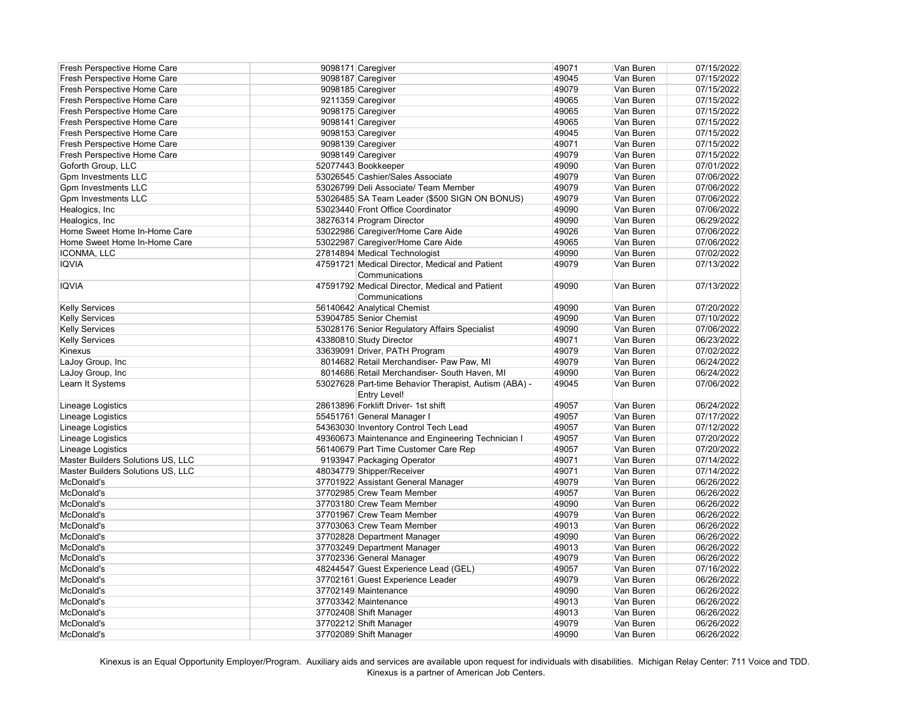| Fresh Perspective Home Care       | 9098171 Caregiver                                     | 49071 | Van Buren | 07/15/2022 |
|-----------------------------------|-------------------------------------------------------|-------|-----------|------------|
| Fresh Perspective Home Care       | 9098187 Caregiver                                     | 49045 | Van Buren | 07/15/2022 |
| Fresh Perspective Home Care       | 9098185 Caregiver                                     | 49079 | Van Buren | 07/15/2022 |
| Fresh Perspective Home Care       | 9211359 Caregiver                                     | 49065 | Van Buren | 07/15/2022 |
| Fresh Perspective Home Care       | 9098175 Caregiver                                     | 49065 | Van Buren | 07/15/2022 |
| Fresh Perspective Home Care       | 9098141 Caregiver                                     | 49065 | Van Buren | 07/15/2022 |
| Fresh Perspective Home Care       | 9098153 Caregiver                                     | 49045 | Van Buren | 07/15/2022 |
| Fresh Perspective Home Care       | 9098139 Caregiver                                     | 49071 | Van Buren | 07/15/2022 |
| Fresh Perspective Home Care       | 9098149 Caregiver                                     | 49079 | Van Buren | 07/15/2022 |
| Goforth Group, LLC                | 52077443 Bookkeeper                                   | 49090 | Van Buren | 07/01/2022 |
| <b>Gpm Investments LLC</b>        | 53026545 Cashier/Sales Associate                      | 49079 | Van Buren | 07/06/2022 |
| <b>Gpm Investments LLC</b>        | 53026799 Deli Associate/ Team Member                  | 49079 | Van Buren | 07/06/2022 |
| <b>Gpm Investments LLC</b>        | 53026485 SA Team Leader (\$500 SIGN ON BONUS)         | 49079 | Van Buren | 07/06/2022 |
| Healogics, Inc                    | 53023440 Front Office Coordinator                     | 49090 | Van Buren | 07/06/2022 |
| Healogics, Inc                    | 38276314 Program Director                             | 49090 | Van Buren | 06/29/2022 |
| Home Sweet Home In-Home Care      | 53022986 Caregiver/Home Care Aide                     | 49026 | Van Buren | 07/06/2022 |
| Home Sweet Home In-Home Care      | 53022987 Caregiver/Home Care Aide                     | 49065 | Van Buren | 07/06/2022 |
| <b>ICONMA, LLC</b>                | 27814894 Medical Technologist                         | 49090 | Van Buren | 07/02/2022 |
| <b>IQVIA</b>                      | 47591721 Medical Director, Medical and Patient        | 49079 | Van Buren | 07/13/2022 |
|                                   | Communications                                        |       |           |            |
| <b>IQVIA</b>                      | 47591792 Medical Director, Medical and Patient        | 49090 | Van Buren | 07/13/2022 |
|                                   | Communications                                        |       |           |            |
| <b>Kelly Services</b>             | 56140642 Analytical Chemist                           | 49090 | Van Buren | 07/20/2022 |
| <b>Kelly Services</b>             | 53904785 Senior Chemist                               | 49090 | Van Buren | 07/10/2022 |
| <b>Kelly Services</b>             | 53028176 Senior Regulatory Affairs Specialist         | 49090 | Van Buren | 07/06/2022 |
| <b>Kelly Services</b>             | 43380810 Study Director                               | 49071 | Van Buren | 06/23/2022 |
| Kinexus                           | 33639091 Driver, PATH Program                         | 49079 | Van Buren | 07/02/2022 |
| LaJoy Group, Inc                  | 8014682 Retail Merchandiser- Paw Paw, MI              | 49079 | Van Buren | 06/24/2022 |
| LaJoy Group, Inc                  | 8014686 Retail Merchandiser- South Haven, MI          | 49090 | Van Buren | 06/24/2022 |
| Learn It Systems                  | 53027628 Part-time Behavior Therapist, Autism (ABA) - | 49045 | Van Buren | 07/06/2022 |
|                                   | <b>Entry Level!</b>                                   |       |           |            |
| Lineage Logistics                 | 28613896 Forklift Driver- 1st shift                   | 49057 | Van Buren | 06/24/2022 |
| Lineage Logistics                 | 55451761 General Manager I                            | 49057 | Van Buren | 07/17/2022 |
| Lineage Logistics                 | 54363030 Inventory Control Tech Lead                  | 49057 | Van Buren | 07/12/2022 |
| Lineage Logistics                 | 49360673 Maintenance and Engineering Technician I     | 49057 | Van Buren | 07/20/2022 |
| Lineage Logistics                 | 56140679 Part Time Customer Care Rep                  | 49057 | Van Buren | 07/20/2022 |
| Master Builders Solutions US, LLC | 9193947 Packaging Operator                            | 49071 | Van Buren | 07/14/2022 |
| Master Builders Solutions US, LLC | 48034779 Shipper/Receiver                             | 49071 | Van Buren | 07/14/2022 |
| McDonald's                        | 37701922 Assistant General Manager                    | 49079 | Van Buren | 06/26/2022 |
| McDonald's                        | 37702985 Crew Team Member                             | 49057 | Van Buren | 06/26/2022 |
| McDonald's                        | 37703180 Crew Team Member                             | 49090 | Van Buren | 06/26/2022 |
| McDonald's                        | 37701967 Crew Team Member                             | 49079 | Van Buren | 06/26/2022 |
| McDonald's                        | 37703063 Crew Team Member                             | 49013 | Van Buren | 06/26/2022 |
| McDonald's                        | 37702828 Department Manager                           | 49090 | Van Buren | 06/26/2022 |
| McDonald's                        | 37703249 Department Manager                           | 49013 | Van Buren | 06/26/2022 |
| McDonald's                        | 37702336 General Manager                              | 49079 | Van Buren | 06/26/2022 |
| McDonald's                        | 48244547 Guest Experience Lead (GEL)                  | 49057 | Van Buren | 07/16/2022 |
| McDonald's                        | 37702161 Guest Experience Leader                      | 49079 | Van Buren | 06/26/2022 |
| McDonald's                        | 37702149 Maintenance                                  | 49090 | Van Buren | 06/26/2022 |
| McDonald's                        | 37703342 Maintenance                                  | 49013 | Van Buren | 06/26/2022 |
| McDonald's                        | 37702408 Shift Manager                                | 49013 | Van Buren | 06/26/2022 |
| McDonald's                        | 37702212 Shift Manager                                | 49079 | Van Buren | 06/26/2022 |
| McDonald's                        | 37702089 Shift Manager                                | 49090 | Van Buren | 06/26/2022 |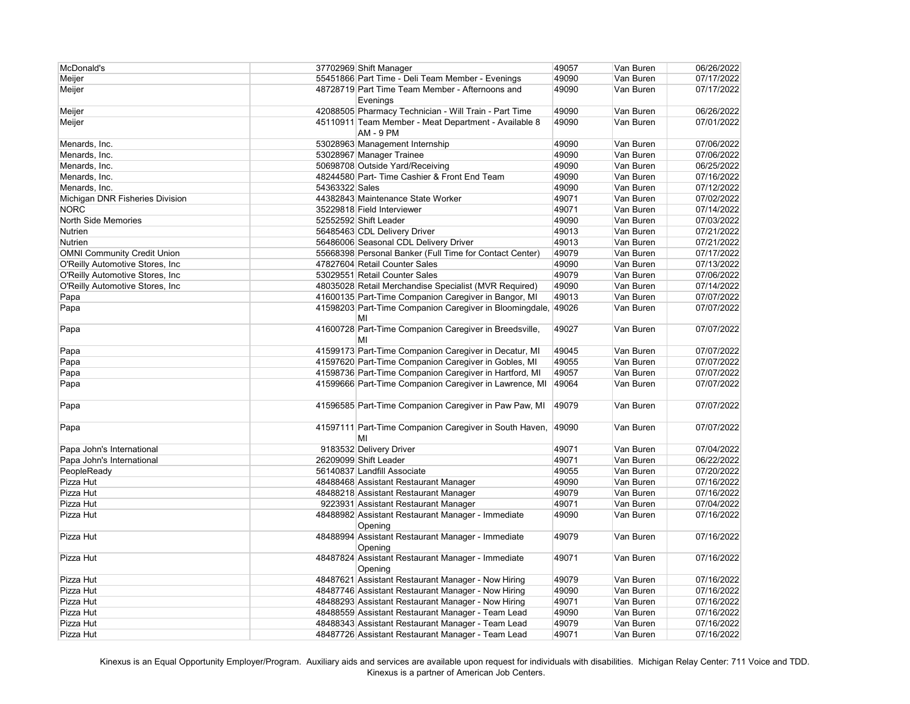| McDonald's                         |                | 37702969 Shift Manager                                                   | 49057 | Van Buren | 06/26/2022 |
|------------------------------------|----------------|--------------------------------------------------------------------------|-------|-----------|------------|
| Meijer                             |                | 55451866 Part Time - Deli Team Member - Evenings                         | 49090 | Van Buren | 07/17/2022 |
| Meijer                             |                | 48728719 Part Time Team Member - Afternoons and<br>Evenings              | 49090 | Van Buren | 07/17/2022 |
| Meijer                             |                | 42088505 Pharmacy Technician - Will Train - Part Time                    | 49090 | Van Buren | 06/26/2022 |
| Meijer                             |                | 45110911 Team Member - Meat Department - Available 8<br><b>AM - 9 PM</b> | 49090 | Van Buren | 07/01/2022 |
| Menards, Inc.                      |                | 53028963 Management Internship                                           | 49090 | Van Buren | 07/06/2022 |
| Menards, Inc.                      |                | 53028967 Manager Trainee                                                 | 49090 | Van Buren | 07/06/2022 |
| Menards, Inc.                      |                | 50698708 Outside Yard/Receiving                                          | 49090 | Van Buren | 06/25/2022 |
| Menards, Inc.                      |                | 48244580 Part- Time Cashier & Front End Team                             | 49090 | Van Buren | 07/16/2022 |
| Menards, Inc.                      | 54363322 Sales |                                                                          | 49090 | Van Buren | 07/12/2022 |
| Michigan DNR Fisheries Division    |                | 44382843 Maintenance State Worker                                        | 49071 | Van Buren | 07/02/2022 |
| <b>NORC</b>                        |                | 35229818 Field Interviewer                                               | 49071 | Van Buren | 07/14/2022 |
| North Side Memories                |                | 52552592 Shift Leader                                                    | 49090 | Van Buren | 07/03/2022 |
| Nutrien                            |                | 56485463 CDL Delivery Driver                                             | 49013 | Van Buren | 07/21/2022 |
| <b>Nutrien</b>                     |                | 56486006 Seasonal CDL Delivery Driver                                    | 49013 | Van Buren | 07/21/2022 |
| <b>OMNI Community Credit Union</b> |                | 55668398 Personal Banker (Full Time for Contact Center)                  | 49079 | Van Buren | 07/17/2022 |
| O'Reilly Automotive Stores, Inc    |                | 47827604 Retail Counter Sales                                            | 49090 | Van Buren | 07/13/2022 |
| O'Reilly Automotive Stores, Inc    |                | 53029551 Retail Counter Sales                                            | 49079 | Van Buren | 07/06/2022 |
| O'Reilly Automotive Stores, Inc    |                | 48035028 Retail Merchandise Specialist (MVR Required)                    | 49090 | Van Buren | 07/14/2022 |
| Papa                               |                | 41600135 Part-Time Companion Caregiver in Bangor, MI                     | 49013 | Van Buren | 07/07/2022 |
| Papa                               |                | 41598203 Part-Time Companion Caregiver in Bloomingdale, 49026<br>MI      |       | Van Buren | 07/07/2022 |
| Papa                               |                | 41600728 Part-Time Companion Caregiver in Breedsville,<br>MI             | 49027 | Van Buren | 07/07/2022 |
| Papa                               |                | 41599173 Part-Time Companion Caregiver in Decatur, MI                    | 49045 | Van Buren | 07/07/2022 |
| Papa                               |                | 41597620 Part-Time Companion Caregiver in Gobles, MI                     | 49055 | Van Buren | 07/07/2022 |
| Papa                               |                | 41598736 Part-Time Companion Caregiver in Hartford, MI                   | 49057 | Van Buren | 07/07/2022 |
| Papa                               |                | 41599666 Part-Time Companion Caregiver in Lawrence, MI                   | 49064 | Van Buren | 07/07/2022 |
| Papa                               |                | 41596585 Part-Time Companion Caregiver in Paw Paw, MI                    | 49079 | Van Buren | 07/07/2022 |
| Papa                               |                | 41597111 Part-Time Companion Caregiver in South Haven,<br>MI             | 49090 | Van Buren | 07/07/2022 |
| Papa John's International          |                | 9183532 Delivery Driver                                                  | 49071 | Van Buren | 07/04/2022 |
| Papa John's International          |                | 26209099 Shift Leader                                                    | 49071 | Van Buren | 06/22/2022 |
| PeopleReady                        |                | 56140837 Landfill Associate                                              | 49055 | Van Buren | 07/20/2022 |
| Pizza Hut                          |                | 48488468 Assistant Restaurant Manager                                    | 49090 | Van Buren | 07/16/2022 |
| Pizza Hut                          |                | 48488218 Assistant Restaurant Manager                                    | 49079 | Van Buren | 07/16/2022 |
| Pizza Hut                          |                | 9223931 Assistant Restaurant Manager                                     | 49071 | Van Buren | 07/04/2022 |
| Pizza Hut                          |                | 48488982 Assistant Restaurant Manager - Immediate<br>Opening             | 49090 | Van Buren | 07/16/2022 |
| Pizza Hut                          |                | 48488994 Assistant Restaurant Manager - Immediate<br>Opening             | 49079 | Van Buren | 07/16/2022 |
| Pizza Hut                          |                | 48487824 Assistant Restaurant Manager - Immediate<br>Opening             | 49071 | Van Buren | 07/16/2022 |
| Pizza Hut                          |                | 48487621 Assistant Restaurant Manager - Now Hiring                       | 49079 | Van Buren | 07/16/2022 |
| Pizza Hut                          |                | 48487746 Assistant Restaurant Manager - Now Hiring                       | 49090 | Van Buren | 07/16/2022 |
| Pizza Hut                          |                | 48488293 Assistant Restaurant Manager - Now Hiring                       | 49071 | Van Buren | 07/16/2022 |
| Pizza Hut                          |                | 48488559 Assistant Restaurant Manager - Team Lead                        | 49090 | Van Buren | 07/16/2022 |
| Pizza Hut                          |                | 48488343 Assistant Restaurant Manager - Team Lead                        | 49079 | Van Buren | 07/16/2022 |
| Pizza Hut                          |                | 48487726 Assistant Restaurant Manager - Team Lead                        | 49071 | Van Buren | 07/16/2022 |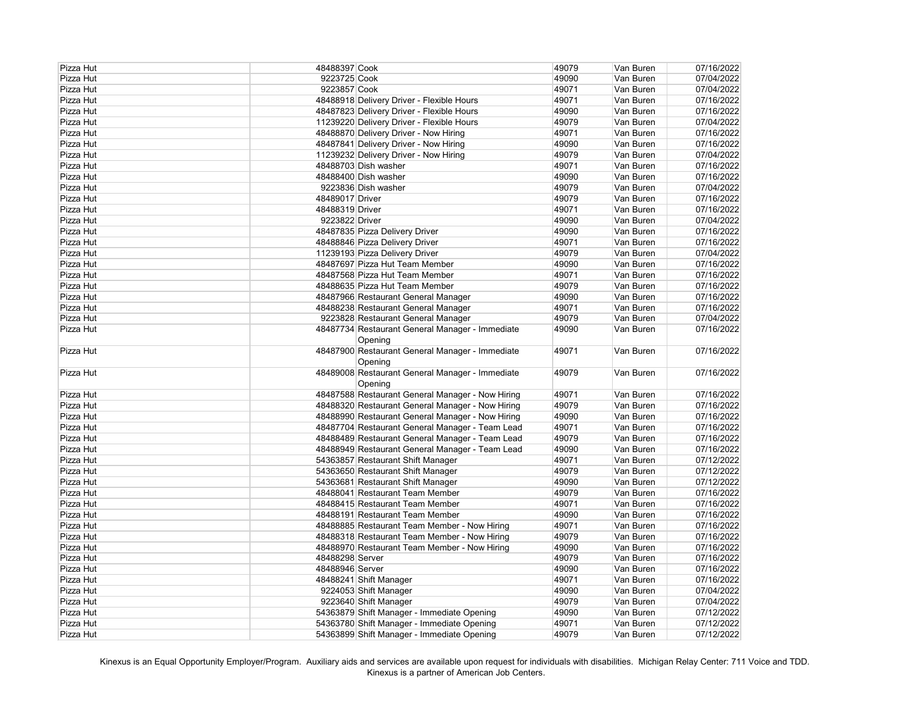| Pizza Hut | 48488397 Cook   |                                                  | 49079 | Van Buren | 07/16/2022 |
|-----------|-----------------|--------------------------------------------------|-------|-----------|------------|
| Pizza Hut | 9223725 Cook    |                                                  | 49090 | Van Buren | 07/04/2022 |
| Pizza Hut | 9223857 Cook    |                                                  | 49071 | Van Buren | 07/04/2022 |
| Pizza Hut |                 | 48488918 Delivery Driver - Flexible Hours        | 49071 | Van Buren | 07/16/2022 |
| Pizza Hut |                 | 48487823 Delivery Driver - Flexible Hours        | 49090 | Van Buren | 07/16/2022 |
| Pizza Hut |                 | 11239220 Delivery Driver - Flexible Hours        | 49079 | Van Buren | 07/04/2022 |
| Pizza Hut |                 | 48488870 Delivery Driver - Now Hiring            | 49071 | Van Buren | 07/16/2022 |
| Pizza Hut |                 | 48487841 Delivery Driver - Now Hiring            | 49090 | Van Buren | 07/16/2022 |
| Pizza Hut |                 | 11239232 Delivery Driver - Now Hiring            | 49079 | Van Buren | 07/04/2022 |
| Pizza Hut |                 | 48488703 Dish washer                             | 49071 | Van Buren | 07/16/2022 |
| Pizza Hut |                 | 48488400 Dish washer                             | 49090 | Van Buren | 07/16/2022 |
| Pizza Hut |                 | 9223836 Dish washer                              | 49079 | Van Buren | 07/04/2022 |
| Pizza Hut | 48489017 Driver |                                                  | 49079 | Van Buren | 07/16/2022 |
| Pizza Hut | 48488319 Driver |                                                  | 49071 | Van Buren | 07/16/2022 |
| Pizza Hut | 9223822 Driver  |                                                  | 49090 | Van Buren | 07/04/2022 |
| Pizza Hut |                 | 48487835 Pizza Delivery Driver                   | 49090 | Van Buren | 07/16/2022 |
| Pizza Hut |                 | 48488846 Pizza Delivery Driver                   | 49071 | Van Buren | 07/16/2022 |
| Pizza Hut |                 | 11239193 Pizza Delivery Driver                   | 49079 | Van Buren | 07/04/2022 |
| Pizza Hut |                 | 48487697 Pizza Hut Team Member                   | 49090 | Van Buren | 07/16/2022 |
| Pizza Hut |                 | 48487568 Pizza Hut Team Member                   | 49071 | Van Buren | 07/16/2022 |
| Pizza Hut |                 | 48488635 Pizza Hut Team Member                   | 49079 | Van Buren | 07/16/2022 |
| Pizza Hut |                 | 48487966 Restaurant General Manager              | 49090 | Van Buren | 07/16/2022 |
| Pizza Hut |                 |                                                  | 49071 | Van Buren | 07/16/2022 |
| Pizza Hut |                 | 48488238 Restaurant General Manager              | 49079 | Van Buren |            |
|           |                 | 9223828 Restaurant General Manager               |       |           | 07/04/2022 |
| Pizza Hut |                 | 48487734 Restaurant General Manager - Immediate  | 49090 | Van Buren | 07/16/2022 |
|           |                 | Opening                                          |       |           |            |
| Pizza Hut |                 | 48487900 Restaurant General Manager - Immediate  | 49071 | Van Buren | 07/16/2022 |
|           |                 | Opening                                          |       |           |            |
| Pizza Hut |                 | 48489008 Restaurant General Manager - Immediate  | 49079 | Van Buren | 07/16/2022 |
|           |                 | Opening                                          |       |           |            |
| Pizza Hut |                 | 48487588 Restaurant General Manager - Now Hiring | 49071 | Van Buren | 07/16/2022 |
| Pizza Hut |                 | 48488320 Restaurant General Manager - Now Hiring | 49079 | Van Buren | 07/16/2022 |
| Pizza Hut |                 | 48488990 Restaurant General Manager - Now Hiring | 49090 | Van Buren | 07/16/2022 |
| Pizza Hut |                 | 48487704 Restaurant General Manager - Team Lead  | 49071 | Van Buren | 07/16/2022 |
| Pizza Hut |                 | 48488489 Restaurant General Manager - Team Lead  | 49079 | Van Buren | 07/16/2022 |
| Pizza Hut |                 | 48488949 Restaurant General Manager - Team Lead  | 49090 | Van Buren | 07/16/2022 |
| Pizza Hut |                 | 54363857 Restaurant Shift Manager                | 49071 | Van Buren | 07/12/2022 |
| Pizza Hut |                 | 54363650 Restaurant Shift Manager                | 49079 | Van Buren | 07/12/2022 |
| Pizza Hut |                 | 54363681 Restaurant Shift Manager                | 49090 | Van Buren | 07/12/2022 |
| Pizza Hut |                 | 48488041 Restaurant Team Member                  | 49079 | Van Buren | 07/16/2022 |
| Pizza Hut |                 | 48488415 Restaurant Team Member                  | 49071 | Van Buren | 07/16/2022 |
| Pizza Hut |                 | 48488191 Restaurant Team Member                  | 49090 | Van Buren | 07/16/2022 |
| Pizza Hut |                 | 48488885 Restaurant Team Member - Now Hiring     | 49071 | Van Buren | 07/16/2022 |
| Pizza Hut |                 | 48488318 Restaurant Team Member - Now Hiring     | 49079 | Van Buren | 07/16/2022 |
| Pizza Hut |                 | 48488970 Restaurant Team Member - Now Hiring     | 49090 | Van Buren | 07/16/2022 |
| Pizza Hut | 48488298 Server |                                                  | 49079 | Van Buren | 07/16/2022 |
| Pizza Hut | 48488946 Server |                                                  | 49090 | Van Buren | 07/16/2022 |
| Pizza Hut |                 | 48488241 Shift Manager                           | 49071 | Van Buren | 07/16/2022 |
| Pizza Hut |                 | 9224053 Shift Manager                            | 49090 | Van Buren | 07/04/2022 |
| Pizza Hut |                 | 9223640 Shift Manager                            | 49079 | Van Buren | 07/04/2022 |
| Pizza Hut |                 | 54363879 Shift Manager - Immediate Opening       | 49090 | Van Buren | 07/12/2022 |
| Pizza Hut |                 | 54363780 Shift Manager - Immediate Opening       | 49071 | Van Buren | 07/12/2022 |
| Pizza Hut |                 | 54363899 Shift Manager - Immediate Opening       | 49079 | Van Buren | 07/12/2022 |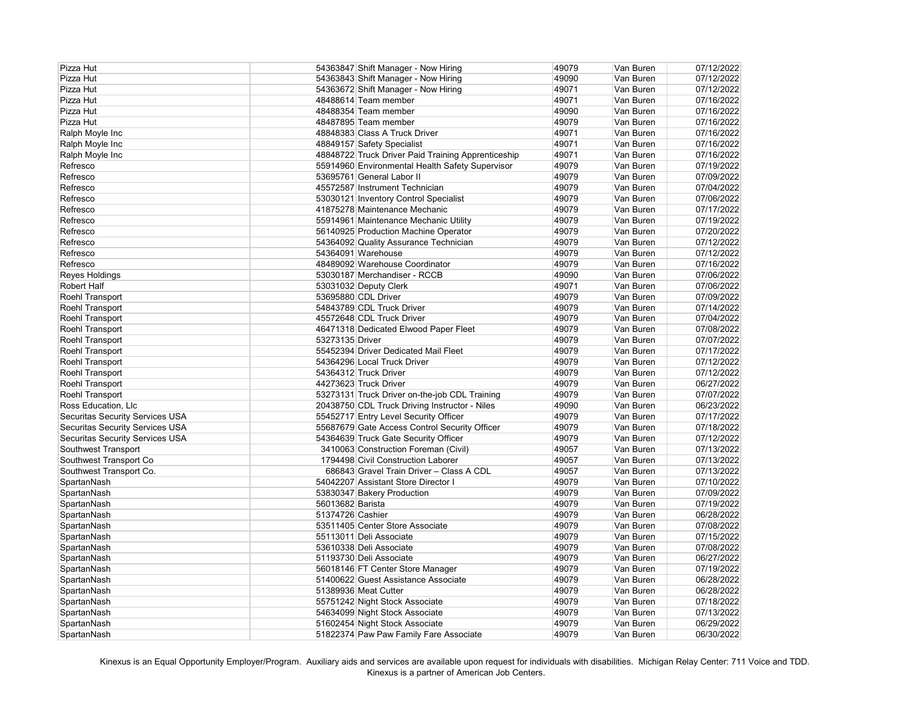| Pizza Hut                              | 54363847 Shift Manager - Now Hiring                | 49079 | Van Buren | 07/12/2022 |
|----------------------------------------|----------------------------------------------------|-------|-----------|------------|
| Pizza Hut                              | 54363843 Shift Manager - Now Hiring                | 49090 | Van Buren | 07/12/2022 |
| Pizza Hut                              | 54363672 Shift Manager - Now Hiring                | 49071 | Van Buren | 07/12/2022 |
| Pizza Hut                              | 48488614 Team member                               | 49071 | Van Buren | 07/16/2022 |
| Pizza Hut                              | 48488354 Team member                               | 49090 | Van Buren | 07/16/2022 |
| Pizza Hut                              | 48487895 Team member                               | 49079 | Van Buren | 07/16/2022 |
| Ralph Moyle Inc                        | 48848383 Class A Truck Driver                      | 49071 | Van Buren | 07/16/2022 |
| Ralph Moyle Inc                        | 48849157 Safety Specialist                         | 49071 | Van Buren | 07/16/2022 |
| Ralph Moyle Inc                        | 48848722 Truck Driver Paid Training Apprenticeship | 49071 | Van Buren | 07/16/2022 |
| Refresco                               | 55914960 Environmental Health Safety Supervisor    | 49079 | Van Buren | 07/19/2022 |
| Refresco                               | 53695761 General Labor II                          | 49079 | Van Buren | 07/09/2022 |
| Refresco                               | 45572587 Instrument Technician                     | 49079 | Van Buren | 07/04/2022 |
| Refresco                               | 53030121 Inventory Control Specialist              | 49079 | Van Buren | 07/06/2022 |
| Refresco                               | 41875278 Maintenance Mechanic                      | 49079 | Van Buren | 07/17/2022 |
| Refresco                               | 55914961 Maintenance Mechanic Utility              | 49079 | Van Buren | 07/19/2022 |
| Refresco                               | 56140925 Production Machine Operator               | 49079 | Van Buren | 07/20/2022 |
| Refresco                               | 54364092 Quality Assurance Technician              | 49079 | Van Buren | 07/12/2022 |
| Refresco                               | 54364091 Warehouse                                 | 49079 | Van Buren | 07/12/2022 |
| Refresco                               | 48489092 Warehouse Coordinator                     | 49079 | Van Buren | 07/16/2022 |
| Reyes Holdings                         | 53030187 Merchandiser - RCCB                       | 49090 | Van Buren | 07/06/2022 |
| <b>Robert Half</b>                     | 53031032 Deputy Clerk                              | 49071 | Van Buren | 07/06/2022 |
|                                        | 53695880 CDL Driver                                |       |           |            |
| Roehl Transport                        |                                                    | 49079 | Van Buren | 07/09/2022 |
| Roehl Transport                        | 54843789 CDL Truck Driver                          | 49079 | Van Buren | 07/14/2022 |
| Roehl Transport                        | 45572648 CDL Truck Driver                          | 49079 | Van Buren | 07/04/2022 |
| Roehl Transport                        | 46471318 Dedicated Elwood Paper Fleet              | 49079 | Van Buren | 07/08/2022 |
| Roehl Transport                        | 53273135 Driver                                    | 49079 | Van Buren | 07/07/2022 |
| Roehl Transport                        | 55452394 Driver Dedicated Mail Fleet               | 49079 | Van Buren | 07/17/2022 |
| Roehl Transport                        | 54364296 Local Truck Driver                        | 49079 | Van Buren | 07/12/2022 |
| Roehl Transport                        | 54364312 Truck Driver                              | 49079 | Van Buren | 07/12/2022 |
| Roehl Transport                        | 44273623 Truck Driver                              | 49079 | Van Buren | 06/27/2022 |
| Roehl Transport                        | 53273131 Truck Driver on-the-job CDL Training      | 49079 | Van Buren | 07/07/2022 |
| Ross Education, Llc                    | 20438750 CDL Truck Driving Instructor - Niles      | 49090 | Van Buren | 06/23/2022 |
| <b>Securitas Security Services USA</b> | 55452717 Entry Level Security Officer              | 49079 | Van Buren | 07/17/2022 |
| <b>Securitas Security Services USA</b> | 55687679 Gate Access Control Security Officer      | 49079 | Van Buren | 07/18/2022 |
| <b>Securitas Security Services USA</b> | 54364639 Truck Gate Security Officer               | 49079 | Van Buren | 07/12/2022 |
| Southwest Transport                    | 3410063 Construction Foreman (Civil)               | 49057 | Van Buren | 07/13/2022 |
| Southwest Transport Co                 | 1794498 Civil Construction Laborer                 | 49057 | Van Buren | 07/13/2022 |
| Southwest Transport Co.                | 686843 Gravel Train Driver - Class A CDL           | 49057 | Van Buren | 07/13/2022 |
| SpartanNash                            | 54042207 Assistant Store Director I                | 49079 | Van Buren | 07/10/2022 |
| SpartanNash                            | 53830347 Bakery Production                         | 49079 | Van Buren | 07/09/2022 |
| SpartanNash                            | 56013682 Barista                                   | 49079 | Van Buren | 07/19/2022 |
| SpartanNash                            | 51374726 Cashier                                   | 49079 | Van Buren | 06/28/2022 |
| SpartanNash                            | 53511405 Center Store Associate                    | 49079 | Van Buren | 07/08/2022 |
| SpartanNash                            | 55113011 Deli Associate                            | 49079 | Van Buren | 07/15/2022 |
| SpartanNash                            | 53610338 Deli Associate                            | 49079 | Van Buren | 07/08/2022 |
| SpartanNash                            | 51193730 Deli Associate                            | 49079 | Van Buren | 06/27/2022 |
| SpartanNash                            | 56018146 FT Center Store Manager                   | 49079 | Van Buren | 07/19/2022 |
| SpartanNash                            | 51400622 Guest Assistance Associate                | 49079 | Van Buren | 06/28/2022 |
| SpartanNash                            | 51389936 Meat Cutter                               | 49079 | Van Buren | 06/28/2022 |
| SpartanNash                            | 55751242 Night Stock Associate                     | 49079 | Van Buren | 07/18/2022 |
| SpartanNash                            | 54634099 Night Stock Associate                     | 49079 | Van Buren | 07/13/2022 |
|                                        |                                                    |       |           |            |
| SpartanNash                            | 51602454 Night Stock Associate                     | 49079 | Van Buren | 06/29/2022 |
| SpartanNash                            | 51822374 Paw Paw Family Fare Associate             | 49079 | Van Buren | 06/30/2022 |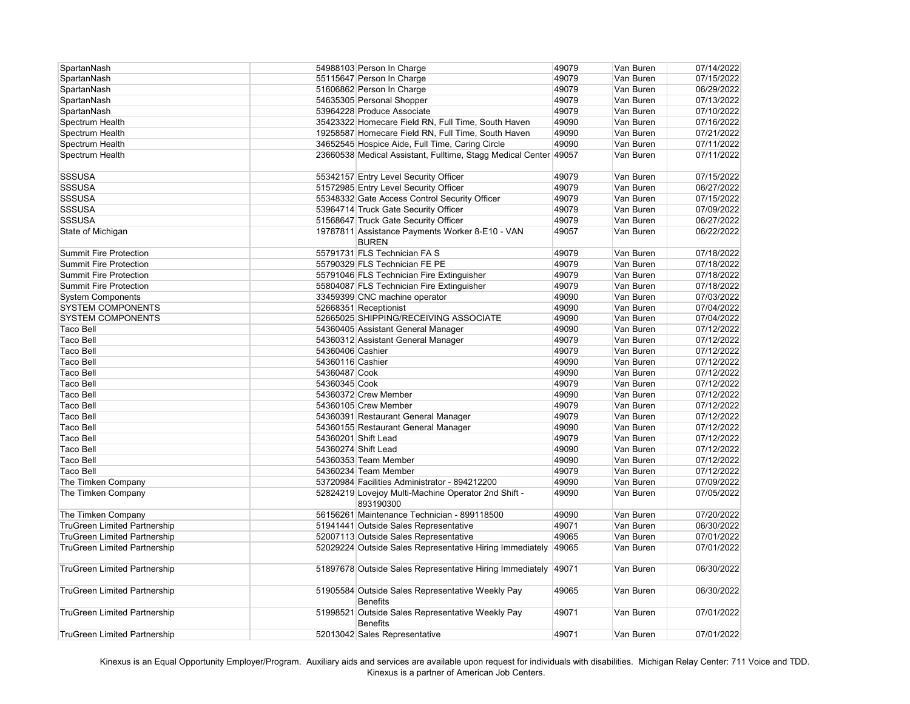| SpartanNash                         |                     | 54988103 Person In Charge                                  | 49079 | Van Buren | 07/14/2022 |
|-------------------------------------|---------------------|------------------------------------------------------------|-------|-----------|------------|
| SpartanNash                         |                     | 55115647 Person In Charge                                  | 49079 | Van Buren | 07/15/2022 |
| SpartanNash                         |                     | 51606862 Person In Charge                                  | 49079 | Van Buren | 06/29/2022 |
| SpartanNash                         |                     | 54635305 Personal Shopper                                  | 49079 | Van Buren | 07/13/2022 |
| SpartanNash                         |                     | 53964228 Produce Associate                                 | 49079 | Van Buren | 07/10/2022 |
| Spectrum Health                     |                     | 35423322 Homecare Field RN, Full Time, South Haven         | 49090 | Van Buren | 07/16/2022 |
| Spectrum Health                     |                     | 19258587 Homecare Field RN, Full Time, South Haven         | 49090 | Van Buren | 07/21/2022 |
| Spectrum Health                     |                     | 34652545 Hospice Aide, Full Time, Caring Circle            | 49090 | Van Buren | 07/11/2022 |
| Spectrum Health                     |                     | 23660538 Medical Assistant, Fulltime, Stagg Medical Center | 49057 | Van Buren | 07/11/2022 |
|                                     |                     |                                                            |       |           |            |
| <b>SSSUSA</b>                       |                     | 55342157 Entry Level Security Officer                      | 49079 | Van Buren | 07/15/2022 |
| <b>SSSUSA</b>                       |                     | 51572985 Entry Level Security Officer                      | 49079 | Van Buren | 06/27/2022 |
| <b>SSSUSA</b>                       |                     | 55348332 Gate Access Control Security Officer              | 49079 | Van Buren | 07/15/2022 |
| <b>SSSUSA</b>                       |                     | 53964714 Truck Gate Security Officer                       | 49079 | Van Buren | 07/09/2022 |
| <b>SSSUSA</b>                       |                     | 51568647 Truck Gate Security Officer                       | 49079 | Van Buren | 06/27/2022 |
| State of Michigan                   |                     | 19787811 Assistance Payments Worker 8-E10 - VAN            | 49057 | Van Buren | 06/22/2022 |
|                                     |                     | <b>BUREN</b>                                               |       |           |            |
| <b>Summit Fire Protection</b>       |                     | 55791731 FLS Technician FA S                               | 49079 | Van Buren | 07/18/2022 |
| <b>Summit Fire Protection</b>       |                     | 55790329 FLS Technician FE PE                              | 49079 | Van Buren | 07/18/2022 |
| <b>Summit Fire Protection</b>       |                     | 55791046 FLS Technician Fire Extinguisher                  | 49079 | Van Buren | 07/18/2022 |
| <b>Summit Fire Protection</b>       |                     | 55804087 FLS Technician Fire Extinguisher                  | 49079 | Van Buren | 07/18/2022 |
| <b>System Components</b>            |                     | 33459399 CNC machine operator                              | 49090 | Van Buren | 07/03/2022 |
| <b>SYSTEM COMPONENTS</b>            |                     | 52668351 Receptionist                                      | 49090 | Van Buren | 07/04/2022 |
| <b>SYSTEM COMPONENTS</b>            |                     | 52665025 SHIPPING/RECEIVING ASSOCIATE                      | 49090 | Van Buren | 07/04/2022 |
| <b>Taco Bell</b>                    |                     | 54360405 Assistant General Manager                         | 49090 | Van Buren | 07/12/2022 |
| <b>Taco Bell</b>                    |                     | 54360312 Assistant General Manager                         | 49079 | Van Buren | 07/12/2022 |
| <b>Taco Bell</b>                    | 54360406 Cashier    |                                                            | 49079 | Van Buren | 07/12/2022 |
| <b>Taco Bell</b>                    | 54360116 Cashier    |                                                            | 49090 | Van Buren | 07/12/2022 |
| <b>Taco Bell</b>                    | 54360487 Cook       |                                                            | 49090 | Van Buren | 07/12/2022 |
| <b>Taco Bell</b>                    | 54360345 Cook       |                                                            | 49079 | Van Buren | 07/12/2022 |
| <b>Taco Bell</b>                    |                     | 54360372 Crew Member                                       | 49090 | Van Buren | 07/12/2022 |
| <b>Taco Bell</b>                    |                     | 54360105 Crew Member                                       | 49079 | Van Buren | 07/12/2022 |
| <b>Taco Bell</b>                    |                     | 54360391 Restaurant General Manager                        | 49079 | Van Buren | 07/12/2022 |
| <b>Taco Bell</b>                    |                     | 54360155 Restaurant General Manager                        | 49090 | Van Buren | 07/12/2022 |
| <b>Taco Bell</b>                    |                     | 54360201 Shift Lead                                        | 49079 | Van Buren | 07/12/2022 |
| <b>Taco Bell</b>                    | 54360274 Shift Lead |                                                            | 49090 | Van Buren | 07/12/2022 |
| <b>Taco Bell</b>                    |                     | 54360353 Team Member                                       | 49090 | Van Buren | 07/12/2022 |
| <b>Taco Bell</b>                    |                     | 54360234 Team Member                                       | 49079 | Van Buren | 07/12/2022 |
| The Timken Company                  |                     | 53720984 Facilities Administrator - 894212200              | 49090 | Van Buren | 07/09/2022 |
| The Timken Company                  |                     | 52824219 Lovejoy Multi-Machine Operator 2nd Shift -        | 49090 | Van Buren | 07/05/2022 |
|                                     |                     | 893190300                                                  |       |           |            |
| The Timken Company                  |                     | 56156261 Maintenance Technician - 899118500                | 49090 | Van Buren | 07/20/2022 |
| <b>TruGreen Limited Partnership</b> |                     | 51941441 Outside Sales Representative                      | 49071 | Van Buren | 06/30/2022 |
| <b>TruGreen Limited Partnership</b> |                     | 52007113 Outside Sales Representative                      | 49065 | Van Buren | 07/01/2022 |
| <b>TruGreen Limited Partnership</b> |                     | 52029224 Outside Sales Representative Hiring Immediately   | 49065 | Van Buren | 07/01/2022 |
|                                     |                     |                                                            |       |           |            |
| <b>TruGreen Limited Partnership</b> |                     | 51897678 Outside Sales Representative Hiring Immediately   | 49071 | Van Buren | 06/30/2022 |
|                                     |                     |                                                            |       |           |            |
| <b>TruGreen Limited Partnership</b> |                     | 51905584 Outside Sales Representative Weekly Pay           | 49065 | Van Buren | 06/30/2022 |
|                                     |                     | <b>Benefits</b>                                            |       |           |            |
| <b>TruGreen Limited Partnership</b> |                     | 51998521 Outside Sales Representative Weekly Pay           | 49071 | Van Buren | 07/01/2022 |
|                                     |                     | <b>Benefits</b>                                            |       |           |            |
| <b>TruGreen Limited Partnership</b> |                     | 52013042 Sales Representative                              | 49071 | Van Buren | 07/01/2022 |
|                                     |                     |                                                            |       |           |            |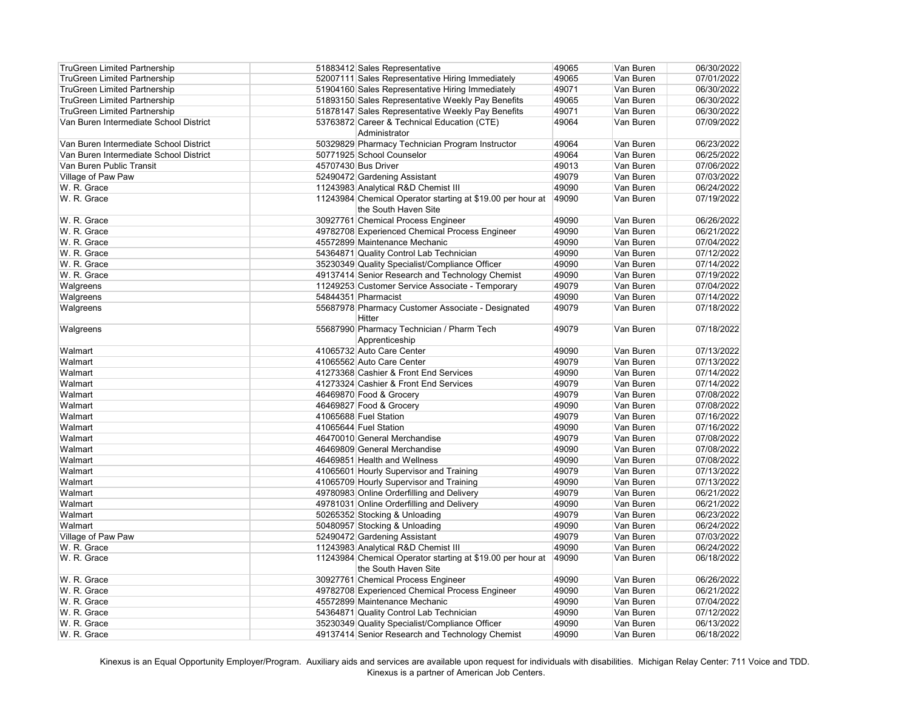| <b>TruGreen Limited Partnership</b>    | 51883412 Sales Representative                              | 49065 | Van Buren | 06/30/2022 |
|----------------------------------------|------------------------------------------------------------|-------|-----------|------------|
| <b>TruGreen Limited Partnership</b>    | 52007111 Sales Representative Hiring Immediately           | 49065 | Van Buren | 07/01/2022 |
| <b>TruGreen Limited Partnership</b>    | 51904160 Sales Representative Hiring Immediately           | 49071 | Van Buren | 06/30/2022 |
| <b>TruGreen Limited Partnership</b>    | 51893150 Sales Representative Weekly Pay Benefits          | 49065 | Van Buren | 06/30/2022 |
| <b>TruGreen Limited Partnership</b>    | 51878147 Sales Representative Weekly Pay Benefits          | 49071 | Van Buren | 06/30/2022 |
| Van Buren Intermediate School District | 53763872 Career & Technical Education (CTE)                | 49064 | Van Buren | 07/09/2022 |
|                                        | Administrator                                              |       |           |            |
| Van Buren Intermediate School District | 50329829 Pharmacy Technician Program Instructor            | 49064 | Van Buren | 06/23/2022 |
| Van Buren Intermediate School District | 50771925 School Counselor                                  | 49064 | Van Buren | 06/25/2022 |
| Van Buren Public Transit               | 45707430 Bus Driver                                        | 49013 | Van Buren | 07/06/2022 |
| Village of Paw Paw                     | 52490472 Gardening Assistant                               | 49079 | Van Buren | 07/03/2022 |
| W. R. Grace                            | 11243983 Analytical R&D Chemist III                        | 49090 | Van Buren | 06/24/2022 |
| W. R. Grace                            | 11243984 Chemical Operator starting at \$19.00 per hour at | 49090 | Van Buren | 07/19/2022 |
|                                        | the South Haven Site                                       |       |           |            |
| W. R. Grace                            | 30927761 Chemical Process Engineer                         | 49090 | Van Buren | 06/26/2022 |
| W. R. Grace                            | 49782708 Experienced Chemical Process Engineer             | 49090 | Van Buren | 06/21/2022 |
| W. R. Grace                            | 45572899 Maintenance Mechanic                              | 49090 | Van Buren | 07/04/2022 |
| W. R. Grace                            | 54364871 Quality Control Lab Technician                    | 49090 | Van Buren | 07/12/2022 |
| W. R. Grace                            | 35230349 Quality Specialist/Compliance Officer             | 49090 | Van Buren | 07/14/2022 |
| W. R. Grace                            | 49137414 Senior Research and Technology Chemist            | 49090 | Van Buren | 07/19/2022 |
| Walgreens                              | 11249253 Customer Service Associate - Temporary            | 49079 | Van Buren | 07/04/2022 |
| Walgreens                              | 54844351 Pharmacist                                        | 49090 | Van Buren | 07/14/2022 |
| Walgreens                              | 55687978 Pharmacy Customer Associate - Designated          | 49079 | Van Buren | 07/18/2022 |
|                                        | <b>Hitter</b>                                              |       |           |            |
| Walgreens                              | 55687990 Pharmacy Technician / Pharm Tech                  | 49079 | Van Buren | 07/18/2022 |
|                                        | Apprenticeship                                             |       |           |            |
| Walmart                                | 41065732 Auto Care Center                                  | 49090 | Van Buren | 07/13/2022 |
| Walmart                                | 41065562 Auto Care Center                                  | 49079 | Van Buren | 07/13/2022 |
|                                        |                                                            | 49090 |           | 07/14/2022 |
| Walmart                                | 41273368 Cashier & Front End Services                      |       | Van Buren | 07/14/2022 |
| Walmart                                | 41273324 Cashier & Front End Services                      | 49079 | Van Buren |            |
| Walmart                                | 46469870 Food & Grocery                                    | 49079 | Van Buren | 07/08/2022 |
| Walmart                                | 46469827 Food & Grocery                                    | 49090 | Van Buren | 07/08/2022 |
| Walmart                                | 41065688 Fuel Station                                      | 49079 | Van Buren | 07/16/2022 |
| Walmart                                | 41065644 Fuel Station                                      | 49090 | Van Buren | 07/16/2022 |
| Walmart                                | 46470010 General Merchandise                               | 49079 | Van Buren | 07/08/2022 |
| Walmart                                | 46469809 General Merchandise                               | 49090 | Van Buren | 07/08/2022 |
| Walmart                                | 46469851 Health and Wellness                               | 49090 | Van Buren | 07/08/2022 |
| Walmart                                | 41065601 Hourly Supervisor and Training                    | 49079 | Van Buren | 07/13/2022 |
| Walmart                                | 41065709 Hourly Supervisor and Training                    | 49090 | Van Buren | 07/13/2022 |
| Walmart                                | 49780983 Online Orderfilling and Delivery                  | 49079 | Van Buren | 06/21/2022 |
| Walmart                                | 49781031 Online Orderfilling and Delivery                  | 49090 | Van Buren | 06/21/2022 |
| Walmart                                | 50265352 Stocking & Unloading                              | 49079 | Van Buren | 06/23/2022 |
| Walmart                                | 50480957 Stocking & Unloading                              | 49090 | Van Buren | 06/24/2022 |
| Village of Paw Paw                     | 52490472 Gardening Assistant                               | 49079 | Van Buren | 07/03/2022 |
| W. R. Grace                            | 11243983 Analytical R&D Chemist III                        | 49090 | Van Buren | 06/24/2022 |
| W. R. Grace                            | 11243984 Chemical Operator starting at \$19.00 per hour at | 49090 | Van Buren | 06/18/2022 |
|                                        | the South Haven Site                                       |       |           |            |
| W. R. Grace                            | 30927761 Chemical Process Engineer                         | 49090 | Van Buren | 06/26/2022 |
| W. R. Grace                            | 49782708 Experienced Chemical Process Engineer             | 49090 | Van Buren | 06/21/2022 |
| W. R. Grace                            | 45572899 Maintenance Mechanic                              | 49090 | Van Buren | 07/04/2022 |
| W. R. Grace                            | 54364871 Quality Control Lab Technician                    | 49090 | Van Buren | 07/12/2022 |
| W. R. Grace                            | 35230349 Quality Specialist/Compliance Officer             | 49090 | Van Buren | 06/13/2022 |
| W. R. Grace                            | 49137414 Senior Research and Technology Chemist            | 49090 | Van Buren | 06/18/2022 |